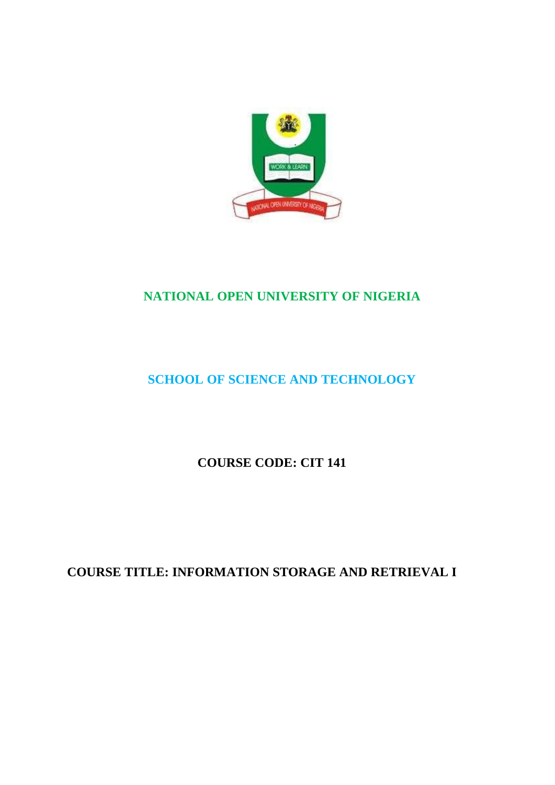

# **NATIONAL OPEN UNIVERSITY OF NIGERIA**

# **SCHOOL OF SCIENCE AND TECHNOLOGY**

**COURSE CODE: CIT 141**

**COURSE TITLE: INFORMATION STORAGE AND RETRIEVAL I**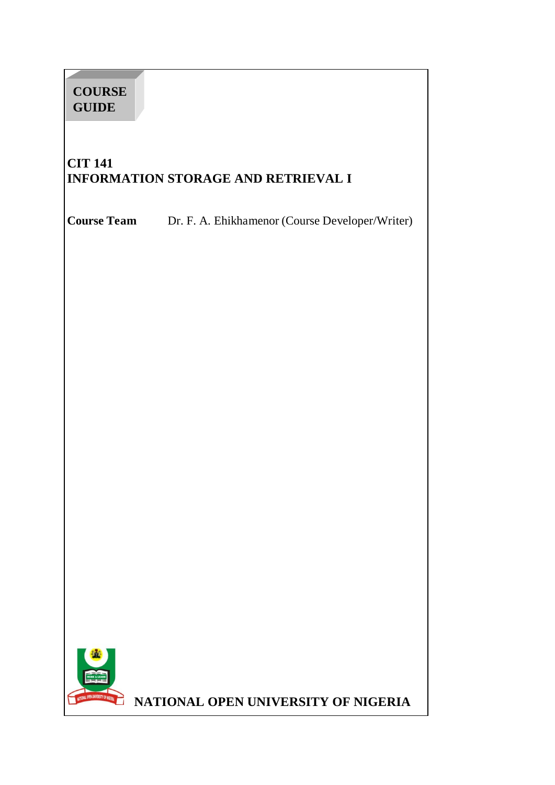# **COURSE GUIDE**

# **CIT 141 INFORMATION STORAGE AND RETRIEVAL I**

**Course Team** Dr. F. A. Ehikhamenor (Course Developer/Writer)



**NATIONAL OPEN UNIVERSITY OF NIGERIA**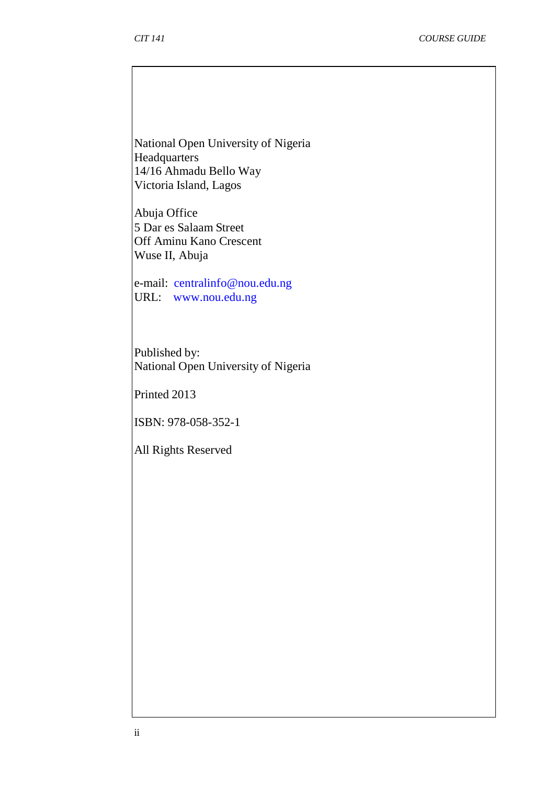National Open University of Nigeria Headquarters 14/16 Ahmadu Bello Way Victoria Island, Lagos

Abuja Office 5 Dar es Salaam Street Off Aminu Kano Crescent Wuse II, Abuja

e-mail: [centralinfo@nou.edu.ng](mailto:centralinfo@nou.edu.ng) URL: [www.nou.edu.ng](http://www.nou.edu.ng/)

Published by: National Open University of Nigeria

Printed 2013

ISBN: 978-058-352-1

All Rights Reserved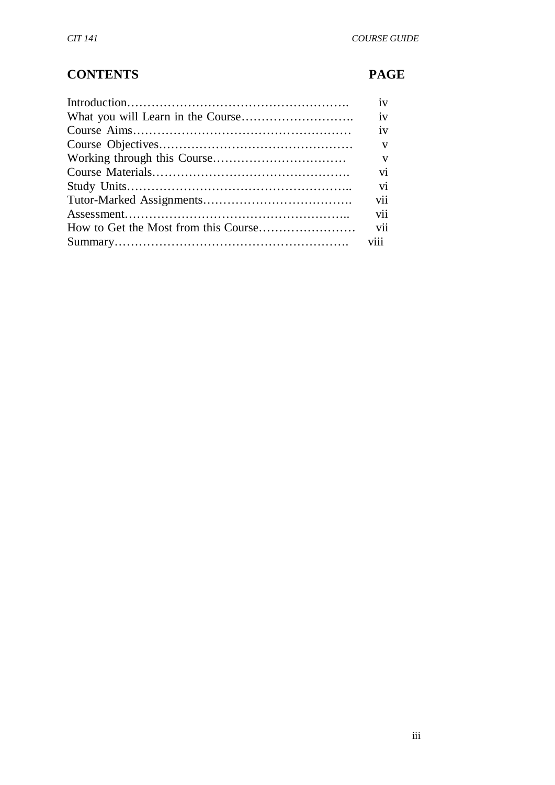# **CONTENTS PAGE**

| iv              |
|-----------------|
| iv              |
| iv              |
| $\mathbf{V}$    |
| V               |
| $\overline{vi}$ |
| vi              |
| vii             |
| vii             |
| vii             |
|                 |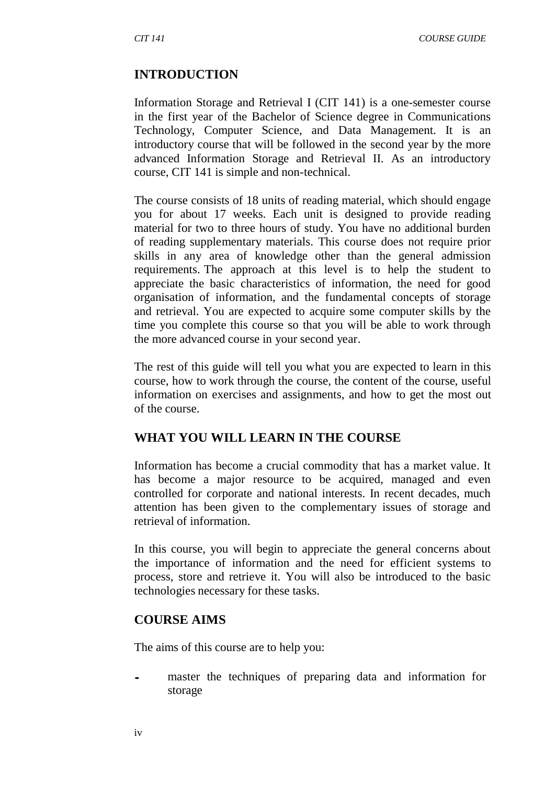#### **INTRODUCTION**

Information Storage and Retrieval I (CIT 141) is a one-semester course in the first year of the Bachelor of Science degree in Communications Technology, Computer Science, and Data Management. It is an introductory course that will be followed in the second year by the more advanced Information Storage and Retrieval II. As an introductory course, CIT 141 is simple and non-technical.

The course consists of 18 units of reading material, which should engage you for about 17 weeks. Each unit is designed to provide reading material for two to three hours of study. You have no additional burden of reading supplementary materials. This course does not require prior skills in any area of knowledge other than the general admission requirements. The approach at this level is to help the student to appreciate the basic characteristics of information, the need for good organisation of information, and the fundamental concepts of storage and retrieval. You are expected to acquire some computer skills by the time you complete this course so that you will be able to work through the more advanced course in your second year.

The rest of this guide will tell you what you are expected to learn in this course, how to work through the course, the content of the course, useful information on exercises and assignments, and how to get the most out of the course.

#### **WHAT YOU WILL LEARN IN THE COURSE**

Information has become a crucial commodity that has a market value. It has become a major resource to be acquired, managed and even controlled for corporate and national interests. In recent decades, much attention has been given to the complementary issues of storage and retrieval of information.

In this course, you will begin to appreciate the general concerns about the importance of information and the need for efficient systems to process, store and retrieve it. You will also be introduced to the basic technologies necessary for these tasks.

#### **COURSE AIMS**

The aims of this course are to help you:

master the techniques of preparing data and information for storage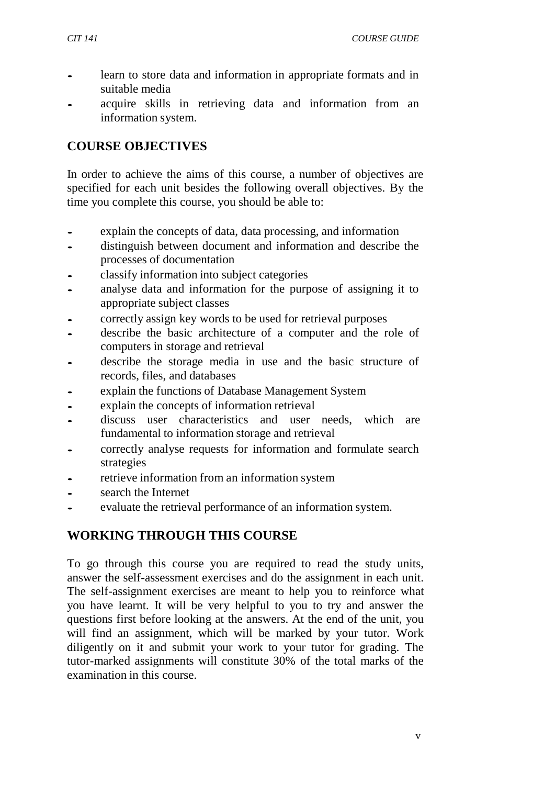- learn to store data and information in appropriate formats and in suitable media
- acquire skills in retrieving data and information from an information system.

#### **COURSE OBJECTIVES**

In order to achieve the aims of this course, a number of objectives are specified for each unit besides the following overall objectives. By the time you complete this course, you should be able to:

- explain the concepts of data, data processing, and information<br>
distinguish between document and information and describe
- distinguish between document and information and describe the processes of documentation
- classify information into subject categories<br>• analyse data and information for the nurr
- analyse data and information for the purpose of assigning it to appropriate subject classes
- correctly assign key words to be used for retrieval purposes
- describe the basic architecture of a computer and the role of computers in storage and retrieval
- describe the storage media in use and the basic structure of records, files, and databases
- explain the functions of Database Management System
- explain the concepts of information retrieval
- discuss user characteristics and user needs, which are fundamental to information storage and retrieval
- correctly analyse requests for information and formulate search strategies
- retrieve information from an information system
- search the Internet
- evaluate the retrieval performance of an information system.

## **WORKING THROUGH THIS COURSE**

To go through this course you are required to read the study units, answer the self-assessment exercises and do the assignment in each unit. The self-assignment exercises are meant to help you to reinforce what you have learnt. It will be very helpful to you to try and answer the questions first before looking at the answers. At the end of the unit, you will find an assignment, which will be marked by your tutor. Work diligently on it and submit your work to your tutor for grading. The tutor-marked assignments will constitute 30% of the total marks of the examination in this course.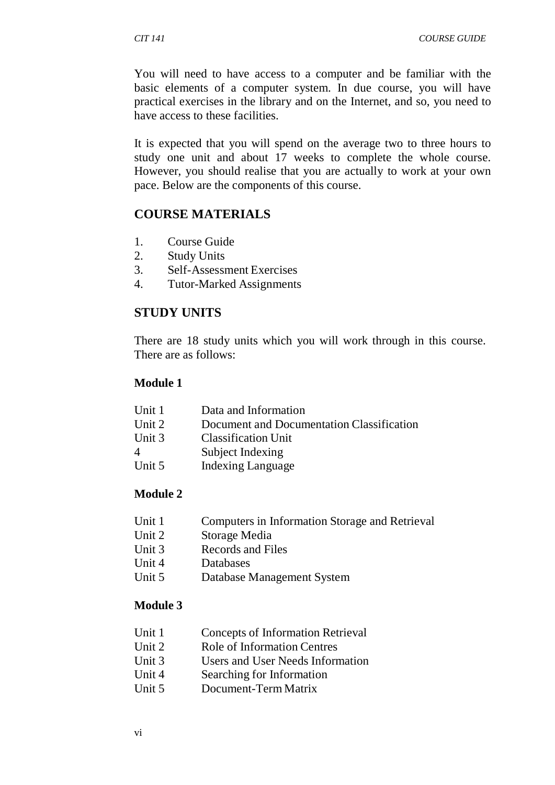You will need to have access to a computer and be familiar with the basic elements of a computer system. In due course, you will have practical exercises in the library and on the Internet, and so, you need to have access to these facilities.

It is expected that you will spend on the average two to three hours to study one unit and about 17 weeks to complete the whole course. However, you should realise that you are actually to work at your own pace. Below are the components of this course.

#### **COURSE MATERIALS**

- 1. Course Guide
- 2. Study Units
- 3. Self-Assessment Exercises
- 4. Tutor-Marked Assignments

#### **STUDY UNITS**

There are 18 study units which you will work through in this course. There are as follows:

#### **Module 1**

| Data and Information                      |
|-------------------------------------------|
| Document and Documentation Classification |
| <b>Classification Unit</b>                |
| Subject Indexing                          |
| <b>Indexing Language</b>                  |
|                                           |

#### **Module 2**

- Unit 1 Computers in Information Storage and Retrieval
- Unit 2 Storage Media
- Unit 3 Records and Files
- Unit 4 Databases
- Unit 5 Database Management System

#### **Module 3**

- Unit 1 Concepts of Information Retrieval
- Unit 2 Role of Information Centres
- Unit 3 Users and User Needs Information
- Unit 4 Searching for Information
- Unit 5 Document-Term Matrix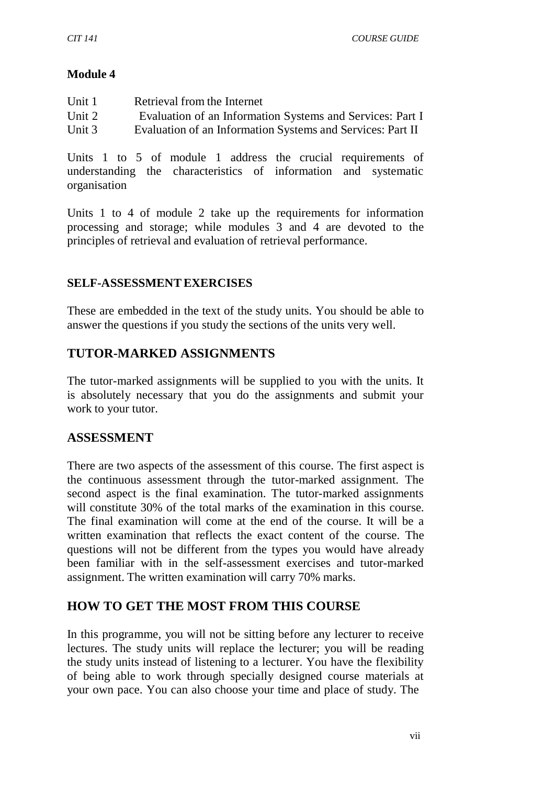#### **Module 4**

| Unit 1   | Retrieval from the Internet                                |
|----------|------------------------------------------------------------|
| Unit 2   | Evaluation of an Information Systems and Services: Part I  |
| Unit $3$ | Evaluation of an Information Systems and Services: Part II |

Units 1 to 5 of module 1 address the crucial requirements of understanding the characteristics of information and systematic organisation

Units 1 to 4 of module 2 take up the requirements for information processing and storage; while modules 3 and 4 are devoted to the principles of retrieval and evaluation of retrieval performance.

#### **SELF-ASSESSMENTEXERCISES**

These are embedded in the text of the study units. You should be able to answer the questions if you study the sections of the units very well.

## **TUTOR-MARKED ASSIGNMENTS**

The tutor-marked assignments will be supplied to you with the units. It is absolutely necessary that you do the assignments and submit your work to your tutor.

#### **ASSESSMENT**

There are two aspects of the assessment of this course. The first aspect is the continuous assessment through the tutor-marked assignment. The second aspect is the final examination. The tutor-marked assignments will constitute 30% of the total marks of the examination in this course. The final examination will come at the end of the course. It will be a written examination that reflects the exact content of the course. The questions will not be different from the types you would have already been familiar with in the self-assessment exercises and tutor-marked assignment. The written examination will carry 70% marks.

#### **HOW TO GET THE MOST FROM THIS COURSE**

In this programme, you will not be sitting before any lecturer to receive lectures. The study units will replace the lecturer; you will be reading the study units instead of listening to a lecturer. You have the flexibility of being able to work through specially designed course materials at your own pace. You can also choose your time and place of study. The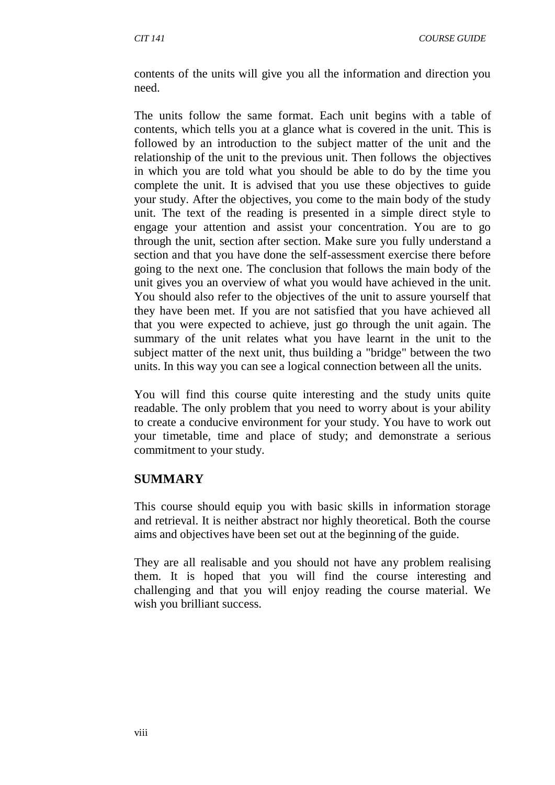contents of the units will give you all the information and direction you need.

The units follow the same format. Each unit begins with a table of contents, which tells you at a glance what is covered in the unit. This is followed by an introduction to the subject matter of the unit and the relationship of the unit to the previous unit. Then follows the objectives in which you are told what you should be able to do by the time you complete the unit. It is advised that you use these objectives to guide your study. After the objectives, you come to the main body of the study unit. The text of the reading is presented in a simple direct style to engage your attention and assist your concentration. You are to go through the unit, section after section. Make sure you fully understand a section and that you have done the self-assessment exercise there before going to the next one. The conclusion that follows the main body of the unit gives you an overview of what you would have achieved in the unit. You should also refer to the objectives of the unit to assure yourself that they have been met. If you are not satisfied that you have achieved all that you were expected to achieve, just go through the unit again. The summary of the unit relates what you have learnt in the unit to the subject matter of the next unit, thus building a "bridge" between the two units. In this way you can see a logical connection between all the units.

You will find this course quite interesting and the study units quite readable. The only problem that you need to worry about is your ability to create a conducive environment for your study. You have to work out your timetable, time and place of study; and demonstrate a serious commitment to your study.

#### **SUMMARY**

This course should equip you with basic skills in information storage and retrieval. It is neither abstract nor highly theoretical. Both the course aims and objectives have been set out at the beginning of the guide.

They are all realisable and you should not have any problem realising them. It is hoped that you will find the course interesting and challenging and that you will enjoy reading the course material. We wish you brilliant success.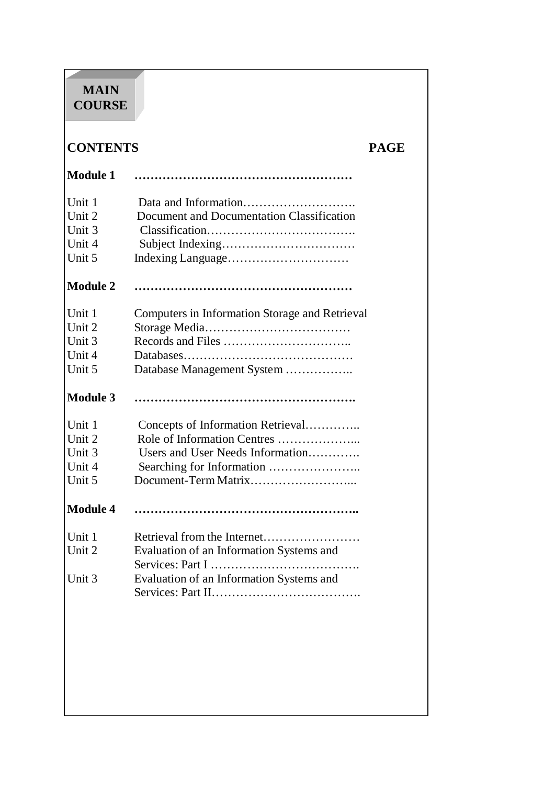# **MAIN COURSE**

# **CONTENTS PAGE**

| <b>Module 1</b> |                                                |
|-----------------|------------------------------------------------|
| Unit 1          |                                                |
| Unit 2          | Document and Documentation Classification      |
| Unit 3          |                                                |
| Unit 4          |                                                |
| Unit 5          |                                                |
| <b>Module 2</b> |                                                |
| Unit 1          | Computers in Information Storage and Retrieval |
| Unit 2          |                                                |
| Unit 3          |                                                |
| Unit 4          |                                                |
| Unit 5          | Database Management System                     |
| <b>Module 3</b> |                                                |
| Unit 1          | Concepts of Information Retrieval              |
| Unit 2          | Role of Information Centres                    |
| Unit 3          | Users and User Needs Information               |
| Unit 4          | Searching for Information                      |
| Unit 5          |                                                |
| <b>Module 4</b> |                                                |
| Unit 1          | Retrieval from the Internet                    |
| Unit 2          | Evaluation of an Information Systems and       |
|                 | Evaluation of an Information Systems and       |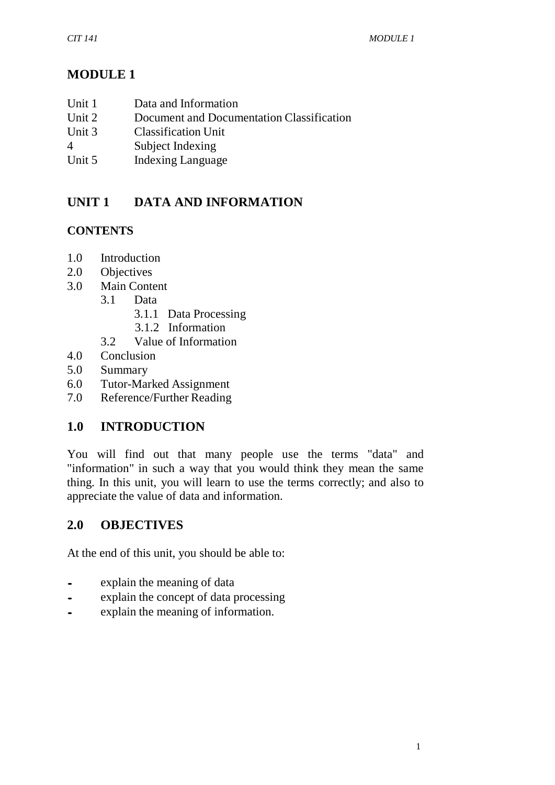# **MODULE 1**

| Unit 1 | Data and Information |
|--------|----------------------|
|        |                      |

- Unit 2 Document and Documentation Classification
- Unit 3 Classification Unit
- 4 Subject Indexing
- Unit 5 Indexing Language

# **UNIT 1 DATA AND INFORMATION**

## **CONTENTS**

- 1.0 Introduction
- 2.0 Objectives
- 3.0 Main Content
	- 3.1 Data
		- 3.1.1 Data Processing
		- 3.1.2 Information
	- 3.2 Value of Information
- 4.0 Conclusion
- 5.0 Summary
- 6.0 Tutor-Marked Assignment
- 7.0 Reference/Further Reading

# **1.0 INTRODUCTION**

You will find out that many people use the terms "data" and "information" in such a way that you would think they mean the same thing. In this unit, you will learn to use the terms correctly; and also to appreciate the value of data and information.

## **2.0 OBJECTIVES**

At the end of this unit, you should be able to:

- explain the meaning of data<br>• explain the concept of data r
- explain the concept of data processing<br>• explain the meaning of information.
- explain the meaning of information.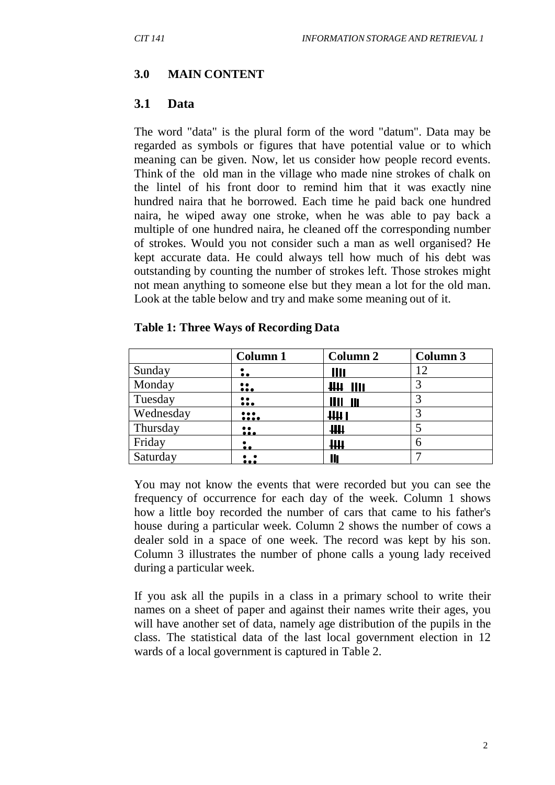#### **3.0 MAIN CONTENT**

#### **3.1 Data**

The word "data" is the plural form of the word "datum". Data may be regarded as symbols or figures that have potential value or to which meaning can be given. Now, let us consider how people record events. Think of the old man in the village who made nine strokes of chalk on the lintel of his front door to remind him that it was exactly nine hundred naira that he borrowed. Each time he paid back one hundred naira, he wiped away one stroke, when he was able to pay back a multiple of one hundred naira, he cleaned off the corresponding number of strokes. Would you not consider such a man as well organised? He kept accurate data. He could always tell how much of his debt was outstanding by counting the number of strokes left. Those strokes might not mean anything to someone else but they mean a lot for the old man. Look at the table below and try and make some meaning out of it.

|           | <b>Column 1</b>         | <b>Column 2</b>                          | Column 3 |
|-----------|-------------------------|------------------------------------------|----------|
| Sunday    | $\bullet$ $\bullet$     | Ш                                        | 12       |
| Monday    | $\mathbf{\mathbf{u}}$   | <u> 444 1111 </u>                        |          |
| Tuesday   | $\ddot{\phantom{a}}$    | <u> 1111 111</u>                         |          |
| Wednesday | $\frac{}{}$             | HH 1                                     |          |
| Thursday  | $\bullet$ $\bullet$<br> | $\mathbf{\mathsf{H}}\mathbf{\mathsf{H}}$ |          |
| Friday    | $\ddot{\bullet}$        | $\mathbf{\mathsf{H}}\mathbf{\mathsf{H}}$ | 6        |
| Saturday  | $\ddotsc$               | Ш                                        |          |

#### **Table 1: Three Ways of Recording Data**

You may not know the events that were recorded but you can see the frequency of occurrence for each day of the week. Column 1 shows how a little boy recorded the number of cars that came to his father's house during a particular week. Column 2 shows the number of cows a dealer sold in a space of one week. The record was kept by his son. Column 3 illustrates the number of phone calls a young lady received during a particular week.

If you ask all the pupils in a class in a primary school to write their names on a sheet of paper and against their names write their ages, you will have another set of data, namely age distribution of the pupils in the class. The statistical data of the last local government election in 12 wards of a local government is captured in Table 2.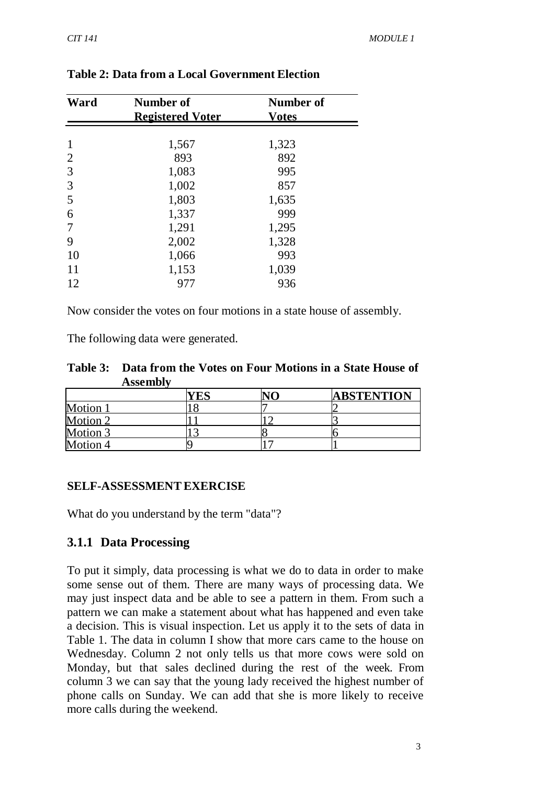| Ward | Number of               | Number of    |  |
|------|-------------------------|--------------|--|
|      | <b>Registered Voter</b> | <b>Votes</b> |  |
|      |                         |              |  |
| 1    | 1,567                   | 1,323        |  |
| 2    | 893                     | 892          |  |
| 3    | 1,083                   | 995          |  |
| 3    | 1,002                   | 857          |  |
| 5    | 1,803                   | 1,635        |  |
| 6    | 1,337                   | 999          |  |
| 7    | 1,291                   | 1,295        |  |
| 9    | 2,002                   | 1,328        |  |
| 10   | 1,066                   | 993          |  |
| 11   | 1,153                   | 1,039        |  |
| 12   | 977                     | 936          |  |
|      |                         |              |  |

#### **Table 2: Data from a Local Government Election**

Now consider the votes on four motions in a state house of assembly.

The following data were generated.

| Table 3: Data from the Votes on Four Motions in a State House of |  |
|------------------------------------------------------------------|--|
| <b>Assembly</b>                                                  |  |

|          | ′E⊾ | <b>ABSTENTION</b> |
|----------|-----|-------------------|
| Motion 1 |     |                   |
| Motion 2 |     |                   |
| Motion 3 |     |                   |
| Motion 4 |     |                   |

#### **SELF-ASSESSMENTEXERCISE**

What do you understand by the term "data"?

#### **3.1.1 Data Processing**

To put it simply, data processing is what we do to data in order to make some sense out of them. There are many ways of processing data. We may just inspect data and be able to see a pattern in them. From such a pattern we can make a statement about what has happened and even take a decision. This is visual inspection. Let us apply it to the sets of data in Table 1. The data in column I show that more cars came to the house on Wednesday. Column 2 not only tells us that more cows were sold on Monday, but that sales declined during the rest of the week. From column 3 we can say that the young lady received the highest number of phone calls on Sunday. We can add that she is more likely to receive more calls during the weekend.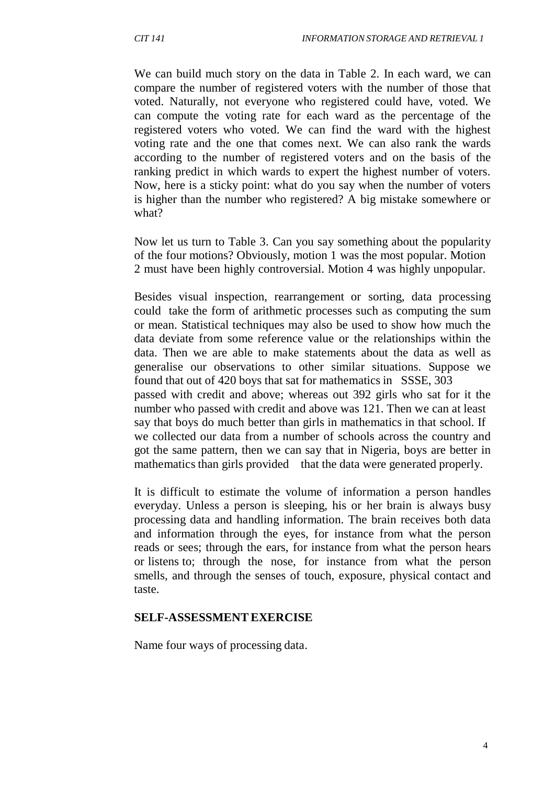We can build much story on the data in Table 2. In each ward, we can compare the number of registered voters with the number of those that voted. Naturally, not everyone who registered could have, voted. We can compute the voting rate for each ward as the percentage of the registered voters who voted. We can find the ward with the highest voting rate and the one that comes next. We can also rank the wards according to the number of registered voters and on the basis of the ranking predict in which wards to expert the highest number of voters. Now, here is a sticky point: what do you say when the number of voters is higher than the number who registered? A big mistake somewhere or what?

Now let us turn to Table 3. Can you say something about the popularity of the four motions? Obviously, motion 1 was the most popular. Motion 2 must have been highly controversial. Motion 4 was highly unpopular.

Besides visual inspection, rearrangement or sorting, data processing could take the form of arithmetic processes such as computing the sum or mean. Statistical techniques may also be used to show how much the data deviate from some reference value or the relationships within the data. Then we are able to make statements about the data as well as generalise our observations to other similar situations. Suppose we found that out of 420 boys that sat for mathematics in SSSE, 303 passed with credit and above; whereas out 392 girls who sat for it the number who passed with credit and above was 121. Then we can at least say that boys do much better than girls in mathematics in that school. If we collected our data from a number of schools across the country and got the same pattern, then we can say that in Nigeria, boys are better in mathematics than girls provided that the data were generated properly.

It is difficult to estimate the volume of information a person handles everyday. Unless a person is sleeping, his or her brain is always busy processing data and handling information. The brain receives both data and information through the eyes, for instance from what the person reads or sees; through the ears, for instance from what the person hears or listens to; through the nose, for instance from what the person smells, and through the senses of touch, exposure, physical contact and taste.

#### **SELF-ASSESSMENTEXERCISE**

Name four ways of processing data.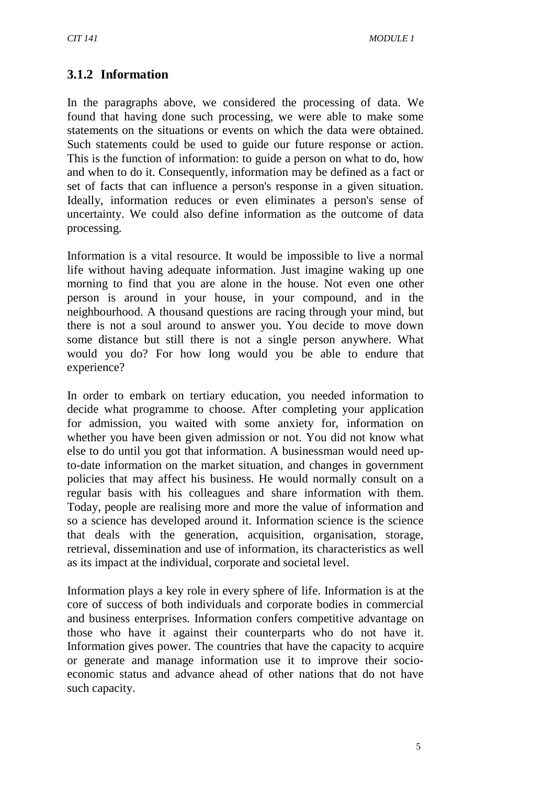## **3.1.2 Information**

In the paragraphs above, we considered the processing of data. We found that having done such processing, we were able to make some statements on the situations or events on which the data were obtained. Such statements could be used to guide our future response or action. This is the function of information: to guide a person on what to do, how and when to do it. Consequently, information may be defined as a fact or set of facts that can influence a person's response in a given situation. Ideally, information reduces or even eliminates a person's sense of uncertainty. We could also define information as the outcome of data processing.

Information is a vital resource. It would be impossible to live a normal life without having adequate information. Just imagine waking up one morning to find that you are alone in the house. Not even one other person is around in your house, in your compound, and in the neighbourhood. A thousand questions are racing through your mind, but there is not a soul around to answer you. You decide to move down some distance but still there is not a single person anywhere. What would you do? For how long would you be able to endure that experience?

In order to embark on tertiary education, you needed information to decide what programme to choose. After completing your application for admission, you waited with some anxiety for, information on whether you have been given admission or not. You did not know what else to do until you got that information. A businessman would need upto-date information on the market situation, and changes in government policies that may affect his business. He would normally consult on a regular basis with his colleagues and share information with them. Today, people are realising more and more the value of information and so a science has developed around it. Information science is the science that deals with the generation, acquisition, organisation, storage, retrieval, dissemination and use of information, its characteristics as well as its impact at the individual, corporate and societal level.

Information plays a key role in every sphere of life. Information is at the core of success of both individuals and corporate bodies in commercial and business enterprises. Information confers competitive advantage on those who have it against their counterparts who do not have it. Information gives power. The countries that have the capacity to acquire or generate and manage information use it to improve their socioeconomic status and advance ahead of other nations that do not have such capacity.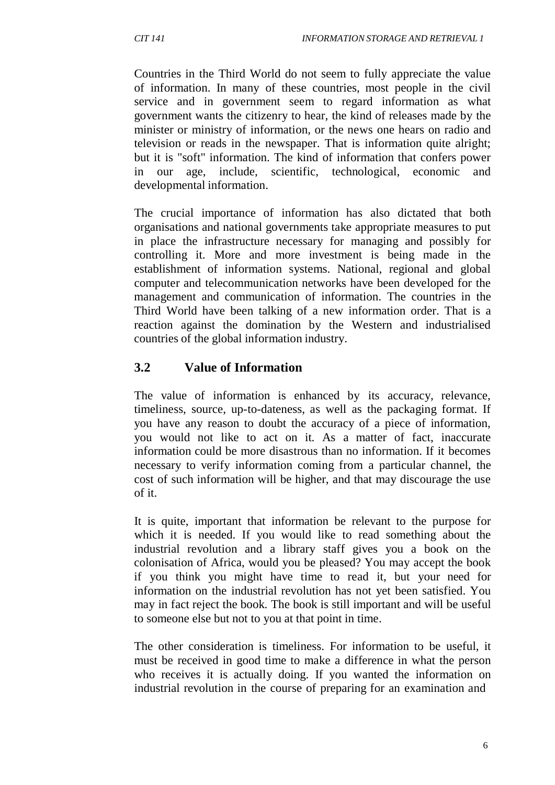Countries in the Third World do not seem to fully appreciate the value of information. In many of these countries, most people in the civil service and in government seem to regard information as what government wants the citizenry to hear, the kind of releases made by the minister or ministry of information, or the news one hears on radio and television or reads in the newspaper. That is information quite alright; but it is "soft" information. The kind of information that confers power in our age, include, scientific, technological, economic and developmental information.

The crucial importance of information has also dictated that both organisations and national governments take appropriate measures to put in place the infrastructure necessary for managing and possibly for controlling it. More and more investment is being made in the establishment of information systems. National, regional and global computer and telecommunication networks have been developed for the management and communication of information. The countries in the Third World have been talking of a new information order. That is a reaction against the domination by the Western and industrialised countries of the global information industry.

## **3.2 Value of Information**

The value of information is enhanced by its accuracy, relevance, timeliness, source, up-to-dateness, as well as the packaging format. If you have any reason to doubt the accuracy of a piece of information, you would not like to act on it. As a matter of fact, inaccurate information could be more disastrous than no information. If it becomes necessary to verify information coming from a particular channel, the cost of such information will be higher, and that may discourage the use of it.

It is quite, important that information be relevant to the purpose for which it is needed. If you would like to read something about the industrial revolution and a library staff gives you a book on the colonisation of Africa, would you be pleased? You may accept the book if you think you might have time to read it, but your need for information on the industrial revolution has not yet been satisfied. You may in fact reject the book. The book is still important and will be useful to someone else but not to you at that point in time.

The other consideration is timeliness. For information to be useful, it must be received in good time to make a difference in what the person who receives it is actually doing. If you wanted the information on industrial revolution in the course of preparing for an examination and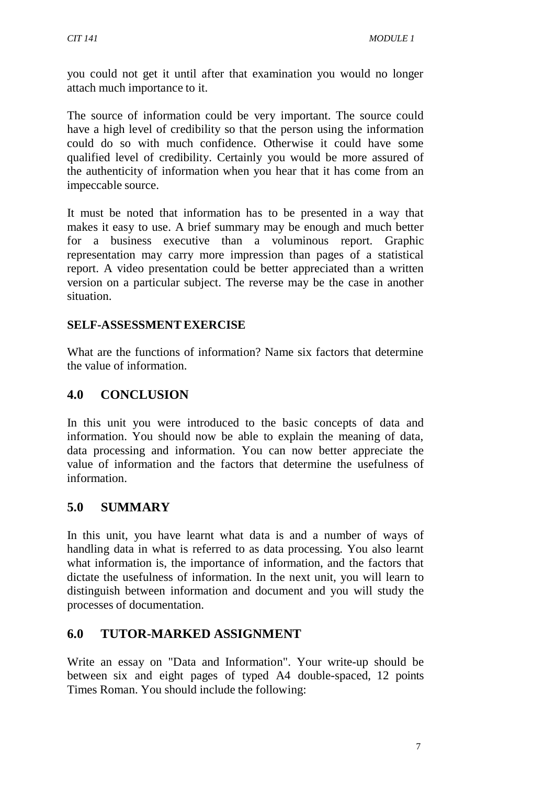you could not get it until after that examination you would no longer attach much importance to it.

The source of information could be very important. The source could have a high level of credibility so that the person using the information could do so with much confidence. Otherwise it could have some qualified level of credibility. Certainly you would be more assured of the authenticity of information when you hear that it has come from an impeccable source.

It must be noted that information has to be presented in a way that makes it easy to use. A brief summary may be enough and much better for a business executive than a voluminous report. Graphic representation may carry more impression than pages of a statistical report. A video presentation could be better appreciated than a written version on a particular subject. The reverse may be the case in another situation.

#### **SELF-ASSESSMENTEXERCISE**

What are the functions of information? Name six factors that determine the value of information.

#### **4.0 CONCLUSION**

In this unit you were introduced to the basic concepts of data and information. You should now be able to explain the meaning of data, data processing and information. You can now better appreciate the value of information and the factors that determine the usefulness of information.

#### **5.0 SUMMARY**

In this unit, you have learnt what data is and a number of ways of handling data in what is referred to as data processing. You also learnt what information is, the importance of information, and the factors that dictate the usefulness of information. In the next unit, you will learn to distinguish between information and document and you will study the processes of documentation.

#### **6.0 TUTOR-MARKED ASSIGNMENT**

Write an essay on "Data and Information". Your write-up should be between six and eight pages of typed A4 double-spaced, 12 points Times Roman. You should include the following: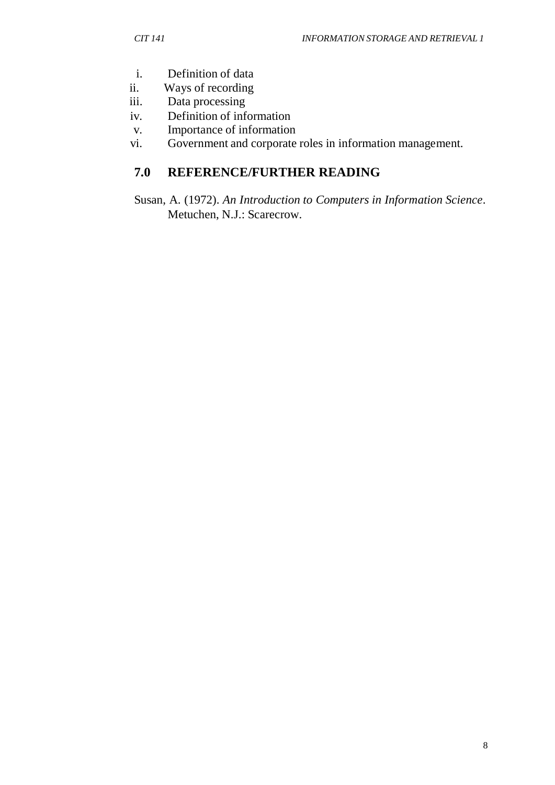- i. Definition of data<br>ii. Ways of recording
- Ways of recording
- iii. Data processing
- iv. Definition of information
- v. Importance of information
- vi. Government and corporate roles in information management.

# **7.0 REFERENCE/FURTHER READING**

Susan, A. (1972). *An Introduction to Computers in Information Science*. Metuchen, N.J.: Scarecrow.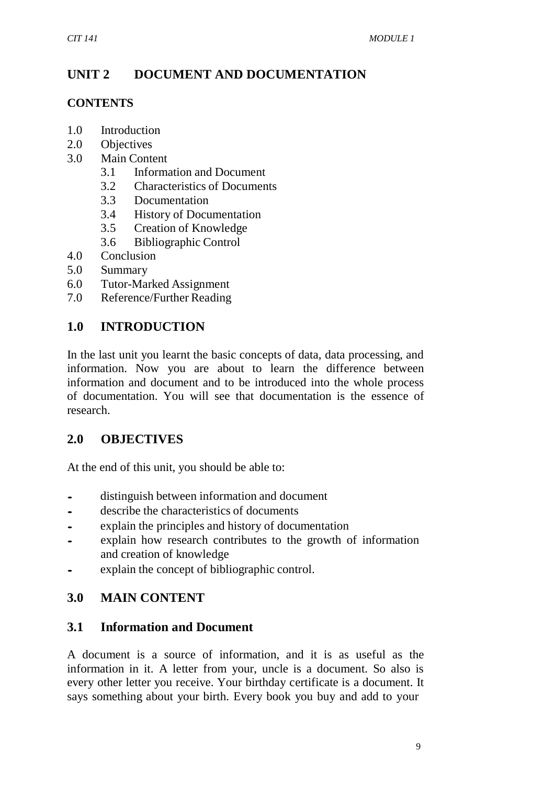## **UNIT 2 DOCUMENT AND DOCUMENTATION**

#### **CONTENTS**

- 1.0 Introduction
- 2.0 Objectives
- 3.0 Main Content
	- 3.1 Information and Document
	- 3.2 Characteristics of Documents
	- 3.3 Documentation
	- 3.4 History of Documentation
	- 3.5 Creation of Knowledge
	- 3.6 Bibliographic Control
- 4.0 Conclusion
- 5.0 Summary
- 6.0 Tutor-Marked Assignment
- 7.0 Reference/Further Reading

## **1.0 INTRODUCTION**

In the last unit you learnt the basic concepts of data, data processing, and information. Now you are about to learn the difference between information and document and to be introduced into the whole process of documentation. You will see that documentation is the essence of research.

#### **2.0 OBJECTIVES**

At the end of this unit, you should be able to:

- distinguish between information and document
- describe the characteristics of documents<br>• explain the principles and history of documents
- explain the principles and history of documentation<br>• explain how research contributes to the growth of
- explain how research contributes to the growth of information and creation of knowledge
- explain the concept of bibliographic control.

## **3.0 MAIN CONTENT**

#### **3.1 Information and Document**

A document is a source of information, and it is as useful as the information in it. A letter from your, uncle is a document. So also is every other letter you receive. Your birthday certificate is a document. It says something about your birth. Every book you buy and add to your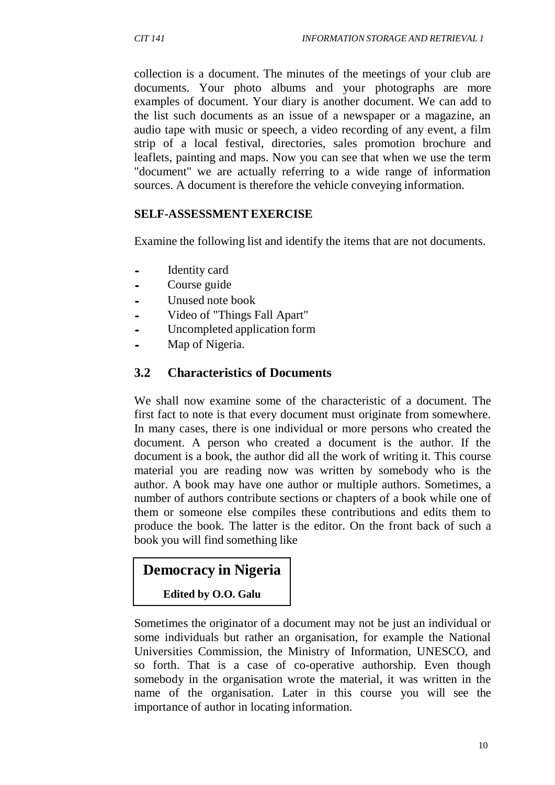collection is a document. The minutes of the meetings of your club are documents. Your photo albums and your photographs are more examples of document. Your diary is another document. We can add to the list such documents as an issue of a newspaper or a magazine, an audio tape with music or speech, a video recording of any event, a film strip of a local festival, directories, sales promotion brochure and leaflets, painting and maps. Now you can see that when we use the term "document" we are actually referring to a wide range of information sources. A document is therefore the vehicle conveying information.

#### **SELF-ASSESSMENTEXERCISE**

Examine the following list and identify the items that are not documents.

- Identity card
- Course guide
- Unused note book
- Video of "Things Fall Apart"
- Uncompleted application form
- Map of Nigeria.

#### **3.2 Characteristics of Documents**

We shall now examine some of the characteristic of a document. The first fact to note is that every document must originate from somewhere. In many cases, there is one individual or more persons who created the document. A person who created a document is the author. If the document is a book, the author did all the work of writing it. This course material you are reading now was written by somebody who is the author. A book may have one author or multiple authors. Sometimes, a number of authors contribute sections or chapters of a book while one of them or someone else compiles these contributions and edits them to produce the book. The latter is the editor. On the front back of such a book you will find something like

#### **Democracy in Nigeria**

#### **Edited by O.O. Galu**

Sometimes the originator of a document may not be just an individual or some individuals but rather an organisation, for example the National Universities Commission, the Ministry of Information, UNESCO, and so forth. That is a case of co-operative authorship. Even though somebody in the organisation wrote the material, it was written in the name of the organisation. Later in this course you will see the importance of author in locating information.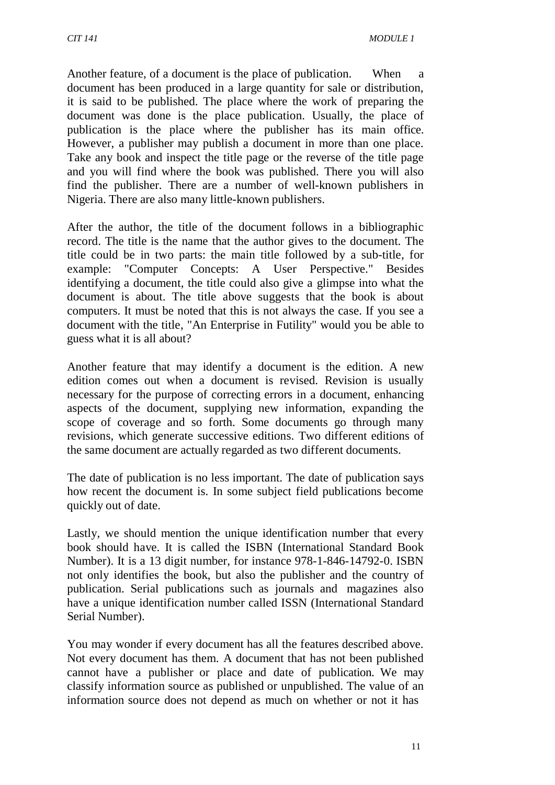Another feature, of a document is the place of publication. When a document has been produced in a large quantity for sale or distribution, it is said to be published. The place where the work of preparing the document was done is the place publication. Usually, the place of publication is the place where the publisher has its main office. However, a publisher may publish a document in more than one place. Take any book and inspect the title page or the reverse of the title page and you will find where the book was published. There you will also find the publisher. There are a number of well-known publishers in Nigeria. There are also many little-known publishers.

After the author, the title of the document follows in a bibliographic record. The title is the name that the author gives to the document. The title could be in two parts: the main title followed by a sub-title, for example: "Computer Concepts: A User Perspective." Besides identifying a document, the title could also give a glimpse into what the document is about. The title above suggests that the book is about computers. It must be noted that this is not always the case. If you see a document with the title, "An Enterprise in Futility" would you be able to guess what it is all about?

Another feature that may identify a document is the edition. A new edition comes out when a document is revised. Revision is usually necessary for the purpose of correcting errors in a document, enhancing aspects of the document, supplying new information, expanding the scope of coverage and so forth. Some documents go through many revisions, which generate successive editions. Two different editions of the same document are actually regarded as two different documents.

The date of publication is no less important. The date of publication says how recent the document is. In some subject field publications become quickly out of date.

Lastly, we should mention the unique identification number that every book should have. It is called the ISBN (International Standard Book Number). It is a 13 digit number, for instance 978-1-846-14792-0. ISBN not only identifies the book, but also the publisher and the country of publication. Serial publications such as journals and magazines also have a unique identification number called ISSN (International Standard Serial Number).

You may wonder if every document has all the features described above. Not every document has them. A document that has not been published cannot have a publisher or place and date of publication. We may classify information source as published or unpublished. The value of an information source does not depend as much on whether or not it has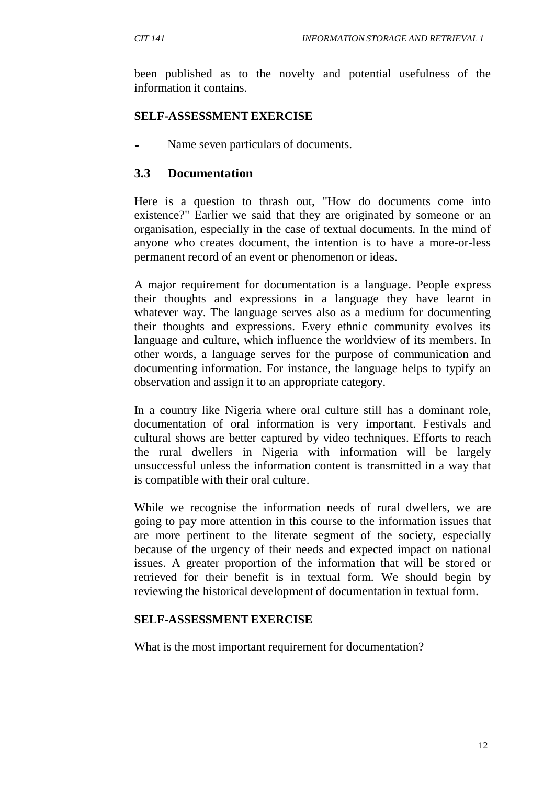been published as to the novelty and potential usefulness of the information it contains.

#### **SELF-ASSESSMENTEXERCISE**

Name seven particulars of documents.

## **3.3 Documentation**

Here is a question to thrash out, "How do documents come into existence?" Earlier we said that they are originated by someone or an organisation, especially in the case of textual documents. In the mind of anyone who creates document, the intention is to have a more-or-less permanent record of an event or phenomenon or ideas.

A major requirement for documentation is a language. People express their thoughts and expressions in a language they have learnt in whatever way. The language serves also as a medium for documenting their thoughts and expressions. Every ethnic community evolves its language and culture, which influence the worldview of its members. In other words, a language serves for the purpose of communication and documenting information. For instance, the language helps to typify an observation and assign it to an appropriate category.

In a country like Nigeria where oral culture still has a dominant role, documentation of oral information is very important. Festivals and cultural shows are better captured by video techniques. Efforts to reach the rural dwellers in Nigeria with information will be largely unsuccessful unless the information content is transmitted in a way that is compatible with their oral culture.

While we recognise the information needs of rural dwellers, we are going to pay more attention in this course to the information issues that are more pertinent to the literate segment of the society, especially because of the urgency of their needs and expected impact on national issues. A greater proportion of the information that will be stored or retrieved for their benefit is in textual form. We should begin by reviewing the historical development of documentation in textual form.

#### **SELF-ASSESSMENTEXERCISE**

What is the most important requirement for documentation?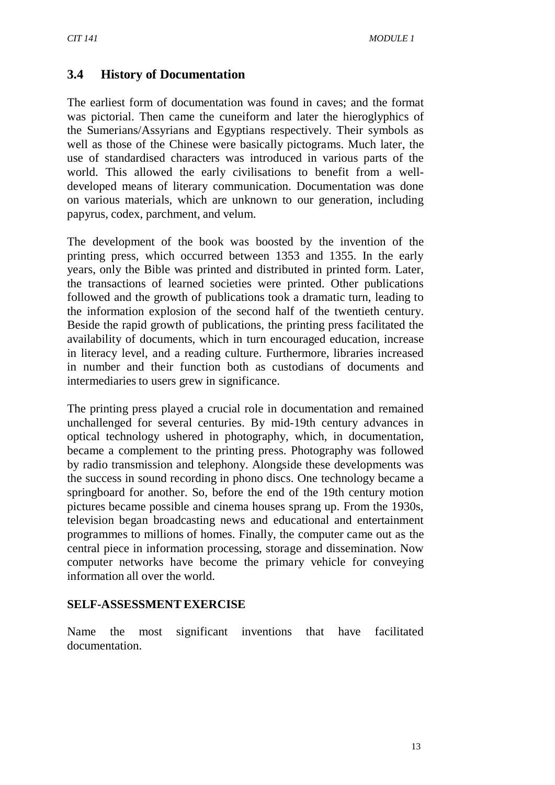#### **3.4 History of Documentation**

The earliest form of documentation was found in caves; and the format was pictorial. Then came the cuneiform and later the hieroglyphics of the Sumerians/Assyrians and Egyptians respectively. Their symbols as well as those of the Chinese were basically pictograms. Much later, the use of standardised characters was introduced in various parts of the world. This allowed the early civilisations to benefit from a welldeveloped means of literary communication. Documentation was done on various materials, which are unknown to our generation, including papyrus, codex, parchment, and velum.

The development of the book was boosted by the invention of the printing press, which occurred between 1353 and 1355. In the early years, only the Bible was printed and distributed in printed form. Later, the transactions of learned societies were printed. Other publications followed and the growth of publications took a dramatic turn, leading to the information explosion of the second half of the twentieth century. Beside the rapid growth of publications, the printing press facilitated the availability of documents, which in turn encouraged education, increase in literacy level, and a reading culture. Furthermore, libraries increased in number and their function both as custodians of documents and intermediaries to users grew in significance.

The printing press played a crucial role in documentation and remained unchallenged for several centuries. By mid-19th century advances in optical technology ushered in photography, which, in documentation, became a complement to the printing press. Photography was followed by radio transmission and telephony. Alongside these developments was the success in sound recording in phono discs. One technology became a springboard for another. So, before the end of the 19th century motion pictures became possible and cinema houses sprang up. From the 1930s, television began broadcasting news and educational and entertainment programmes to millions of homes. Finally, the computer came out as the central piece in information processing, storage and dissemination. Now computer networks have become the primary vehicle for conveying information all over the world.

#### **SELF-ASSESSMENTEXERCISE**

Name the most significant inventions that have facilitated documentation.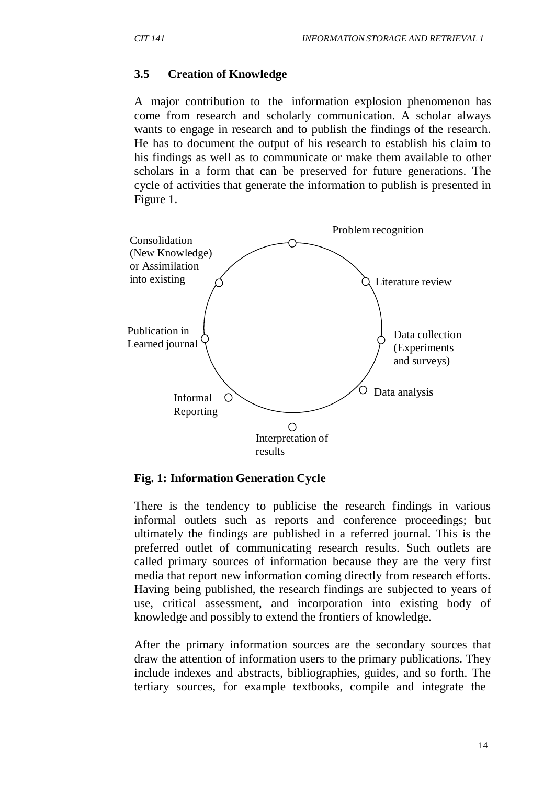#### **3.5 Creation of Knowledge**

A major contribution to the information explosion phenomenon has come from research and scholarly communication. A scholar always wants to engage in research and to publish the findings of the research. He has to document the output of his research to establish his claim to his findings as well as to communicate or make them available to other scholars in a form that can be preserved for future generations. The cycle of activities that generate the information to publish is presented in Figure 1.



#### **Fig. 1: Information Generation Cycle**

There is the tendency to publicise the research findings in various informal outlets such as reports and conference proceedings; but ultimately the findings are published in a referred journal. This is the preferred outlet of communicating research results. Such outlets are called primary sources of information because they are the very first media that report new information coming directly from research efforts. Having being published, the research findings are subjected to years of use, critical assessment, and incorporation into existing body of knowledge and possibly to extend the frontiers of knowledge.

After the primary information sources are the secondary sources that draw the attention of information users to the primary publications. They include indexes and abstracts, bibliographies, guides, and so forth. The tertiary sources, for example textbooks, compile and integrate the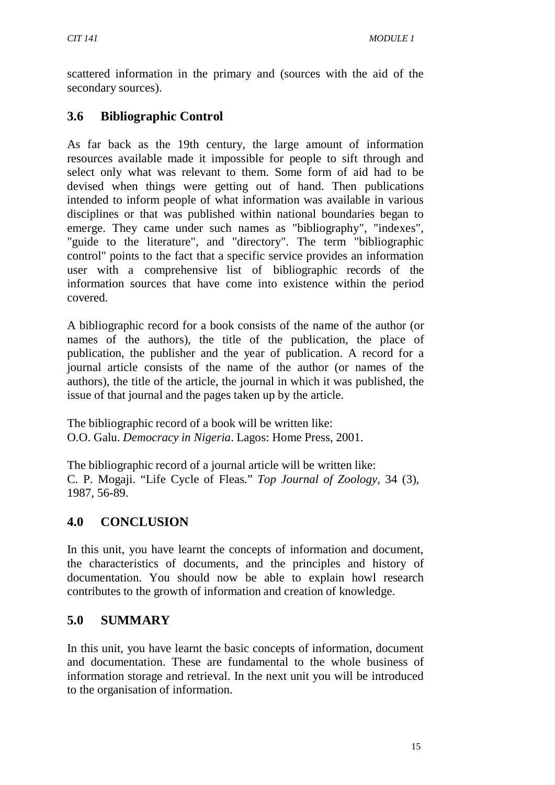scattered information in the primary and (sources with the aid of the secondary sources).

## **3.6 Bibliographic Control**

As far back as the 19th century, the large amount of information resources available made it impossible for people to sift through and select only what was relevant to them. Some form of aid had to be devised when things were getting out of hand. Then publications intended to inform people of what information was available in various disciplines or that was published within national boundaries began to emerge. They came under such names as "bibliography", "indexes", "guide to the literature", and "directory". The term "bibliographic control" points to the fact that a specific service provides an information user with a comprehensive list of bibliographic records of the information sources that have come into existence within the period covered.

A bibliographic record for a book consists of the name of the author (or names of the authors), the title of the publication, the place of publication, the publisher and the year of publication. A record for a journal article consists of the name of the author (or names of the authors), the title of the article, the journal in which it was published, the issue of that journal and the pages taken up by the article.

The bibliographic record of a book will be written like: O.O. Galu. *Democracy in Nigeria*. Lagos: Home Press, 2001.

The bibliographic record of a journal article will be written like: C. P. Mogaji. "Life Cycle of Fleas." *Top Journal of Zoology*, 34 (3), 1987, 56-89.

## **4.0 CONCLUSION**

In this unit, you have learnt the concepts of information and document, the characteristics of documents, and the principles and history of documentation. You should now be able to explain howl research contributes to the growth of information and creation of knowledge.

## **5.0 SUMMARY**

In this unit, you have learnt the basic concepts of information, document and documentation. These are fundamental to the whole business of information storage and retrieval. In the next unit you will be introduced to the organisation of information.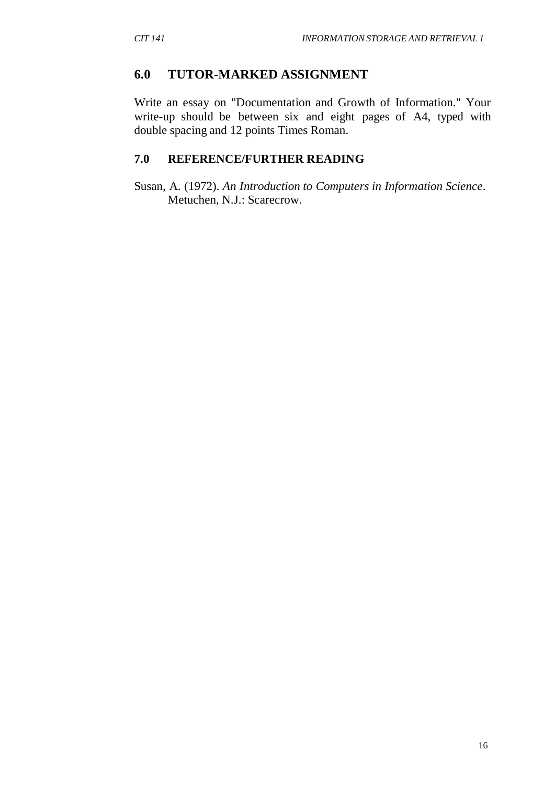#### **6.0 TUTOR-MARKED ASSIGNMENT**

Write an essay on "Documentation and Growth of Information." Your write-up should be between six and eight pages of A4, typed with double spacing and 12 points Times Roman.

#### **7.0 REFERENCE/FURTHER READING**

Susan, A. (1972). *An Introduction to Computers in Information Science*. Metuchen, N.J.: Scarecrow.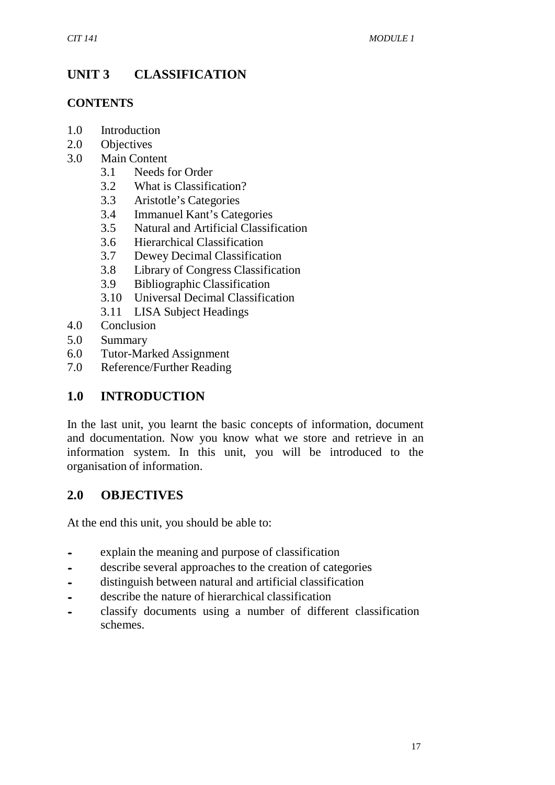# **UNIT 3 CLASSIFICATION**

#### **CONTENTS**

- 1.0 Introduction
- 2.0 Objectives
- 3.0 Main Content
	- 3.1 Needs for Order
	- 3.2 What is Classification?
	- 3.3 Aristotle's Categories
	- 3.4 Immanuel Kant's Categories
	- 3.5 Natural and Artificial Classification
	- 3.6 Hierarchical Classification
	- 3.7 Dewey Decimal Classification
	- 3.8 Library of Congress Classification
	- 3.9 Bibliographic Classification
	- 3.10 Universal Decimal Classification
	- 3.11 LISA Subject Headings
- 4.0 Conclusion
- 5.0 Summary
- 6.0 Tutor-Marked Assignment
- 7.0 Reference/Further Reading

## **1.0 INTRODUCTION**

In the last unit, you learnt the basic concepts of information, document and documentation. Now you know what we store and retrieve in an information system. In this unit, you will be introduced to the organisation of information.

#### **2.0 OBJECTIVES**

At the end this unit, you should be able to:

- explain the meaning and purpose of classification<br>• describe several approaches to the creation of cate
- describe several approaches to the creation of categories<br>• distinguish between natural and artificial classification
- distinguish between natural and artificial classification
- describe the nature of hierarchical classification<br>• classify documents using a number of differ
- classify documents using a number of different classification schemes.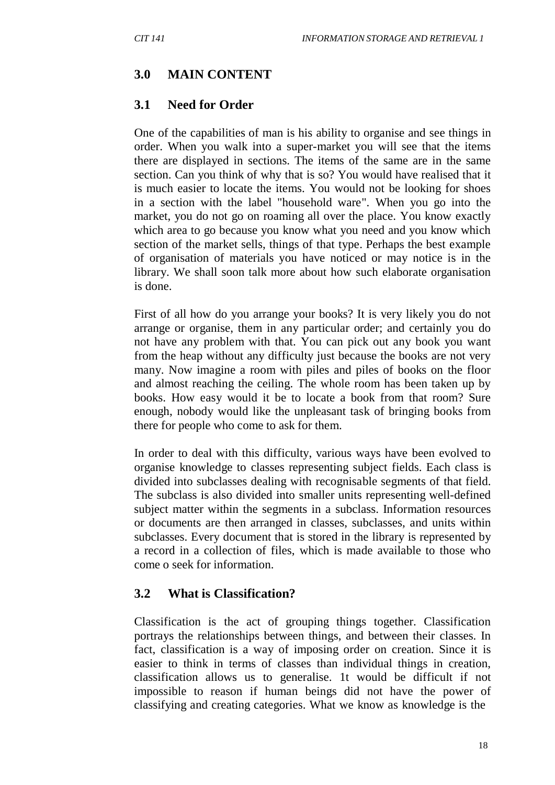## **3.0 MAIN CONTENT**

#### **3.1 Need for Order**

One of the capabilities of man is his ability to organise and see things in order. When you walk into a super-market you will see that the items there are displayed in sections. The items of the same are in the same section. Can you think of why that is so? You would have realised that it is much easier to locate the items. You would not be looking for shoes in a section with the label "household ware". When you go into the market, you do not go on roaming all over the place. You know exactly which area to go because you know what you need and you know which section of the market sells, things of that type. Perhaps the best example of organisation of materials you have noticed or may notice is in the library. We shall soon talk more about how such elaborate organisation is done.

First of all how do you arrange your books? It is very likely you do not arrange or organise, them in any particular order; and certainly you do not have any problem with that. You can pick out any book you want from the heap without any difficulty just because the books are not very many. Now imagine a room with piles and piles of books on the floor and almost reaching the ceiling. The whole room has been taken up by books. How easy would it be to locate a book from that room? Sure enough, nobody would like the unpleasant task of bringing books from there for people who come to ask for them.

In order to deal with this difficulty, various ways have been evolved to organise knowledge to classes representing subject fields. Each class is divided into subclasses dealing with recognisable segments of that field. The subclass is also divided into smaller units representing well-defined subject matter within the segments in a subclass. Information resources or documents are then arranged in classes, subclasses, and units within subclasses. Every document that is stored in the library is represented by a record in a collection of files, which is made available to those who come o seek for information.

#### **3.2 What is Classification?**

Classification is the act of grouping things together. Classification portrays the relationships between things, and between their classes. In fact, classification is a way of imposing order on creation. Since it is easier to think in terms of classes than individual things in creation, classification allows us to generalise. 1t would be difficult if not impossible to reason if human beings did not have the power of classifying and creating categories. What we know as knowledge is the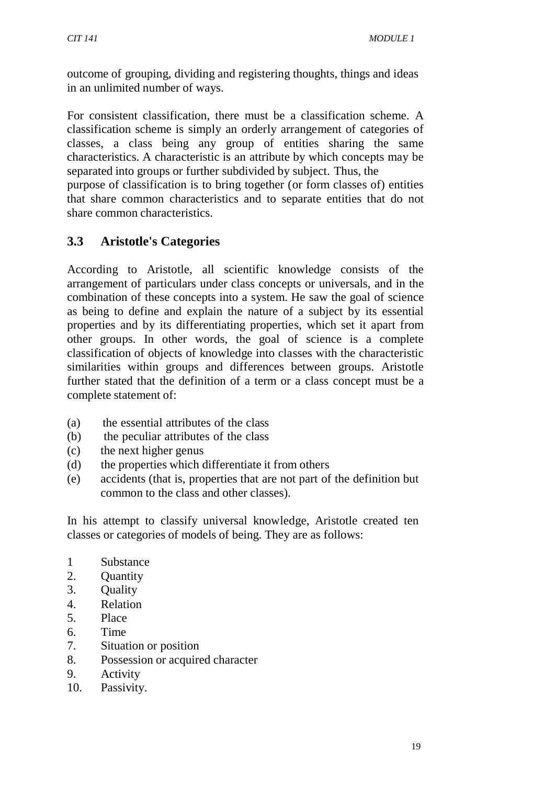outcome of grouping, dividing and registering thoughts, things and ideas in an unlimited number of ways.

For consistent classification, there must be a classification scheme. A classification scheme is simply an orderly arrangement of categories of classes, a class being any group of entities sharing the same characteristics. A characteristic is an attribute by which concepts may be separated into groups or further subdivided by subject. Thus, the

purpose of classification is to bring together (or form classes of) entities that share common characteristics and to separate entities that do not share common characteristics.

# **3.3 Aristotle's Categories**

According to Aristotle, all scientific knowledge consists of the arrangement of particulars under class concepts or universals, and in the combination of these concepts into a system. He saw the goal of science as being to define and explain the nature of a subject by its essential properties and by its differentiating properties, which set it apart from other groups. In other words, the goal of science is a complete classification of objects of knowledge into classes with the characteristic similarities within groups and differences between groups. Aristotle further stated that the definition of a term or a class concept must be a complete statement of:

- (a) the essential attributes of the class
- (b) the peculiar attributes of the class
- (c) the next higher genus
- (d) the properties which differentiate it from others
- (e) accidents (that is, properties that are not part of the definition but common to the class and other classes).

In his attempt to classify universal knowledge, Aristotle created ten classes or categories of models of being. They are as follows:

- 1 Substance
- 2. Quantity
- 3. Quality
- 4. Relation
- 5. Place
- 6. Time
- 7. Situation or position
- 8. Possession or acquired character
- 9. Activity
- 10. Passivity.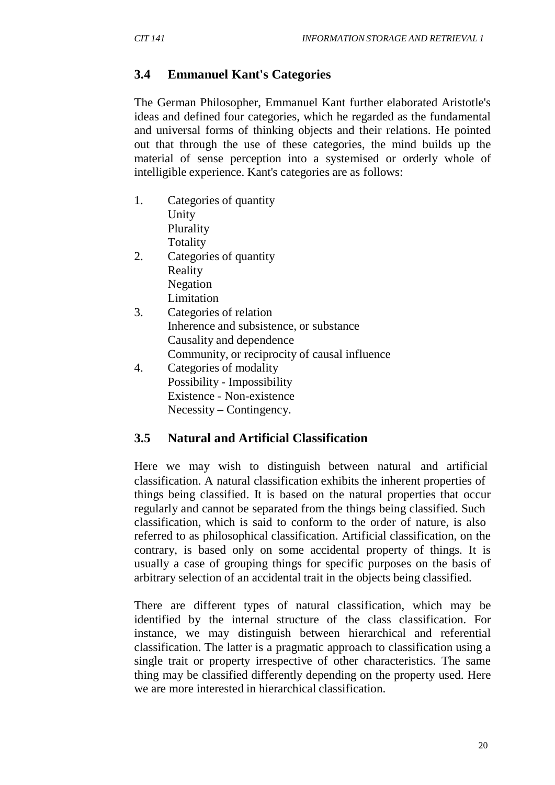## **3.4 Emmanuel Kant's Categories**

The German Philosopher, Emmanuel Kant further elaborated Aristotle's ideas and defined four categories, which he regarded as the fundamental and universal forms of thinking objects and their relations. He pointed out that through the use of these categories, the mind builds up the material of sense perception into a systemised or orderly whole of intelligible experience. Kant's categories are as follows:

- 1. Categories of quantity Unity Plurality Totality
- 2. Categories of quantity Reality Negation Limitation
- 3. Categories of relation Inherence and subsistence, or substance Causality and dependence Community, or reciprocity of causal influence
- 4. Categories of modality Possibility - Impossibility Existence - Non-existence Necessity – Contingency.

#### **3.5 Natural and Artificial Classification**

Here we may wish to distinguish between natural and artificial classification. A natural classification exhibits the inherent properties of things being classified. It is based on the natural properties that occur regularly and cannot be separated from the things being classified. Such classification, which is said to conform to the order of nature, is also referred to as philosophical classification. Artificial classification, on the contrary, is based only on some accidental property of things. It is usually a case of grouping things for specific purposes on the basis of arbitrary selection of an accidental trait in the objects being classified.

There are different types of natural classification, which may be identified by the internal structure of the class classification. For instance, we may distinguish between hierarchical and referential classification. The latter is a pragmatic approach to classification using a single trait or property irrespective of other characteristics. The same thing may be classified differently depending on the property used. Here we are more interested in hierarchical classification.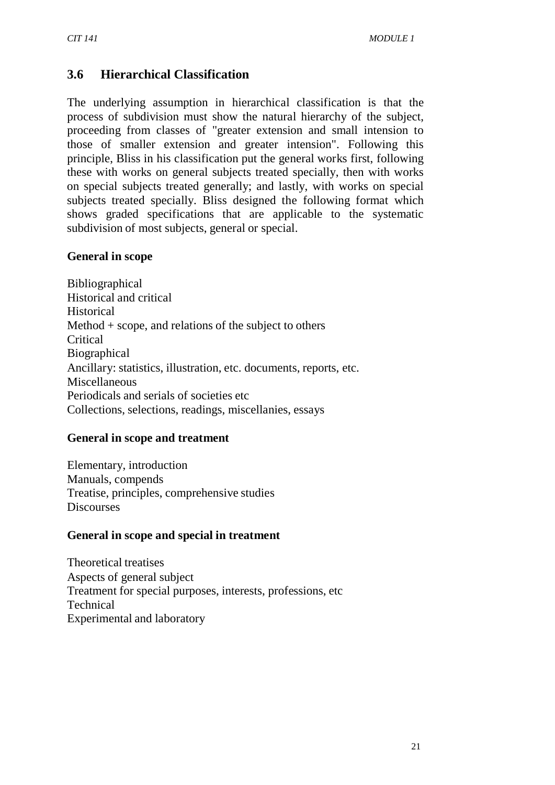## **3.6 Hierarchical Classification**

The underlying assumption in hierarchical classification is that the process of subdivision must show the natural hierarchy of the subject, proceeding from classes of "greater extension and small intension to those of smaller extension and greater intension". Following this principle, Bliss in his classification put the general works first, following these with works on general subjects treated specially, then with works on special subjects treated generally; and lastly, with works on special subjects treated specially. Bliss designed the following format which shows graded specifications that are applicable to the systematic subdivision of most subjects, general or special.

#### **General in scope**

Bibliographical Historical and critical **Historical** Method + scope, and relations of the subject to others Critical Biographical Ancillary: statistics, illustration, etc. documents, reports, etc. Miscellaneous Periodicals and serials of societies etc Collections, selections, readings, miscellanies, essays

#### **General in scope and treatment**

Elementary, introduction Manuals, compends Treatise, principles, comprehensive studies **Discourses** 

#### **General in scope and special in treatment**

Theoretical treatises Aspects of general subject Treatment for special purposes, interests, professions, etc Technical Experimental and laboratory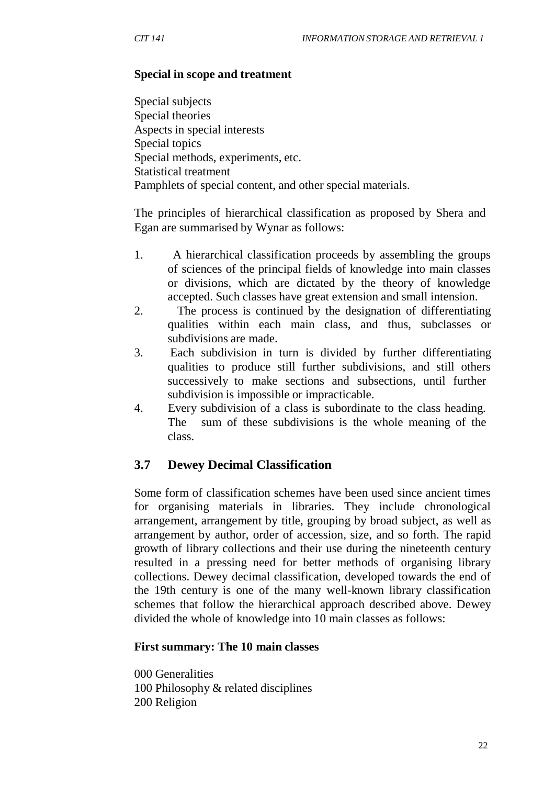#### **Special in scope and treatment**

Special subjects Special theories Aspects in special interests Special topics Special methods, experiments, etc. Statistical treatment Pamphlets of special content, and other special materials.

The principles of hierarchical classification as proposed by Shera and Egan are summarised by Wynar as follows:

- 1. A hierarchical classification proceeds by assembling the groups of sciences of the principal fields of knowledge into main classes or divisions, which are dictated by the theory of knowledge accepted. Such classes have great extension and small intension.
- 2. The process is continued by the designation of differentiating qualities within each main class, and thus, subclasses or subdivisions are made.
- 3. Each subdivision in turn is divided by further differentiating qualities to produce still further subdivisions, and still others successively to make sections and subsections, until further subdivision is impossible or impracticable.
- 4. Every subdivision of a class is subordinate to the class heading. The sum of these subdivisions is the whole meaning of the class.

#### **3.7 Dewey Decimal Classification**

Some form of classification schemes have been used since ancient times for organising materials in libraries. They include chronological arrangement, arrangement by title, grouping by broad subject, as well as arrangement by author, order of accession, size, and so forth. The rapid growth of library collections and their use during the nineteenth century resulted in a pressing need for better methods of organising library collections. Dewey decimal classification, developed towards the end of the 19th century is one of the many well-known library classification schemes that follow the hierarchical approach described above. Dewey divided the whole of knowledge into 10 main classes as follows:

#### **First summary: The 10 main classes**

000 Generalities 100 Philosophy & related disciplines 200 Religion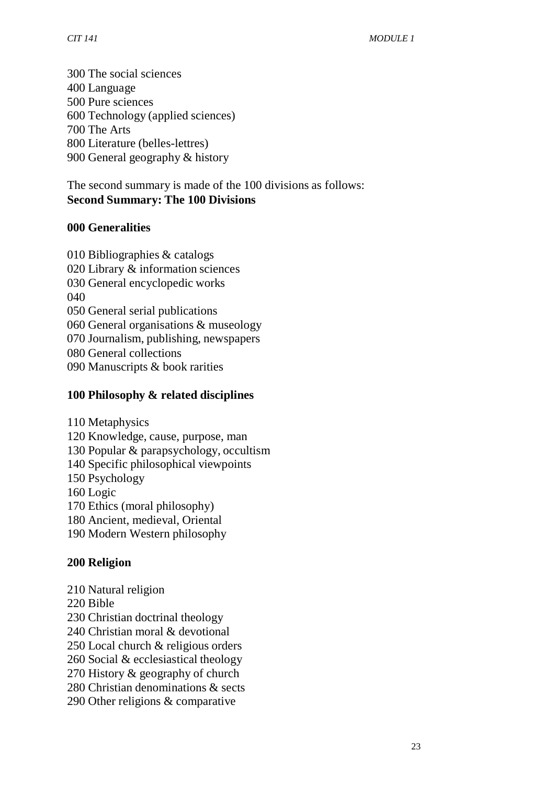The social sciences Language Pure sciences Technology (applied sciences) The Arts Literature (belles-lettres) General geography & history

The second summary is made of the 100 divisions as follows: **Second Summary: The 100 Divisions**

#### **Generalities**

 Bibliographies & catalogs Library & information sciences General encyclopedic works General serial publications General organisations & museology Journalism, publishing, newspapers General collections Manuscripts & book rarities

#### **Philosophy & related disciplines**

- Metaphysics
- Knowledge, cause, purpose, man
- Popular & parapsychology, occultism
- Specific philosophical viewpoints
- Psychology
- Logic
- Ethics (moral philosophy)
- Ancient, medieval, Oriental
- Modern Western philosophy

#### **Religion**

- Natural religion
- Bible
- Christian doctrinal theology
- Christian moral & devotional
- Local church & religious orders
- Social & ecclesiastical theology
- History & geography of church
- Christian denominations & sects
- Other religions & comparative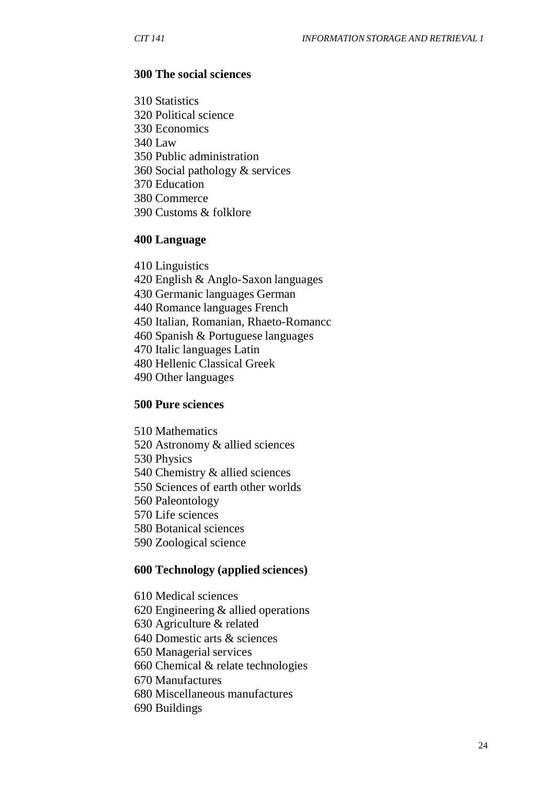#### **The social sciences**

 Statistics Political science Economics Law Public administration Social pathology & services Education Commerce Customs & folklore

#### **Language**

 Linguistics English & Anglo-Saxon languages Germanic languages German Romance languages French Italian, Romanian, Rhaeto-Romancc Spanish & Portuguese languages Italic languages Latin Hellenic Classical Greek Other languages

#### **Pure sciences**

 Mathematics Astronomy & allied sciences Physics Chemistry & allied sciences Sciences of earth other worlds Paleontology Life sciences Botanical sciences Zoological science

#### **Technology (applied sciences)**

 Medical sciences Engineering & allied operations Agriculture & related Domestic arts & sciences Managerial services Chemical & relate technologies Manufactures Miscellaneous manufactures Buildings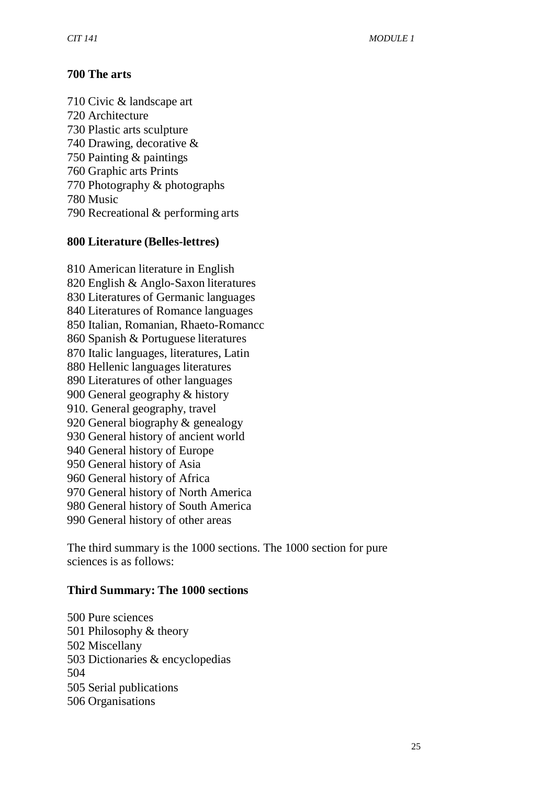### **The arts**

 Civic & landscape art Architecture Plastic arts sculpture Drawing, decorative & Painting & paintings Graphic arts Prints Photography & photographs Music Recreational & performing arts

#### **Literature (Belles-lettres)**

 American literature in English English & Anglo-Saxon literatures Literatures of Germanic languages Literatures of Romance languages Italian, Romanian, Rhaeto-Romancc Spanish & Portuguese literatures Italic languages, literatures, Latin Hellenic languages literatures Literatures of other languages General geography & history 910. General geography, travel General biography & genealogy General history of ancient world General history of Europe General history of Asia General history of Africa General history of North America General history of South America General history of other areas

The third summary is the 1000 sections. The 1000 section for pure sciences is as follows:

#### **Third Summary: The 1000 sections**

 Pure sciences Philosophy & theory Miscellany Dictionaries & encyclopedias Serial publications Organisations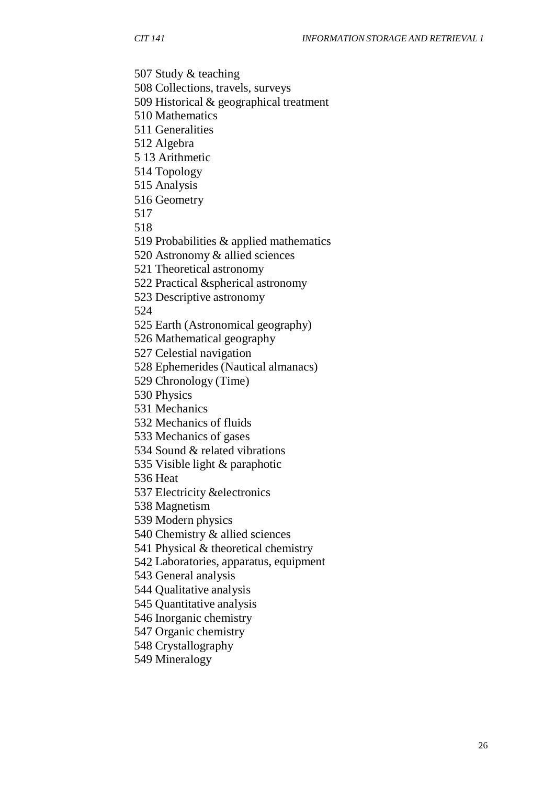Study & teaching

Collections, travels, surveys

Historical & geographical treatment

Mathematics

Generalities

Algebra

13 Arithmetic

Topology

Analysis

Geometry

Probabilities & applied mathematics

Astronomy & allied sciences

Theoretical astronomy

Practical &spherical astronomy

Descriptive astronomy

Earth (Astronomical geography)

Mathematical geography

Celestial navigation

Ephemerides (Nautical almanacs)

Chronology (Time)

Physics

Mechanics

Mechanics of fluids

Mechanics of gases

Sound & related vibrations

Visible light & paraphotic

Heat

Electricity &electronics

Magnetism

Modern physics

Chemistry & allied sciences

Physical & theoretical chemistry

Laboratories, apparatus, equipment

General analysis

Qualitative analysis

Quantitative analysis

Inorganic chemistry

Organic chemistry

Crystallography

Mineralogy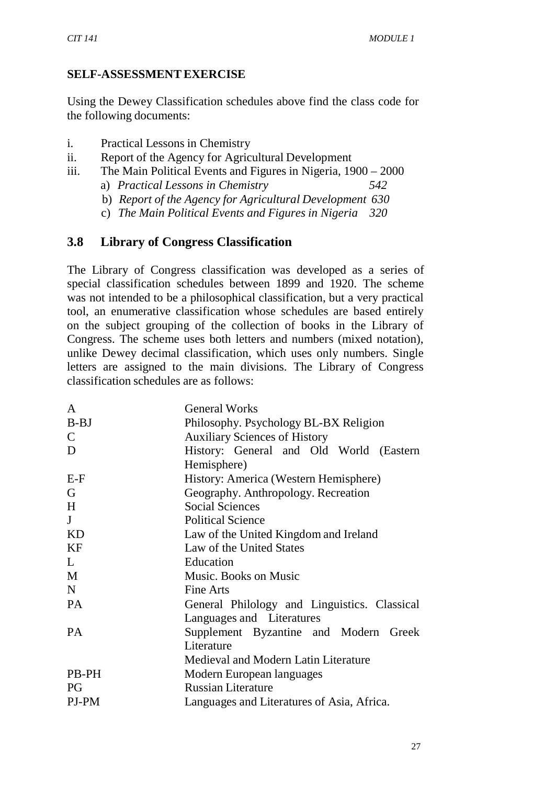## **SELF-ASSESSMENTEXERCISE**

Using the Dewey Classification schedules above find the class code for the following documents:

- i. Practical Lessons in Chemistry
- ii. Report of the Agency for Agricultural Development
- iii. The Main Political Events and Figures in Nigeria, 1900 2000
	- a) *Practical Lessons in Chemistry 542*
	- b) *Report of the Agency for Agricultural Development 630*
	- c) *The Main Political Events and Figures in Nigeria 320*

# **3.8 Library of Congress Classification**

The Library of Congress classification was developed as a series of special classification schedules between 1899 and 1920. The scheme was not intended to be a philosophical classification, but a very practical tool, an enumerative classification whose schedules are based entirely on the subject grouping of the collection of books in the Library of Congress. The scheme uses both letters and numbers (mixed notation), unlike Dewey decimal classification, which uses only numbers. Single letters are assigned to the main divisions. The Library of Congress classification schedules are as follows:

| A            | <b>General Works</b>                         |
|--------------|----------------------------------------------|
| $B-BJ$       | Philosophy. Psychology BL-BX Religion        |
| $\mathsf{C}$ | <b>Auxiliary Sciences of History</b>         |
| D            | History: General and Old World<br>(Eastern)  |
|              | Hemisphere)                                  |
| $E-F$        | History: America (Western Hemisphere)        |
| G            | Geography. Anthropology. Recreation          |
| H            | <b>Social Sciences</b>                       |
| J            | <b>Political Science</b>                     |
| <b>KD</b>    | Law of the United Kingdom and Ireland        |
| KF           | Law of the United States                     |
| L            | Education                                    |
| M            | Music. Books on Music                        |
| N            | Fine Arts                                    |
| <b>PA</b>    | General Philology and Linguistics. Classical |
|              | Languages and Literatures                    |
| <b>PA</b>    | Supplement Byzantine and Modern<br>Greek     |
|              | Literature                                   |
|              | Medieval and Modern Latin Literature         |
| <b>PB-PH</b> | Modern European languages                    |
| PG           | <b>Russian Literature</b>                    |
| PJ-PM        | Languages and Literatures of Asia, Africa.   |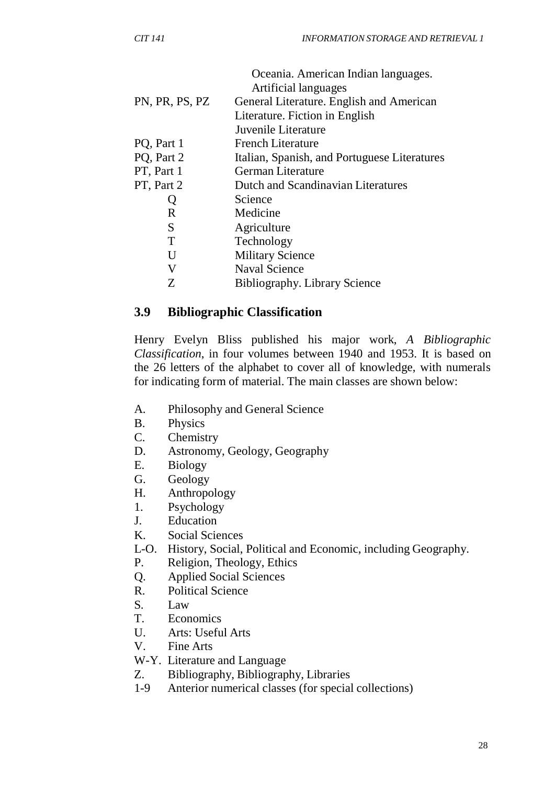|                | Oceania. American Indian languages.          |
|----------------|----------------------------------------------|
|                | Artificial languages                         |
| PN, PR, PS, PZ | General Literature. English and American     |
|                | Literature. Fiction in English               |
|                | Juvenile Literature                          |
| PQ, Part 1     | <b>French Literature</b>                     |
| PQ, Part 2     | Italian, Spanish, and Portuguese Literatures |
| PT, Part 1     | German Literature                            |
| PT, Part 2     | Dutch and Scandinavian Literatures           |
|                | Science                                      |
| R              | Medicine                                     |
| S              | Agriculture                                  |
| T              | Technology                                   |
| U              | <b>Military Science</b>                      |
| V              | <b>Naval Science</b>                         |
| Z              | <b>Bibliography.</b> Library Science         |

### **3.9 Bibliographic Classification**

Henry Evelyn Bliss published his major work, *A Bibliographic Classification*, in four volumes between 1940 and 1953. It is based on the 26 letters of the alphabet to cover all of knowledge, with numerals for indicating form of material. The main classes are shown below:

- A. Philosophy and General Science
- B. Physics
- C. Chemistry
- D. Astronomy, Geology, Geography
- E. Biology
- G. Geology
- H. Anthropology
- 1. Psychology
- J. Education
- K. Social Sciences
- L-O. History, Social, Political and Economic, including Geography.
- P. Religion, Theology, Ethics
- Q. Applied Social Sciences
- R. Political Science
- S. Law
- T. Economics
- U. Arts: Useful Arts
- V. Fine Arts
- W-Y. Literature and Language
- Z. Bibliography, Bibliography, Libraries
- 1-9 Anterior numerical classes (for special collections)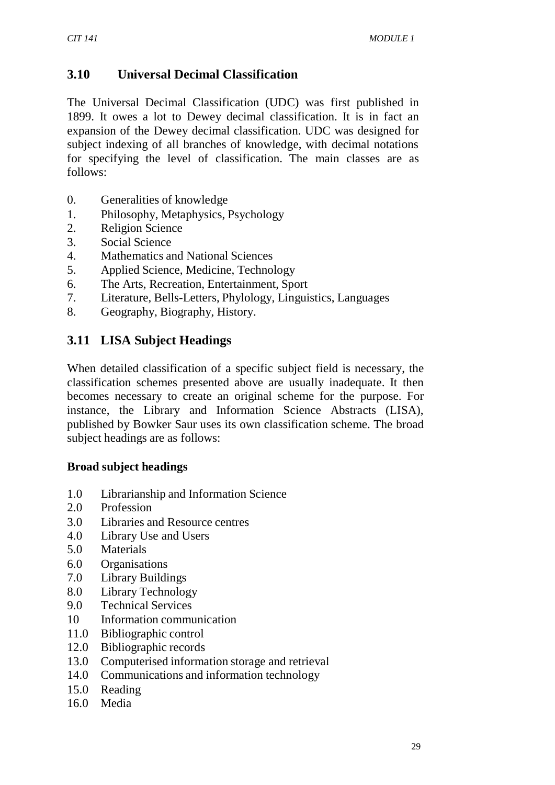# **3.10 Universal Decimal Classification**

The Universal Decimal Classification (UDC) was first published in 1899. It owes a lot to Dewey decimal classification. It is in fact an expansion of the Dewey decimal classification. UDC was designed for subject indexing of all branches of knowledge, with decimal notations for specifying the level of classification. The main classes are as follows:

- 0. Generalities of knowledge
- 1. Philosophy, Metaphysics, Psychology
- 2. Religion Science
- 3. Social Science
- 4. Mathematics and National Sciences
- 5. Applied Science, Medicine, Technology
- 6. The Arts, Recreation, Entertainment, Sport
- 7. Literature, Bells-Letters, Phylology, Linguistics, Languages
- 8. Geography, Biography, History.

# **3.11 LISA Subject Headings**

When detailed classification of a specific subject field is necessary, the classification schemes presented above are usually inadequate. It then becomes necessary to create an original scheme for the purpose. For instance, the Library and Information Science Abstracts (LISA), published by Bowker Saur uses its own classification scheme. The broad subject headings are as follows:

### **Broad subject headings**

- 1.0 Librarianship and Information Science
- 2.0 Profession
- 3.0 Libraries and Resource centres
- 4.0 Library Use and Users
- 5.0 Materials
- 6.0 Organisations
- 7.0 Library Buildings
- 8.0 Library Technology
- 9.0 Technical Services
- 10 Information communication
- 11.0 Bibliographic control
- 12.0 Bibliographic records
- 13.0 Computerised information storage and retrieval
- 14.0 Communications and information technology
- 15.0 Reading
- 16.0 Media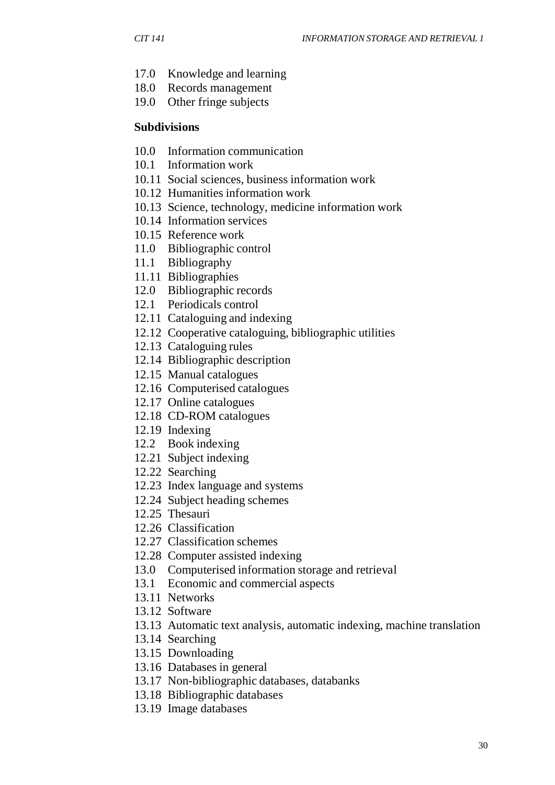- 17.0 Knowledge and learning
- 18.0 Records management
- 19.0 Other fringe subjects

#### **Subdivisions**

- 10.0 Information communication
- 10.1 Information work
- 10.11 Social sciences, business information work
- 10.12 Humanities information work
- 10.13 Science, technology, medicine information work
- 10.14 Information services
- 10.15 Reference work
- 11.0 Bibliographic control
- 11.1 Bibliography
- 11.11 Bibliographies
- 12.0 Bibliographic records
- 12.1 Periodicals control
- 12.11 Cataloguing and indexing
- 12.12 Cooperative cataloguing, bibliographic utilities
- 12.13 Cataloguing rules
- 12.14 Bibliographic description
- 12.15 Manual catalogues
- 12.16 Computerised catalogues
- 12.17 Online catalogues
- 12.18 CD-ROM catalogues
- 12.19 Indexing
- 12.2 Book indexing
- 12.21 Subject indexing
- 12.22 Searching
- 12.23 Index language and systems
- 12.24 Subject heading schemes
- 12.25 Thesauri
- 12.26 Classification
- 12.27 Classification schemes
- 12.28 Computer assisted indexing
- 13.0 Computerised information storage and retrieval
- 13.1 Economic and commercial aspects
- 13.11 Networks
- 13.12 Software
- 13.13 Automatic text analysis, automatic indexing, machine translation
- 13.14 Searching
- 13.15 Downloading
- 13.16 Databases in general
- 13.17 Non-bibliographic databases, databanks
- 13.18 Bibliographic databases
- 13.19 Image databases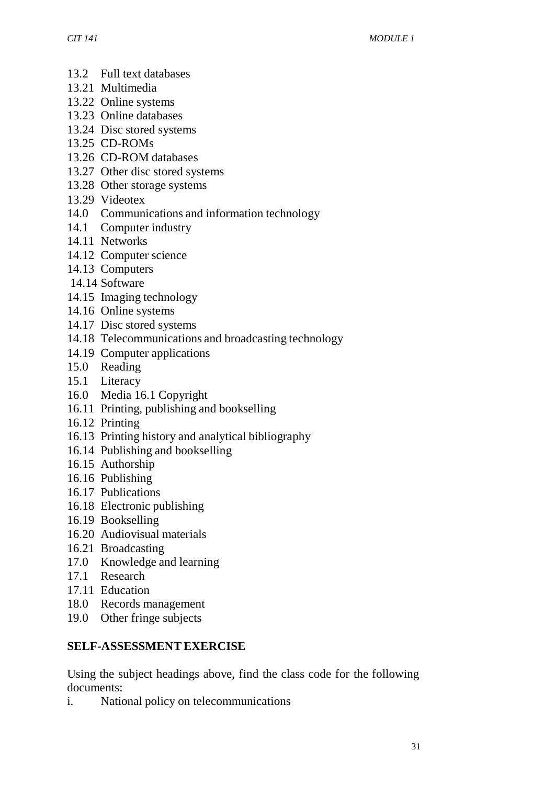- 13.2 Full text databases
- 13.21 Multimedia
- 13.22 Online systems
- 13.23 Online databases
- 13.24 Disc stored systems
- 13.25 CD-ROMs
- 13.26 CD-ROM databases
- 13.27 Other disc stored systems
- 13.28 Other storage systems
- 13.29 Videotex
- 14.0 Communications and information technology
- 14.1 Computer industry
- 14.11 Networks
- 14.12 Computer science
- 14.13 Computers
- 14.14 Software
- 14.15 Imaging technology
- 14.16 Online systems
- 14.17 Disc stored systems
- 14.18 Telecommunications and broadcasting technology
- 14.19 Computer applications
- 15.0 Reading
- 15.1 Literacy
- 16.0 Media 16.1 Copyright
- 16.11 Printing, publishing and bookselling
- 16.12 Printing
- 16.13 Printing history and analytical bibliography
- 16.14 Publishing and bookselling
- 16.15 Authorship
- 16.16 Publishing
- 16.17 Publications
- 16.18 Electronic publishing
- 16.19 Bookselling
- 16.20 Audiovisual materials
- 16.21 Broadcasting
- 17.0 Knowledge and learning
- 17.1 Research
- 17.11 Education
- 18.0 Records management
- 19.0 Other fringe subjects

## **SELF-ASSESSMENTEXERCISE**

Using the subject headings above, find the class code for the following documents:

i. National policy on telecommunications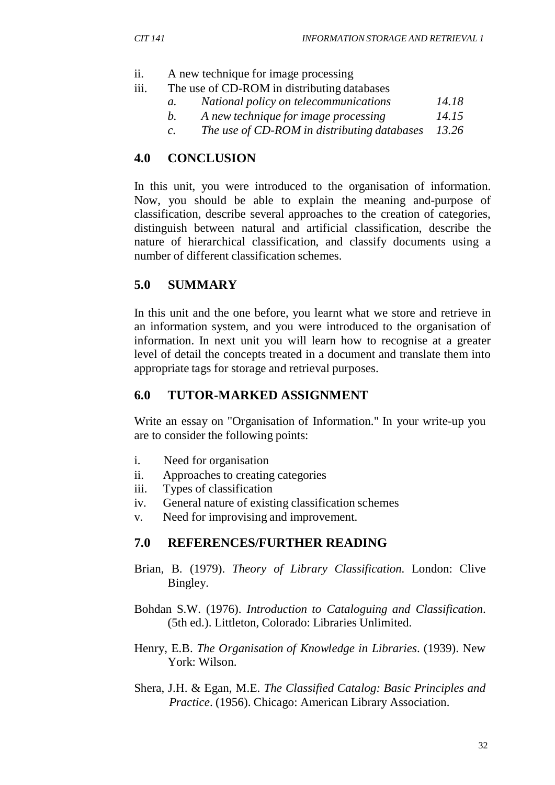- ii. A new technique for image processing
- iii. The use of CD-ROM in distributing databases
	- *a. National policy on telecommunications 14.18*
	- *b. A new technique for image processing 14.15*
	- *c. The use of CD-ROM in distributing databases 13.26*

# **4.0 CONCLUSION**

In this unit, you were introduced to the organisation of information. Now, you should be able to explain the meaning and-purpose of classification, describe several approaches to the creation of categories, distinguish between natural and artificial classification, describe the nature of hierarchical classification, and classify documents using a number of different classification schemes.

# **5.0 SUMMARY**

In this unit and the one before, you learnt what we store and retrieve in an information system, and you were introduced to the organisation of information. In next unit you will learn how to recognise at a greater level of detail the concepts treated in a document and translate them into appropriate tags for storage and retrieval purposes.

## **6.0 TUTOR-MARKED ASSIGNMENT**

Write an essay on "Organisation of Information." In your write-up you are to consider the following points:

- i. Need for organisation
- ii. Approaches to creating categories
- iii. Types of classification
- iv. General nature of existing classification schemes
- v. Need for improvising and improvement.

## **7.0 REFERENCES/FURTHER READING**

- Brian, B. (1979). *Theory of Library Classification.* London: Clive Bingley.
- Bohdan S.W. (1976). *Introduction to Cataloguing and Classification*. (5th ed.). Littleton, Colorado: Libraries Unlimited.
- Henry, E.B. *The Organisation of Knowledge in Libraries*. (1939). New York: Wilson.
- Shera, J.H. & Egan, M.E. *The Classified Catalog: Basic Principles and Practice*. (1956). Chicago: American Library Association.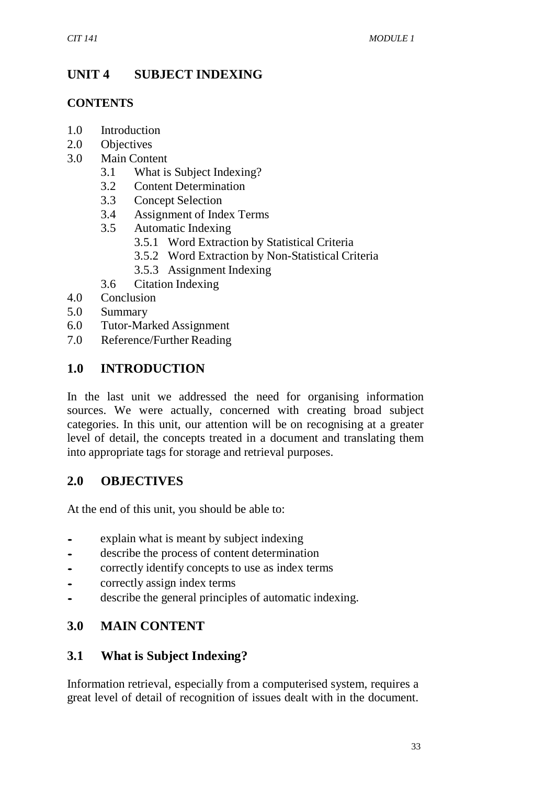# **UNIT 4 SUBJECT INDEXING**

### **CONTENTS**

- 1.0 Introduction
- 2.0 Objectives
- 3.0 Main Content
	- 3.1 What is Subject Indexing?
	- 3.2 Content Determination
	- 3.3 Concept Selection
	- 3.4 Assignment of Index Terms
	- 3.5 Automatic Indexing
		- 3.5.1 Word Extraction by Statistical Criteria
		- 3.5.2 Word Extraction by Non-Statistical Criteria
		- 3.5.3 Assignment Indexing
	- 3.6 Citation Indexing
- 4.0 Conclusion
- 5.0 Summary
- 6.0 Tutor-Marked Assignment
- 7.0 Reference/Further Reading

## **1.0 INTRODUCTION**

In the last unit we addressed the need for organising information sources. We were actually, concerned with creating broad subject categories. In this unit, our attention will be on recognising at a greater level of detail, the concepts treated in a document and translating them into appropriate tags for storage and retrieval purposes.

## **2.0 OBJECTIVES**

At the end of this unit, you should be able to:

- explain what is meant by subject indexing<br>describe the process of content determination
- describe the process of content determination<br>• correctly identify concents to use as index term
- correctly identify concepts to use as index terms<br>• correctly assign index terms
- correctly assign index terms
- describe the general principles of automatic indexing.

# **3.0 MAIN CONTENT**

## **3.1 What is Subject Indexing?**

Information retrieval, especially from a computerised system, requires a great level of detail of recognition of issues dealt with in the document.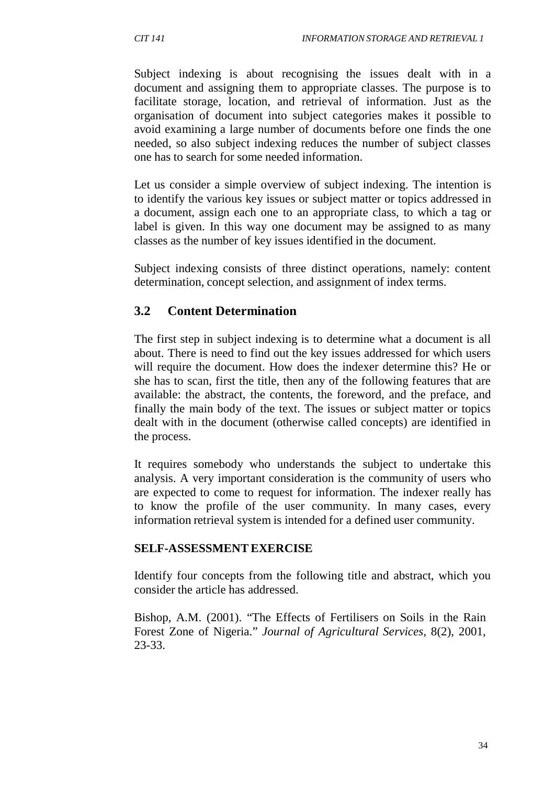Subject indexing is about recognising the issues dealt with in a document and assigning them to appropriate classes. The purpose is to facilitate storage, location, and retrieval of information. Just as the organisation of document into subject categories makes it possible to avoid examining a large number of documents before one finds the one needed, so also subject indexing reduces the number of subject classes one has to search for some needed information.

Let us consider a simple overview of subject indexing. The intention is to identify the various key issues or subject matter or topics addressed in a document, assign each one to an appropriate class, to which a tag or label is given. In this way one document may be assigned to as many classes as the number of key issues identified in the document.

Subject indexing consists of three distinct operations, namely: content determination, concept selection, and assignment of index terms.

## **3.2 Content Determination**

The first step in subject indexing is to determine what a document is all about. There is need to find out the key issues addressed for which users will require the document. How does the indexer determine this? He or she has to scan, first the title, then any of the following features that are available: the abstract, the contents, the foreword, and the preface, and finally the main body of the text. The issues or subject matter or topics dealt with in the document (otherwise called concepts) are identified in the process.

It requires somebody who understands the subject to undertake this analysis. A very important consideration is the community of users who are expected to come to request for information. The indexer really has to know the profile of the user community. In many cases, every information retrieval system is intended for a defined user community.

### **SELF-ASSESSMENTEXERCISE**

Identify four concepts from the following title and abstract, which you consider the article has addressed.

Bishop, A.M. (2001). "The Effects of Fertilisers on Soils in the Rain Forest Zone of Nigeria." *Journal of Agricultural Services,* 8(2), 2001, 23-33.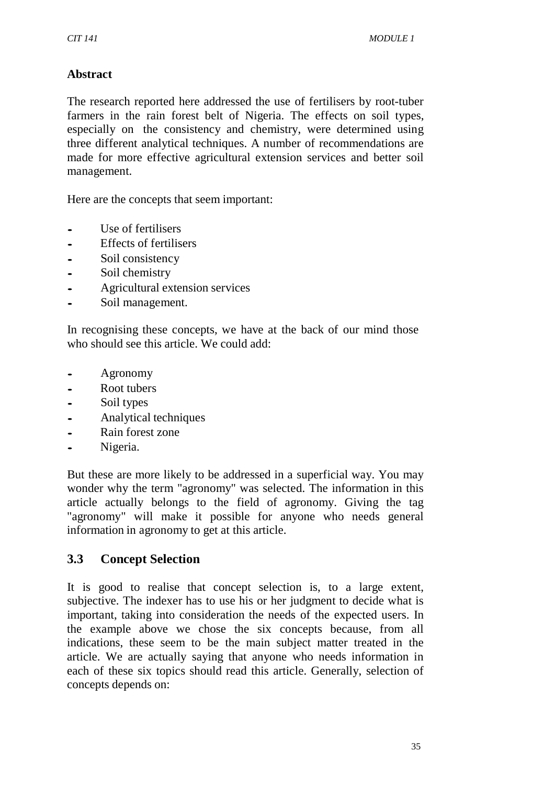# **Abstract**

The research reported here addressed the use of fertilisers by root-tuber farmers in the rain forest belt of Nigeria. The effects on soil types, especially on the consistency and chemistry, were determined using three different analytical techniques. A number of recommendations are made for more effective agricultural extension services and better soil management.

Here are the concepts that seem important:

- Use of fertilisers<br>Fffects of fertilis
- Effects of fertilisers<br>• Soil consistency
- Soil consistency<br>• Soil chemistry
- Soil chemistry<br>• Agricultural ex
- Agricultural extension services
- Soil management.

In recognising these concepts, we have at the back of our mind those who should see this article. We could add:

- Agronomy<br>• Root tubers
- Root tubers
- Soil types
- Analytical techniques
- Rain forest zone
- Nigeria.

But these are more likely to be addressed in a superficial way. You may wonder why the term "agronomy" was selected. The information in this article actually belongs to the field of agronomy. Giving the tag "agronomy" will make it possible for anyone who needs general information in agronomy to get at this article.

## **3.3 Concept Selection**

It is good to realise that concept selection is, to a large extent, subjective. The indexer has to use his or her judgment to decide what is important, taking into consideration the needs of the expected users. In the example above we chose the six concepts because, from all indications, these seem to be the main subject matter treated in the article. We are actually saying that anyone who needs information in each of these six topics should read this article. Generally, selection of concepts depends on: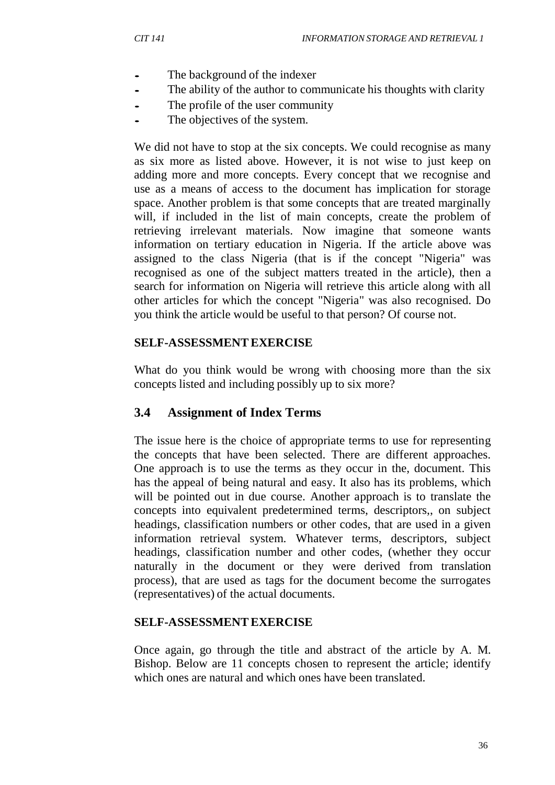- The background of the indexer<br>• The ability of the author to com
- The ability of the author to communicate his thoughts with clarity
- The profile of the user community
- The objectives of the system.

We did not have to stop at the six concepts. We could recognise as many as six more as listed above. However, it is not wise to just keep on adding more and more concepts. Every concept that we recognise and use as a means of access to the document has implication for storage space. Another problem is that some concepts that are treated marginally will, if included in the list of main concepts, create the problem of retrieving irrelevant materials. Now imagine that someone wants information on tertiary education in Nigeria. If the article above was assigned to the class Nigeria (that is if the concept "Nigeria" was recognised as one of the subject matters treated in the article), then a search for information on Nigeria will retrieve this article along with all other articles for which the concept "Nigeria" was also recognised. Do you think the article would be useful to that person? Of course not.

### **SELF-ASSESSMENTEXERCISE**

What do you think would be wrong with choosing more than the six concepts listed and including possibly up to six more?

## **3.4 Assignment of Index Terms**

The issue here is the choice of appropriate terms to use for representing the concepts that have been selected. There are different approaches. One approach is to use the terms as they occur in the, document. This has the appeal of being natural and easy. It also has its problems, which will be pointed out in due course. Another approach is to translate the concepts into equivalent predetermined terms, descriptors,, on subject headings, classification numbers or other codes, that are used in a given information retrieval system. Whatever terms, descriptors, subject headings, classification number and other codes, (whether they occur naturally in the document or they were derived from translation process), that are used as tags for the document become the surrogates (representatives) of the actual documents.

### **SELF-ASSESSMENTEXERCISE**

Once again, go through the title and abstract of the article by A. M. Bishop. Below are 11 concepts chosen to represent the article; identify which ones are natural and which ones have been translated.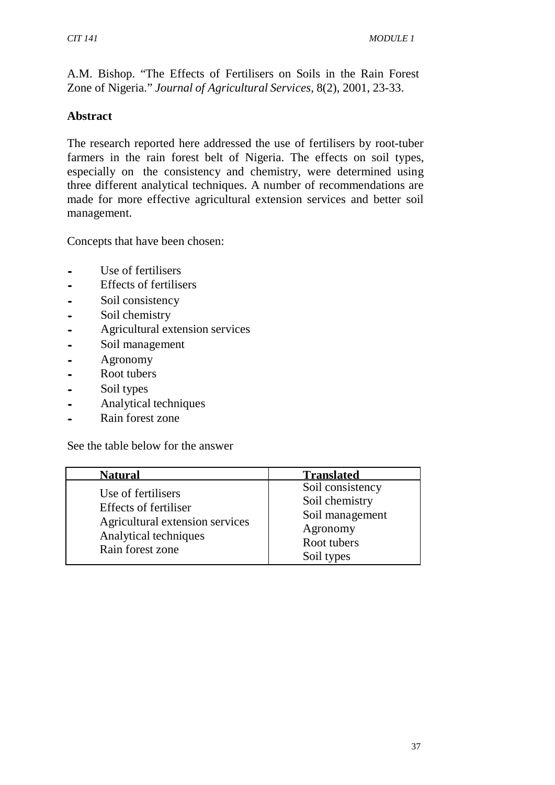A.M. Bishop. "The Effects of Fertilisers on Soils in the Rain Forest Zone of Nigeria." *Journal of Agricultural Services,* 8(2), 2001, 23-33.

### **Abstract**

The research reported here addressed the use of fertilisers by root-tuber farmers in the rain forest belt of Nigeria. The effects on soil types, especially on the consistency and chemistry, were determined using three different analytical techniques. A number of recommendations are made for more effective agricultural extension services and better soil management.

Concepts that have been chosen:

- Use of fertilisers<br>• Effects of fertilise
- Effects of fertilisers<br>• Soil consistency
- Soil consistency<br>Soil chemistry
- Soil chemistry<br>• Agricultural ex
- Agricultural extension services<br>• Soil management
- Soil management<br>- Agronomy
- Agronomy<br>• Root tubers
- Root tubers<br>• Soil types
- Soil types<br>• Analytical
- Analytical techniques
- Rain forest zone

See the table below for the answer

| <b>Natural</b>                                                                                                                     | <b>Translated</b>                                                                              |
|------------------------------------------------------------------------------------------------------------------------------------|------------------------------------------------------------------------------------------------|
| Use of fertilisers<br><b>Effects of fertiliser</b><br>Agricultural extension services<br>Analytical techniques<br>Rain forest zone | Soil consistency<br>Soil chemistry<br>Soil management<br>Agronomy<br>Root tubers<br>Soil types |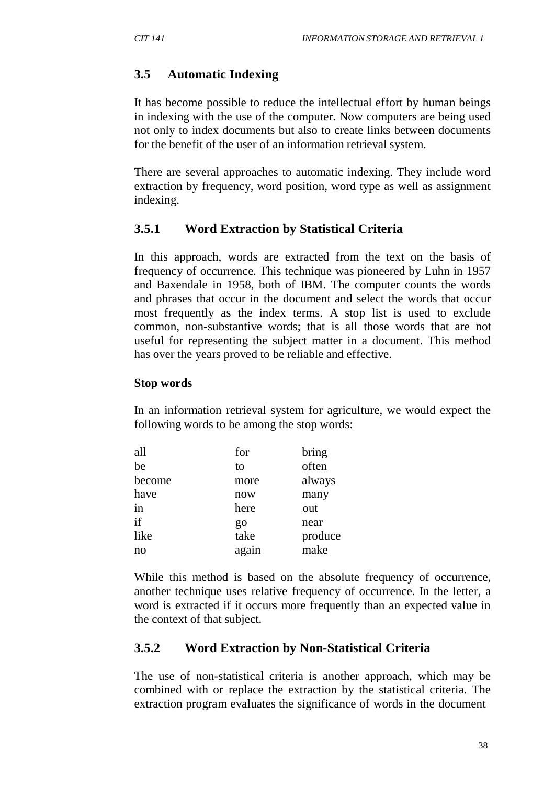# **3.5 Automatic Indexing**

It has become possible to reduce the intellectual effort by human beings in indexing with the use of the computer. Now computers are being used not only to index documents but also to create links between documents for the benefit of the user of an information retrieval system.

There are several approaches to automatic indexing. They include word extraction by frequency, word position, word type as well as assignment indexing.

# **3.5.1 Word Extraction by Statistical Criteria**

In this approach, words are extracted from the text on the basis of frequency of occurrence. This technique was pioneered by Luhn in 1957 and Baxendale in 1958, both of IBM. The computer counts the words and phrases that occur in the document and select the words that occur most frequently as the index terms. A stop list is used to exclude common, non-substantive words; that is all those words that are not useful for representing the subject matter in a document. This method has over the years proved to be reliable and effective.

### **Stop words**

In an information retrieval system for agriculture, we would expect the following words to be among the stop words:

| for   | bring   |
|-------|---------|
| to    | often   |
| more  | always  |
| now   | many    |
| here  | out     |
| go    | near    |
| take  | produce |
| again | make    |
|       |         |

While this method is based on the absolute frequency of occurrence, another technique uses relative frequency of occurrence. In the letter, a word is extracted if it occurs more frequently than an expected value in the context of that subject.

# **3.5.2 Word Extraction by Non-Statistical Criteria**

The use of non-statistical criteria is another approach, which may be combined with or replace the extraction by the statistical criteria. The extraction program evaluates the significance of words in the document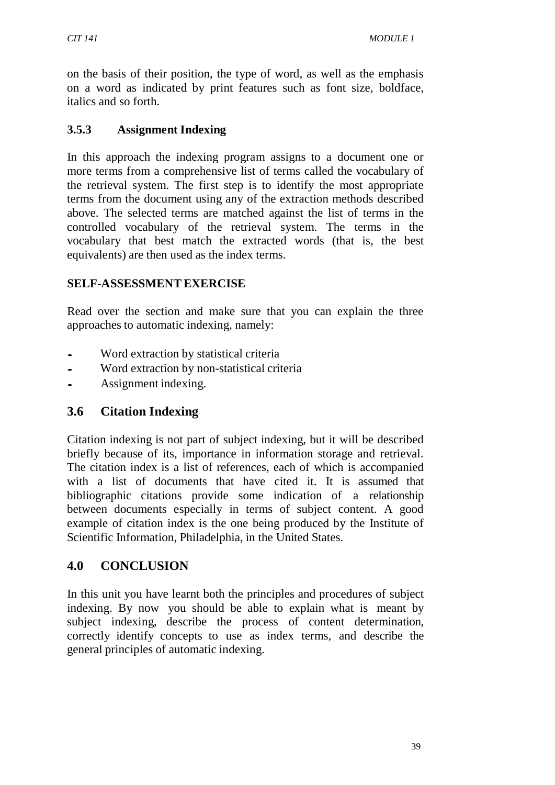on the basis of their position, the type of word, as well as the emphasis on a word as indicated by print features such as font size, boldface, italics and so forth.

# **3.5.3 Assignment Indexing**

In this approach the indexing program assigns to a document one or more terms from a comprehensive list of terms called the vocabulary of the retrieval system. The first step is to identify the most appropriate terms from the document using any of the extraction methods described above. The selected terms are matched against the list of terms in the controlled vocabulary of the retrieval system. The terms in the vocabulary that best match the extracted words (that is, the best equivalents) are then used as the index terms.

## **SELF-ASSESSMENTEXERCISE**

Read over the section and make sure that you can explain the three approaches to automatic indexing, namely:

- Word extraction by statistical criteria
- Word extraction by non-statistical criteria<br>• Assignment indexing
- Assignment indexing.

# **3.6 Citation Indexing**

Citation indexing is not part of subject indexing, but it will be described briefly because of its, importance in information storage and retrieval. The citation index is a list of references, each of which is accompanied with a list of documents that have cited it. It is assumed that bibliographic citations provide some indication of a relationship between documents especially in terms of subject content. A good example of citation index is the one being produced by the Institute of Scientific Information, Philadelphia, in the United States.

# **4.0 CONCLUSION**

In this unit you have learnt both the principles and procedures of subject indexing. By now you should be able to explain what is meant by subject indexing, describe the process of content determination, correctly identify concepts to use as index terms, and describe the general principles of automatic indexing.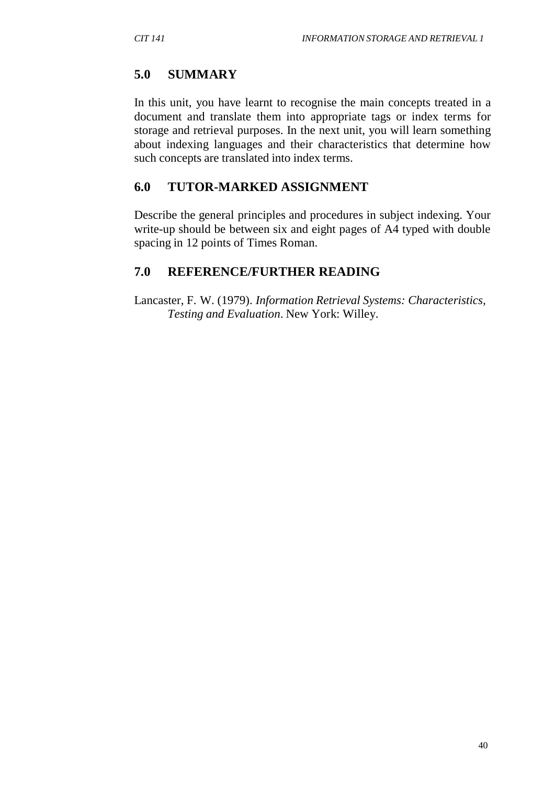# **5.0 SUMMARY**

In this unit, you have learnt to recognise the main concepts treated in a document and translate them into appropriate tags or index terms for storage and retrieval purposes. In the next unit, you will learn something about indexing languages and their characteristics that determine how such concepts are translated into index terms.

# **6.0 TUTOR-MARKED ASSIGNMENT**

Describe the general principles and procedures in subject indexing. Your write-up should be between six and eight pages of A4 typed with double spacing in 12 points of Times Roman.

# **7.0 REFERENCE/FURTHER READING**

Lancaster, F. W. (1979). *Information Retrieval Systems: Characteristics, Testing and Evaluation*. New York: Willey.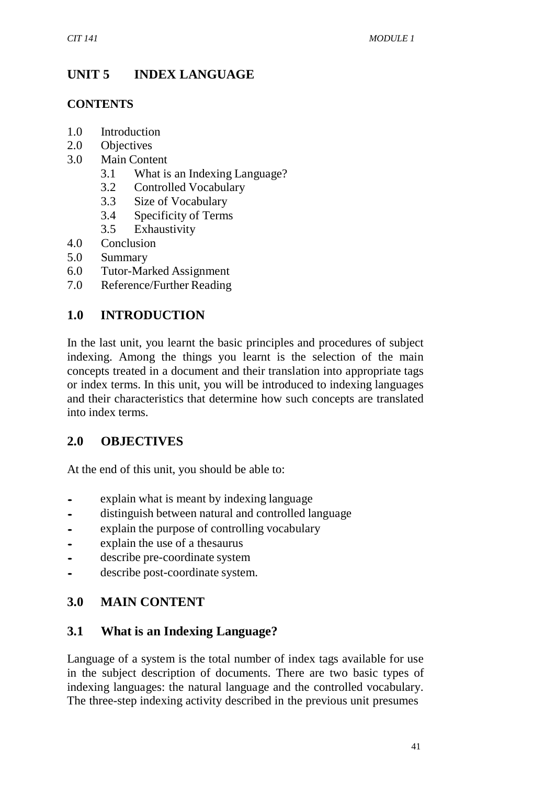# **UNIT 5 INDEX LANGUAGE**

### **CONTENTS**

- 1.0 Introduction
- 2.0 Objectives
- 3.0 Main Content
	- 3.1 What is an Indexing Language?
	- 3.2 Controlled Vocabulary
	- 3.3 Size of Vocabulary
	- 3.4 Specificity of Terms
	- 3.5 Exhaustivity
- 4.0 Conclusion
- 5.0 Summary
- 6.0 Tutor-Marked Assignment
- 7.0 Reference/Further Reading

# **1.0 INTRODUCTION**

In the last unit, you learnt the basic principles and procedures of subject indexing. Among the things you learnt is the selection of the main concepts treated in a document and their translation into appropriate tags or index terms. In this unit, you will be introduced to indexing languages and their characteristics that determine how such concepts are translated into index terms.

## **2.0 OBJECTIVES**

At the end of this unit, you should be able to:

- explain what is meant by indexing language
- distinguish between natural and controlled language<br>• explain the purpose of controlling vocabulary
- explain the purpose of controlling vocabulary
- explain the use of a thesaurus
- describe pre-coordinate system
- describe post-coordinate system.

# **3.0 MAIN CONTENT**

## **3.1 What is an Indexing Language?**

Language of a system is the total number of index tags available for use in the subject description of documents. There are two basic types of indexing languages: the natural language and the controlled vocabulary. The three-step indexing activity described in the previous unit presumes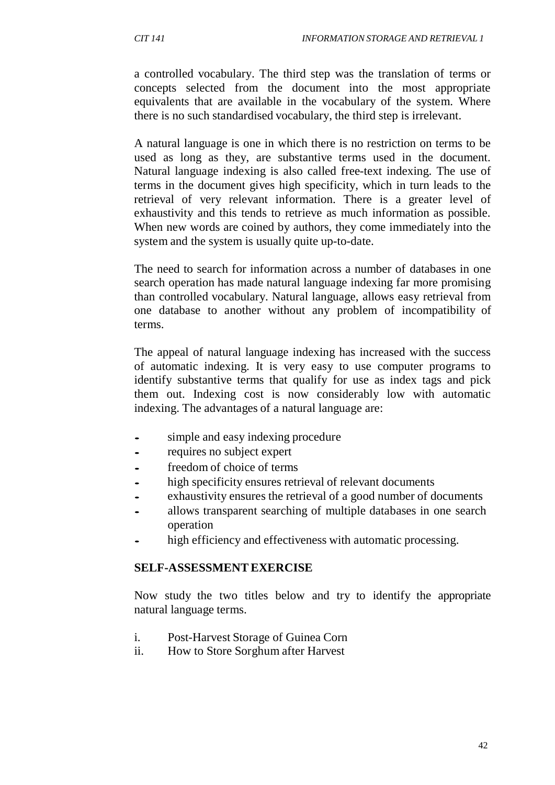a controlled vocabulary. The third step was the translation of terms or concepts selected from the document into the most appropriate equivalents that are available in the vocabulary of the system. Where there is no such standardised vocabulary, the third step is irrelevant.

A natural language is one in which there is no restriction on terms to be used as long as they, are substantive terms used in the document. Natural language indexing is also called free-text indexing. The use of terms in the document gives high specificity, which in turn leads to the retrieval of very relevant information. There is a greater level of exhaustivity and this tends to retrieve as much information as possible. When new words are coined by authors, they come immediately into the system and the system is usually quite up-to-date.

The need to search for information across a number of databases in one search operation has made natural language indexing far more promising than controlled vocabulary. Natural language, allows easy retrieval from one database to another without any problem of incompatibility of terms.

The appeal of natural language indexing has increased with the success of automatic indexing. It is very easy to use computer programs to identify substantive terms that qualify for use as index tags and pick them out. Indexing cost is now considerably low with automatic indexing. The advantages of a natural language are:

- simple and easy indexing procedure
- requires no subject expert<br>• freedom of choice of terms
- freedom of choice of terms
- high specificity ensures retrieval of relevant documents
- exhaustivity ensures the retrieval of a good number of documents
- allows transparent searching of multiple databases in one search operation
- high efficiency and effectiveness with automatic processing.

#### **SELF-ASSESSMENTEXERCISE**

Now study the two titles below and try to identify the appropriate natural language terms.

- i. Post-Harvest Storage of Guinea Corn
- ii. How to Store Sorghum after Harvest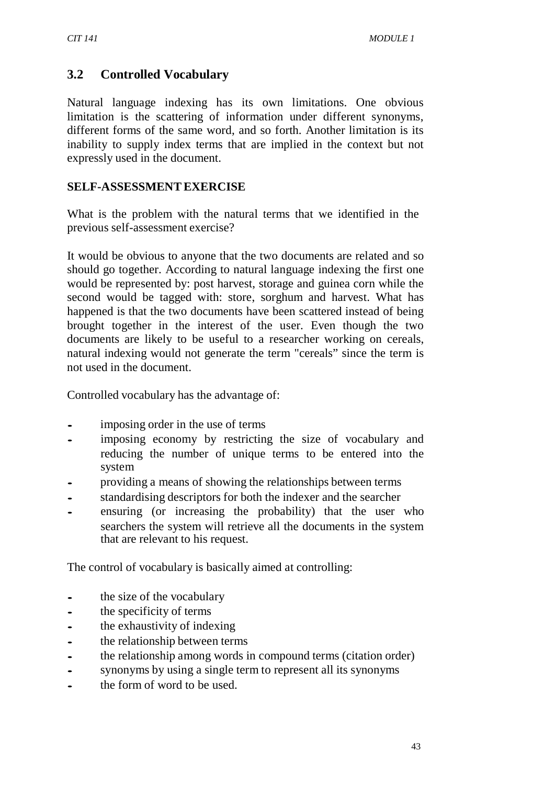## **3.2 Controlled Vocabulary**

Natural language indexing has its own limitations. One obvious limitation is the scattering of information under different synonyms, different forms of the same word, and so forth. Another limitation is its inability to supply index terms that are implied in the context but not expressly used in the document.

#### **SELF-ASSESSMENTEXERCISE**

What is the problem with the natural terms that we identified in the previous self-assessment exercise?

It would be obvious to anyone that the two documents are related and so should go together. According to natural language indexing the first one would be represented by: post harvest, storage and guinea corn while the second would be tagged with: store, sorghum and harvest. What has happened is that the two documents have been scattered instead of being brought together in the interest of the user. Even though the two documents are likely to be useful to a researcher working on cereals, natural indexing would not generate the term "cereals" since the term is not used in the document.

Controlled vocabulary has the advantage of:

- imposing order in the use of terms
- imposing economy by restricting the size of vocabulary and reducing the number of unique terms to be entered into the system
- providing a means of showing the relationships between terms<br>standardising descriptors for both the indexer and the searcher
- standardising descriptors for both the indexer and the searcher
- ensuring (or increasing the probability) that the user who searchers the system will retrieve all the documents in the system that are relevant to his request.

The control of vocabulary is basically aimed at controlling:

- the size of the vocabulary<br>• the specificity of terms
- the specificity of terms
- the exhaustivity of indexing<br>the relationship between term
- the relationship between terms<br>• the relationship among words if
- the relationship among words in compound terms (citation order)<br>• synonyms by using a single term to represent all its synonyms
- synonyms by using a single term to represent all its synonyms
- the form of word to be used.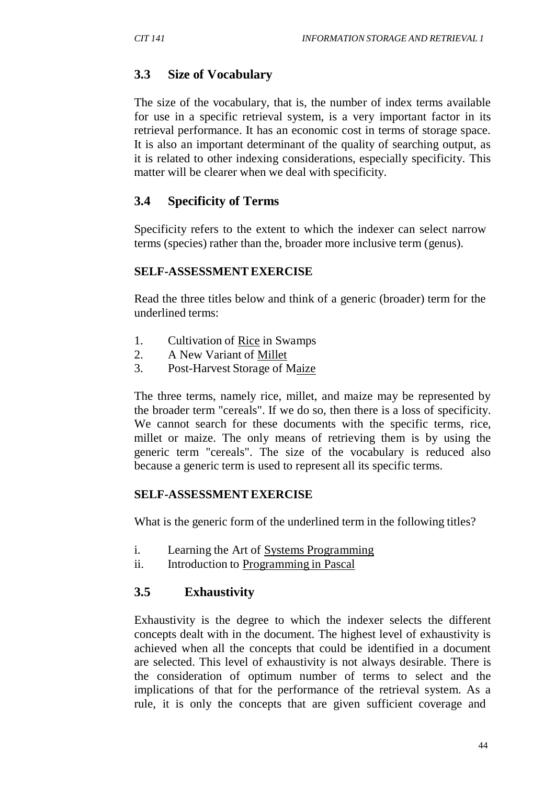# **3.3 Size of Vocabulary**

The size of the vocabulary, that is, the number of index terms available for use in a specific retrieval system, is a very important factor in its retrieval performance. It has an economic cost in terms of storage space. It is also an important determinant of the quality of searching output, as it is related to other indexing considerations, especially specificity. This matter will be clearer when we deal with specificity.

# **3.4 Specificity of Terms**

Specificity refers to the extent to which the indexer can select narrow terms (species) rather than the, broader more inclusive term (genus).

### **SELF-ASSESSMENTEXERCISE**

Read the three titles below and think of a generic (broader) term for the underlined terms:

- 1. Cultivation of Rice in Swamps
- 2. A New Variant of Millet
- 3. Post-Harvest Storage of Maize

The three terms, namely rice, millet, and maize may be represented by the broader term "cereals". If we do so, then there is a loss of specificity. We cannot search for these documents with the specific terms, rice, millet or maize. The only means of retrieving them is by using the generic term "cereals". The size of the vocabulary is reduced also because a generic term is used to represent all its specific terms.

## **SELF-ASSESSMENTEXERCISE**

What is the generic form of the underlined term in the following titles?

- i. Learning the Art of Systems Programming
- ii. Introduction to Programming in Pascal

## **3.5 Exhaustivity**

Exhaustivity is the degree to which the indexer selects the different concepts dealt with in the document. The highest level of exhaustivity is achieved when all the concepts that could be identified in a document are selected. This level of exhaustivity is not always desirable. There is the consideration of optimum number of terms to select and the implications of that for the performance of the retrieval system. As a rule, it is only the concepts that are given sufficient coverage and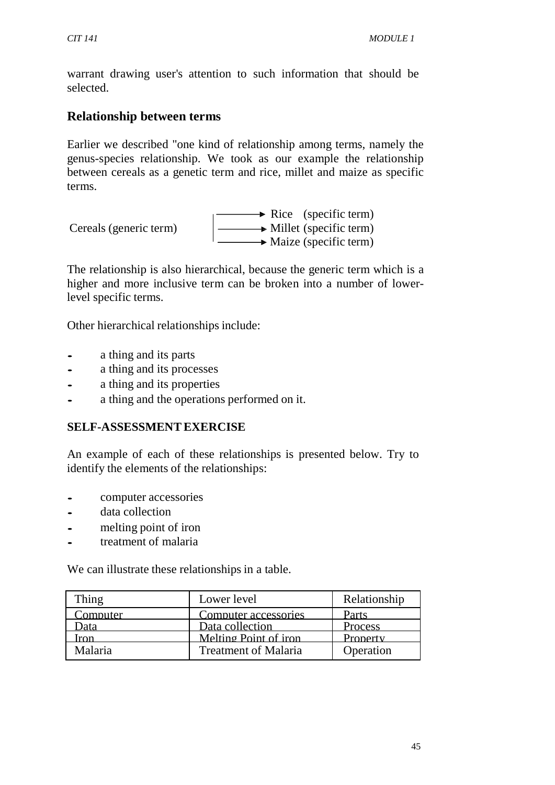warrant drawing user's attention to such information that should be selected.

# **Relationship between terms**

Earlier we described "one kind of relationship among terms, namely the genus-species relationship. We took as our example the relationship between cereals as a genetic term and rice, millet and maize as specific terms.

| Cereals (generic term) | $\rightarrow$ Rice (specific term)   |
|------------------------|--------------------------------------|
|                        | $\rightarrow$ Millet (specific term) |
|                        | $\rightarrow$ Maize (specific term)  |

The relationship is also hierarchical, because the generic term which is a higher and more inclusive term can be broken into a number of lowerlevel specific terms.

Other hierarchical relationships include:

- a thing and its parts<br>• a thing and its proce
- a thing and its processes<br>• a thing and its properties
- a thing and its properties<br>• a thing and the operation
- a thing and the operations performed on it.

### **SELF-ASSESSMENTEXERCISE**

An example of each of these relationships is presented below. Try to identify the elements of the relationships:

- computer accessories
- data collection
- melting point of iron
- treatment of malaria

We can illustrate these relationships in a table.

| Thing    | Lower level                 | Relationship |
|----------|-----------------------------|--------------|
| Computer | Computer accessories        | Parts        |
| )ata     | Data collection             | Process      |
| ron      | Melting Point of iron       | Property     |
| Malaria  | <b>Treatment of Malaria</b> | Operation    |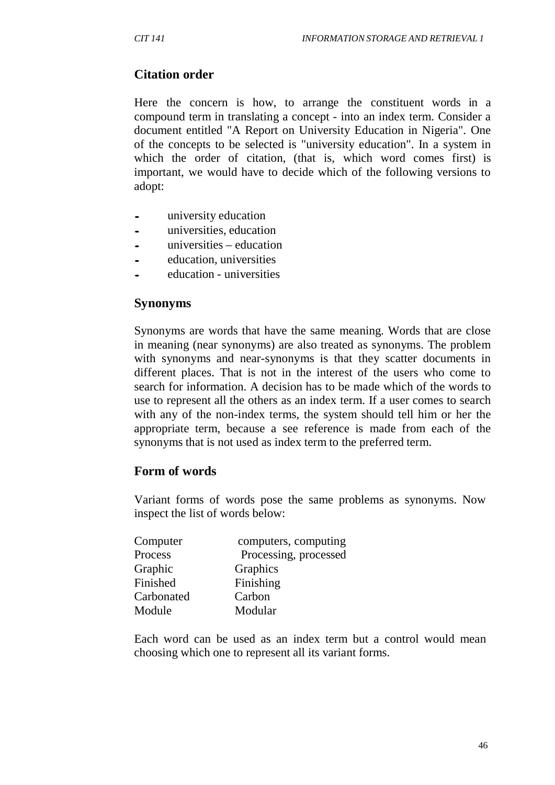# **Citation order**

Here the concern is how, to arrange the constituent words in a compound term in translating a concept - into an index term. Consider a document entitled "A Report on University Education in Nigeria". One of the concepts to be selected is "university education". In a system in which the order of citation, (that is, which word comes first) is important, we would have to decide which of the following versions to adopt:

- university education
- universities, education
- universities education
- education, universities
- education universities

#### **Synonyms**

Synonyms are words that have the same meaning. Words that are close in meaning (near synonyms) are also treated as synonyms. The problem with synonyms and near-synonyms is that they scatter documents in different places. That is not in the interest of the users who come to search for information. A decision has to be made which of the words to use to represent all the others as an index term. If a user comes to search with any of the non-index terms, the system should tell him or her the appropriate term, because a see reference is made from each of the synonyms that is not used as index term to the preferred term.

### **Form of words**

Variant forms of words pose the same problems as synonyms. Now inspect the list of words below:

| Computer   | computers, computing  |
|------------|-----------------------|
| Process    | Processing, processed |
| Graphic    | Graphics              |
| Finished   | Finishing             |
| Carbonated | Carbon                |
| Module     | Modular               |

Each word can be used as an index term but a control would mean choosing which one to represent all its variant forms.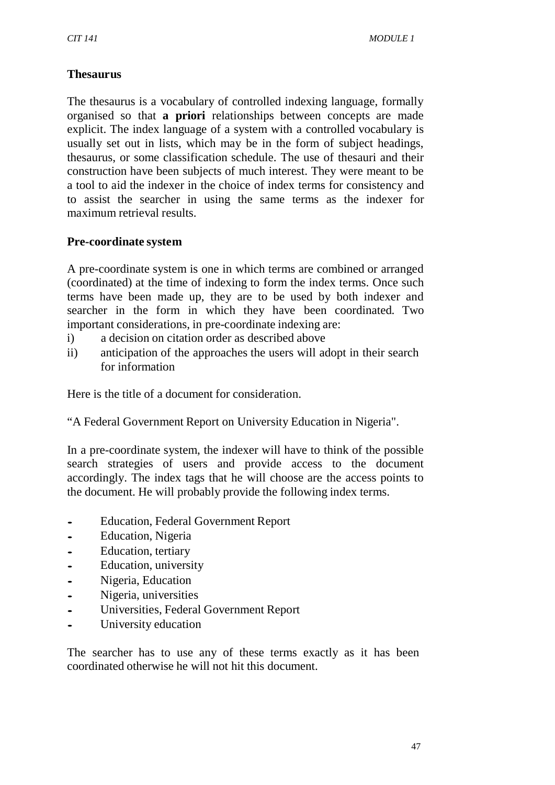### **Thesaurus**

The thesaurus is a vocabulary of controlled indexing language, formally organised so that **a priori** relationships between concepts are made explicit. The index language of a system with a controlled vocabulary is usually set out in lists, which may be in the form of subject headings, thesaurus, or some classification schedule. The use of thesauri and their construction have been subjects of much interest. They were meant to be a tool to aid the indexer in the choice of index terms for consistency and to assist the searcher in using the same terms as the indexer for maximum retrieval results.

#### **Pre-coordinate system**

A pre-coordinate system is one in which terms are combined or arranged (coordinated) at the time of indexing to form the index terms. Once such terms have been made up, they are to be used by both indexer and searcher in the form in which they have been coordinated. Two important considerations, in pre-coordinate indexing are:

- i) a decision on citation order as described above
- ii) anticipation of the approaches the users will adopt in their search for information

Here is the title of a document for consideration.

"A Federal Government Report on University Education in Nigeria".

In a pre-coordinate system, the indexer will have to think of the possible search strategies of users and provide access to the document accordingly. The index tags that he will choose are the access points to the document. He will probably provide the following index terms.

- Education, Federal Government Report<br>• Education, Nigeria
- Education, Nigeria<br>• Education, tertiary
- Education, tertiary
- Education, university<br>• Nigeria Education
- Nigeria, Education<br>• Nigeria universitie
- Nigeria, universities
- Universities, Federal Government Report<br>• University education
- University education

The searcher has to use any of these terms exactly as it has been coordinated otherwise he will not hit this document.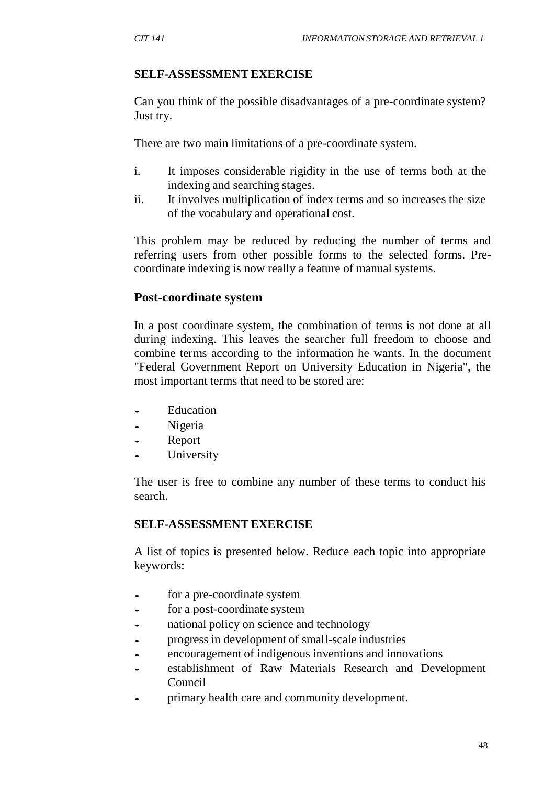### **SELF-ASSESSMENTEXERCISE**

Can you think of the possible disadvantages of a pre-coordinate system? Just try.

There are two main limitations of a pre-coordinate system.

- i. It imposes considerable rigidity in the use of terms both at the indexing and searching stages.
- ii. It involves multiplication of index terms and so increases the size of the vocabulary and operational cost.

This problem may be reduced by reducing the number of terms and referring users from other possible forms to the selected forms. Precoordinate indexing is now really a feature of manual systems.

### **Post-coordinate system**

In a post coordinate system, the combination of terms is not done at all during indexing. This leaves the searcher full freedom to choose and combine terms according to the information he wants. In the document "Federal Government Report on University Education in Nigeria", the most important terms that need to be stored are:

- Education<br>• Nigeria
- Nigeria
- Report
- **University**

The user is free to combine any number of these terms to conduct his search.

### **SELF-ASSESSMENTEXERCISE**

A list of topics is presented below. Reduce each topic into appropriate keywords:

- for <sup>a</sup> pre-coordinate system
- for a post-coordinate system<br>• national policy on science and
- national policy on science and technology
- progress in development of small-scale industries
- encouragement of indigenous inventions and innovations
- establishment of Raw Materials Research and Development Council
- primary health care and community development.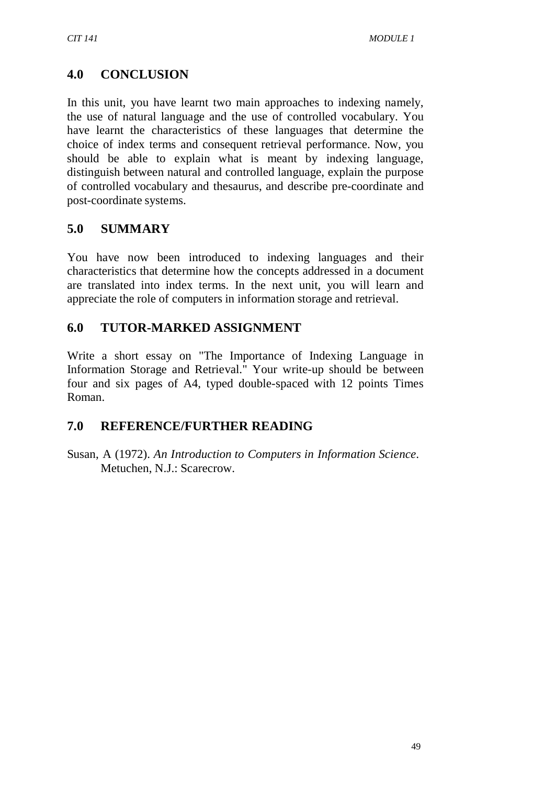# **4.0 CONCLUSION**

In this unit, you have learnt two main approaches to indexing namely, the use of natural language and the use of controlled vocabulary. You have learnt the characteristics of these languages that determine the choice of index terms and consequent retrieval performance. Now, you should be able to explain what is meant by indexing language, distinguish between natural and controlled language, explain the purpose of controlled vocabulary and thesaurus, and describe pre-coordinate and post-coordinate systems.

# **5.0 SUMMARY**

You have now been introduced to indexing languages and their characteristics that determine how the concepts addressed in a document are translated into index terms. In the next unit, you will learn and appreciate the role of computers in information storage and retrieval.

# **6.0 TUTOR-MARKED ASSIGNMENT**

Write a short essay on "The Importance of Indexing Language in Information Storage and Retrieval." Your write-up should be between four and six pages of A4, typed double-spaced with 12 points Times Roman.

# **7.0 REFERENCE/FURTHER READING**

Susan, A (1972). *An Introduction to Computers in Information Science*. Metuchen, N.J.: Scarecrow.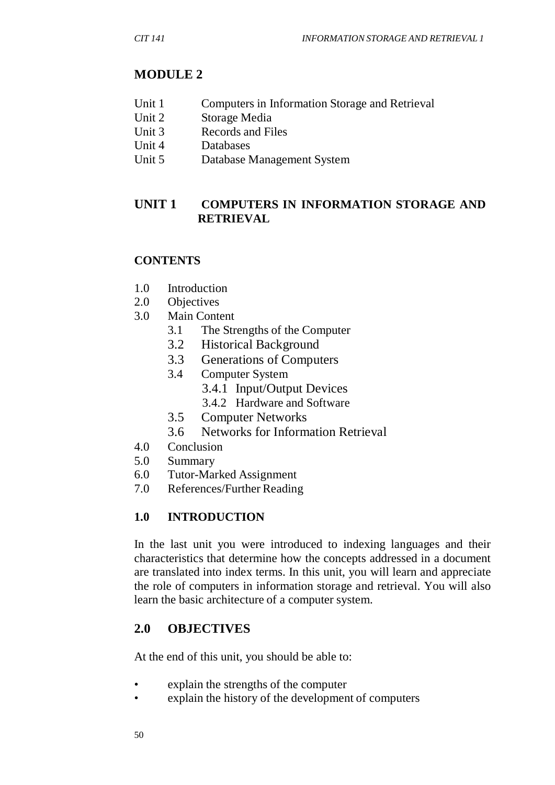# **MODULE 2**

- Unit 1 Computers in Information Storage and Retrieval
- Unit 2 Storage Media
- Unit 3 Records and Files
- Unit 4 Databases
- Unit 5 Database Management System

## **UNIT 1 COMPUTERS IN INFORMATION STORAGE AND RETRIEVAL**

## **CONTENTS**

- 1.0 Introduction
- 2.0 Objectives
- 3.0 Main Content
	- 3.1 The Strengths of the Computer
	- 3.2 Historical Background
	- 3.3 Generations of Computers
	- 3.4 Computer System
		- 3.4.1 Input/Output Devices
		- 3.4.2 Hardware and Software
	- 3.5 Computer Networks
	- 3.6 Networks for Information Retrieval
- 4.0 Conclusion
- 5.0 Summary
- 6.0 Tutor-Marked Assignment
- 7.0 References/Further Reading

## **1.0 INTRODUCTION**

In the last unit you were introduced to indexing languages and their characteristics that determine how the concepts addressed in a document are translated into index terms. In this unit, you will learn and appreciate the role of computers in information storage and retrieval. You will also learn the basic architecture of a computer system.

## **2.0 OBJECTIVES**

At the end of this unit, you should be able to:

- explain the strengths of the computer
- explain the history of the development of computers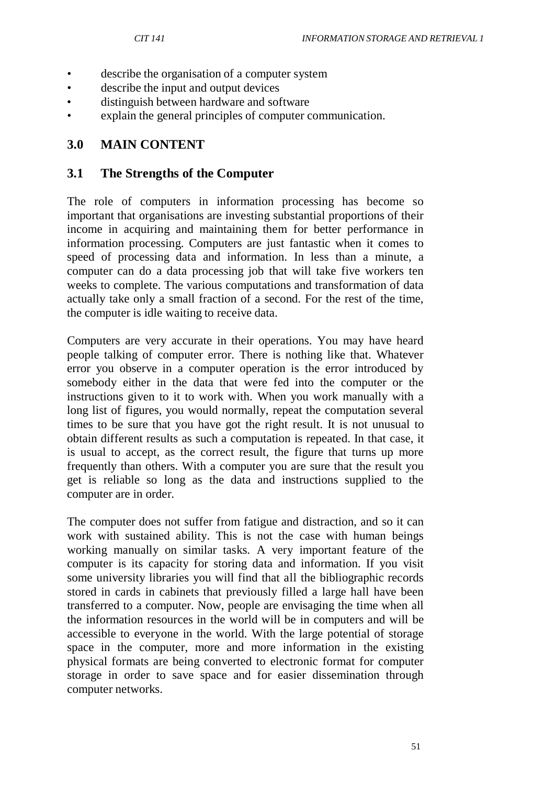- describe the organisation of a computer system
- describe the input and output devices
- distinguish between hardware and software
- explain the general principles of computer communication.

### **3.0 MAIN CONTENT**

#### **3.1 The Strengths of the Computer**

The role of computers in information processing has become so important that organisations are investing substantial proportions of their income in acquiring and maintaining them for better performance in information processing. Computers are just fantastic when it comes to speed of processing data and information. In less than a minute, a computer can do a data processing job that will take five workers ten weeks to complete. The various computations and transformation of data actually take only a small fraction of a second. For the rest of the time, the computer is idle waiting to receive data.

Computers are very accurate in their operations. You may have heard people talking of computer error. There is nothing like that. Whatever error you observe in a computer operation is the error introduced by somebody either in the data that were fed into the computer or the instructions given to it to work with. When you work manually with a long list of figures, you would normally, repeat the computation several times to be sure that you have got the right result. It is not unusual to obtain different results as such a computation is repeated. In that case, it is usual to accept, as the correct result, the figure that turns up more frequently than others. With a computer you are sure that the result you get is reliable so long as the data and instructions supplied to the computer are in order.

The computer does not suffer from fatigue and distraction, and so it can work with sustained ability. This is not the case with human beings working manually on similar tasks. A very important feature of the computer is its capacity for storing data and information. If you visit some university libraries you will find that all the bibliographic records stored in cards in cabinets that previously filled a large hall have been transferred to a computer. Now, people are envisaging the time when all the information resources in the world will be in computers and will be accessible to everyone in the world. With the large potential of storage space in the computer, more and more information in the existing physical formats are being converted to electronic format for computer storage in order to save space and for easier dissemination through computer networks.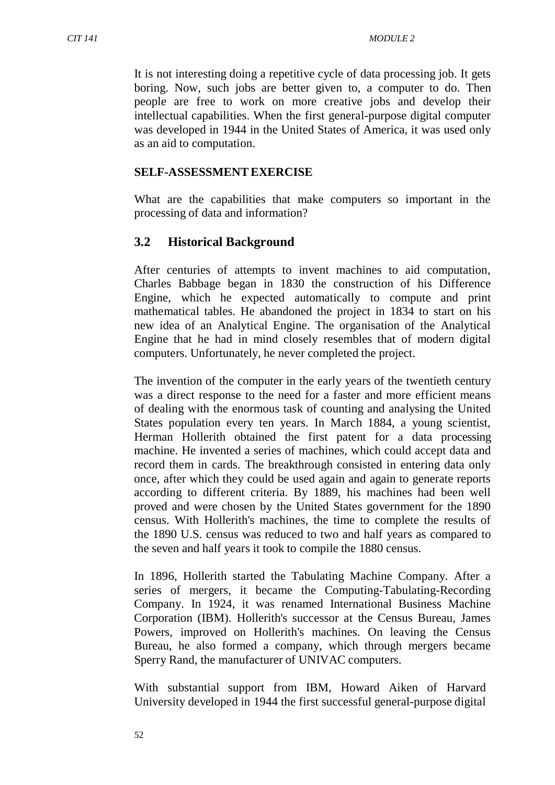It is not interesting doing a repetitive cycle of data processing job. It gets boring. Now, such jobs are better given to, a computer to do. Then people are free to work on more creative jobs and develop their intellectual capabilities. When the first general-purpose digital computer was developed in 1944 in the United States of America, it was used only as an aid to computation.

#### **SELF-ASSESSMENTEXERCISE**

What are the capabilities that make computers so important in the processing of data and information?

#### **3.2 Historical Background**

After centuries of attempts to invent machines to aid computation, Charles Babbage began in 1830 the construction of his Difference Engine, which he expected automatically to compute and print mathematical tables. He abandoned the project in 1834 to start on his new idea of an Analytical Engine. The organisation of the Analytical Engine that he had in mind closely resembles that of modern digital computers. Unfortunately, he never completed the project.

The invention of the computer in the early years of the twentieth century was a direct response to the need for a faster and more efficient means of dealing with the enormous task of counting and analysing the United States population every ten years. In March 1884, a young scientist, Herman Hollerith obtained the first patent for a data processing machine. He invented a series of machines, which could accept data and record them in cards. The breakthrough consisted in entering data only once, after which they could be used again and again to generate reports according to different criteria. By 1889, his machines had been well proved and were chosen by the United States government for the 1890 census. With Hollerith's machines, the time to complete the results of the 1890 U.S. census was reduced to two and half years as compared to the seven and half years it took to compile the 1880 census.

In 1896, Hollerith started the Tabulating Machine Company. After a series of mergers, it became the Computing-Tabulating-Recording Company. In 1924, it was renamed International Business Machine Corporation (IBM). Hollerith's successor at the Census Bureau, James Powers, improved on Hollerith's machines. On leaving the Census Bureau, he also formed a company, which through mergers became Sperry Rand, the manufacturer of UNIVAC computers.

With substantial support from IBM, Howard Aiken of Harvard University developed in 1944 the first successful general-purpose digital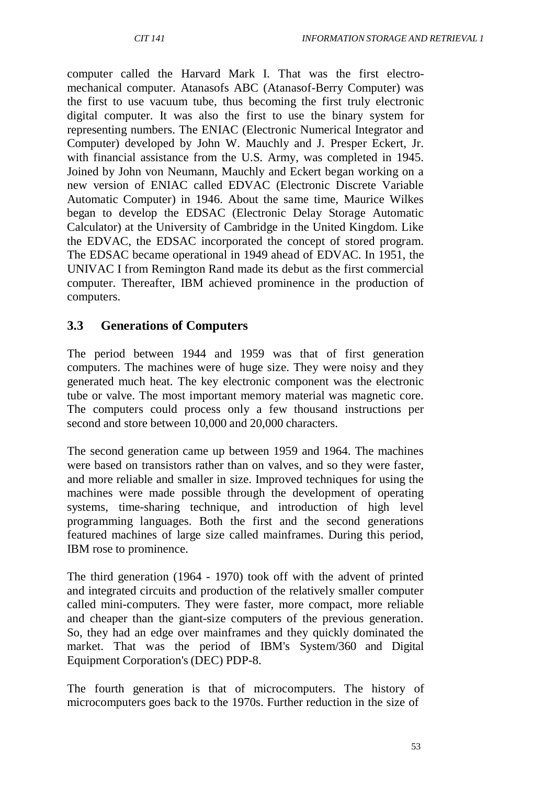computer called the Harvard Mark I. That was the first electromechanical computer. Atanasofs ABC (Atanasof-Berry Computer) was the first to use vacuum tube, thus becoming the first truly electronic digital computer. It was also the first to use the binary system for representing numbers. The ENIAC (Electronic Numerical Integrator and Computer) developed by John W. Mauchly and J. Presper Eckert, Jr. with financial assistance from the U.S. Army, was completed in 1945. Joined by John von Neumann, Mauchly and Eckert began working on a new version of ENIAC called EDVAC (Electronic Discrete Variable Automatic Computer) in 1946. About the same time, Maurice Wilkes began to develop the EDSAC (Electronic Delay Storage Automatic Calculator) at the University of Cambridge in the United Kingdom. Like the EDVAC, the EDSAC incorporated the concept of stored program. The EDSAC became operational in 1949 ahead of EDVAC. In 1951, the UNIVAC I from Remington Rand made its debut as the first commercial computer. Thereafter, IBM achieved prominence in the production of computers.

### **3.3 Generations of Computers**

The period between 1944 and 1959 was that of first generation computers. The machines were of huge size. They were noisy and they generated much heat. The key electronic component was the electronic tube or valve. The most important memory material was magnetic core. The computers could process only a few thousand instructions per second and store between 10,000 and 20,000 characters.

The second generation came up between 1959 and 1964. The machines were based on transistors rather than on valves, and so they were faster, and more reliable and smaller in size. Improved techniques for using the machines were made possible through the development of operating systems, time-sharing technique, and introduction of high level programming languages. Both the first and the second generations featured machines of large size called mainframes. During this period, IBM rose to prominence.

The third generation (1964 - 1970) took off with the advent of printed and integrated circuits and production of the relatively smaller computer called mini-computers. They were faster, more compact, more reliable and cheaper than the giant-size computers of the previous generation. So, they had an edge over mainframes and they quickly dominated the market. That was the period of IBM's System/360 and Digital Equipment Corporation's (DEC) PDP-8.

The fourth generation is that of microcomputers. The history of microcomputers goes back to the 1970s. Further reduction in the size of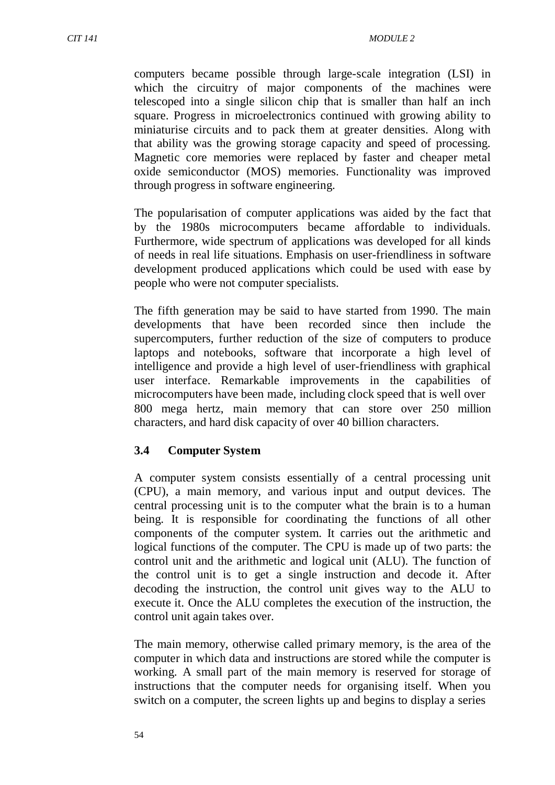computers became possible through large-scale integration (LSI) in which the circuitry of major components of the machines were telescoped into a single silicon chip that is smaller than half an inch square. Progress in microelectronics continued with growing ability to miniaturise circuits and to pack them at greater densities. Along with that ability was the growing storage capacity and speed of processing. Magnetic core memories were replaced by faster and cheaper metal oxide semiconductor (MOS) memories. Functionality was improved through progress in software engineering.

The popularisation of computer applications was aided by the fact that by the 1980s microcomputers became affordable to individuals. Furthermore, wide spectrum of applications was developed for all kinds of needs in real life situations. Emphasis on user-friendliness in software development produced applications which could be used with ease by people who were not computer specialists.

The fifth generation may be said to have started from 1990. The main developments that have been recorded since then include the supercomputers, further reduction of the size of computers to produce laptops and notebooks, software that incorporate a high level of intelligence and provide a high level of user-friendliness with graphical user interface. Remarkable improvements in the capabilities of microcomputers have been made, including clock speed that is well over 800 mega hertz, main memory that can store over 250 million characters, and hard disk capacity of over 40 billion characters.

#### **3.4 Computer System**

A computer system consists essentially of a central processing unit (CPU), a main memory, and various input and output devices. The central processing unit is to the computer what the brain is to a human being. It is responsible for coordinating the functions of all other components of the computer system. It carries out the arithmetic and logical functions of the computer. The CPU is made up of two parts: the control unit and the arithmetic and logical unit (ALU). The function of the control unit is to get a single instruction and decode it. After decoding the instruction, the control unit gives way to the ALU to execute it. Once the ALU completes the execution of the instruction, the control unit again takes over.

The main memory, otherwise called primary memory, is the area of the computer in which data and instructions are stored while the computer is working. A small part of the main memory is reserved for storage of instructions that the computer needs for organising itself. When you switch on a computer, the screen lights up and begins to display a series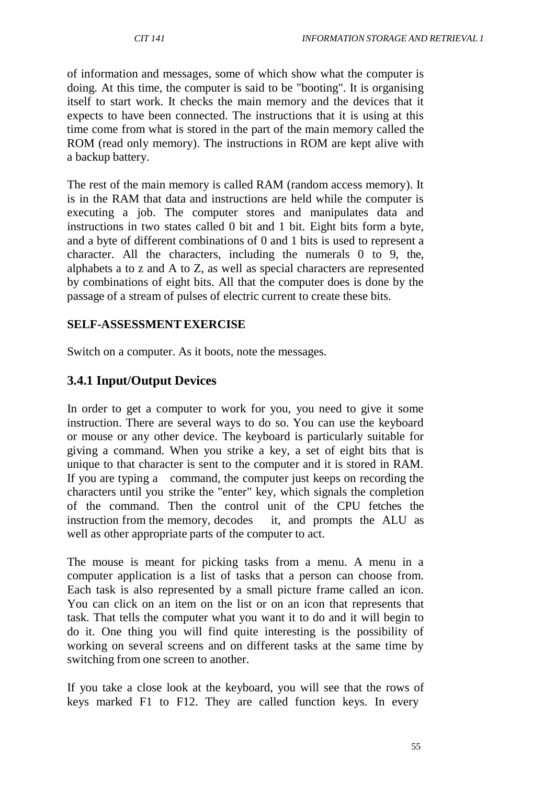of information and messages, some of which show what the computer is doing. At this time, the computer is said to be "booting". It is organising itself to start work. It checks the main memory and the devices that it expects to have been connected. The instructions that it is using at this time come from what is stored in the part of the main memory called the ROM (read only memory). The instructions in ROM are kept alive with a backup battery.

The rest of the main memory is called RAM (random access memory). It is in the RAM that data and instructions are held while the computer is executing a job. The computer stores and manipulates data and instructions in two states called 0 bit and 1 bit. Eight bits form a byte, and a byte of different combinations of 0 and 1 bits is used to represent a character. All the characters, including the numerals 0 to 9, the, alphabets a to z and A to Z, as well as special characters are represented by combinations of eight bits. All that the computer does is done by the passage of a stream of pulses of electric current to create these bits.

## **SELF-ASSESSMENTEXERCISE**

Switch on a computer. As it boots, note the messages.

## **3.4.1 Input/Output Devices**

In order to get a computer to work for you, you need to give it some instruction. There are several ways to do so. You can use the keyboard or mouse or any other device. The keyboard is particularly suitable for giving a command. When you strike a key, a set of eight bits that is unique to that character is sent to the computer and it is stored in RAM. If you are typing a command, the computer just keeps on recording the characters until you strike the "enter" key, which signals the completion of the command. Then the control unit of the CPU fetches the instruction from the memory, decodes it, and prompts the ALU as well as other appropriate parts of the computer to act.

The mouse is meant for picking tasks from a menu. A menu in a computer application is a list of tasks that a person can choose from. Each task is also represented by a small picture frame called an icon. You can click on an item on the list or on an icon that represents that task. That tells the computer what you want it to do and it will begin to do it. One thing you will find quite interesting is the possibility of working on several screens and on different tasks at the same time by switching from one screen to another.

If you take a close look at the keyboard, you will see that the rows of keys marked F1 to F12. They are called function keys. In every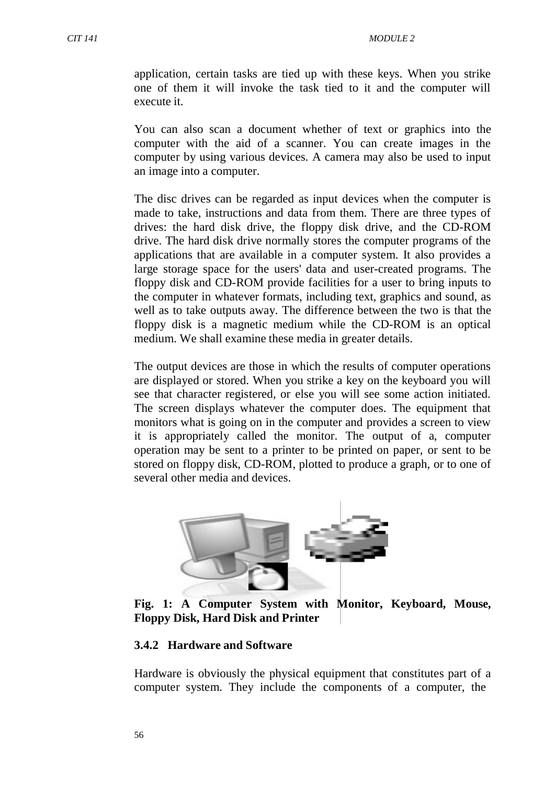application, certain tasks are tied up with these keys. When you strike one of them it will invoke the task tied to it and the computer will execute it.

You can also scan a document whether of text or graphics into the computer with the aid of a scanner. You can create images in the computer by using various devices. A camera may also be used to input an image into a computer.

The disc drives can be regarded as input devices when the computer is made to take, instructions and data from them. There are three types of drives: the hard disk drive, the floppy disk drive, and the CD-ROM drive. The hard disk drive normally stores the computer programs of the applications that are available in a computer system. It also provides a large storage space for the users' data and user-created programs. The floppy disk and CD-ROM provide facilities for a user to bring inputs to the computer in whatever formats, including text, graphics and sound, as well as to take outputs away. The difference between the two is that the floppy disk is a magnetic medium while the CD-ROM is an optical medium. We shall examine these media in greater details.

The output devices are those in which the results of computer operations are displayed or stored. When you strike a key on the keyboard you will see that character registered, or else you will see some action initiated. The screen displays whatever the computer does. The equipment that monitors what is going on in the computer and provides a screen to view it is appropriately called the monitor. The output of a, computer operation may be sent to a printer to be printed on paper, or sent to be stored on floppy disk, CD-ROM, plotted to produce a graph, or to one of several other media and devices.



**Fig. 1: A Computer System with Monitor, Keyboard, Mouse, Floppy Disk, Hard Disk and Printer**

#### **3.4.2 Hardware and Software**

Hardware is obviously the physical equipment that constitutes part of a computer system. They include the components of a computer, the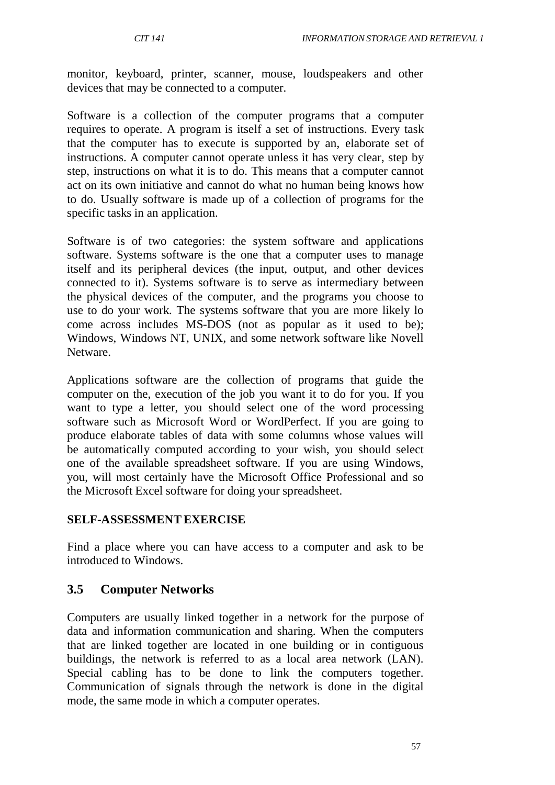monitor, keyboard, printer, scanner, mouse, loudspeakers and other devices that may be connected to a computer.

Software is a collection of the computer programs that a computer requires to operate. A program is itself a set of instructions. Every task that the computer has to execute is supported by an, elaborate set of instructions. A computer cannot operate unless it has very clear, step by step, instructions on what it is to do. This means that a computer cannot act on its own initiative and cannot do what no human being knows how to do. Usually software is made up of a collection of programs for the specific tasks in an application.

Software is of two categories: the system software and applications software. Systems software is the one that a computer uses to manage itself and its peripheral devices (the input, output, and other devices connected to it). Systems software is to serve as intermediary between the physical devices of the computer, and the programs you choose to use to do your work. The systems software that you are more likely lo come across includes MS-DOS (not as popular as it used to be); Windows, Windows NT, UNIX, and some network software like Novell **Netware** 

Applications software are the collection of programs that guide the computer on the, execution of the job you want it to do for you. If you want to type a letter, you should select one of the word processing software such as Microsoft Word or WordPerfect. If you are going to produce elaborate tables of data with some columns whose values will be automatically computed according to your wish, you should select one of the available spreadsheet software. If you are using Windows, you, will most certainly have the Microsoft Office Professional and so the Microsoft Excel software for doing your spreadsheet.

### **SELF-ASSESSMENTEXERCISE**

Find a place where you can have access to a computer and ask to be introduced to Windows.

### **3.5 Computer Networks**

Computers are usually linked together in a network for the purpose of data and information communication and sharing. When the computers that are linked together are located in one building or in contiguous buildings, the network is referred to as a local area network (LAN). Special cabling has to be done to link the computers together. Communication of signals through the network is done in the digital mode, the same mode in which a computer operates.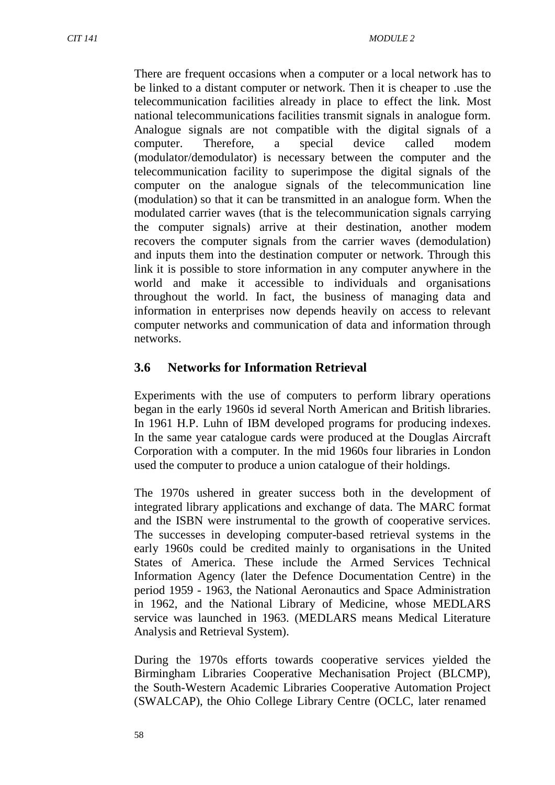There are frequent occasions when a computer or a local network has to be linked to a distant computer or network. Then it is cheaper to .use the telecommunication facilities already in place to effect the link. Most national telecommunications facilities transmit signals in analogue form. Analogue signals are not compatible with the digital signals of a computer. Therefore, a special device called modem (modulator/demodulator) is necessary between the computer and the telecommunication facility to superimpose the digital signals of the computer on the analogue signals of the telecommunication line (modulation) so that it can be transmitted in an analogue form. When the modulated carrier waves (that is the telecommunication signals carrying the computer signals) arrive at their destination, another modem recovers the computer signals from the carrier waves (demodulation) and inputs them into the destination computer or network. Through this link it is possible to store information in any computer anywhere in the world and make it accessible to individuals and organisations throughout the world. In fact, the business of managing data and information in enterprises now depends heavily on access to relevant computer networks and communication of data and information through networks.

### **3.6 Networks for Information Retrieval**

Experiments with the use of computers to perform library operations began in the early 1960s id several North American and British libraries. In 1961 H.P. Luhn of IBM developed programs for producing indexes. In the same year catalogue cards were produced at the Douglas Aircraft Corporation with a computer. In the mid 1960s four libraries in London used the computer to produce a union catalogue of their holdings.

The 1970s ushered in greater success both in the development of integrated library applications and exchange of data. The MARC format and the ISBN were instrumental to the growth of cooperative services. The successes in developing computer-based retrieval systems in the early 1960s could be credited mainly to organisations in the United States of America. These include the Armed Services Technical Information Agency (later the Defence Documentation Centre) in the period 1959 - 1963, the National Aeronautics and Space Administration in 1962, and the National Library of Medicine, whose MEDLARS service was launched in 1963. (MEDLARS means Medical Literature Analysis and Retrieval System).

During the 1970s efforts towards cooperative services yielded the Birmingham Libraries Cooperative Mechanisation Project (BLCMP), the South-Western Academic Libraries Cooperative Automation Project (SWALCAP), the Ohio College Library Centre (OCLC, later renamed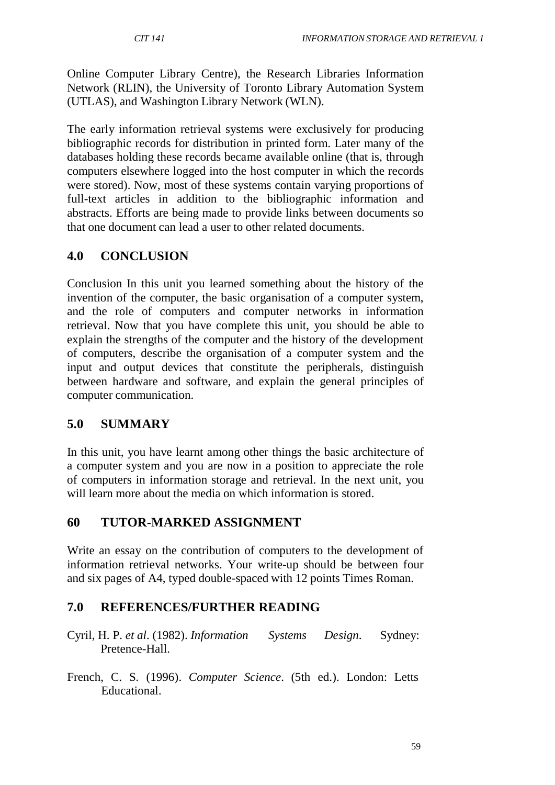Online Computer Library Centre), the Research Libraries Information Network (RLIN), the University of Toronto Library Automation System (UTLAS), and Washington Library Network (WLN).

The early information retrieval systems were exclusively for producing bibliographic records for distribution in printed form. Later many of the databases holding these records became available online (that is, through computers elsewhere logged into the host computer in which the records were stored). Now, most of these systems contain varying proportions of full-text articles in addition to the bibliographic information and abstracts. Efforts are being made to provide links between documents so that one document can lead a user to other related documents.

### **4.0 CONCLUSION**

Conclusion In this unit you learned something about the history of the invention of the computer, the basic organisation of a computer system, and the role of computers and computer networks in information retrieval. Now that you have complete this unit, you should be able to explain the strengths of the computer and the history of the development of computers, describe the organisation of a computer system and the input and output devices that constitute the peripherals, distinguish between hardware and software, and explain the general principles of computer communication.

### **5.0 SUMMARY**

In this unit, you have learnt among other things the basic architecture of a computer system and you are now in a position to appreciate the role of computers in information storage and retrieval. In the next unit, you will learn more about the media on which information is stored.

### **60 TUTOR-MARKED ASSIGNMENT**

Write an essay on the contribution of computers to the development of information retrieval networks. Your write-up should be between four and six pages of A4, typed double-spaced with 12 points Times Roman.

### **7.0 REFERENCES/FURTHER READING**

- Cyril, H. P. *et al*. (1982). *Information Systems Design*. Sydney: Pretence-Hall.
- French, C. S. (1996). *Computer Science*. (5th ed.). London: Letts Educational.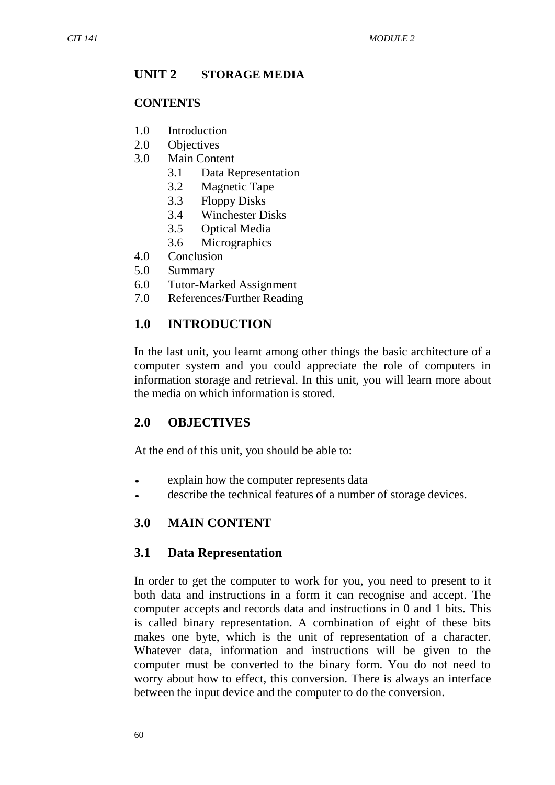#### **UNIT 2 STORAGE MEDIA**

#### **CONTENTS**

- 1.0 Introduction
- 2.0 Objectives
- 3.0 Main Content
	- 3.1 Data Representation
	- 3.2 Magnetic Tape
	- 3.3 Floppy Disks
	- 3.4 Winchester Disks
	- 3.5 Optical Media
	- 3.6 Micrographics
- 4.0 Conclusion
- 5.0 Summary
- 6.0 Tutor-Marked Assignment
- 7.0 References/Further Reading

#### **1.0 INTRODUCTION**

In the last unit, you learnt among other things the basic architecture of a computer system and you could appreciate the role of computers in information storage and retrieval. In this unit, you will learn more about the media on which information is stored.

#### **2.0 OBJECTIVES**

At the end of this unit, you should be able to:

- explain how the computer represents data<br>• describe the technical features of a numbe
- describe the technical features of a number of storage devices.

#### **3.0 MAIN CONTENT**

#### **3.1 Data Representation**

In order to get the computer to work for you, you need to present to it both data and instructions in a form it can recognise and accept. The computer accepts and records data and instructions in 0 and 1 bits. This is called binary representation. A combination of eight of these bits makes one byte, which is the unit of representation of a character. Whatever data, information and instructions will be given to the computer must be converted to the binary form. You do not need to worry about how to effect, this conversion. There is always an interface between the input device and the computer to do the conversion.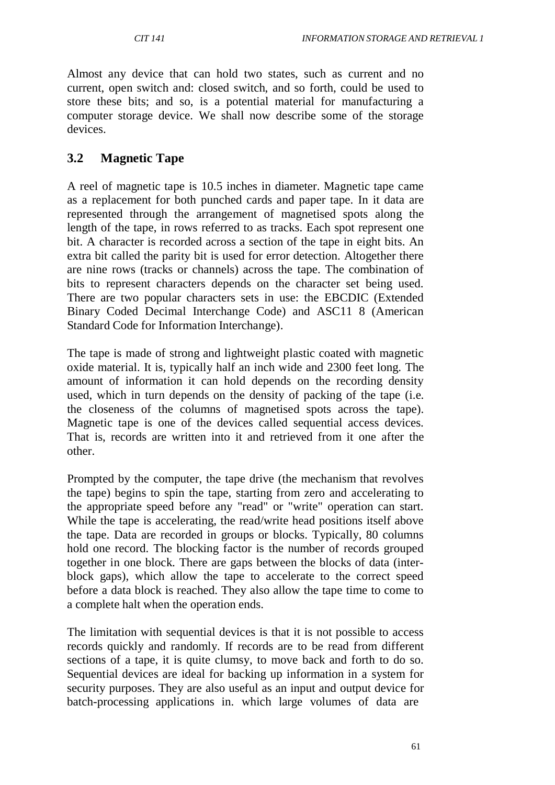Almost any device that can hold two states, such as current and no current, open switch and: closed switch, and so forth, could be used to store these bits; and so, is a potential material for manufacturing a computer storage device. We shall now describe some of the storage devices.

## **3.2 Magnetic Tape**

A reel of magnetic tape is 10.5 inches in diameter. Magnetic tape came as a replacement for both punched cards and paper tape. In it data are represented through the arrangement of magnetised spots along the length of the tape, in rows referred to as tracks. Each spot represent one bit. A character is recorded across a section of the tape in eight bits. An extra bit called the parity bit is used for error detection. Altogether there are nine rows (tracks or channels) across the tape. The combination of bits to represent characters depends on the character set being used. There are two popular characters sets in use: the EBCDIC (Extended Binary Coded Decimal Interchange Code) and ASC11 8 (American Standard Code for Information Interchange).

The tape is made of strong and lightweight plastic coated with magnetic oxide material. It is, typically half an inch wide and 2300 feet long. The amount of information it can hold depends on the recording density used, which in turn depends on the density of packing of the tape (i.e. the closeness of the columns of magnetised spots across the tape). Magnetic tape is one of the devices called sequential access devices. That is, records are written into it and retrieved from it one after the other.

Prompted by the computer, the tape drive (the mechanism that revolves the tape) begins to spin the tape, starting from zero and accelerating to the appropriate speed before any "read" or "write" operation can start. While the tape is accelerating, the read/write head positions itself above the tape. Data are recorded in groups or blocks. Typically, 80 columns hold one record. The blocking factor is the number of records grouped together in one block. There are gaps between the blocks of data (interblock gaps), which allow the tape to accelerate to the correct speed before a data block is reached. They also allow the tape time to come to a complete halt when the operation ends.

The limitation with sequential devices is that it is not possible to access records quickly and randomly. If records are to be read from different sections of a tape, it is quite clumsy, to move back and forth to do so. Sequential devices are ideal for backing up information in a system for security purposes. They are also useful as an input and output device for batch-processing applications in. which large volumes of data are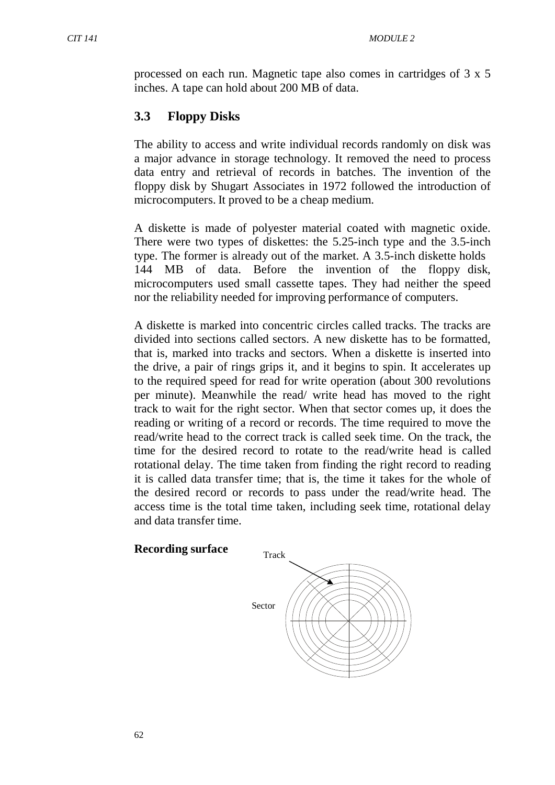processed on each run. Magnetic tape also comes in cartridges of 3 x 5 inches. A tape can hold about 200 MB of data.

# **3.3 Floppy Disks**

The ability to access and write individual records randomly on disk was a major advance in storage technology. It removed the need to process data entry and retrieval of records in batches. The invention of the floppy disk by Shugart Associates in 1972 followed the introduction of microcomputers. It proved to be a cheap medium.

A diskette is made of polyester material coated with magnetic oxide. There were two types of diskettes: the 5.25-inch type and the 3.5-inch type. The former is already out of the market. A 3.5-inch diskette holds 144 MB of data. Before the invention of the floppy disk, microcomputers used small cassette tapes. They had neither the speed nor the reliability needed for improving performance of computers.

A diskette is marked into concentric circles called tracks. The tracks are divided into sections called sectors. A new diskette has to be formatted, that is, marked into tracks and sectors. When a diskette is inserted into the drive, a pair of rings grips it, and it begins to spin. It accelerates up to the required speed for read for write operation (about 300 revolutions per minute). Meanwhile the read/ write head has moved to the right track to wait for the right sector. When that sector comes up, it does the reading or writing of a record or records. The time required to move the read/write head to the correct track is called seek time. On the track, the time for the desired record to rotate to the read/write head is called rotational delay. The time taken from finding the right record to reading it is called data transfer time; that is, the time it takes for the whole of the desired record or records to pass under the read/write head. The access time is the total time taken, including seek time, rotational delay and data transfer time.

# **Recording surface** Track

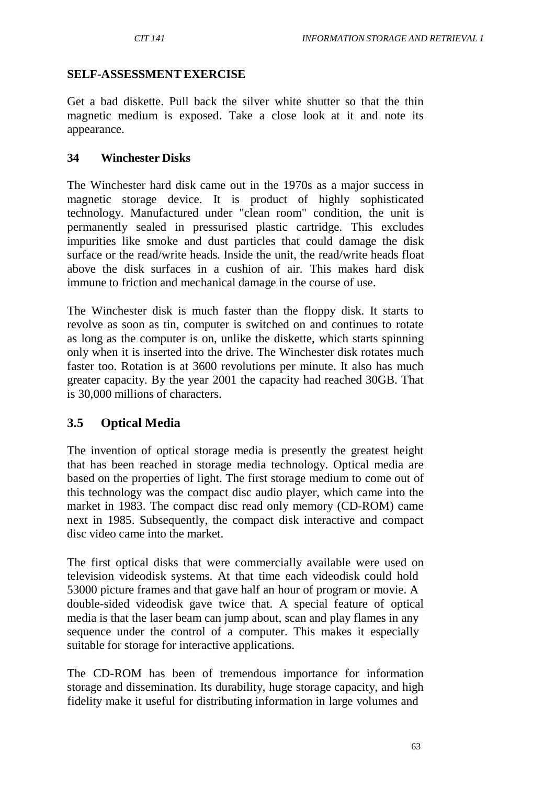### **SELF-ASSESSMENTEXERCISE**

Get a bad diskette. Pull back the silver white shutter so that the thin magnetic medium is exposed. Take a close look at it and note its appearance.

### **34 Winchester Disks**

The Winchester hard disk came out in the 1970s as a major success in magnetic storage device. It is product of highly sophisticated technology. Manufactured under "clean room" condition, the unit is permanently sealed in pressurised plastic cartridge. This excludes impurities like smoke and dust particles that could damage the disk surface or the read/write heads. Inside the unit, the read/write heads float above the disk surfaces in a cushion of air. This makes hard disk immune to friction and mechanical damage in the course of use.

The Winchester disk is much faster than the floppy disk. It starts to revolve as soon as tin, computer is switched on and continues to rotate as long as the computer is on, unlike the diskette, which starts spinning only when it is inserted into the drive. The Winchester disk rotates much faster too. Rotation is at 3600 revolutions per minute. It also has much greater capacity. By the year 2001 the capacity had reached 30GB. That is 30,000 millions of characters.

## **3.5 Optical Media**

The invention of optical storage media is presently the greatest height that has been reached in storage media technology. Optical media are based on the properties of light. The first storage medium to come out of this technology was the compact disc audio player, which came into the market in 1983. The compact disc read only memory (CD-ROM) came next in 1985. Subsequently, the compact disk interactive and compact disc video came into the market.

The first optical disks that were commercially available were used on television videodisk systems. At that time each videodisk could hold 53000 picture frames and that gave half an hour of program or movie. A double-sided videodisk gave twice that. A special feature of optical media is that the laser beam can jump about, scan and play flames in any sequence under the control of a computer. This makes it especially suitable for storage for interactive applications.

The CD-ROM has been of tremendous importance for information storage and dissemination. Its durability, huge storage capacity, and high fidelity make it useful for distributing information in large volumes and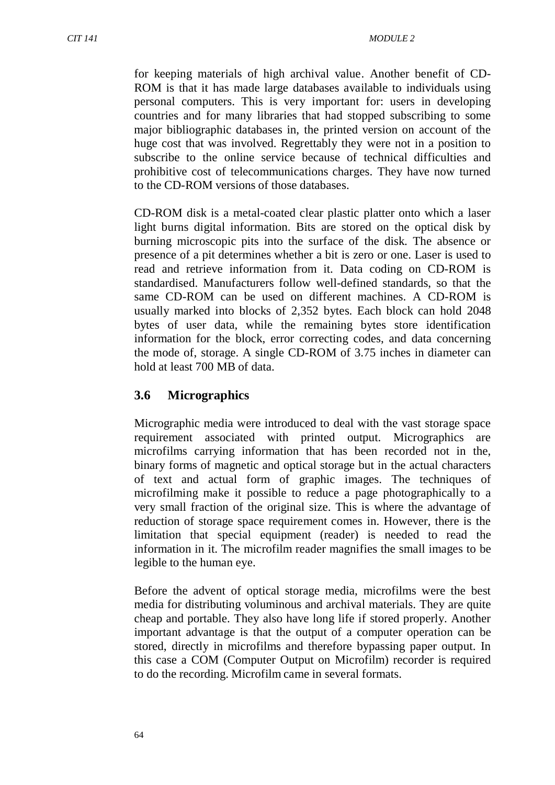for keeping materials of high archival value. Another benefit of CD-ROM is that it has made large databases available to individuals using personal computers. This is very important for: users in developing countries and for many libraries that had stopped subscribing to some major bibliographic databases in, the printed version on account of the huge cost that was involved. Regrettably they were not in a position to subscribe to the online service because of technical difficulties and prohibitive cost of telecommunications charges. They have now turned to the CD-ROM versions of those databases.

CD-ROM disk is a metal-coated clear plastic platter onto which a laser light burns digital information. Bits are stored on the optical disk by burning microscopic pits into the surface of the disk. The absence or presence of a pit determines whether a bit is zero or one. Laser is used to read and retrieve information from it. Data coding on CD-ROM is standardised. Manufacturers follow well-defined standards, so that the same CD-ROM can be used on different machines. A CD-ROM is usually marked into blocks of 2,352 bytes. Each block can hold 2048 bytes of user data, while the remaining bytes store identification information for the block, error correcting codes, and data concerning the mode of, storage. A single CD-ROM of 3.75 inches in diameter can hold at least 700 MB of data.

## **3.6 Micrographics**

Micrographic media were introduced to deal with the vast storage space requirement associated with printed output. Micrographics are microfilms carrying information that has been recorded not in the, binary forms of magnetic and optical storage but in the actual characters of text and actual form of graphic images. The techniques of microfilming make it possible to reduce a page photographically to a very small fraction of the original size. This is where the advantage of reduction of storage space requirement comes in. However, there is the limitation that special equipment (reader) is needed to read the information in it. The microfilm reader magnifies the small images to be legible to the human eye.

Before the advent of optical storage media, microfilms were the best media for distributing voluminous and archival materials. They are quite cheap and portable. They also have long life if stored properly. Another important advantage is that the output of a computer operation can be stored, directly in microfilms and therefore bypassing paper output. In this case a COM (Computer Output on Microfilm) recorder is required to do the recording. Microfilm came in several formats.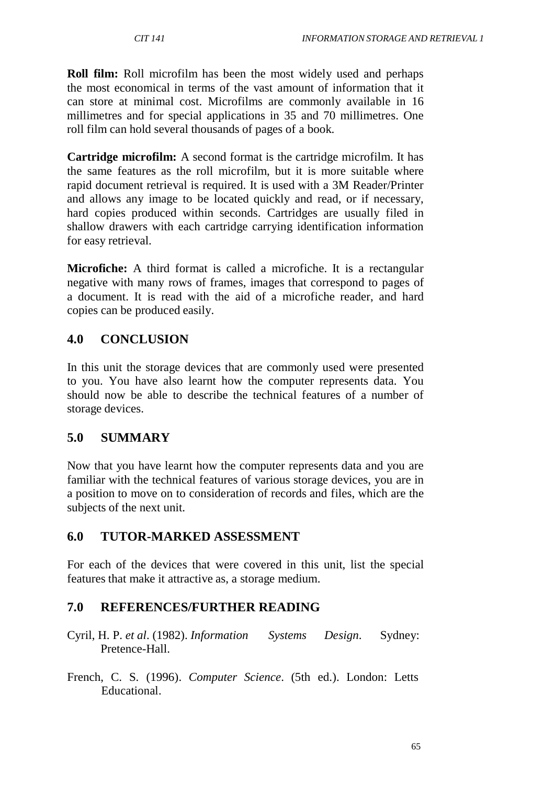**Roll film:** Roll microfilm has been the most widely used and perhaps the most economical in terms of the vast amount of information that it can store at minimal cost. Microfilms are commonly available in 16 millimetres and for special applications in 35 and 70 millimetres. One roll film can hold several thousands of pages of a book.

**Cartridge microfilm:** A second format is the cartridge microfilm. It has the same features as the roll microfilm, but it is more suitable where rapid document retrieval is required. It is used with a 3M Reader/Printer and allows any image to be located quickly and read, or if necessary, hard copies produced within seconds. Cartridges are usually filed in shallow drawers with each cartridge carrying identification information for easy retrieval.

**Microfiche:** A third format is called a microfiche. It is a rectangular negative with many rows of frames, images that correspond to pages of a document. It is read with the aid of a microfiche reader, and hard copies can be produced easily.

# **4.0 CONCLUSION**

In this unit the storage devices that are commonly used were presented to you. You have also learnt how the computer represents data. You should now be able to describe the technical features of a number of storage devices.

# **5.0 SUMMARY**

Now that you have learnt how the computer represents data and you are familiar with the technical features of various storage devices, you are in a position to move on to consideration of records and files, which are the subjects of the next unit.

# **6.0 TUTOR-MARKED ASSESSMENT**

For each of the devices that were covered in this unit, list the special features that make it attractive as, a storage medium.

# **7.0 REFERENCES/FURTHER READING**

- Cyril, H. P. *et al*. (1982). *Information Systems Design*. Sydney: Pretence-Hall.
- French, C. S. (1996). *Computer Science*. (5th ed.). London: Letts Educational.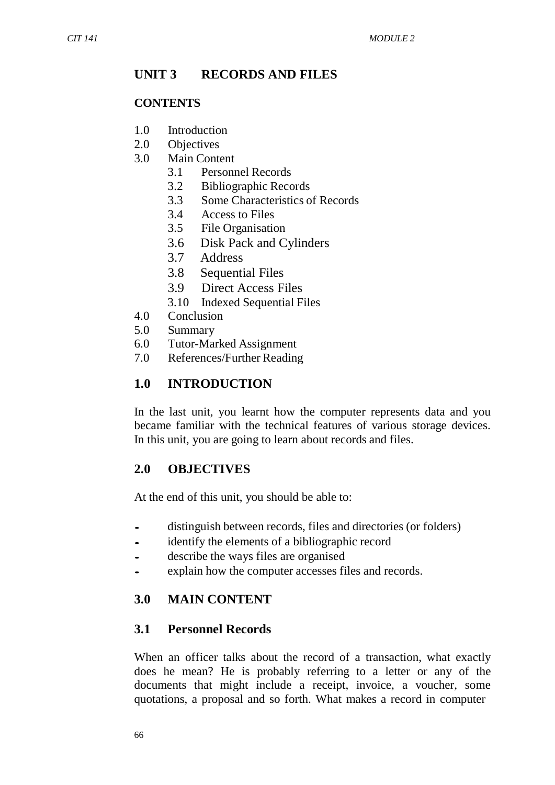## **UNIT 3 RECORDS AND FILES**

#### **CONTENTS**

- 1.0 Introduction
- 2.0 Objectives
- 3.0 Main Content
	- 3.1 Personnel Records
	- 3.2 Bibliographic Records
	- 3.3 Some Characteristics of Records
	- 3.4 Access to Files
	- 3.5 File Organisation
	- 3.6 Disk Pack and Cylinders
	- 3.7 Address
	- 3.8 Sequential Files
	- 3.9 Direct Access Files
	- 3.10 Indexed Sequential Files
- 4.0 Conclusion
- 5.0 Summary
- 6.0 Tutor-Marked Assignment
- 7.0 References/Further Reading

### **1.0 INTRODUCTION**

In the last unit, you learnt how the computer represents data and you became familiar with the technical features of various storage devices. In this unit, you are going to learn about records and files.

### **2.0 OBJECTIVES**

At the end of this unit, you should be able to:

- distinguish between records, files and directories (or folders)<br>• identify the elements of a bibliographic record
- identify the elements of a bibliographic record<br>• describe the ways files are organised
- describe the ways files are organised<br>• explain how the computer accesses fi
- explain how the computer accesses files and records.

## **3.0 MAIN CONTENT**

### **3.1 Personnel Records**

When an officer talks about the record of a transaction, what exactly does he mean? He is probably referring to a letter or any of the documents that might include a receipt, invoice, a voucher, some quotations, a proposal and so forth. What makes a record in computer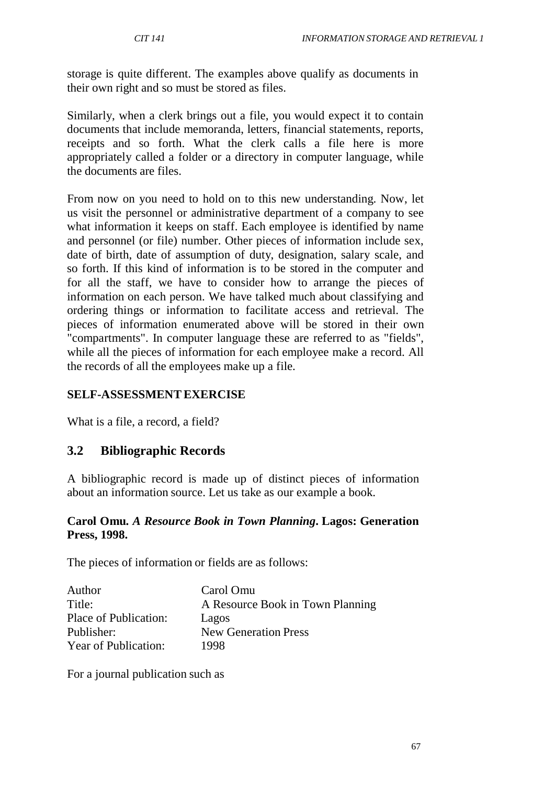storage is quite different. The examples above qualify as documents in their own right and so must be stored as files.

Similarly, when a clerk brings out a file, you would expect it to contain documents that include memoranda, letters, financial statements, reports, receipts and so forth. What the clerk calls a file here is more appropriately called a folder or a directory in computer language, while the documents are files.

From now on you need to hold on to this new understanding. Now, let us visit the personnel or administrative department of a company to see what information it keeps on staff. Each employee is identified by name and personnel (or file) number. Other pieces of information include sex, date of birth, date of assumption of duty, designation, salary scale, and so forth. If this kind of information is to be stored in the computer and for all the staff, we have to consider how to arrange the pieces of information on each person. We have talked much about classifying and ordering things or information to facilitate access and retrieval. The pieces of information enumerated above will be stored in their own "compartments". In computer language these are referred to as "fields", while all the pieces of information for each employee make a record. All the records of all the employees make up a file.

### **SELF-ASSESSMENTEXERCISE**

What is a file, a record, a field?

## **3.2 Bibliographic Records**

A bibliographic record is made up of distinct pieces of information about an information source. Let us take as our example a book.

#### **Carol Omu.** *A Resource Book in Town Planning***. Lagos: Generation Press, 1998.**

The pieces of information or fields are as follows:

| Author                | Carol Omu                        |
|-----------------------|----------------------------------|
| Title:                | A Resource Book in Town Planning |
| Place of Publication: | Lagos                            |
| Publisher:            | <b>New Generation Press</b>      |
| Year of Publication:  | 1998                             |

For a journal publication such as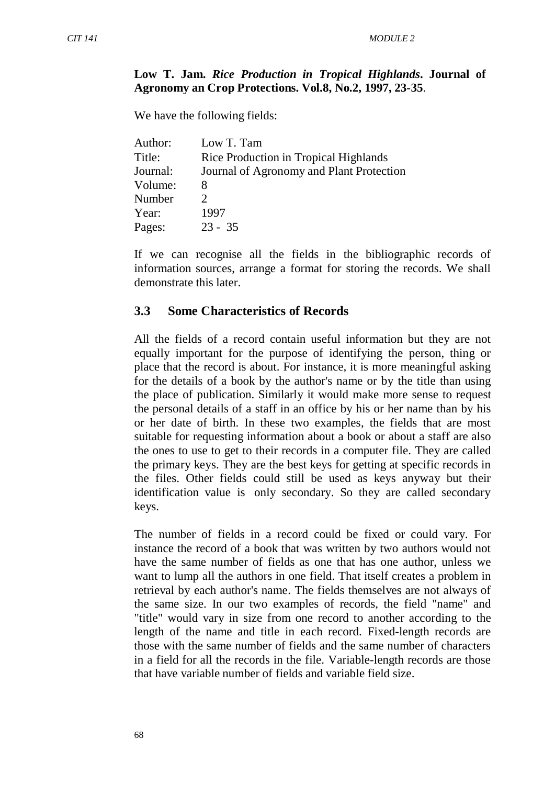#### **Low T. Jam.** *Rice Production in Tropical Highlands***. Journal of Agronomy an Crop Protections. Vol.8, No.2, 1997, 23-35**.

We have the following fields:

| Author:  | Low T. Tam                               |
|----------|------------------------------------------|
| Title:   | Rice Production in Tropical Highlands    |
| Journal: | Journal of Agronomy and Plant Protection |
| Volume:  | x                                        |
| Number   |                                          |
| Year:    | 1997                                     |
| Pages:   | $23 - 35$                                |

If we can recognise all the fields in the bibliographic records of information sources, arrange a format for storing the records. We shall demonstrate this later.

#### **3.3 Some Characteristics of Records**

All the fields of a record contain useful information but they are not equally important for the purpose of identifying the person, thing or place that the record is about. For instance, it is more meaningful asking for the details of a book by the author's name or by the title than using the place of publication. Similarly it would make more sense to request the personal details of a staff in an office by his or her name than by his or her date of birth. In these two examples, the fields that are most suitable for requesting information about a book or about a staff are also the ones to use to get to their records in a computer file. They are called the primary keys. They are the best keys for getting at specific records in the files. Other fields could still be used as keys anyway but their identification value is only secondary. So they are called secondary keys.

The number of fields in a record could be fixed or could vary. For instance the record of a book that was written by two authors would not have the same number of fields as one that has one author, unless we want to lump all the authors in one field. That itself creates a problem in retrieval by each author's name. The fields themselves are not always of the same size. In our two examples of records, the field "name" and "title" would vary in size from one record to another according to the length of the name and title in each record. Fixed-length records are those with the same number of fields and the same number of characters in a field for all the records in the file. Variable-length records are those that have variable number of fields and variable field size.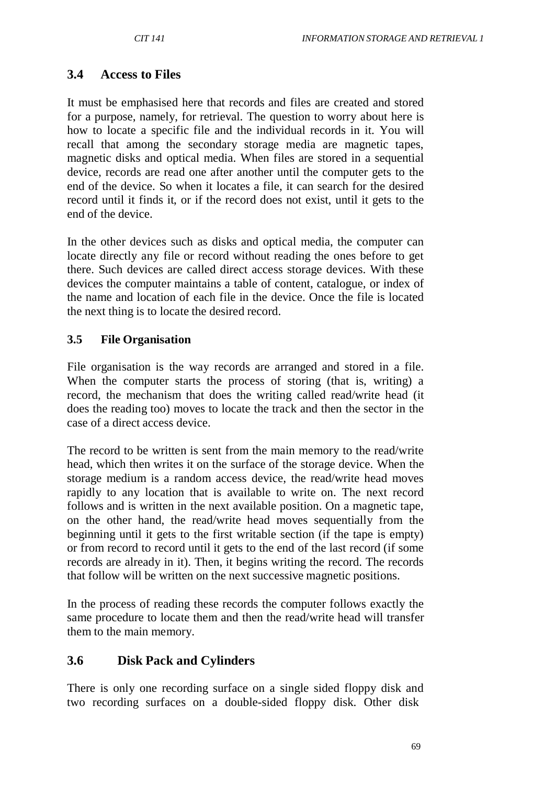## **3.4 Access to Files**

It must be emphasised here that records and files are created and stored for a purpose, namely, for retrieval. The question to worry about here is how to locate a specific file and the individual records in it. You will recall that among the secondary storage media are magnetic tapes, magnetic disks and optical media. When files are stored in a sequential device, records are read one after another until the computer gets to the end of the device. So when it locates a file, it can search for the desired record until it finds it, or if the record does not exist, until it gets to the end of the device.

In the other devices such as disks and optical media, the computer can locate directly any file or record without reading the ones before to get there. Such devices are called direct access storage devices. With these devices the computer maintains a table of content, catalogue, or index of the name and location of each file in the device. Once the file is located the next thing is to locate the desired record.

### **3.5 File Organisation**

File organisation is the way records are arranged and stored in a file. When the computer starts the process of storing (that is, writing) a record, the mechanism that does the writing called read/write head (it does the reading too) moves to locate the track and then the sector in the case of a direct access device.

The record to be written is sent from the main memory to the read/write head, which then writes it on the surface of the storage device. When the storage medium is a random access device, the read/write head moves rapidly to any location that is available to write on. The next record follows and is written in the next available position. On a magnetic tape, on the other hand, the read/write head moves sequentially from the beginning until it gets to the first writable section (if the tape is empty) or from record to record until it gets to the end of the last record (if some records are already in it). Then, it begins writing the record. The records that follow will be written on the next successive magnetic positions.

In the process of reading these records the computer follows exactly the same procedure to locate them and then the read/write head will transfer them to the main memory.

## **3.6 Disk Pack and Cylinders**

There is only one recording surface on a single sided floppy disk and two recording surfaces on a double-sided floppy disk. Other disk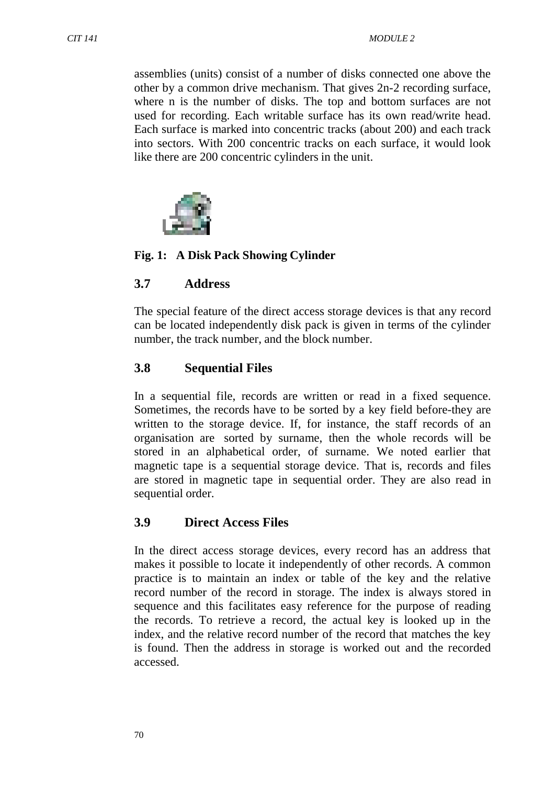assemblies (units) consist of a number of disks connected one above the other by a common drive mechanism. That gives 2n-2 recording surface, where n is the number of disks. The top and bottom surfaces are not used for recording. Each writable surface has its own read/write head. Each surface is marked into concentric tracks (about 200) and each track into sectors. With 200 concentric tracks on each surface, it would look like there are 200 concentric cylinders in the unit.



#### **Fig. 1: A Disk Pack Showing Cylinder**

#### **3.7 Address**

The special feature of the direct access storage devices is that any record can be located independently disk pack is given in terms of the cylinder number, the track number, and the block number.

#### **3.8 Sequential Files**

In a sequential file, records are written or read in a fixed sequence. Sometimes, the records have to be sorted by a key field before-they are written to the storage device. If, for instance, the staff records of an organisation are sorted by surname, then the whole records will be stored in an alphabetical order, of surname. We noted earlier that magnetic tape is a sequential storage device. That is, records and files are stored in magnetic tape in sequential order. They are also read in sequential order.

#### **3.9 Direct Access Files**

In the direct access storage devices, every record has an address that makes it possible to locate it independently of other records. A common practice is to maintain an index or table of the key and the relative record number of the record in storage. The index is always stored in sequence and this facilitates easy reference for the purpose of reading the records. To retrieve a record, the actual key is looked up in the index, and the relative record number of the record that matches the key is found. Then the address in storage is worked out and the recorded accessed.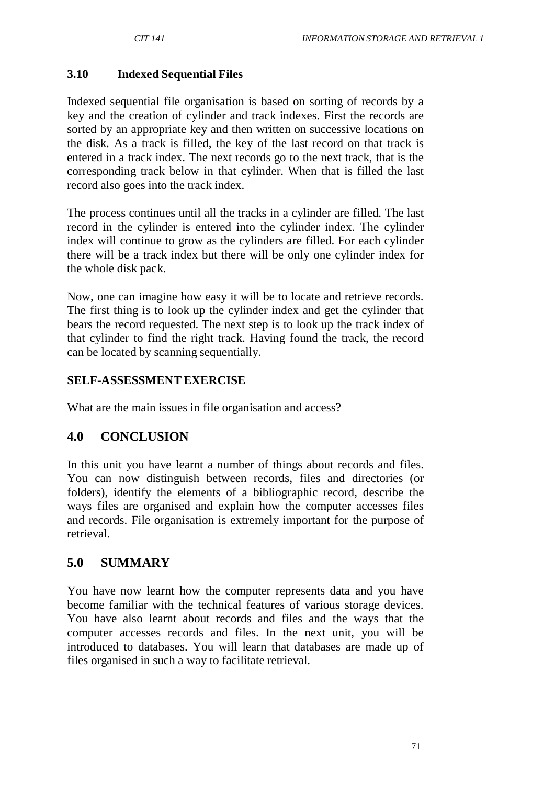### **3.10 Indexed Sequential Files**

Indexed sequential file organisation is based on sorting of records by a key and the creation of cylinder and track indexes. First the records are sorted by an appropriate key and then written on successive locations on the disk. As a track is filled, the key of the last record on that track is entered in a track index. The next records go to the next track, that is the corresponding track below in that cylinder. When that is filled the last record also goes into the track index.

The process continues until all the tracks in a cylinder are filled. The last record in the cylinder is entered into the cylinder index. The cylinder index will continue to grow as the cylinders are filled. For each cylinder there will be a track index but there will be only one cylinder index for the whole disk pack.

Now, one can imagine how easy it will be to locate and retrieve records. The first thing is to look up the cylinder index and get the cylinder that bears the record requested. The next step is to look up the track index of that cylinder to find the right track. Having found the track, the record can be located by scanning sequentially.

### **SELF-ASSESSMENTEXERCISE**

What are the main issues in file organisation and access?

## **4.0 CONCLUSION**

In this unit you have learnt a number of things about records and files. You can now distinguish between records, files and directories (or folders), identify the elements of a bibliographic record, describe the ways files are organised and explain how the computer accesses files and records. File organisation is extremely important for the purpose of retrieval.

## **5.0 SUMMARY**

You have now learnt how the computer represents data and you have become familiar with the technical features of various storage devices. You have also learnt about records and files and the ways that the computer accesses records and files. In the next unit, you will be introduced to databases. You will learn that databases are made up of files organised in such a way to facilitate retrieval.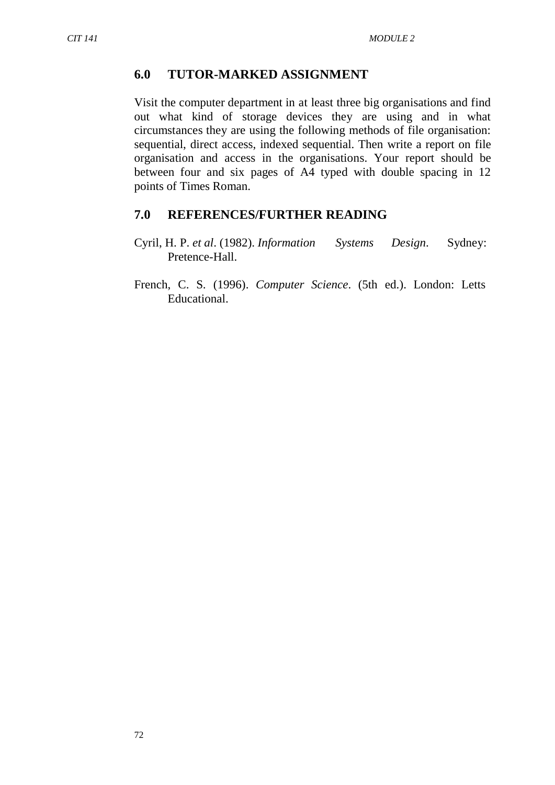#### **6.0 TUTOR-MARKED ASSIGNMENT**

Visit the computer department in at least three big organisations and find out what kind of storage devices they are using and in what circumstances they are using the following methods of file organisation: sequential, direct access, indexed sequential. Then write a report on file organisation and access in the organisations. Your report should be between four and six pages of A4 typed with double spacing in 12 points of Times Roman.

#### **7.0 REFERENCES/FURTHER READING**

- Cyril, H. P. *et al*. (1982). *Information Systems Design*. Sydney: Pretence-Hall.
- French, C. S. (1996). *Computer Science*. (5th ed.). London: Letts Educational.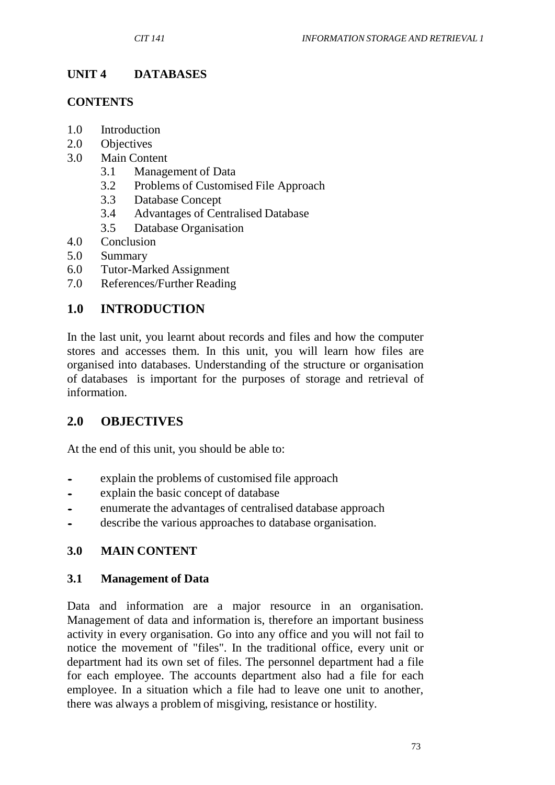# **UNIT 4 DATABASES**

### **CONTENTS**

- 1.0 Introduction
- 2.0 Objectives
- 3.0 Main Content
	- 3.1 Management of Data
	- 3.2 Problems of Customised File Approach
	- 3.3 Database Concept
	- 3.4 Advantages of Centralised Database
	- 3.5 Database Organisation
- 4.0 Conclusion
- 5.0 Summary
- 6.0 Tutor-Marked Assignment
- 7.0 References/Further Reading

# **1.0 INTRODUCTION**

In the last unit, you learnt about records and files and how the computer stores and accesses them. In this unit, you will learn how files are organised into databases. Understanding of the structure or organisation of databases is important for the purposes of storage and retrieval of information.

# **2.0 OBJECTIVES**

At the end of this unit, you should be able to:

- explain the problems of customised file approach<br>• explain the basic concent of database
- explain the basic concept of database<br>• enumerate the advantages of centralis
- enumerate the advantages of centralised database approach
- describe the various approaches to database organisation.

## **3.0 MAIN CONTENT**

### **3.1 Management of Data**

Data and information are a major resource in an organisation. Management of data and information is, therefore an important business activity in every organisation. Go into any office and you will not fail to notice the movement of "files". In the traditional office, every unit or department had its own set of files. The personnel department had a file for each employee. The accounts department also had a file for each employee. In a situation which a file had to leave one unit to another, there was always a problem of misgiving, resistance or hostility.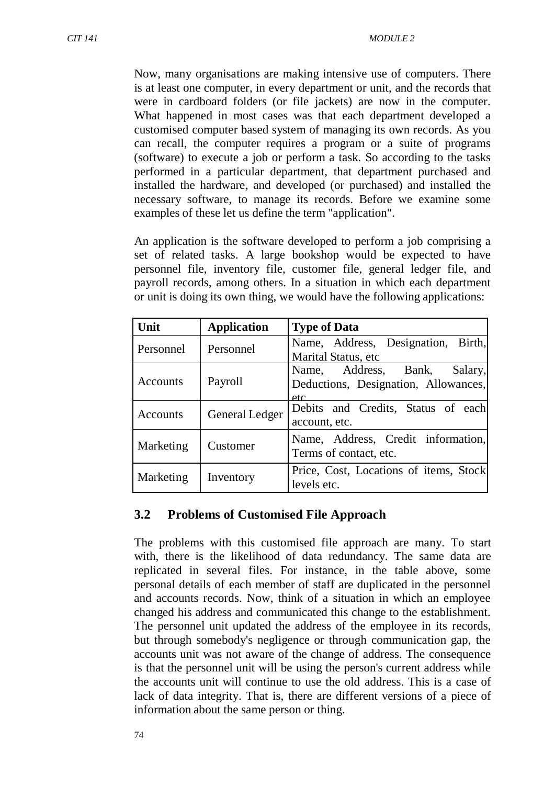Now, many organisations are making intensive use of computers. There is at least one computer, in every department or unit, and the records that were in cardboard folders (or file jackets) are now in the computer. What happened in most cases was that each department developed a customised computer based system of managing its own records. As you can recall, the computer requires a program or a suite of programs (software) to execute a job or perform a task. So according to the tasks performed in a particular department, that department purchased and installed the hardware, and developed (or purchased) and installed the necessary software, to manage its records. Before we examine some examples of these let us define the term "application".

An application is the software developed to perform a job comprising a set of related tasks. A large bookshop would be expected to have personnel file, inventory file, customer file, general ledger file, and payroll records, among others. In a situation in which each department or unit is doing its own thing, we would have the following applications:

| Unit      | <b>Application</b> | <b>Type of Data</b>                                                            |  |  |  |
|-----------|--------------------|--------------------------------------------------------------------------------|--|--|--|
| Personnel | Personnel          | Name, Address, Designation, Birth,<br>Marital Status, etc.                     |  |  |  |
| Accounts  | Payroll            | Name, Address, Bank,<br>Salary,<br>Deductions, Designation, Allowances,<br>etc |  |  |  |
| Accounts  | General Ledger     | Debits and Credits, Status of each<br>account, etc.                            |  |  |  |
| Marketing | Customer           | Name, Address, Credit information,<br>Terms of contact, etc.                   |  |  |  |
| Marketing | Inventory          | Price, Cost, Locations of items, Stock<br>levels etc.                          |  |  |  |

## **3.2 Problems of Customised File Approach**

The problems with this customised file approach are many. To start with, there is the likelihood of data redundancy. The same data are replicated in several files. For instance, in the table above, some personal details of each member of staff are duplicated in the personnel and accounts records. Now, think of a situation in which an employee changed his address and communicated this change to the establishment. The personnel unit updated the address of the employee in its records, but through somebody's negligence or through communication gap, the accounts unit was not aware of the change of address. The consequence is that the personnel unit will be using the person's current address while the accounts unit will continue to use the old address. This is a case of lack of data integrity. That is, there are different versions of a piece of information about the same person or thing.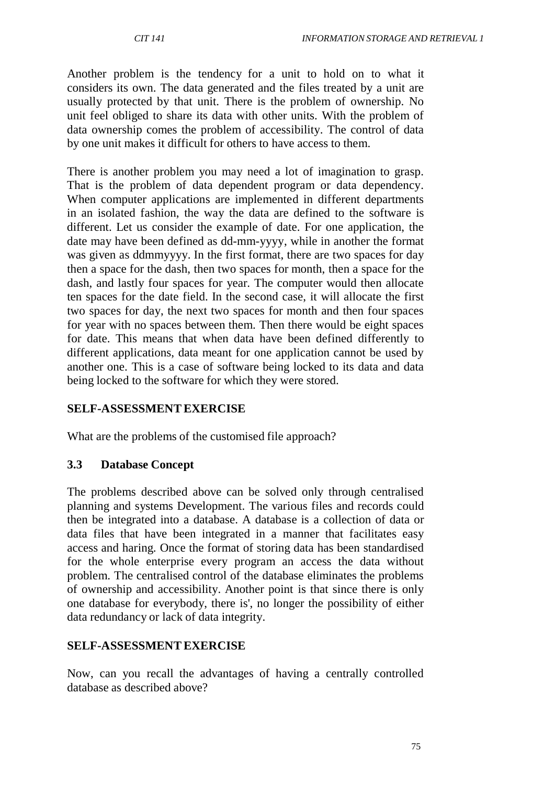Another problem is the tendency for a unit to hold on to what it considers its own. The data generated and the files treated by a unit are usually protected by that unit. There is the problem of ownership. No unit feel obliged to share its data with other units. With the problem of data ownership comes the problem of accessibility. The control of data by one unit makes it difficult for others to have access to them.

There is another problem you may need a lot of imagination to grasp. That is the problem of data dependent program or data dependency. When computer applications are implemented in different departments in an isolated fashion, the way the data are defined to the software is different. Let us consider the example of date. For one application, the date may have been defined as dd-mm-yyyy, while in another the format was given as ddmmyyyy. In the first format, there are two spaces for day then a space for the dash, then two spaces for month, then a space for the dash, and lastly four spaces for year. The computer would then allocate ten spaces for the date field. In the second case, it will allocate the first two spaces for day, the next two spaces for month and then four spaces for year with no spaces between them. Then there would be eight spaces for date. This means that when data have been defined differently to different applications, data meant for one application cannot be used by another one. This is a case of software being locked to its data and data being locked to the software for which they were stored.

### **SELF-ASSESSMENTEXERCISE**

What are the problems of the customised file approach?

### **3.3 Database Concept**

The problems described above can be solved only through centralised planning and systems Development. The various files and records could then be integrated into a database. A database is a collection of data or data files that have been integrated in a manner that facilitates easy access and haring. Once the format of storing data has been standardised for the whole enterprise every program an access the data without problem. The centralised control of the database eliminates the problems of ownership and accessibility. Another point is that since there is only one database for everybody, there is', no longer the possibility of either data redundancy or lack of data integrity.

### **SELF-ASSESSMENTEXERCISE**

Now, can you recall the advantages of having a centrally controlled database as described above?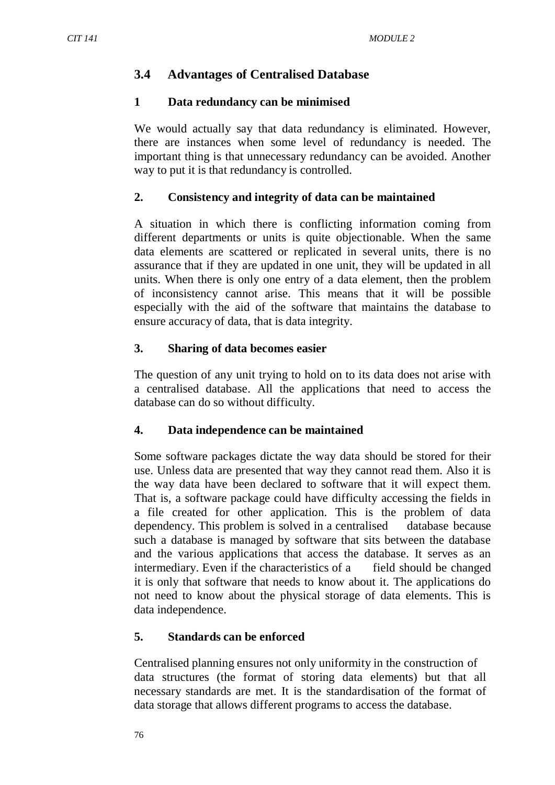### **3.4 Advantages of Centralised Database**

#### **1 Data redundancy can be minimised**

We would actually say that data redundancy is eliminated. However, there are instances when some level of redundancy is needed. The important thing is that unnecessary redundancy can be avoided. Another way to put it is that redundancy is controlled.

#### **2. Consistency and integrity of data can be maintained**

A situation in which there is conflicting information coming from different departments or units is quite objectionable. When the same data elements are scattered or replicated in several units, there is no assurance that if they are updated in one unit, they will be updated in all units. When there is only one entry of a data element, then the problem of inconsistency cannot arise. This means that it will be possible especially with the aid of the software that maintains the database to ensure accuracy of data, that is data integrity.

### **3. Sharing of data becomes easier**

The question of any unit trying to hold on to its data does not arise with a centralised database. All the applications that need to access the database can do so without difficulty.

### **4. Data independence can be maintained**

Some software packages dictate the way data should be stored for their use. Unless data are presented that way they cannot read them. Also it is the way data have been declared to software that it will expect them. That is, a software package could have difficulty accessing the fields in a file created for other application. This is the problem of data dependency. This problem is solved in a centralised database because such a database is managed by software that sits between the database and the various applications that access the database. It serves as an intermediary. Even if the characteristics of a field should be changed it is only that software that needs to know about it. The applications do not need to know about the physical storage of data elements. This is data independence.

### **5. Standards can be enforced**

Centralised planning ensures not only uniformity in the construction of data structures (the format of storing data elements) but that all necessary standards are met. It is the standardisation of the format of data storage that allows different programs to access the database.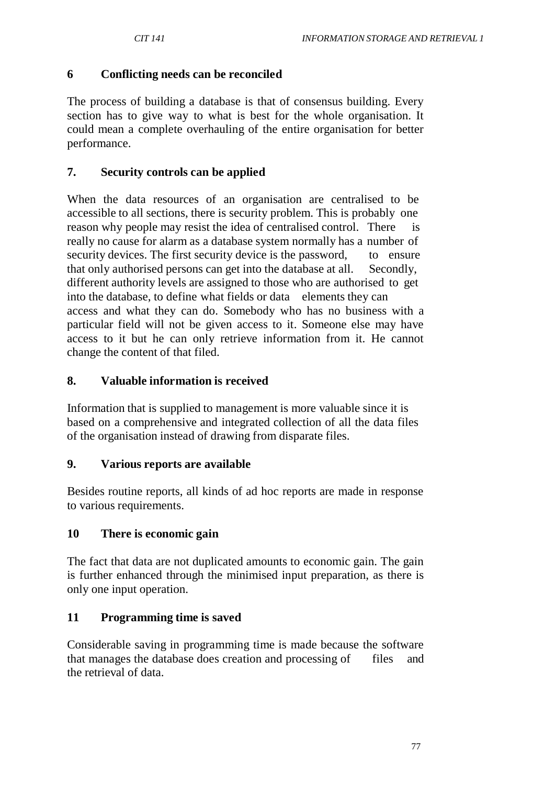### **6 Conflicting needs can be reconciled**

The process of building a database is that of consensus building. Every section has to give way to what is best for the whole organisation. It could mean a complete overhauling of the entire organisation for better performance.

### **7. Security controls can be applied**

When the data resources of an organisation are centralised to be accessible to all sections, there is security problem. This is probably one reason why people may resist the idea of centralised control. There is really no cause for alarm as a database system normally has a number of security devices. The first security device is the password, to ensure that only authorised persons can get into the database at all. Secondly, different authority levels are assigned to those who are authorised to get into the database, to define what fields or data elements they can access and what they can do. Somebody who has no business with a particular field will not be given access to it. Someone else may have access to it but he can only retrieve information from it. He cannot change the content of that filed.

### **8. Valuable information is received**

Information that is supplied to management is more valuable since it is based on a comprehensive and integrated collection of all the data files of the organisation instead of drawing from disparate files.

### **9. Various reports are available**

Besides routine reports, all kinds of ad hoc reports are made in response to various requirements.

### **10 There is economic gain**

The fact that data are not duplicated amounts to economic gain. The gain is further enhanced through the minimised input preparation, as there is only one input operation.

### **11 Programming time is saved**

Considerable saving in programming time is made because the software that manages the database does creation and processing of files and the retrieval of data.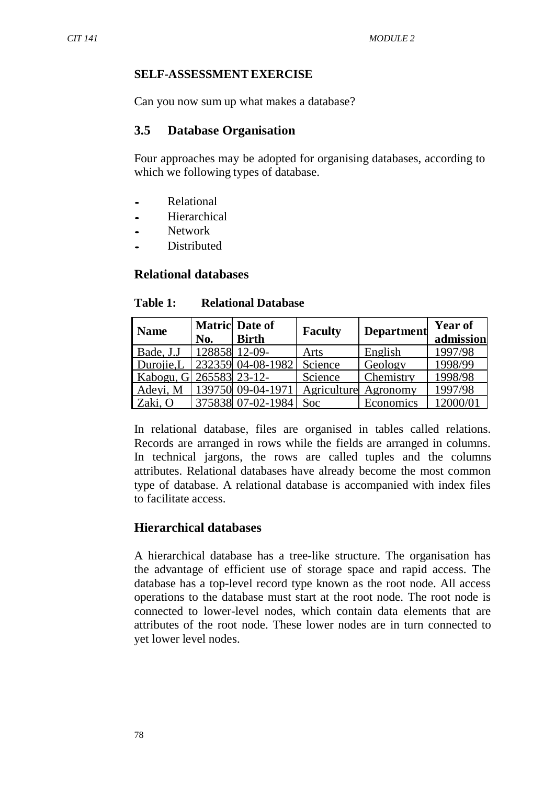#### **SELF-ASSESSMENTEXERCISE**

Can you now sum up what makes a database?

#### **3.5 Database Organisation**

Four approaches may be adopted for organising databases, according to which we following types of database.

- Relational<br>• Hierarchic
- **Hierarchical**
- Network
- Distributed

### **Relational databases**

#### **Table 1: Relational Database**

| <b>Name</b>             |     | <b>Matric</b> Date of | <b>Faculty</b>       | <b>Department</b> | <b>Year of</b> |
|-------------------------|-----|-----------------------|----------------------|-------------------|----------------|
|                         | No. | <b>Birth</b>          |                      |                   | admission      |
| Bade, J.J               |     | 128858 12-09-         | Arts                 | English           | 1997/98        |
| Durojie,L               |     | 232359 04-08-1982     | Science              | Geology           | 1998/99        |
| Kabogu, G 265583 23-12- |     |                       | Science              | Chemistry         | 1998/98        |
| Adeyi, M                |     | 139750 09-04-1971     | Agriculture Agronomy |                   | 1997/98        |
| Zaki, O                 |     | 375838 07-02-1984     | Soc                  | Economics         | 12000/01       |

In relational database, files are organised in tables called relations. Records are arranged in rows while the fields are arranged in columns. In technical jargons, the rows are called tuples and the columns attributes. Relational databases have already become the most common type of database. A relational database is accompanied with index files to facilitate access.

### **Hierarchical databases**

A hierarchical database has a tree-like structure. The organisation has the advantage of efficient use of storage space and rapid access. The database has a top-level record type known as the root node. All access operations to the database must start at the root node. The root node is connected to lower-level nodes, which contain data elements that are attributes of the root node. These lower nodes are in turn connected to yet lower level nodes.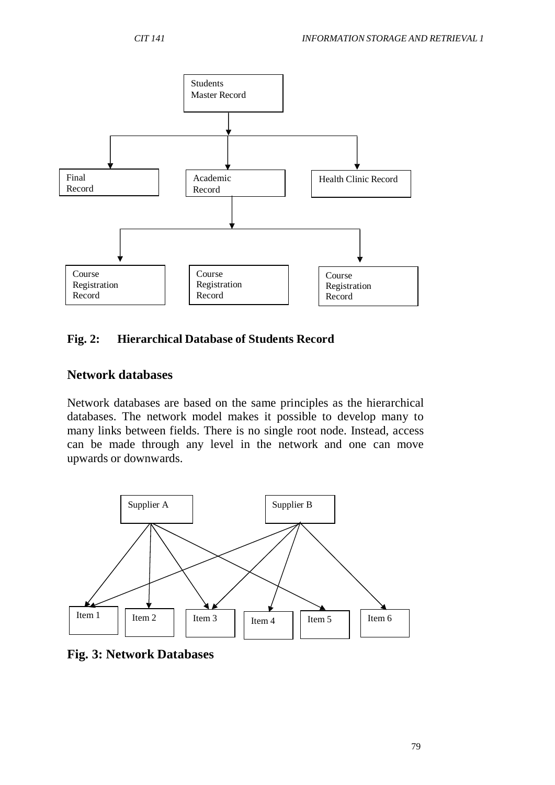

# **Fig. 2: Hierarchical Database of Students Record**

## **Network databases**

Network databases are based on the same principles as the hierarchical databases. The network model makes it possible to develop many to many links between fields. There is no single root node. Instead, access can be made through any level in the network and one can move upwards or downwards.



**Fig. 3: Network Databases**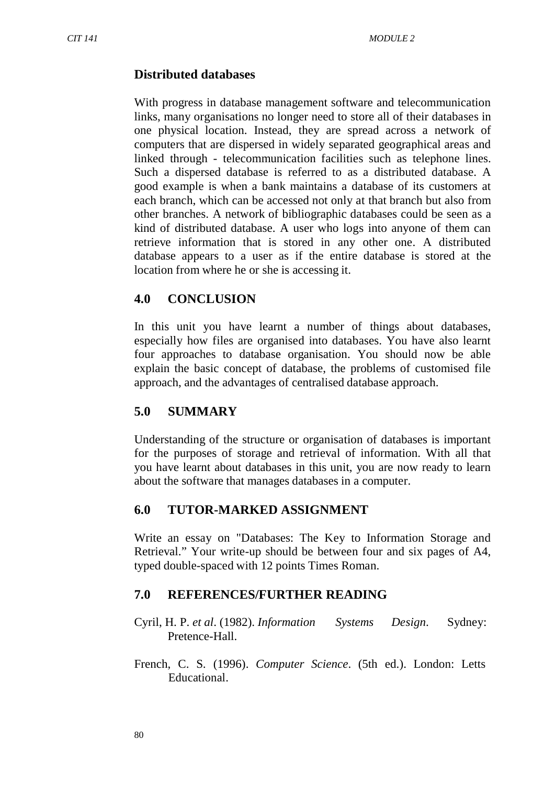## **Distributed databases**

With progress in database management software and telecommunication links, many organisations no longer need to store all of their databases in one physical location. Instead, they are spread across a network of computers that are dispersed in widely separated geographical areas and linked through - telecommunication facilities such as telephone lines. Such a dispersed database is referred to as a distributed database. A good example is when a bank maintains a database of its customers at each branch, which can be accessed not only at that branch but also from other branches. A network of bibliographic databases could be seen as a kind of distributed database. A user who logs into anyone of them can retrieve information that is stored in any other one. A distributed database appears to a user as if the entire database is stored at the location from where he or she is accessing it.

## **4.0 CONCLUSION**

In this unit you have learnt a number of things about databases, especially how files are organised into databases. You have also learnt four approaches to database organisation. You should now be able explain the basic concept of database, the problems of customised file approach, and the advantages of centralised database approach.

# **5.0 SUMMARY**

Understanding of the structure or organisation of databases is important for the purposes of storage and retrieval of information. With all that you have learnt about databases in this unit, you are now ready to learn about the software that manages databases in a computer.

## **6.0 TUTOR-MARKED ASSIGNMENT**

Write an essay on "Databases: The Key to Information Storage and Retrieval." Your write-up should be between four and six pages of A4, typed double-spaced with 12 points Times Roman.

## **7.0 REFERENCES/FURTHER READING**

Cyril, H. P. *et al*. (1982). *Information Systems Design*. Sydney: Pretence-Hall.

French, C. S. (1996). *Computer Science*. (5th ed.). London: Letts Educational.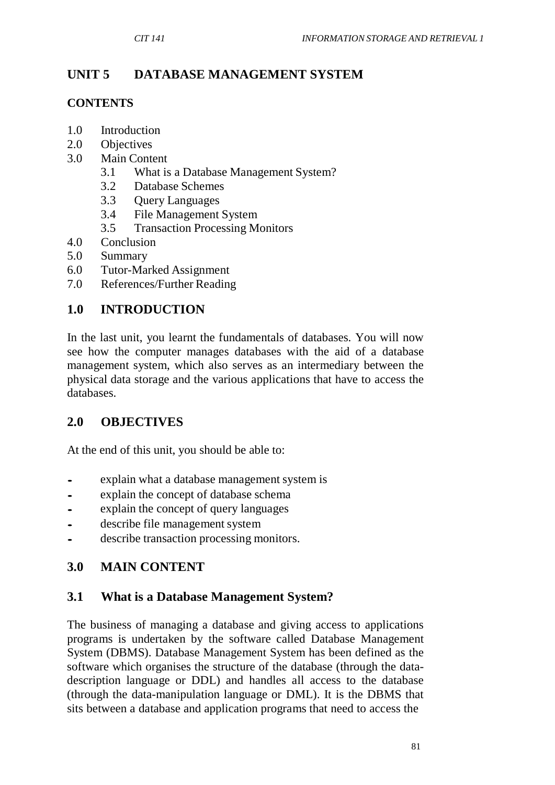# **UNIT 5 DATABASE MANAGEMENT SYSTEM**

### **CONTENTS**

- 1.0 Introduction
- 2.0 Objectives
- 3.0 Main Content
	- 3.1 What is a Database Management System?
	- 3.2 Database Schemes
	- 3.3 Query Languages
	- 3.4 File Management System
	- 3.5 Transaction Processing Monitors
- 4.0 Conclusion
- 5.0 Summary
- 6.0 Tutor-Marked Assignment
- 7.0 References/Further Reading

## **1.0 INTRODUCTION**

In the last unit, you learnt the fundamentals of databases. You will now see how the computer manages databases with the aid of a database management system, which also serves as an intermediary between the physical data storage and the various applications that have to access the databases.

## **2.0 OBJECTIVES**

At the end of this unit, you should be able to:

- explain what a database management system is<br>• explain the concept of database schema
- explain the concept of database schema<br>• explain the concept of query languages
- explain the concept of query languages
- describe file management system
- describe transaction processing monitors.

# **3.0 MAIN CONTENT**

## **3.1 What is a Database Management System?**

The business of managing a database and giving access to applications programs is undertaken by the software called Database Management System (DBMS). Database Management System has been defined as the software which organises the structure of the database (through the datadescription language or DDL) and handles all access to the database (through the data-manipulation language or DML). It is the DBMS that sits between a database and application programs that need to access the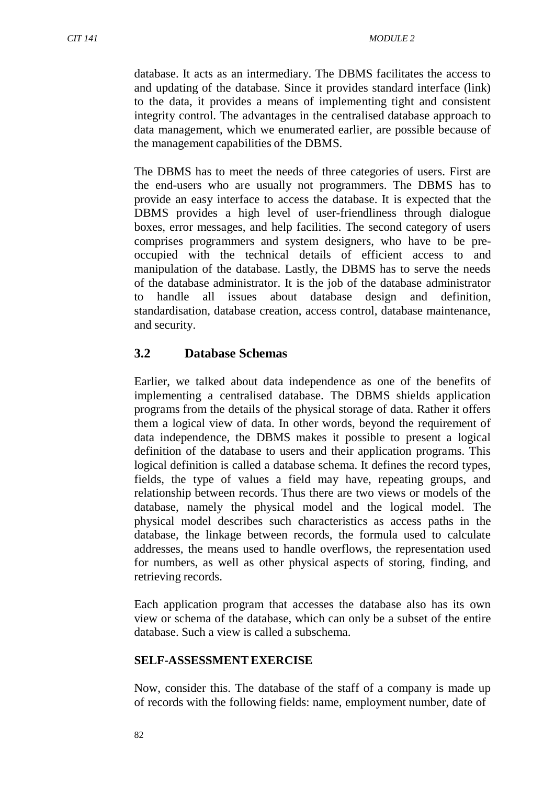database. It acts as an intermediary. The DBMS facilitates the access to and updating of the database. Since it provides standard interface (link) to the data, it provides a means of implementing tight and consistent integrity control. The advantages in the centralised database approach to data management, which we enumerated earlier, are possible because of the management capabilities of the DBMS.

The DBMS has to meet the needs of three categories of users. First are the end-users who are usually not programmers. The DBMS has to provide an easy interface to access the database. It is expected that the DBMS provides a high level of user-friendliness through dialogue boxes, error messages, and help facilities. The second category of users comprises programmers and system designers, who have to be preoccupied with the technical details of efficient access to and manipulation of the database. Lastly, the DBMS has to serve the needs of the database administrator. It is the job of the database administrator to handle all issues about database design and definition, standardisation, database creation, access control, database maintenance, and security.

## **3.2 Database Schemas**

Earlier, we talked about data independence as one of the benefits of implementing a centralised database. The DBMS shields application programs from the details of the physical storage of data. Rather it offers them a logical view of data. In other words, beyond the requirement of data independence, the DBMS makes it possible to present a logical definition of the database to users and their application programs. This logical definition is called a database schema. It defines the record types, fields, the type of values a field may have, repeating groups, and relationship between records. Thus there are two views or models of the database, namely the physical model and the logical model. The physical model describes such characteristics as access paths in the database, the linkage between records, the formula used to calculate addresses, the means used to handle overflows, the representation used for numbers, as well as other physical aspects of storing, finding, and retrieving records.

Each application program that accesses the database also has its own view or schema of the database, which can only be a subset of the entire database. Such a view is called a subschema.

### **SELF-ASSESSMENTEXERCISE**

Now, consider this. The database of the staff of a company is made up of records with the following fields: name, employment number, date of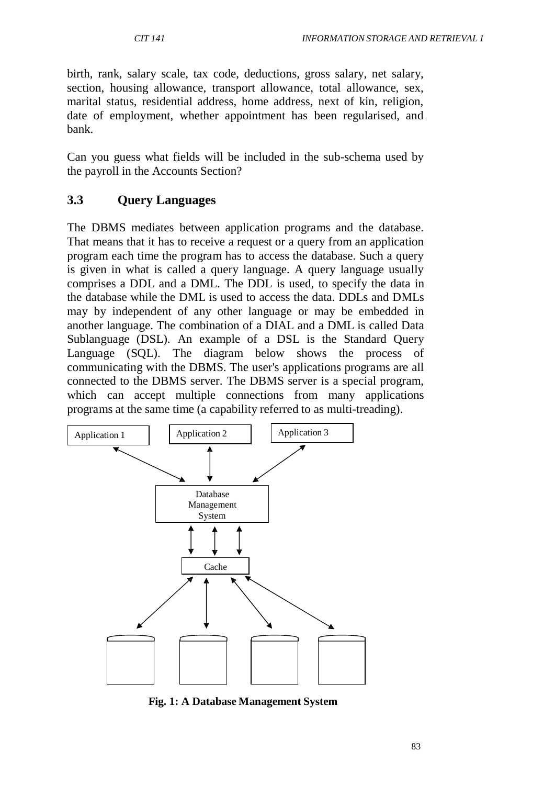birth, rank, salary scale, tax code, deductions, gross salary, net salary, section, housing allowance, transport allowance, total allowance, sex, marital status, residential address, home address, next of kin, religion, date of employment, whether appointment has been regularised, and bank.

Can you guess what fields will be included in the sub-schema used by the payroll in the Accounts Section?

# **3.3 Query Languages**

The DBMS mediates between application programs and the database. That means that it has to receive a request or a query from an application program each time the program has to access the database. Such a query is given in what is called a query language. A query language usually comprises a DDL and a DML. The DDL is used, to specify the data in the database while the DML is used to access the data. DDLs and DMLs may by independent of any other language or may be embedded in another language. The combination of a DIAL and a DML is called Data Sublanguage (DSL). An example of a DSL is the Standard Query Language (SQL). The diagram below shows the process of communicating with the DBMS. The user's applications programs are all connected to the DBMS server. The DBMS server is a special program, which can accept multiple connections from many applications programs at the same time (a capability referred to as multi-treading).



**Fig. 1: A Database Management System**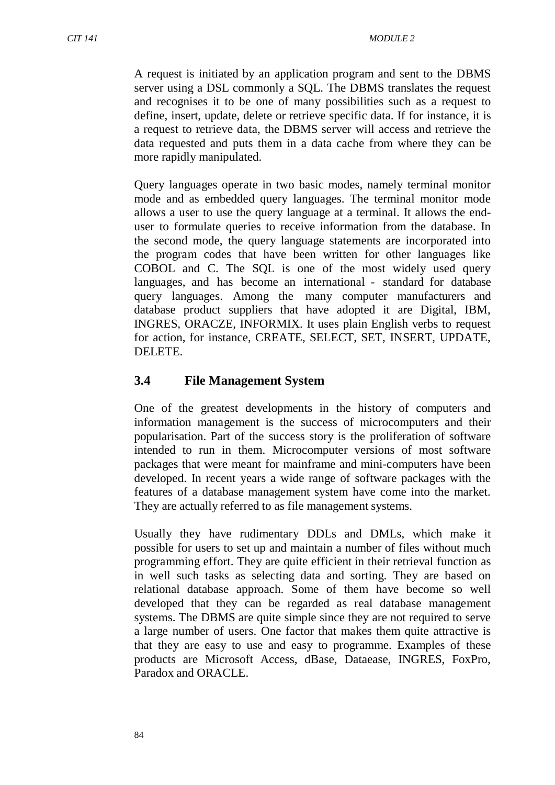A request is initiated by an application program and sent to the DBMS server using a DSL commonly a SQL. The DBMS translates the request and recognises it to be one of many possibilities such as a request to define, insert, update, delete or retrieve specific data. If for instance, it is a request to retrieve data, the DBMS server will access and retrieve the data requested and puts them in a data cache from where they can be more rapidly manipulated.

Query languages operate in two basic modes, namely terminal monitor mode and as embedded query languages. The terminal monitor mode allows a user to use the query language at a terminal. It allows the enduser to formulate queries to receive information from the database. In the second mode, the query language statements are incorporated into the program codes that have been written for other languages like COBOL and C. The SQL is one of the most widely used query languages, and has become an international - standard for database query languages. Among the many computer manufacturers and database product suppliers that have adopted it are Digital, IBM, INGRES, ORACZE, INFORMIX. It uses plain English verbs to request for action, for instance, CREATE, SELECT, SET, INSERT, UPDATE, DELETE.

## **3.4 File Management System**

One of the greatest developments in the history of computers and information management is the success of microcomputers and their popularisation. Part of the success story is the proliferation of software intended to run in them. Microcomputer versions of most software packages that were meant for mainframe and mini-computers have been developed. In recent years a wide range of software packages with the features of a database management system have come into the market. They are actually referred to as file management systems.

Usually they have rudimentary DDLs and DMLs, which make it possible for users to set up and maintain a number of files without much programming effort. They are quite efficient in their retrieval function as in well such tasks as selecting data and sorting. They are based on relational database approach. Some of them have become so well developed that they can be regarded as real database management systems. The DBMS are quite simple since they are not required to serve a large number of users. One factor that makes them quite attractive is that they are easy to use and easy to programme. Examples of these products are Microsoft Access, dBase, Dataease, INGRES, FoxPro, Paradox and ORACLE.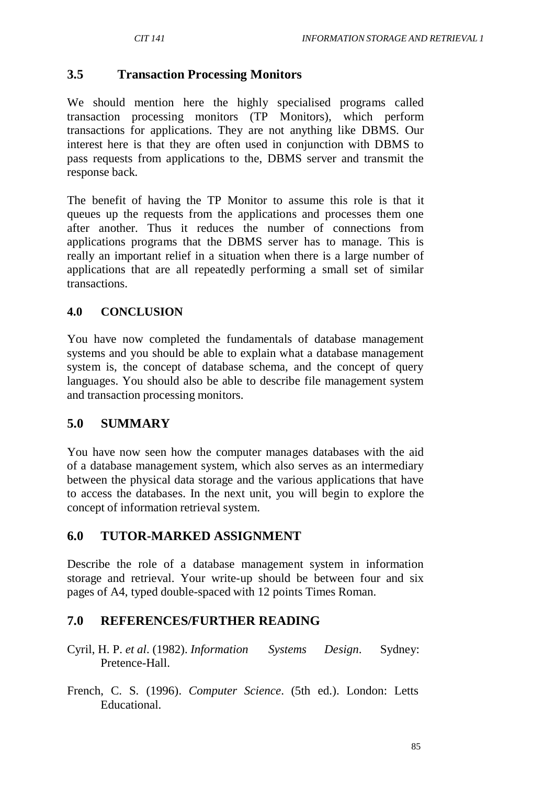## **3.5 Transaction Processing Monitors**

We should mention here the highly specialised programs called transaction processing monitors (TP Monitors), which perform transactions for applications. They are not anything like DBMS. Our interest here is that they are often used in conjunction with DBMS to pass requests from applications to the, DBMS server and transmit the response back.

The benefit of having the TP Monitor to assume this role is that it queues up the requests from the applications and processes them one after another. Thus it reduces the number of connections from applications programs that the DBMS server has to manage. This is really an important relief in a situation when there is a large number of applications that are all repeatedly performing a small set of similar transactions.

### **4.0 CONCLUSION**

You have now completed the fundamentals of database management systems and you should be able to explain what a database management system is, the concept of database schema, and the concept of query languages. You should also be able to describe file management system and transaction processing monitors.

### **5.0 SUMMARY**

You have now seen how the computer manages databases with the aid of a database management system, which also serves as an intermediary between the physical data storage and the various applications that have to access the databases. In the next unit, you will begin to explore the concept of information retrieval system.

## **6.0 TUTOR-MARKED ASSIGNMENT**

Describe the role of a database management system in information storage and retrieval. Your write-up should be between four and six pages of A4, typed double-spaced with 12 points Times Roman.

## **7.0 REFERENCES/FURTHER READING**

- Cyril, H. P. *et al*. (1982). *Information Systems Design*. Sydney: Pretence-Hall.
- French, C. S. (1996). *Computer Science*. (5th ed.). London: Letts Educational.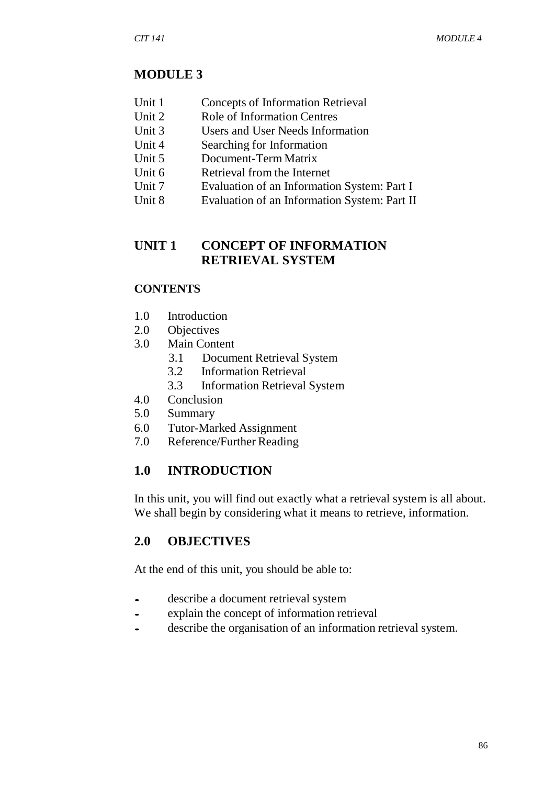## **MODULE 3**

- Unit 1 Concepts of Information Retrieval
- Unit 2 Role of Information Centres<br>Unit 3 Users and User Needs Inform
- Users and User Needs Information
- Unit 4 Searching for Information
- Unit 5 Document-Term Matrix
- Unit 6 Retrieval from the Internet
- Unit 7 Evaluation of an Information System: Part I
- Unit 8 Evaluation of an Information System: Part II

## **UNIT 1 CONCEPT OF INFORMATION RETRIEVAL SYSTEM**

### **CONTENTS**

- 1.0 Introduction
- 2.0 Objectives
- 3.0 Main Content
	- 3.1 Document Retrieval System
	- 3.2 Information Retrieval
	- 3.3 Information Retrieval System
- 4.0 Conclusion
- 5.0 Summary
- 6.0 Tutor-Marked Assignment
- 7.0 Reference/Further Reading

## **1.0 INTRODUCTION**

In this unit, you will find out exactly what a retrieval system is all about. We shall begin by considering what it means to retrieve, information.

## **2.0 OBJECTIVES**

At the end of this unit, you should be able to:

- describe a document retrieval system<br>• explain the concept of information re
- explain the concept of information retrieval
- describe the organisation of an information retrieval system.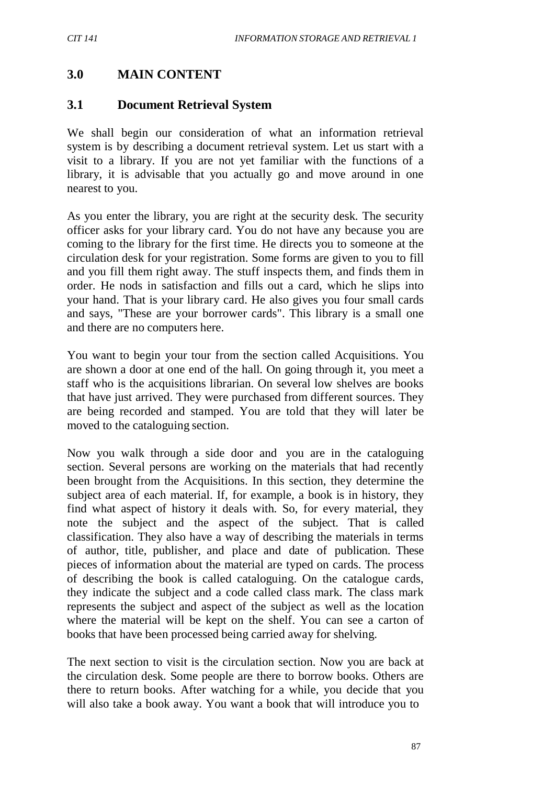# **3.0 MAIN CONTENT**

## **3.1 Document Retrieval System**

We shall begin our consideration of what an information retrieval system is by describing a document retrieval system. Let us start with a visit to a library. If you are not yet familiar with the functions of a library, it is advisable that you actually go and move around in one nearest to you.

As you enter the library, you are right at the security desk. The security officer asks for your library card. You do not have any because you are coming to the library for the first time. He directs you to someone at the circulation desk for your registration. Some forms are given to you to fill and you fill them right away. The stuff inspects them, and finds them in order. He nods in satisfaction and fills out a card, which he slips into your hand. That is your library card. He also gives you four small cards and says, "These are your borrower cards". This library is a small one and there are no computers here.

You want to begin your tour from the section called Acquisitions. You are shown a door at one end of the hall. On going through it, you meet a staff who is the acquisitions librarian. On several low shelves are books that have just arrived. They were purchased from different sources. They are being recorded and stamped. You are told that they will later be moved to the cataloguing section.

Now you walk through a side door and you are in the cataloguing section. Several persons are working on the materials that had recently been brought from the Acquisitions. In this section, they determine the subject area of each material. If, for example, a book is in history, they find what aspect of history it deals with. So, for every material, they note the subject and the aspect of the subject. That is called classification. They also have a way of describing the materials in terms of author, title, publisher, and place and date of publication. These pieces of information about the material are typed on cards. The process of describing the book is called cataloguing. On the catalogue cards, they indicate the subject and a code called class mark. The class mark represents the subject and aspect of the subject as well as the location where the material will be kept on the shelf. You can see a carton of books that have been processed being carried away for shelving.

The next section to visit is the circulation section. Now you are back at the circulation desk. Some people are there to borrow books. Others are there to return books. After watching for a while, you decide that you will also take a book away. You want a book that will introduce you to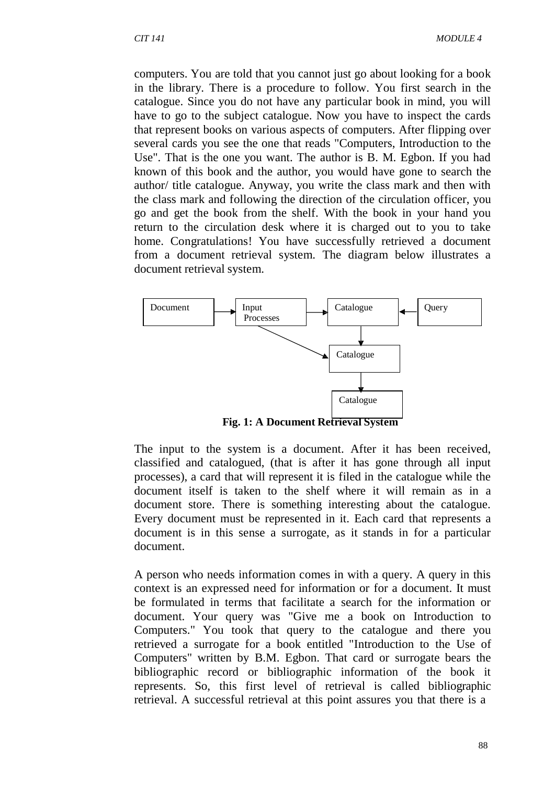computers. You are told that you cannot just go about looking for a book in the library. There is a procedure to follow. You first search in the catalogue. Since you do not have any particular book in mind, you will have to go to the subject catalogue. Now you have to inspect the cards that represent books on various aspects of computers. After flipping over several cards you see the one that reads "Computers, Introduction to the Use". That is the one you want. The author is B. M. Egbon. If you had known of this book and the author, you would have gone to search the author/ title catalogue. Anyway, you write the class mark and then with the class mark and following the direction of the circulation officer, you go and get the book from the shelf. With the book in your hand you return to the circulation desk where it is charged out to you to take home. Congratulations! You have successfully retrieved a document from a document retrieval system. The diagram below illustrates a document retrieval system.



**Fig. 1: A Document Retrieval System**

The input to the system is a document. After it has been received, classified and catalogued, (that is after it has gone through all input processes), a card that will represent it is filed in the catalogue while the document itself is taken to the shelf where it will remain as in a document store. There is something interesting about the catalogue. Every document must be represented in it. Each card that represents a document is in this sense a surrogate, as it stands in for a particular document.

A person who needs information comes in with a query. A query in this context is an expressed need for information or for a document. It must be formulated in terms that facilitate a search for the information or document. Your query was "Give me a book on Introduction to Computers." You took that query to the catalogue and there you retrieved a surrogate for a book entitled "Introduction to the Use of Computers" written by B.M. Egbon. That card or surrogate bears the bibliographic record or bibliographic information of the book it represents. So, this first level of retrieval is called bibliographic retrieval. A successful retrieval at this point assures you that there is a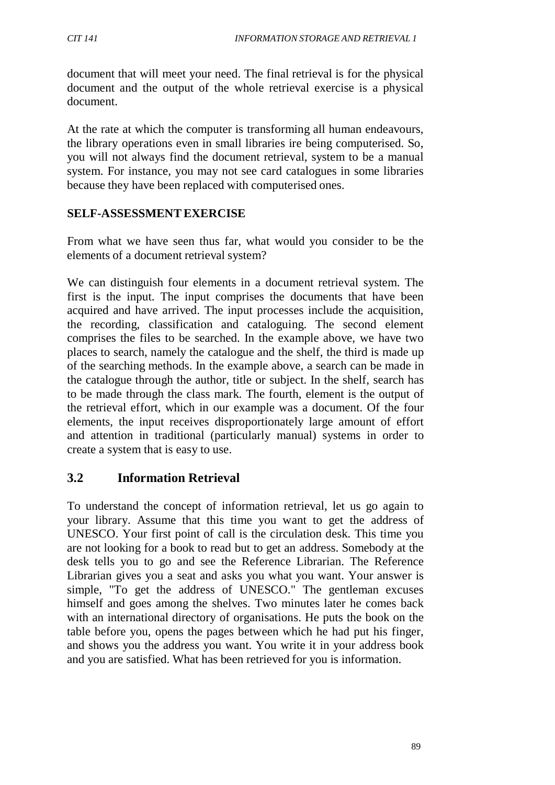document that will meet your need. The final retrieval is for the physical document and the output of the whole retrieval exercise is a physical document.

At the rate at which the computer is transforming all human endeavours, the library operations even in small libraries ire being computerised. So, you will not always find the document retrieval, system to be a manual system. For instance, you may not see card catalogues in some libraries because they have been replaced with computerised ones.

### **SELF-ASSESSMENTEXERCISE**

From what we have seen thus far, what would you consider to be the elements of a document retrieval system?

We can distinguish four elements in a document retrieval system. The first is the input. The input comprises the documents that have been acquired and have arrived. The input processes include the acquisition, the recording, classification and cataloguing. The second element comprises the files to be searched. In the example above, we have two places to search, namely the catalogue and the shelf, the third is made up of the searching methods. In the example above, a search can be made in the catalogue through the author, title or subject. In the shelf, search has to be made through the class mark. The fourth, element is the output of the retrieval effort, which in our example was a document. Of the four elements, the input receives disproportionately large amount of effort and attention in traditional (particularly manual) systems in order to create a system that is easy to use.

# **3.2 Information Retrieval**

To understand the concept of information retrieval, let us go again to your library. Assume that this time you want to get the address of UNESCO. Your first point of call is the circulation desk. This time you are not looking for a book to read but to get an address. Somebody at the desk tells you to go and see the Reference Librarian. The Reference Librarian gives you a seat and asks you what you want. Your answer is simple, "To get the address of UNESCO." The gentleman excuses himself and goes among the shelves. Two minutes later he comes back with an international directory of organisations. He puts the book on the table before you, opens the pages between which he had put his finger, and shows you the address you want. You write it in your address book and you are satisfied. What has been retrieved for you is information.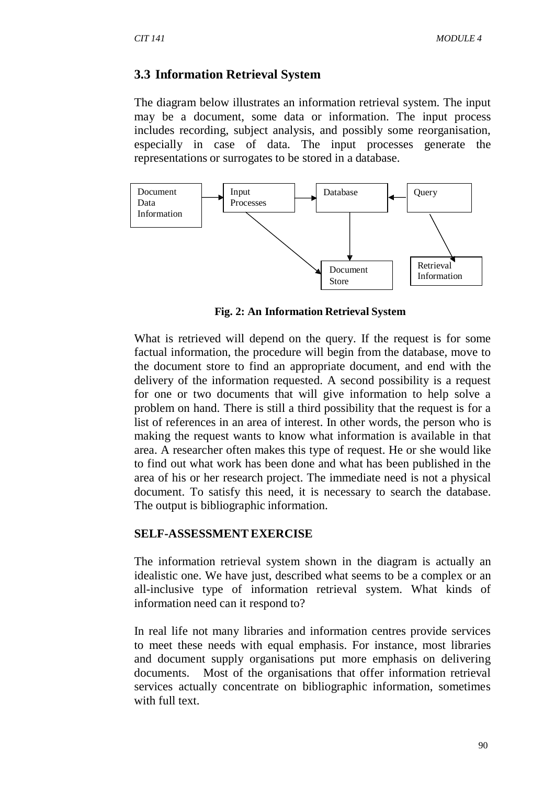#### **3.3 Information Retrieval System**

The diagram below illustrates an information retrieval system. The input may be a document, some data or information. The input process includes recording, subject analysis, and possibly some reorganisation, especially in case of data. The input processes generate the representations or surrogates to be stored in a database.



**Fig. 2: An Information Retrieval System**

What is retrieved will depend on the query. If the request is for some factual information, the procedure will begin from the database, move to the document store to find an appropriate document, and end with the delivery of the information requested. A second possibility is a request for one or two documents that will give information to help solve a problem on hand. There is still a third possibility that the request is for a list of references in an area of interest. In other words, the person who is making the request wants to know what information is available in that area. A researcher often makes this type of request. He or she would like to find out what work has been done and what has been published in the area of his or her research project. The immediate need is not a physical document. To satisfy this need, it is necessary to search the database. The output is bibliographic information.

#### **SELF-ASSESSMENTEXERCISE**

The information retrieval system shown in the diagram is actually an idealistic one. We have just, described what seems to be a complex or an all-inclusive type of information retrieval system. What kinds of information need can it respond to?

In real life not many libraries and information centres provide services to meet these needs with equal emphasis. For instance, most libraries and document supply organisations put more emphasis on delivering documents. Most of the organisations that offer information retrieval services actually concentrate on bibliographic information, sometimes with full text.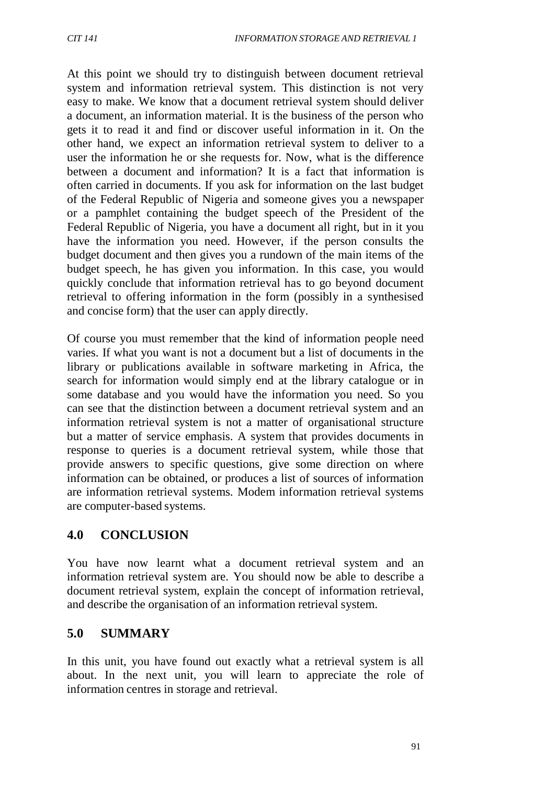At this point we should try to distinguish between document retrieval system and information retrieval system. This distinction is not very easy to make. We know that a document retrieval system should deliver a document, an information material. It is the business of the person who gets it to read it and find or discover useful information in it. On the other hand, we expect an information retrieval system to deliver to a user the information he or she requests for. Now, what is the difference between a document and information? It is a fact that information is often carried in documents. If you ask for information on the last budget of the Federal Republic of Nigeria and someone gives you a newspaper or a pamphlet containing the budget speech of the President of the Federal Republic of Nigeria, you have a document all right, but in it you have the information you need. However, if the person consults the budget document and then gives you a rundown of the main items of the budget speech, he has given you information. In this case, you would quickly conclude that information retrieval has to go beyond document retrieval to offering information in the form (possibly in a synthesised and concise form) that the user can apply directly.

Of course you must remember that the kind of information people need varies. If what you want is not a document but a list of documents in the library or publications available in software marketing in Africa, the search for information would simply end at the library catalogue or in some database and you would have the information you need. So you can see that the distinction between a document retrieval system and an information retrieval system is not a matter of organisational structure but a matter of service emphasis. A system that provides documents in response to queries is a document retrieval system, while those that provide answers to specific questions, give some direction on where information can be obtained, or produces a list of sources of information are information retrieval systems. Modem information retrieval systems are computer-based systems.

## **4.0 CONCLUSION**

You have now learnt what a document retrieval system and an information retrieval system are. You should now be able to describe a document retrieval system, explain the concept of information retrieval, and describe the organisation of an information retrieval system.

## **5.0 SUMMARY**

In this unit, you have found out exactly what a retrieval system is all about. In the next unit, you will learn to appreciate the role of information centres in storage and retrieval.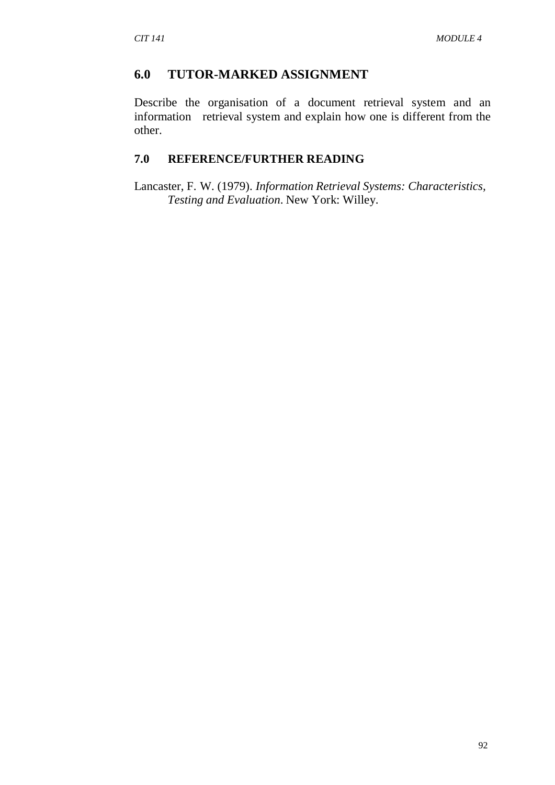### **6.0 TUTOR-MARKED ASSIGNMENT**

Describe the organisation of a document retrieval system and an information retrieval system and explain how one is different from the other.

### **7.0 REFERENCE/FURTHER READING**

Lancaster, F. W. (1979). *Information Retrieval Systems: Characteristics, Testing and Evaluation*. New York: Willey.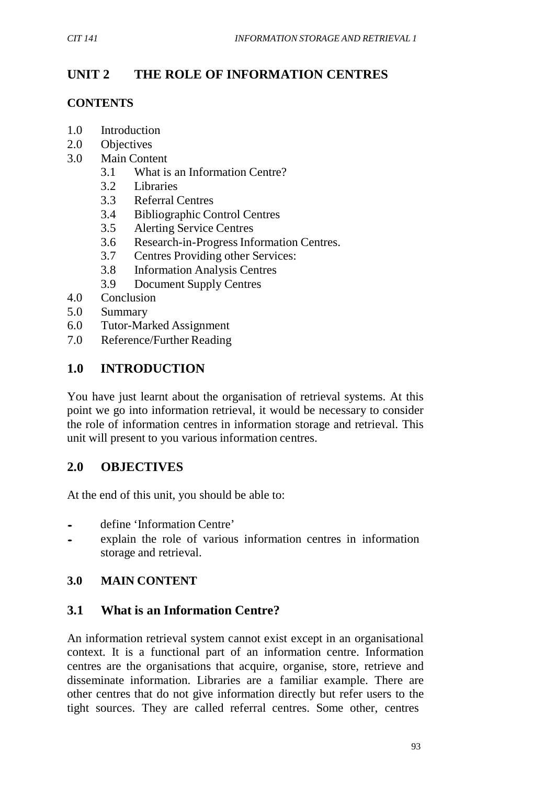## **UNIT 2 THE ROLE OF INFORMATION CENTRES**

### **CONTENTS**

- 1.0 Introduction
- 2.0 Objectives
- 3.0 Main Content
	- 3.1 What is an Information Centre?
	- 3.2 Libraries
	- 3.3 Referral Centres
	- 3.4 Bibliographic Control Centres
	- 3.5 Alerting Service Centres
	- 3.6 Research-in-ProgressInformation Centres.
	- 3.7 Centres Providing other Services:
	- 3.8 Information Analysis Centres
	- 3.9 Document Supply Centres
- 4.0 Conclusion
- 5.0 Summary
- 6.0 Tutor-Marked Assignment
- 7.0 Reference/Further Reading

## **1.0 INTRODUCTION**

You have just learnt about the organisation of retrieval systems. At this point we go into information retrieval, it would be necessary to consider the role of information centres in information storage and retrieval. This unit will present to you various information centres.

## **2.0 OBJECTIVES**

At the end of this unit, you should be able to:

- define 'Information Centre'<br>• explain the role of variou
- explain the role of various information centres in information storage and retrieval.

## **3.0 MAIN CONTENT**

## **3.1 What is an Information Centre?**

An information retrieval system cannot exist except in an organisational context. It is a functional part of an information centre. Information centres are the organisations that acquire, organise, store, retrieve and disseminate information. Libraries are a familiar example. There are other centres that do not give information directly but refer users to the tight sources. They are called referral centres. Some other, centres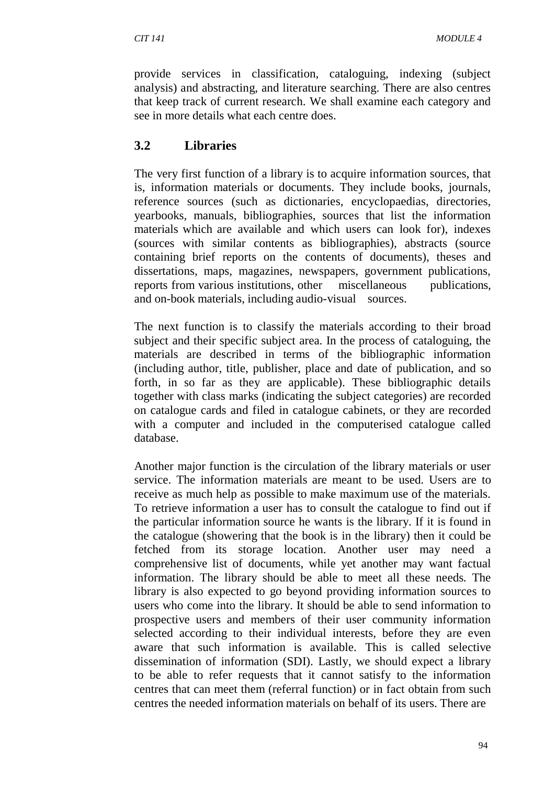provide services in classification, cataloguing, indexing (subject analysis) and abstracting, and literature searching. There are also centres that keep track of current research. We shall examine each category and see in more details what each centre does.

### **3.2 Libraries**

The very first function of a library is to acquire information sources, that is, information materials or documents. They include books, journals, reference sources (such as dictionaries, encyclopaedias, directories, yearbooks, manuals, bibliographies, sources that list the information materials which are available and which users can look for), indexes (sources with similar contents as bibliographies), abstracts (source containing brief reports on the contents of documents), theses and dissertations, maps, magazines, newspapers, government publications, reports from various institutions, other miscellaneous publications, and on-book materials, including audio-visual sources.

The next function is to classify the materials according to their broad subject and their specific subject area. In the process of cataloguing, the materials are described in terms of the bibliographic information (including author, title, publisher, place and date of publication, and so forth, in so far as they are applicable). These bibliographic details together with class marks (indicating the subject categories) are recorded on catalogue cards and filed in catalogue cabinets, or they are recorded with a computer and included in the computerised catalogue called database.

Another major function is the circulation of the library materials or user service. The information materials are meant to be used. Users are to receive as much help as possible to make maximum use of the materials. To retrieve information a user has to consult the catalogue to find out if the particular information source he wants is the library. If it is found in the catalogue (showering that the book is in the library) then it could be fetched from its storage location. Another user may need a comprehensive list of documents, while yet another may want factual information. The library should be able to meet all these needs. The library is also expected to go beyond providing information sources to users who come into the library. It should be able to send information to prospective users and members of their user community information selected according to their individual interests, before they are even aware that such information is available. This is called selective dissemination of information (SDI). Lastly, we should expect a library to be able to refer requests that it cannot satisfy to the information centres that can meet them (referral function) or in fact obtain from such centres the needed information materials on behalf of its users. There are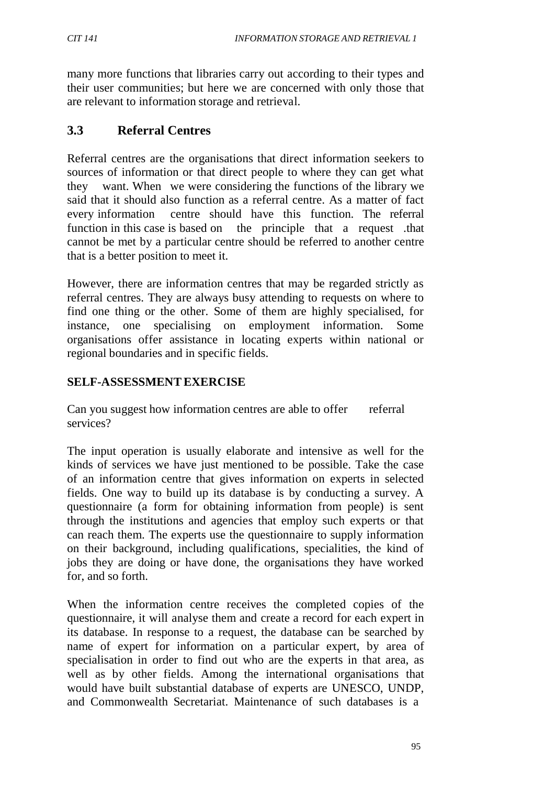many more functions that libraries carry out according to their types and their user communities; but here we are concerned with only those that are relevant to information storage and retrieval.

## **3.3 Referral Centres**

Referral centres are the organisations that direct information seekers to sources of information or that direct people to where they can get what they want. When we were considering the functions of the library we said that it should also function as a referral centre. As a matter of fact every information centre should have this function. The referral function in this case is based on the principle that a request .that cannot be met by a particular centre should be referred to another centre that is a better position to meet it.

However, there are information centres that may be regarded strictly as referral centres. They are always busy attending to requests on where to find one thing or the other. Some of them are highly specialised, for instance, one specialising on employment information. Some organisations offer assistance in locating experts within national or regional boundaries and in specific fields.

### **SELF-ASSESSMENTEXERCISE**

Can you suggest how information centres are able to offer referral services?

The input operation is usually elaborate and intensive as well for the kinds of services we have just mentioned to be possible. Take the case of an information centre that gives information on experts in selected fields. One way to build up its database is by conducting a survey. A questionnaire (a form for obtaining information from people) is sent through the institutions and agencies that employ such experts or that can reach them. The experts use the questionnaire to supply information on their background, including qualifications, specialities, the kind of jobs they are doing or have done, the organisations they have worked for, and so forth.

When the information centre receives the completed copies of the questionnaire, it will analyse them and create a record for each expert in its database. In response to a request, the database can be searched by name of expert for information on a particular expert, by area of specialisation in order to find out who are the experts in that area, as well as by other fields. Among the international organisations that would have built substantial database of experts are UNESCO, UNDP, and Commonwealth Secretariat. Maintenance of such databases is a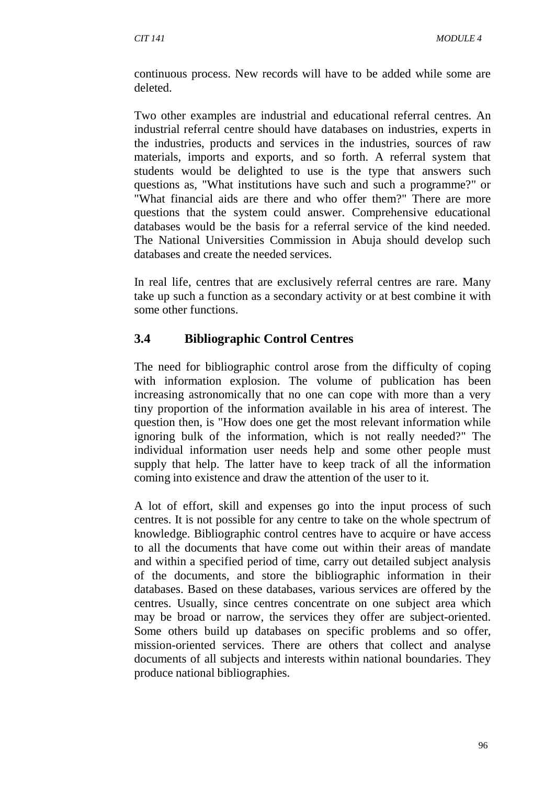continuous process. New records will have to be added while some are deleted.

Two other examples are industrial and educational referral centres. An industrial referral centre should have databases on industries, experts in the industries, products and services in the industries, sources of raw materials, imports and exports, and so forth. A referral system that students would be delighted to use is the type that answers such questions as, "What institutions have such and such a programme?" or "What financial aids are there and who offer them?" There are more questions that the system could answer. Comprehensive educational databases would be the basis for a referral service of the kind needed. The National Universities Commission in Abuja should develop such databases and create the needed services.

In real life, centres that are exclusively referral centres are rare. Many take up such a function as a secondary activity or at best combine it with some other functions.

## **3.4 Bibliographic Control Centres**

The need for bibliographic control arose from the difficulty of coping with information explosion. The volume of publication has been increasing astronomically that no one can cope with more than a very tiny proportion of the information available in his area of interest. The question then, is "How does one get the most relevant information while ignoring bulk of the information, which is not really needed?" The individual information user needs help and some other people must supply that help. The latter have to keep track of all the information coming into existence and draw the attention of the user to it.

A lot of effort, skill and expenses go into the input process of such centres. It is not possible for any centre to take on the whole spectrum of knowledge. Bibliographic control centres have to acquire or have access to all the documents that have come out within their areas of mandate and within a specified period of time, carry out detailed subject analysis of the documents, and store the bibliographic information in their databases. Based on these databases, various services are offered by the centres. Usually, since centres concentrate on one subject area which may be broad or narrow, the services they offer are subject-oriented. Some others build up databases on specific problems and so offer, mission-oriented services. There are others that collect and analyse documents of all subjects and interests within national boundaries. They produce national bibliographies.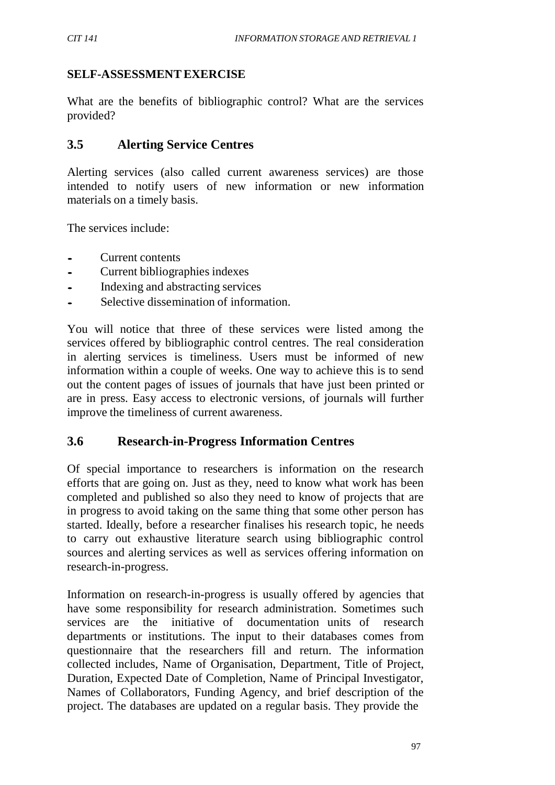### **SELF-ASSESSMENTEXERCISE**

What are the benefits of bibliographic control? What are the services provided?

## **3.5 Alerting Service Centres**

Alerting services (also called current awareness services) are those intended to notify users of new information or new information materials on a timely basis.

The services include:

- Current contents
- Current bibliographies indexes<br>• Indexing and abstracting service
- Indexing and abstracting services
- Selective dissemination of information.

You will notice that three of these services were listed among the services offered by bibliographic control centres. The real consideration in alerting services is timeliness. Users must be informed of new information within a couple of weeks. One way to achieve this is to send out the content pages of issues of journals that have just been printed or are in press. Easy access to electronic versions, of journals will further improve the timeliness of current awareness.

## **3.6 Research-in-Progress Information Centres**

Of special importance to researchers is information on the research efforts that are going on. Just as they, need to know what work has been completed and published so also they need to know of projects that are in progress to avoid taking on the same thing that some other person has started. Ideally, before a researcher finalises his research topic, he needs to carry out exhaustive literature search using bibliographic control sources and alerting services as well as services offering information on research-in-progress.

Information on research-in-progress is usually offered by agencies that have some responsibility for research administration. Sometimes such services are the initiative of documentation units of research departments or institutions. The input to their databases comes from questionnaire that the researchers fill and return. The information collected includes, Name of Organisation, Department, Title of Project, Duration, Expected Date of Completion, Name of Principal Investigator, Names of Collaborators, Funding Agency, and brief description of the project. The databases are updated on a regular basis. They provide the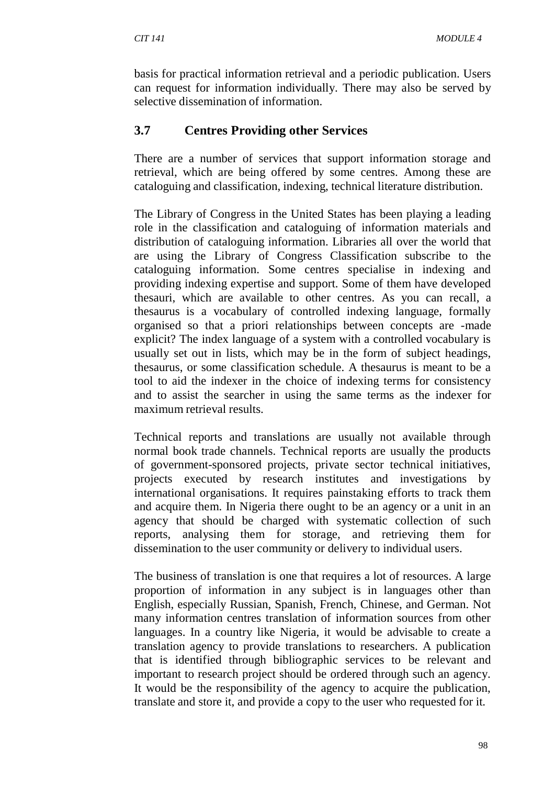basis for practical information retrieval and a periodic publication. Users can request for information individually. There may also be served by selective dissemination of information.

### **3.7 Centres Providing other Services**

There are a number of services that support information storage and retrieval, which are being offered by some centres. Among these are cataloguing and classification, indexing, technical literature distribution.

The Library of Congress in the United States has been playing a leading role in the classification and cataloguing of information materials and distribution of cataloguing information. Libraries all over the world that are using the Library of Congress Classification subscribe to the cataloguing information. Some centres specialise in indexing and providing indexing expertise and support. Some of them have developed thesauri, which are available to other centres. As you can recall, a thesaurus is a vocabulary of controlled indexing language, formally organised so that a priori relationships between concepts are -made explicit? The index language of a system with a controlled vocabulary is usually set out in lists, which may be in the form of subject headings, thesaurus, or some classification schedule. A thesaurus is meant to be a tool to aid the indexer in the choice of indexing terms for consistency and to assist the searcher in using the same terms as the indexer for maximum retrieval results.

Technical reports and translations are usually not available through normal book trade channels. Technical reports are usually the products of government-sponsored projects, private sector technical initiatives, projects executed by research institutes and investigations by international organisations. It requires painstaking efforts to track them and acquire them. In Nigeria there ought to be an agency or a unit in an agency that should be charged with systematic collection of such reports, analysing them for storage, and retrieving them for dissemination to the user community or delivery to individual users.

The business of translation is one that requires a lot of resources. A large proportion of information in any subject is in languages other than English, especially Russian, Spanish, French, Chinese, and German. Not many information centres translation of information sources from other languages. In a country like Nigeria, it would be advisable to create a translation agency to provide translations to researchers. A publication that is identified through bibliographic services to be relevant and important to research project should be ordered through such an agency. It would be the responsibility of the agency to acquire the publication, translate and store it, and provide a copy to the user who requested for it.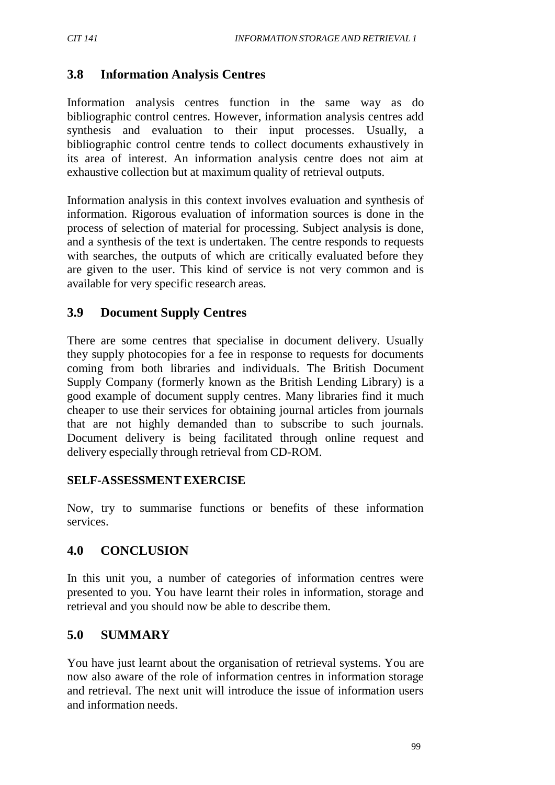# **3.8 Information Analysis Centres**

Information analysis centres function in the same way as do bibliographic control centres. However, information analysis centres add synthesis and evaluation to their input processes. Usually, a bibliographic control centre tends to collect documents exhaustively in its area of interest. An information analysis centre does not aim at exhaustive collection but at maximum quality of retrieval outputs.

Information analysis in this context involves evaluation and synthesis of information. Rigorous evaluation of information sources is done in the process of selection of material for processing. Subject analysis is done, and a synthesis of the text is undertaken. The centre responds to requests with searches, the outputs of which are critically evaluated before they are given to the user. This kind of service is not very common and is available for very specific research areas.

### **3.9 Document Supply Centres**

There are some centres that specialise in document delivery. Usually they supply photocopies for a fee in response to requests for documents coming from both libraries and individuals. The British Document Supply Company (formerly known as the British Lending Library) is a good example of document supply centres. Many libraries find it much cheaper to use their services for obtaining journal articles from journals that are not highly demanded than to subscribe to such journals. Document delivery is being facilitated through online request and delivery especially through retrieval from CD-ROM.

### **SELF-ASSESSMENTEXERCISE**

Now, try to summarise functions or benefits of these information services.

## **4.0 CONCLUSION**

In this unit you, a number of categories of information centres were presented to you. You have learnt their roles in information, storage and retrieval and you should now be able to describe them.

## **5.0 SUMMARY**

You have just learnt about the organisation of retrieval systems. You are now also aware of the role of information centres in information storage and retrieval. The next unit will introduce the issue of information users and information needs.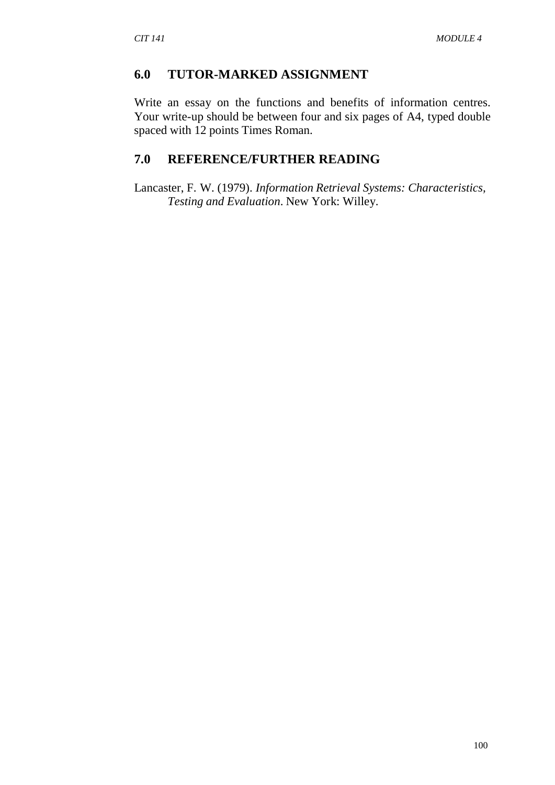### **6.0 TUTOR-MARKED ASSIGNMENT**

Write an essay on the functions and benefits of information centres. Your write-up should be between four and six pages of A4, typed double spaced with 12 points Times Roman.

## **7.0 REFERENCE/FURTHER READING**

Lancaster, F. W. (1979). *Information Retrieval Systems: Characteristics, Testing and Evaluation*. New York: Willey.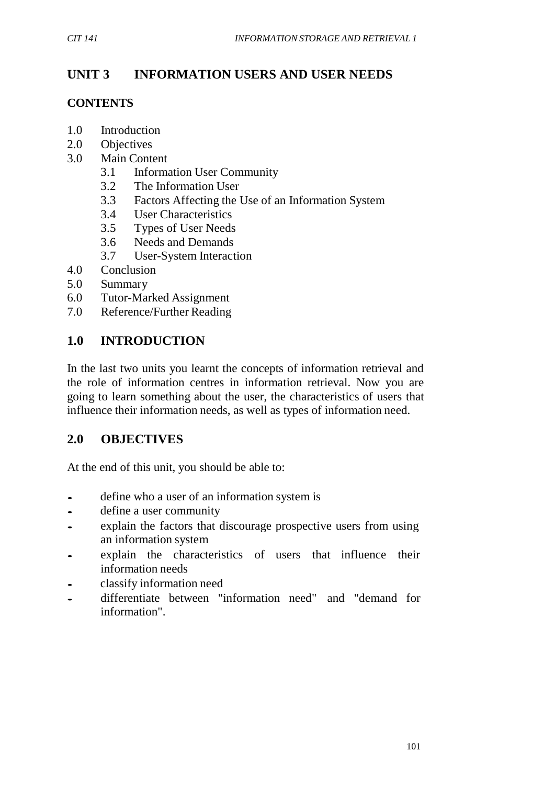# **UNIT 3 INFORMATION USERS AND USER NEEDS**

### **CONTENTS**

- 1.0 Introduction
- 2.0 Objectives
- 3.0 Main Content
	- 3.1 Information User Community
	- 3.2 The Information User
	- 3.3 Factors Affecting the Use of an Information System
	- 3.4 User Characteristics
	- 3.5 Types of User Needs
	- 3.6 Needs and Demands
	- 3.7 User-System Interaction
- 4.0 Conclusion
- 5.0 Summary
- 6.0 Tutor-Marked Assignment
- 7.0 Reference/Further Reading

# **1.0 INTRODUCTION**

In the last two units you learnt the concepts of information retrieval and the role of information centres in information retrieval. Now you are going to learn something about the user, the characteristics of users that influence their information needs, as well as types of information need.

# **2.0 OBJECTIVES**

At the end of this unit, you should be able to:

- define who a user of an information system is<br>• define a user community
- define a user community
- explain the factors that discourage prospective users from using an information system
- explain the characteristics of users that influence their information needs
- classify information need<br>differentiate between "i
- differentiate between "information need" and "demand for information".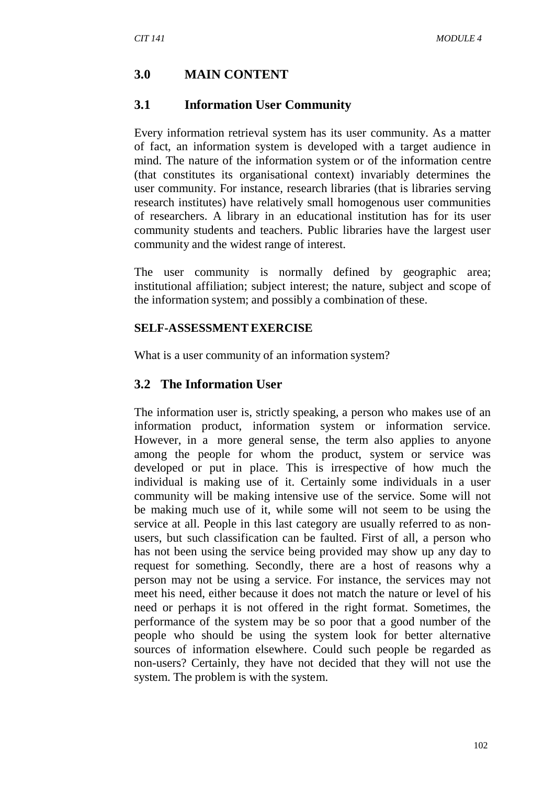# **3.0 MAIN CONTENT**

### **3.1 Information User Community**

Every information retrieval system has its user community. As a matter of fact, an information system is developed with a target audience in mind. The nature of the information system or of the information centre (that constitutes its organisational context) invariably determines the user community. For instance, research libraries (that is libraries serving research institutes) have relatively small homogenous user communities of researchers. A library in an educational institution has for its user community students and teachers. Public libraries have the largest user community and the widest range of interest.

The user community is normally defined by geographic area; institutional affiliation; subject interest; the nature, subject and scope of the information system; and possibly a combination of these.

#### **SELF-ASSESSMENTEXERCISE**

What is a user community of an information system?

#### **3.2 The Information User**

The information user is, strictly speaking, a person who makes use of an information product, information system or information service. However, in a more general sense, the term also applies to anyone among the people for whom the product, system or service was developed or put in place. This is irrespective of how much the individual is making use of it. Certainly some individuals in a user community will be making intensive use of the service. Some will not be making much use of it, while some will not seem to be using the service at all. People in this last category are usually referred to as nonusers, but such classification can be faulted. First of all, a person who has not been using the service being provided may show up any day to request for something. Secondly, there are a host of reasons why a person may not be using a service. For instance, the services may not meet his need, either because it does not match the nature or level of his need or perhaps it is not offered in the right format. Sometimes, the performance of the system may be so poor that a good number of the people who should be using the system look for better alternative sources of information elsewhere. Could such people be regarded as non-users? Certainly, they have not decided that they will not use the system. The problem is with the system.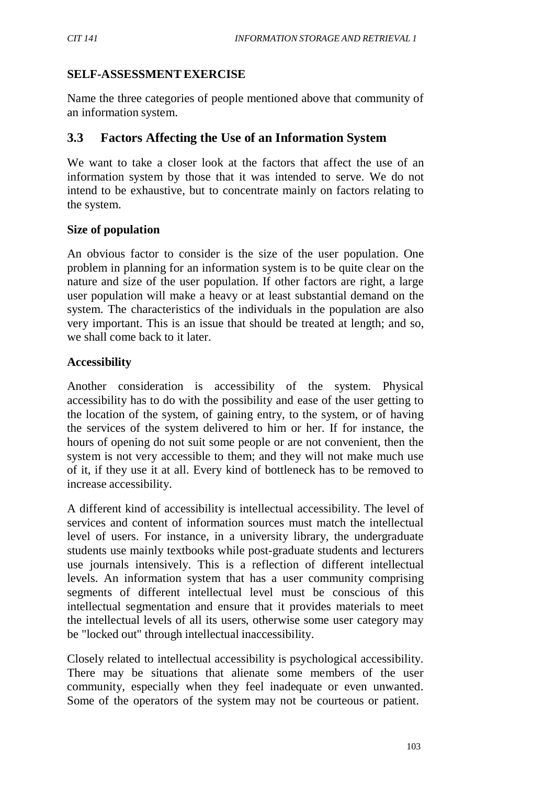### **SELF-ASSESSMENTEXERCISE**

Name the three categories of people mentioned above that community of an information system.

## **3.3 Factors Affecting the Use of an Information System**

We want to take a closer look at the factors that affect the use of an information system by those that it was intended to serve. We do not intend to be exhaustive, but to concentrate mainly on factors relating to the system.

### **Size of population**

An obvious factor to consider is the size of the user population. One problem in planning for an information system is to be quite clear on the nature and size of the user population. If other factors are right, a large user population will make a heavy or at least substantial demand on the system. The characteristics of the individuals in the population are also very important. This is an issue that should be treated at length; and so, we shall come back to it later.

### **Accessibility**

Another consideration is accessibility of the system. Physical accessibility has to do with the possibility and ease of the user getting to the location of the system, of gaining entry, to the system, or of having the services of the system delivered to him or her. If for instance, the hours of opening do not suit some people or are not convenient, then the system is not very accessible to them; and they will not make much use of it, if they use it at all. Every kind of bottleneck has to be removed to increase accessibility.

A different kind of accessibility is intellectual accessibility. The level of services and content of information sources must match the intellectual level of users. For instance, in a university library, the undergraduate students use mainly textbooks while post-graduate students and lecturers use journals intensively. This is a reflection of different intellectual levels. An information system that has a user community comprising segments of different intellectual level must be conscious of this intellectual segmentation and ensure that it provides materials to meet the intellectual levels of all its users, otherwise some user category may be "locked out" through intellectual inaccessibility.

Closely related to intellectual accessibility is psychological accessibility. There may be situations that alienate some members of the user community, especially when they feel inadequate or even unwanted. Some of the operators of the system may not be courteous or patient.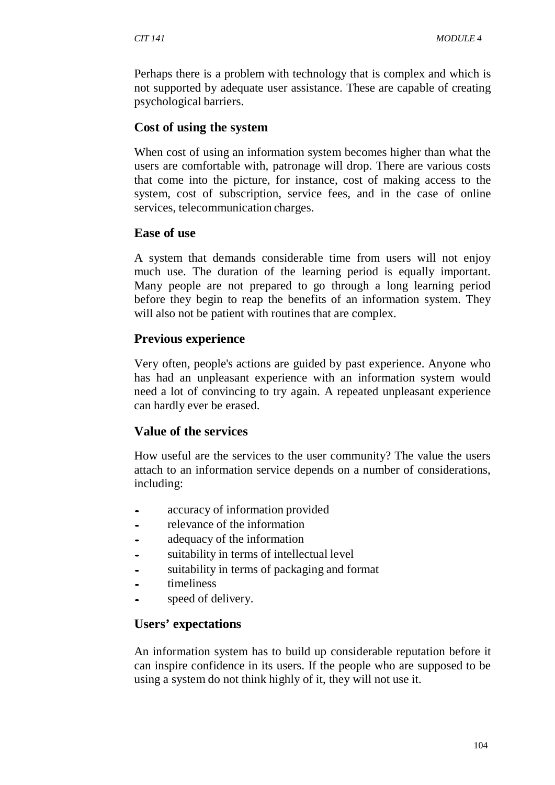Perhaps there is a problem with technology that is complex and which is not supported by adequate user assistance. These are capable of creating psychological barriers.

### **Cost of using the system**

When cost of using an information system becomes higher than what the users are comfortable with, patronage will drop. There are various costs that come into the picture, for instance, cost of making access to the system, cost of subscription, service fees, and in the case of online services, telecommunication charges.

### **Ease of use**

A system that demands considerable time from users will not enjoy much use. The duration of the learning period is equally important. Many people are not prepared to go through a long learning period before they begin to reap the benefits of an information system. They will also not be patient with routines that are complex.

### **Previous experience**

Very often, people's actions are guided by past experience. Anyone who has had an unpleasant experience with an information system would need a lot of convincing to try again. A repeated unpleasant experience can hardly ever be erased.

### **Value of the services**

How useful are the services to the user community? The value the users attach to an information service depends on a number of considerations, including:

- accuracy of information provided
- relevance of the information
- adequacy of the information
- suitability in terms of intellectual level
- suitability in terms of packaging and format
- timeliness
- speed of delivery.

## **Users' expectations**

An information system has to build up considerable reputation before it can inspire confidence in its users. If the people who are supposed to be using a system do not think highly of it, they will not use it.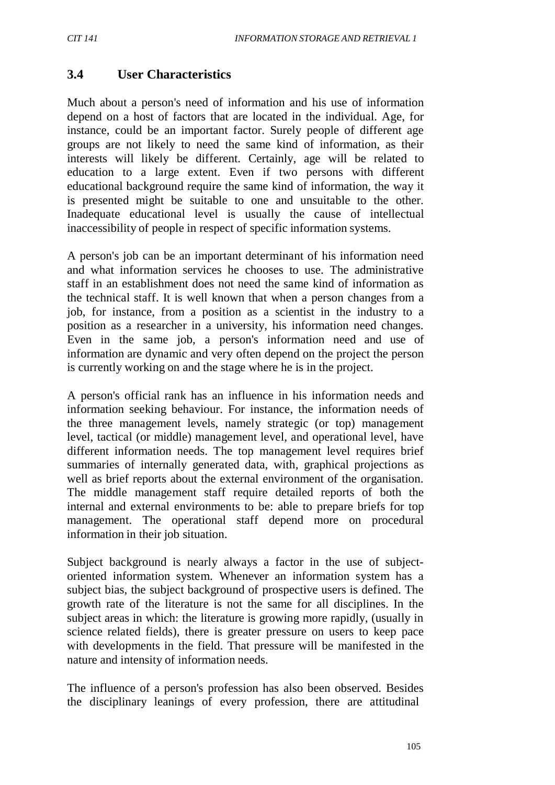## **3.4 User Characteristics**

Much about a person's need of information and his use of information depend on a host of factors that are located in the individual. Age, for instance, could be an important factor. Surely people of different age groups are not likely to need the same kind of information, as their interests will likely be different. Certainly, age will be related to education to a large extent. Even if two persons with different educational background require the same kind of information, the way it is presented might be suitable to one and unsuitable to the other. Inadequate educational level is usually the cause of intellectual inaccessibility of people in respect of specific information systems.

A person's job can be an important determinant of his information need and what information services he chooses to use. The administrative staff in an establishment does not need the same kind of information as the technical staff. It is well known that when a person changes from a job, for instance, from a position as a scientist in the industry to a position as a researcher in a university, his information need changes. Even in the same job, a person's information need and use of information are dynamic and very often depend on the project the person is currently working on and the stage where he is in the project.

A person's official rank has an influence in his information needs and information seeking behaviour. For instance, the information needs of the three management levels, namely strategic (or top) management level, tactical (or middle) management level, and operational level, have different information needs. The top management level requires brief summaries of internally generated data, with, graphical projections as well as brief reports about the external environment of the organisation. The middle management staff require detailed reports of both the internal and external environments to be: able to prepare briefs for top management. The operational staff depend more on procedural information in their job situation.

Subject background is nearly always a factor in the use of subjectoriented information system. Whenever an information system has a subject bias, the subject background of prospective users is defined. The growth rate of the literature is not the same for all disciplines. In the subject areas in which: the literature is growing more rapidly, (usually in science related fields), there is greater pressure on users to keep pace with developments in the field. That pressure will be manifested in the nature and intensity of information needs.

The influence of a person's profession has also been observed. Besides the disciplinary leanings of every profession, there are attitudinal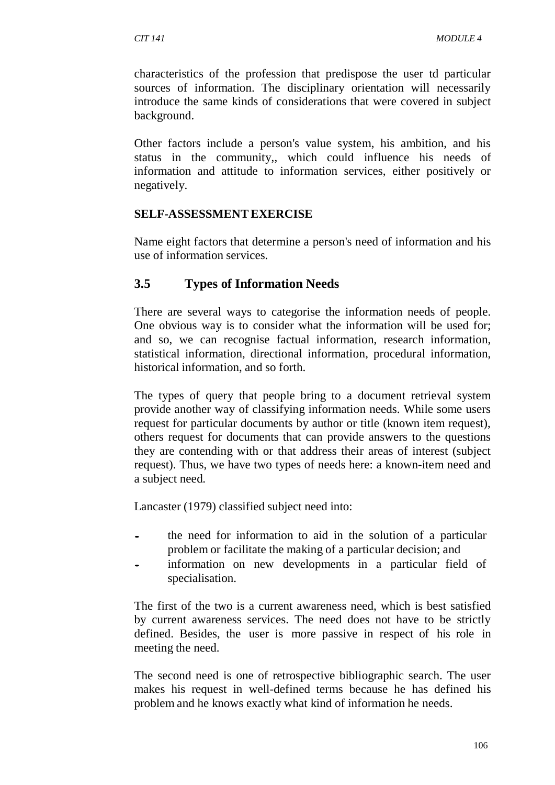characteristics of the profession that predispose the user td particular sources of information. The disciplinary orientation will necessarily introduce the same kinds of considerations that were covered in subject background.

Other factors include a person's value system, his ambition, and his status in the community,, which could influence his needs of information and attitude to information services, either positively or negatively.

#### **SELF-ASSESSMENTEXERCISE**

Name eight factors that determine a person's need of information and his use of information services.

## **3.5 Types of Information Needs**

There are several ways to categorise the information needs of people. One obvious way is to consider what the information will be used for; and so, we can recognise factual information, research information, statistical information, directional information, procedural information, historical information, and so forth.

The types of query that people bring to a document retrieval system provide another way of classifying information needs. While some users request for particular documents by author or title (known item request), others request for documents that can provide answers to the questions they are contending with or that address their areas of interest (subject request). Thus, we have two types of needs here: a known-item need and a subject need.

Lancaster (1979) classified subject need into:

- the need for information to aid in the solution of <sup>a</sup> particular problem or facilitate the making of a particular decision; and
- information on new developments in a particular field of specialisation.

The first of the two is a current awareness need, which is best satisfied by current awareness services. The need does not have to be strictly defined. Besides, the user is more passive in respect of his role in meeting the need.

The second need is one of retrospective bibliographic search. The user makes his request in well-defined terms because he has defined his problem and he knows exactly what kind of information he needs.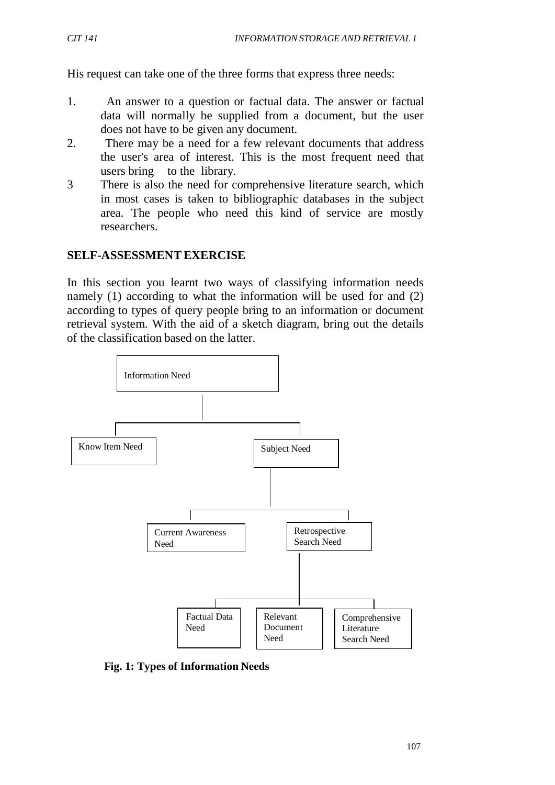His request can take one of the three forms that express three needs:

- 1. An answer to a question or factual data. The answer or factual data will normally be supplied from a document, but the user does not have to be given any document.
- 2. There may be a need for a few relevant documents that address the user's area of interest. This is the most frequent need that users bring to the library.
- 3 There is also the need for comprehensive literature search, which in most cases is taken to bibliographic databases in the subject area. The people who need this kind of service are mostly researchers.

### **SELF-ASSESSMENTEXERCISE**

In this section you learnt two ways of classifying information needs namely (1) according to what the information will be used for and (2) according to types of query people bring to an information or document retrieval system. With the aid of a sketch diagram, bring out the details of the classification based on the latter.



**Fig. 1: Types of Information Needs**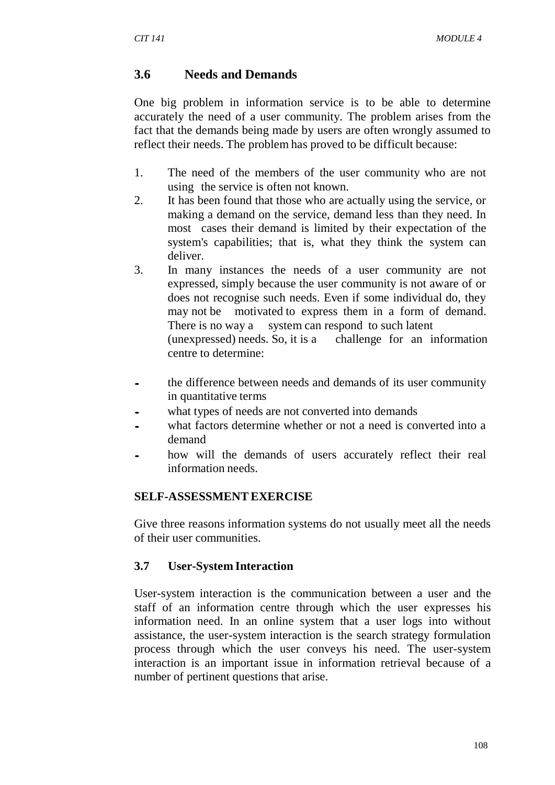### **3.6 Needs and Demands**

One big problem in information service is to be able to determine accurately the need of a user community. The problem arises from the fact that the demands being made by users are often wrongly assumed to reflect their needs. The problem has proved to be difficult because:

- 1. The need of the members of the user community who are not using the service is often not known.
- 2. It has been found that those who are actually using the service, or making a demand on the service, demand less than they need. In most cases their demand is limited by their expectation of the system's capabilities; that is, what they think the system can deliver.
- 3. In many instances the needs of a user community are not expressed, simply because the user community is not aware of or does not recognise such needs. Even if some individual do, they may not be motivated to express them in a form of demand. There is no way a system can respond to such latent (unexpressed) needs. So, it is a challenge for an information centre to determine:
- the difference between needs and demands of its user community in quantitative terms
- what types of needs are not converted into demands
- what factors determine whether or not a need is converted into a demand
- how will the demands of users accurately reflect their real information needs.

### **SELF-ASSESSMENTEXERCISE**

Give three reasons information systems do not usually meet all the needs of their user communities.

### **3.7 User-System Interaction**

User-system interaction is the communication between a user and the staff of an information centre through which the user expresses his information need. In an online system that a user logs into without assistance, the user-system interaction is the search strategy formulation process through which the user conveys his need. The user-system interaction is an important issue in information retrieval because of a number of pertinent questions that arise.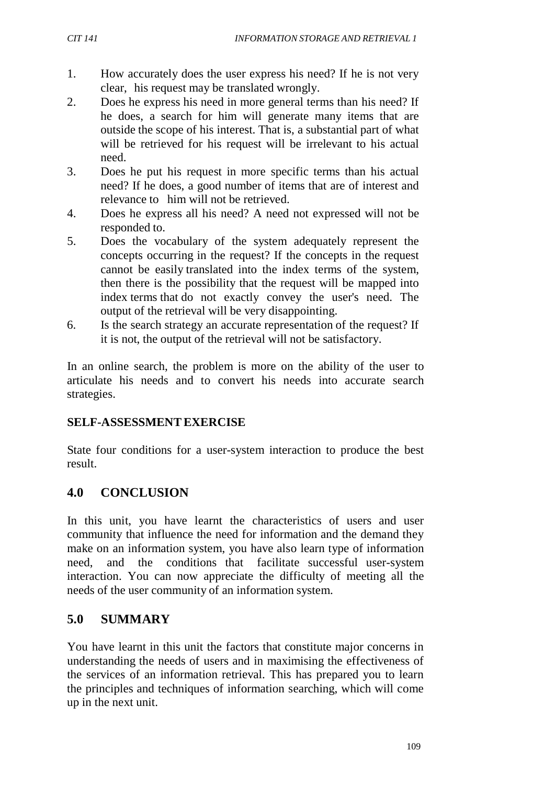- 1. How accurately does the user express his need? If he is not very clear, his request may be translated wrongly.
	- 2. Does he express his need in more general terms than his need? If he does, a search for him will generate many items that are outside the scope of his interest. That is, a substantial part of what will be retrieved for his request will be irrelevant to his actual need.
	- 3. Does he put his request in more specific terms than his actual need? If he does, a good number of items that are of interest and relevance to him will not be retrieved.
	- 4. Does he express all his need? A need not expressed will not be responded to.
	- 5. Does the vocabulary of the system adequately represent the concepts occurring in the request? If the concepts in the request cannot be easily translated into the index terms of the system, then there is the possibility that the request will be mapped into index terms that do not exactly convey the user's need. The output of the retrieval will be very disappointing.
	- 6. Is the search strategy an accurate representation of the request? If it is not, the output of the retrieval will not be satisfactory.

In an online search, the problem is more on the ability of the user to articulate his needs and to convert his needs into accurate search strategies.

## **SELF-ASSESSMENTEXERCISE**

State four conditions for a user-system interaction to produce the best result.

# **4.0 CONCLUSION**

In this unit, you have learnt the characteristics of users and user community that influence the need for information and the demand they make on an information system, you have also learn type of information need, and the conditions that facilitate successful user-system interaction. You can now appreciate the difficulty of meeting all the needs of the user community of an information system.

# **5.0 SUMMARY**

You have learnt in this unit the factors that constitute major concerns in understanding the needs of users and in maximising the effectiveness of the services of an information retrieval. This has prepared you to learn the principles and techniques of information searching, which will come up in the next unit.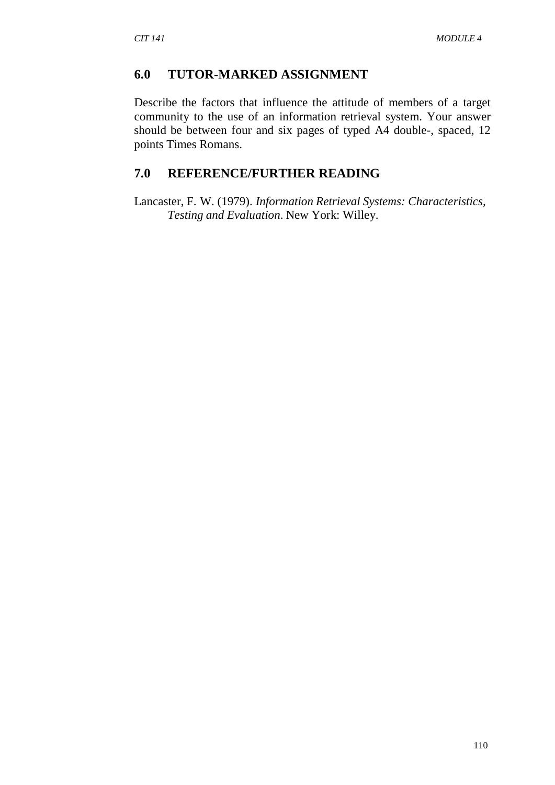### **6.0 TUTOR-MARKED ASSIGNMENT**

Describe the factors that influence the attitude of members of a target community to the use of an information retrieval system. Your answer should be between four and six pages of typed A4 double-, spaced, 12 points Times Romans.

# **7.0 REFERENCE/FURTHER READING**

Lancaster, F. W. (1979). *Information Retrieval Systems: Characteristics, Testing and Evaluation*. New York: Willey.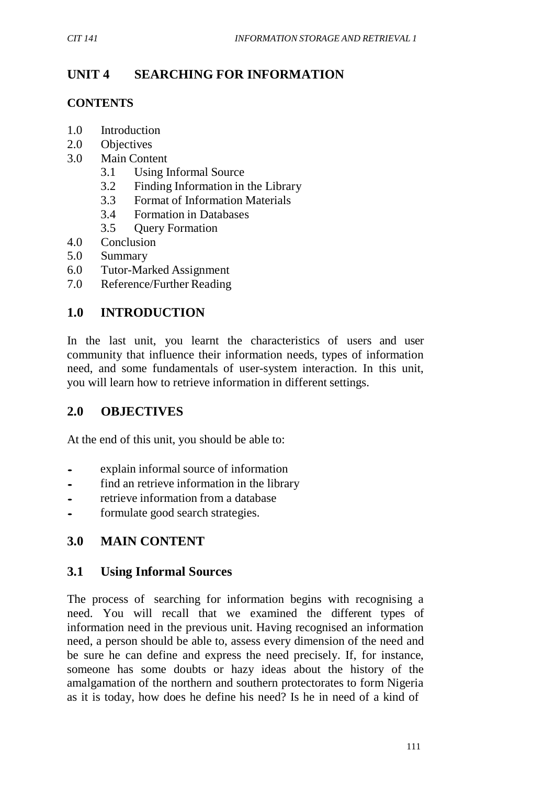# **UNIT 4 SEARCHING FOR INFORMATION**

## **CONTENTS**

- 1.0 Introduction
- 2.0 Objectives
- 3.0 Main Content
	- 3.1 Using Informal Source
	- 3.2 Finding Information in the Library
	- 3.3 Format of Information Materials
	- 3.4 Formation in Databases
	- 3.5 Query Formation
- 4.0 Conclusion
- 5.0 Summary
- 6.0 Tutor-Marked Assignment
- 7.0 Reference/Further Reading

# **1.0 INTRODUCTION**

In the last unit, you learnt the characteristics of users and user community that influence their information needs, types of information need, and some fundamentals of user-system interaction. In this unit, you will learn how to retrieve information in different settings.

## **2.0 OBJECTIVES**

At the end of this unit, you should be able to:

- explain informal source of information
- find an retrieve information in the library<br>retrieve information from a database
- retrieve information from <sup>a</sup> database
- formulate good search strategies.

# **3.0 MAIN CONTENT**

### **3.1 Using Informal Sources**

The process of searching for information begins with recognising a need. You will recall that we examined the different types of information need in the previous unit. Having recognised an information need, a person should be able to, assess every dimension of the need and be sure he can define and express the need precisely. If, for instance, someone has some doubts or hazy ideas about the history of the amalgamation of the northern and southern protectorates to form Nigeria as it is today, how does he define his need? Is he in need of a kind of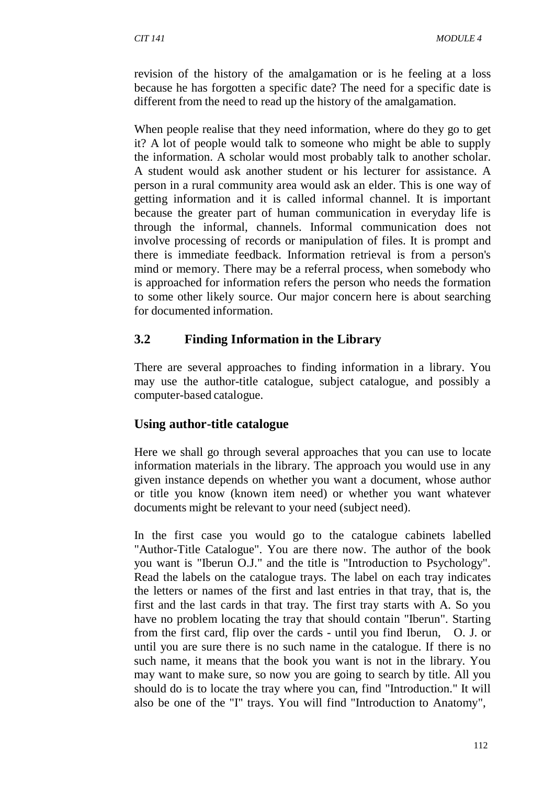revision of the history of the amalgamation or is he feeling at a loss because he has forgotten a specific date? The need for a specific date is different from the need to read up the history of the amalgamation.

When people realise that they need information, where do they go to get it? A lot of people would talk to someone who might be able to supply the information. A scholar would most probably talk to another scholar. A student would ask another student or his lecturer for assistance. A person in a rural community area would ask an elder. This is one way of getting information and it is called informal channel. It is important because the greater part of human communication in everyday life is through the informal, channels. Informal communication does not involve processing of records or manipulation of files. It is prompt and there is immediate feedback. Information retrieval is from a person's mind or memory. There may be a referral process, when somebody who is approached for information refers the person who needs the formation to some other likely source. Our major concern here is about searching for documented information.

# **3.2 Finding Information in the Library**

There are several approaches to finding information in a library. You may use the author-title catalogue, subject catalogue, and possibly a computer-based catalogue.

## **Using author-title catalogue**

Here we shall go through several approaches that you can use to locate information materials in the library. The approach you would use in any given instance depends on whether you want a document, whose author or title you know (known item need) or whether you want whatever documents might be relevant to your need (subject need).

In the first case you would go to the catalogue cabinets labelled "Author-Title Catalogue". You are there now. The author of the book you want is "Iberun O.J." and the title is "Introduction to Psychology". Read the labels on the catalogue trays. The label on each tray indicates the letters or names of the first and last entries in that tray, that is, the first and the last cards in that tray. The first tray starts with A. So you have no problem locating the tray that should contain "Iberun". Starting from the first card, flip over the cards - until you find Iberun, O. J. or until you are sure there is no such name in the catalogue. If there is no such name, it means that the book you want is not in the library. You may want to make sure, so now you are going to search by title. All you should do is to locate the tray where you can, find "Introduction." It will also be one of the "I" trays. You will find "Introduction to Anatomy",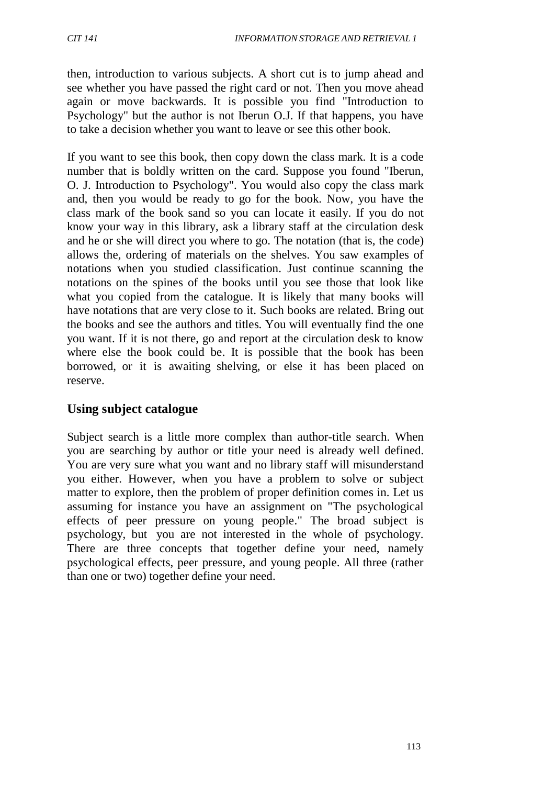then, introduction to various subjects. A short cut is to jump ahead and see whether you have passed the right card or not. Then you move ahead again or move backwards. It is possible you find "Introduction to Psychology" but the author is not Iberun O.J. If that happens, you have to take a decision whether you want to leave or see this other book.

If you want to see this book, then copy down the class mark. It is a code number that is boldly written on the card. Suppose you found "Iberun, O. J. Introduction to Psychology". You would also copy the class mark and, then you would be ready to go for the book. Now, you have the class mark of the book sand so you can locate it easily. If you do not know your way in this library, ask a library staff at the circulation desk and he or she will direct you where to go. The notation (that is, the code) allows the, ordering of materials on the shelves. You saw examples of notations when you studied classification. Just continue scanning the notations on the spines of the books until you see those that look like what you copied from the catalogue. It is likely that many books will have notations that are very close to it. Such books are related. Bring out the books and see the authors and titles. You will eventually find the one you want. If it is not there, go and report at the circulation desk to know where else the book could be. It is possible that the book has been borrowed, or it is awaiting shelving, or else it has been placed on reserve.

## **Using subject catalogue**

Subject search is a little more complex than author-title search. When you are searching by author or title your need is already well defined. You are very sure what you want and no library staff will misunderstand you either. However, when you have a problem to solve or subject matter to explore, then the problem of proper definition comes in. Let us assuming for instance you have an assignment on "The psychological effects of peer pressure on young people." The broad subject is psychology, but you are not interested in the whole of psychology. There are three concepts that together define your need, namely psychological effects, peer pressure, and young people. All three (rather than one or two) together define your need.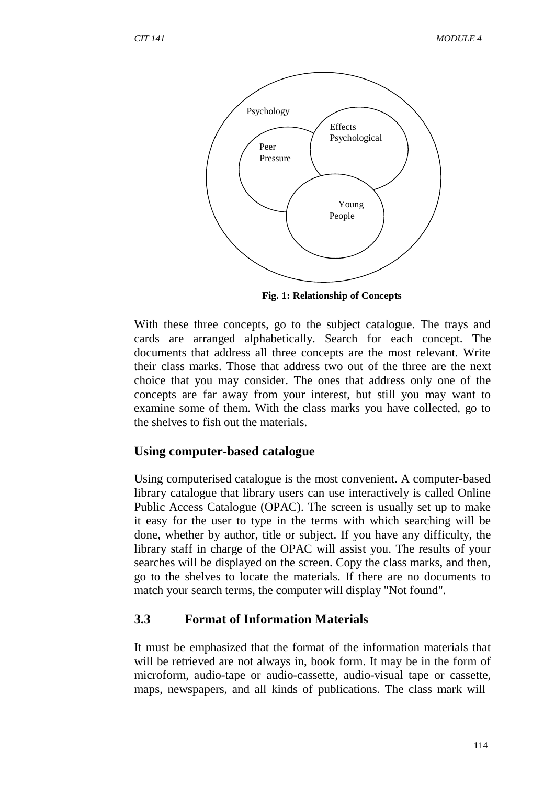

**Fig. 1: Relationship of Concepts**

With these three concepts, go to the subject catalogue. The trays and cards are arranged alphabetically. Search for each concept. The documents that address all three concepts are the most relevant. Write their class marks. Those that address two out of the three are the next choice that you may consider. The ones that address only one of the concepts are far away from your interest, but still you may want to examine some of them. With the class marks you have collected, go to the shelves to fish out the materials.

### **Using computer-based catalogue**

Using computerised catalogue is the most convenient. A computer-based library catalogue that library users can use interactively is called Online Public Access Catalogue (OPAC). The screen is usually set up to make it easy for the user to type in the terms with which searching will be done, whether by author, title or subject. If you have any difficulty, the library staff in charge of the OPAC will assist you. The results of your searches will be displayed on the screen. Copy the class marks, and then, go to the shelves to locate the materials. If there are no documents to match your search terms, the computer will display "Not found".

## **3.3 Format of Information Materials**

It must be emphasized that the format of the information materials that will be retrieved are not always in, book form. It may be in the form of microform, audio-tape or audio-cassette, audio-visual tape or cassette, maps, newspapers, and all kinds of publications. The class mark will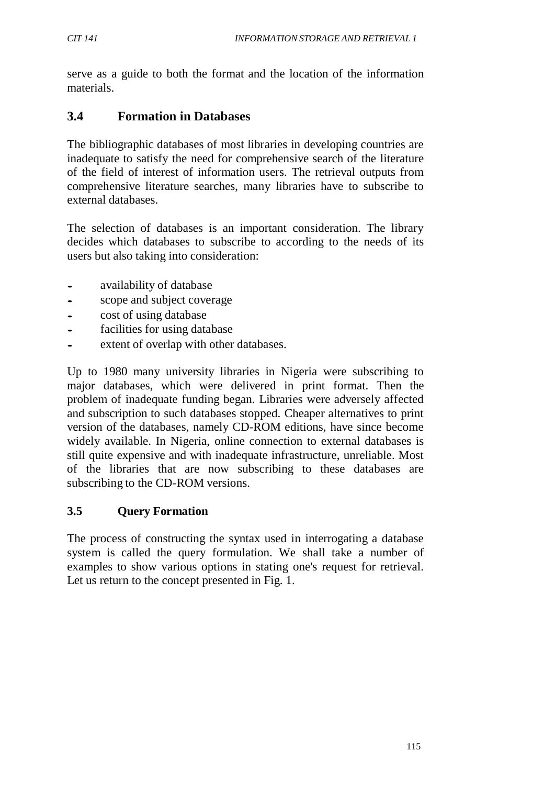serve as a guide to both the format and the location of the information materials.

## **3.4 Formation in Databases**

The bibliographic databases of most libraries in developing countries are inadequate to satisfy the need for comprehensive search of the literature of the field of interest of information users. The retrieval outputs from comprehensive literature searches, many libraries have to subscribe to external databases.

The selection of databases is an important consideration. The library decides which databases to subscribe to according to the needs of its users but also taking into consideration:

- availability of database<br>• scope and subject cover
- scope and subject coverage
- cost of using database
- facilities for using database
- extent of overlap with other databases.

Up to 1980 many university libraries in Nigeria were subscribing to major databases, which were delivered in print format. Then the problem of inadequate funding began. Libraries were adversely affected and subscription to such databases stopped. Cheaper alternatives to print version of the databases, namely CD-ROM editions, have since become widely available. In Nigeria, online connection to external databases is still quite expensive and with inadequate infrastructure, unreliable. Most of the libraries that are now subscribing to these databases are subscribing to the CD-ROM versions.

### **3.5 Query Formation**

The process of constructing the syntax used in interrogating a database system is called the query formulation. We shall take a number of examples to show various options in stating one's request for retrieval. Let us return to the concept presented in Fig. 1.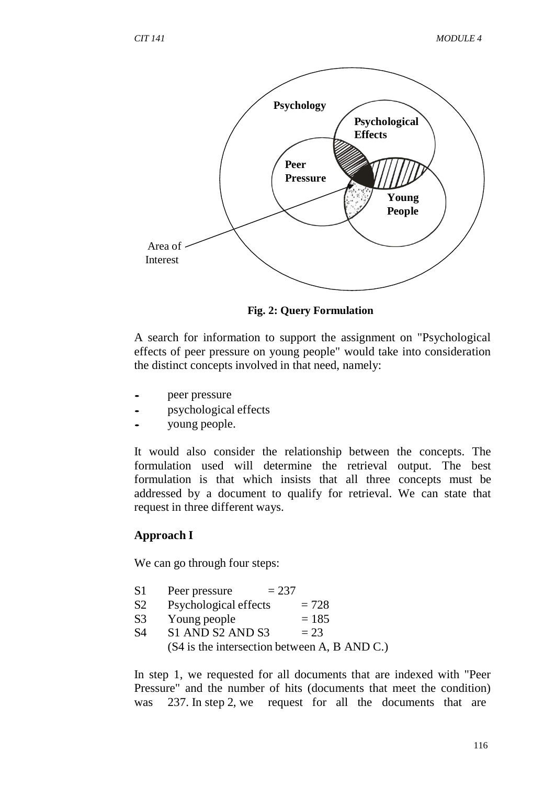

**Fig. 2: Query Formulation**

A search for information to support the assignment on "Psychological effects of peer pressure on young people" would take into consideration the distinct concepts involved in that need, namely:

- peer pressure
- psychological effects
- young people.

It would also consider the relationship between the concepts. The formulation used will determine the retrieval output. The best formulation is that which insists that all three concepts must be addressed by a document to qualify for retrieval. We can state that request in three different ways.

### **Approach I**

We can go through four steps:

- $S1$  Peer pressure  $= 237$
- S2 Psychological effects  $= 728$
- 
- S3 Young people  $= 185$ <br>S4 S1 AND S2 AND S3  $= 23$  $S4$   $S1$  AND S2 AND S3

(S4 is the intersection between A, B AND C.)

In step 1, we requested for all documents that are indexed with "Peer Pressure" and the number of hits (documents that meet the condition) was 237. In step 2, we request for all the documents that are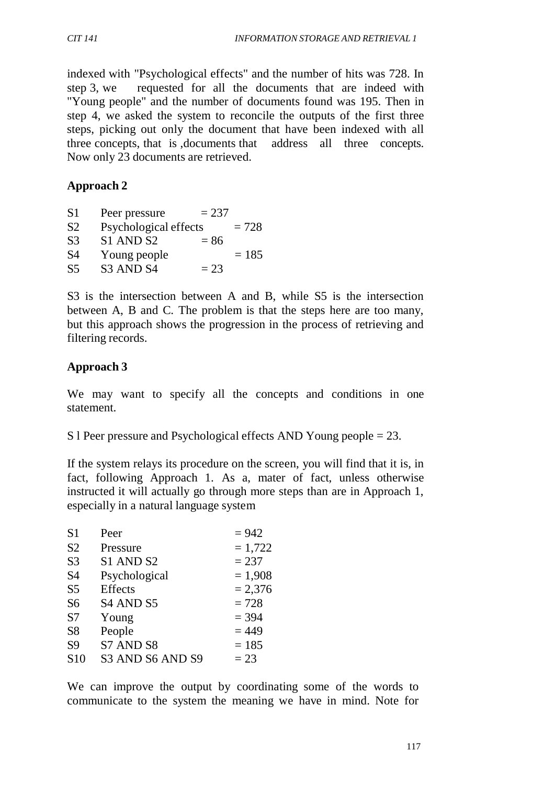indexed with "Psychological effects" and the number of hits was 728. In step 3, we requested for all the documents that are indeed with "Young people" and the number of documents found was 195. Then in step 4, we asked the system to reconcile the outputs of the first three steps, picking out only the document that have been indexed with all three concepts, that is ,documents that address all three concepts. Now only 23 documents are retrieved.

### **Approach 2**

| S1             | Peer pressure         | $= 237$ |         |
|----------------|-----------------------|---------|---------|
| S <sub>2</sub> | Psychological effects |         | $= 728$ |
| S <sub>3</sub> | S1 AND S2             | $= 86$  |         |
| S4             | Young people          |         | $= 185$ |
| S <sub>5</sub> | S3 AND S4             | $= 23$  |         |

S3 is the intersection between A and B, while S5 is the intersection between A, B and C. The problem is that the steps here are too many, but this approach shows the progression in the process of retrieving and filtering records.

### **Approach 3**

We may want to specify all the concepts and conditions in one statement.

S l Peer pressure and Psychological effects AND Young people = 23.

If the system relays its procedure on the screen, you will find that it is, in fact, following Approach 1. As a, mater of fact, unless otherwise instructed it will actually go through more steps than are in Approach 1, especially in a natural language system

| S <sub>1</sub> | Peer             | $= 942$   |
|----------------|------------------|-----------|
| S <sub>2</sub> | Pressure         | $= 1,722$ |
| S <sub>3</sub> | S1 AND S2        | $= 237$   |
| S <sub>4</sub> | Psychological    | $= 1,908$ |
| S <sub>5</sub> | <b>Effects</b>   | $= 2,376$ |
| S <sub>6</sub> | S4 AND S5        | $= 728$   |
| S7             | Young            | $= 394$   |
| S <sub>8</sub> | People           | $= 449$   |
| S <sub>9</sub> | S7 AND S8        | $= 185$   |
| <b>S10</b>     | S3 AND S6 AND S9 | $= 23$    |

We can improve the output by coordinating some of the words to communicate to the system the meaning we have in mind. Note for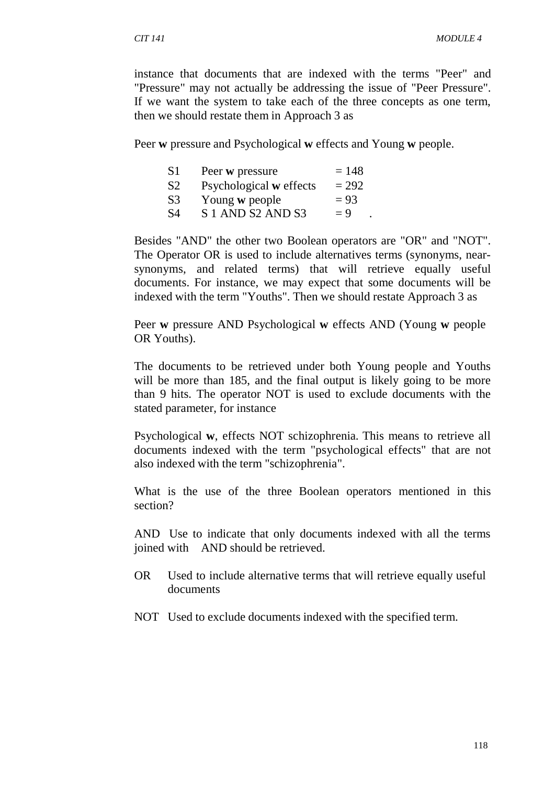instance that documents that are indexed with the terms "Peer" and "Pressure" may not actually be addressing the issue of "Peer Pressure". If we want the system to take each of the three concepts as one term, then we should restate them in Approach 3 as

Peer **w** pressure and Psychological **w** effects and Young **w** people.

| S1             | Peer w pressure         | $= 148$ |
|----------------|-------------------------|---------|
| S <sub>2</sub> | Psychological w effects | $= 292$ |
| S <sub>3</sub> | Young w people          | $= 93$  |
| S4             | S 1 AND S2 AND S3       | $= 9$   |

Besides "AND" the other two Boolean operators are "OR" and "NOT". The Operator OR is used to include alternatives terms (synonyms, nearsynonyms, and related terms) that will retrieve equally useful documents. For instance, we may expect that some documents will be indexed with the term "Youths". Then we should restate Approach 3 as

Peer **w** pressure AND Psychological **w** effects AND (Young **w** people OR Youths).

The documents to be retrieved under both Young people and Youths will be more than 185, and the final output is likely going to be more than 9 hits. The operator NOT is used to exclude documents with the stated parameter, for instance

Psychological **w**, effects NOT schizophrenia. This means to retrieve all documents indexed with the term "psychological effects" that are not also indexed with the term "schizophrenia".

What is the use of the three Boolean operators mentioned in this section?

AND Use to indicate that only documents indexed with all the terms joined with AND should be retrieved.

- OR Used to include alternative terms that will retrieve equally useful documents
- NOT Used to exclude documents indexed with the specified term.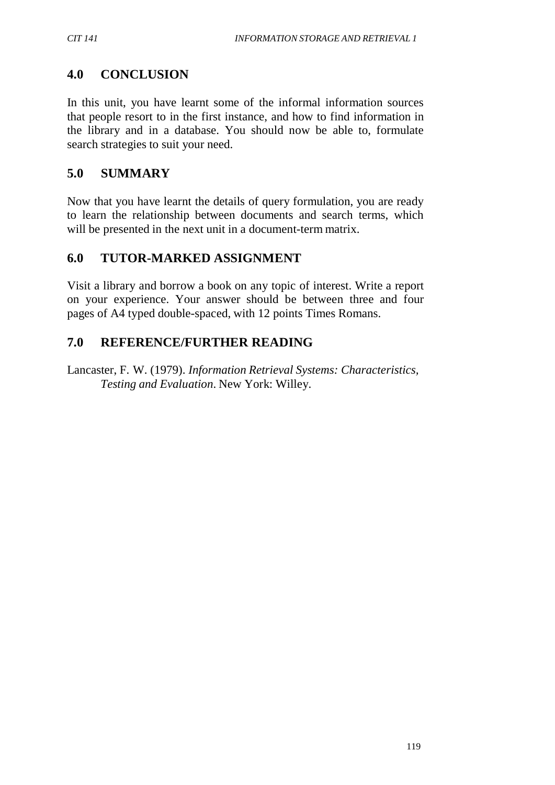# **4.0 CONCLUSION**

In this unit, you have learnt some of the informal information sources that people resort to in the first instance, and how to find information in the library and in a database. You should now be able to, formulate search strategies to suit your need.

# **5.0 SUMMARY**

Now that you have learnt the details of query formulation, you are ready to learn the relationship between documents and search terms, which will be presented in the next unit in a document-term matrix.

# **6.0 TUTOR-MARKED ASSIGNMENT**

Visit a library and borrow a book on any topic of interest. Write a report on your experience. Your answer should be between three and four pages of A4 typed double-spaced, with 12 points Times Romans.

# **7.0 REFERENCE/FURTHER READING**

Lancaster, F. W. (1979). *Information Retrieval Systems: Characteristics, Testing and Evaluation*. New York: Willey.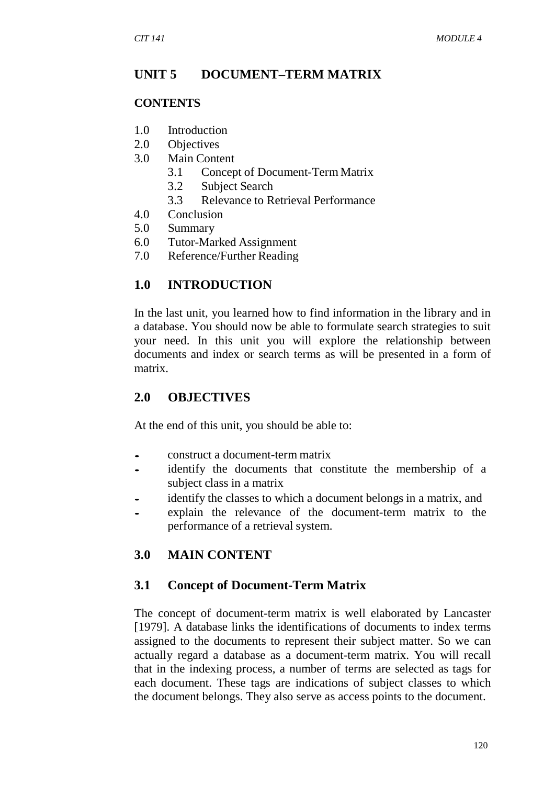#### **UNIT 5 DOCUMENT–TERM MATRIX**

#### **CONTENTS**

- 1.0 Introduction
- 2.0 Objectives
- 3.0 Main Content
	- 3.1 Concept of Document-Term Matrix
	- 3.2 Subject Search
	- 3.3 Relevance to Retrieval Performance
- 4.0 Conclusion
- 5.0 Summary
- 6.0 Tutor-Marked Assignment
- 7.0 Reference/Further Reading

#### **1.0 INTRODUCTION**

In the last unit, you learned how to find information in the library and in a database. You should now be able to formulate search strategies to suit your need. In this unit you will explore the relationship between documents and index or search terms as will be presented in a form of matrix.

#### **2.0 OBJECTIVES**

At the end of this unit, you should be able to:

- construct <sup>a</sup> document-term matrix
- identify the documents that constitute the membership of a subject class in a matrix
- identify the classes to which a document belongs in a matrix, and
- explain the relevance of the document-term matrix to the performance of a retrieval system.

#### **3.0 MAIN CONTENT**

#### **3.1 Concept of Document-Term Matrix**

The concept of document-term matrix is well elaborated by Lancaster [1979]. A database links the identifications of documents to index terms assigned to the documents to represent their subject matter. So we can actually regard a database as a document-term matrix. You will recall that in the indexing process, a number of terms are selected as tags for each document. These tags are indications of subject classes to which the document belongs. They also serve as access points to the document.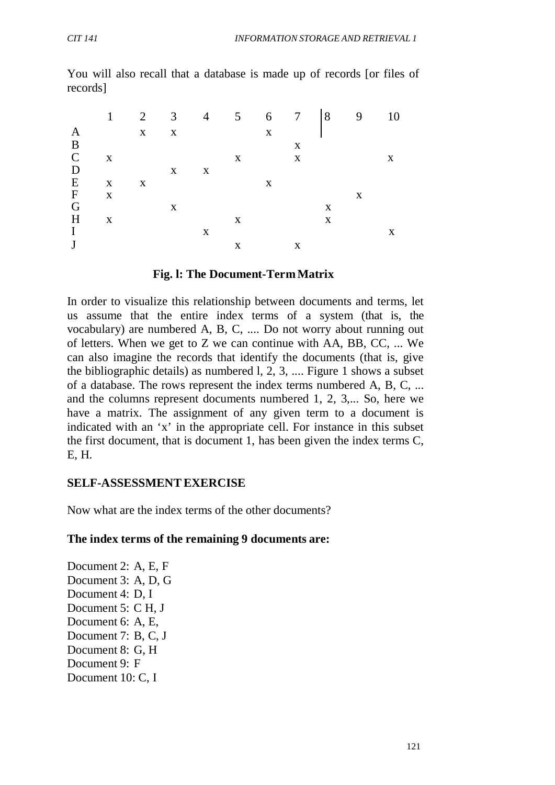|               | 1            |              |              | 2 3 4 5 6 7 8 9 |   |              |                           |   |   | 10 |
|---------------|--------------|--------------|--------------|-----------------|---|--------------|---------------------------|---|---|----|
| A             |              | $X$ $X$      |              |                 |   | $\mathbf{x}$ |                           |   |   |    |
| B             |              |              |              |                 |   |              | X                         |   |   |    |
| $\mathcal{C}$ | $\mathbf{X}$ |              |              |                 | X |              | $\boldsymbol{\mathrm{X}}$ |   |   | X  |
| D             |              |              | $\mathbf{X}$ | $\mathbf{X}$    |   |              |                           |   |   |    |
| E             | $\mathbf{X}$ | $\mathbf{X}$ |              |                 |   | X            |                           |   |   |    |
| $\mathbf F$   | $\mathbf{X}$ |              |              |                 |   |              |                           |   | X |    |
| G             |              |              | X            |                 |   |              |                           | X |   |    |
| H             | $\mathbf{X}$ |              |              |                 | X |              |                           | X |   |    |
| I             |              |              |              | X               |   |              |                           |   |   | X  |
| J             |              |              |              |                 | X |              | X                         |   |   |    |

You will also recall that a database is made up of records [or files of records]

#### **Fig. l: The Document-TermMatrix**

In order to visualize this relationship between documents and terms, let us assume that the entire index terms of a system (that is, the vocabulary) are numbered A, B, C, .... Do not worry about running out of letters. When we get to Z we can continue with AA, BB, CC, ... We can also imagine the records that identify the documents (that is, give the bibliographic details) as numbered l, 2, 3, .... Figure 1 shows a subset of a database. The rows represent the index terms numbered A, B, C, ... and the columns represent documents numbered 1, 2, 3,... So, here we have a matrix. The assignment of any given term to a document is indicated with an 'x' in the appropriate cell. For instance in this subset the first document, that is document 1, has been given the index terms C, E, H.

#### **SELF-ASSESSMENTEXERCISE**

Now what are the index terms of the other documents?

#### **The index terms of the remaining 9 documents are:**

Document 2: A, E, F Document 3: A, D, G Document 4: D, I Document 5: C H, J Document 6: A, E, Document 7: B, C, J Document 8: G, H Document 9: F Document 10: C, I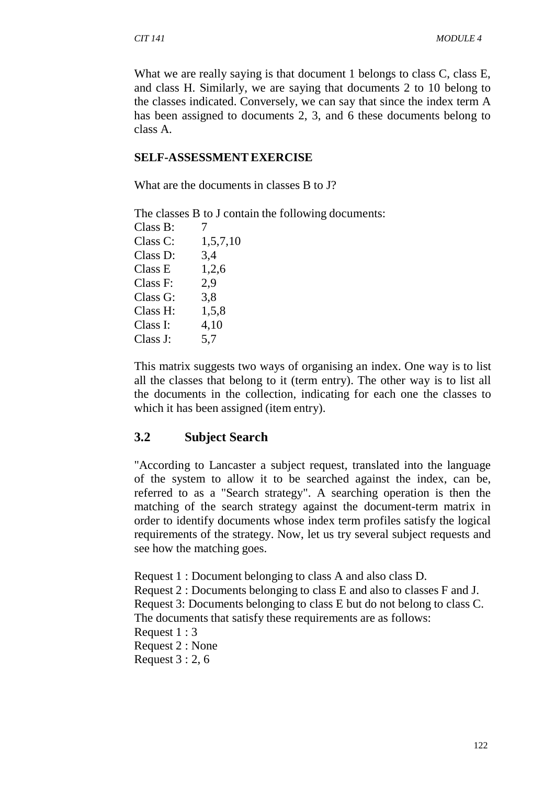What we are really saying is that document 1 belongs to class C, class E, and class H. Similarly, we are saying that documents 2 to 10 belong to the classes indicated. Conversely, we can say that since the index term A has been assigned to documents 2, 3, and 6 these documents belong to class A.

#### **SELF-ASSESSMENTEXERCISE**

What are the documents in classes B to J?

The classes B to J contain the following documents:

| Class B: |          |
|----------|----------|
| Class C: | 1,5,7,10 |
| Class D: | 3,4      |
| Class E  | 1,2,6    |
| Class F: | 2,9      |
| Class G: | 3,8      |
| Class H: | 1,5,8    |
| Class I: | 4,10     |
| Class J: | 5,7      |
|          |          |

This matrix suggests two ways of organising an index. One way is to list all the classes that belong to it (term entry). The other way is to list all the documents in the collection, indicating for each one the classes to which it has been assigned (item entry).

## **3.2 Subject Search**

"According to Lancaster a subject request, translated into the language of the system to allow it to be searched against the index, can be, referred to as a "Search strategy". A searching operation is then the matching of the search strategy against the document-term matrix in order to identify documents whose index term profiles satisfy the logical requirements of the strategy. Now, let us try several subject requests and see how the matching goes.

Request 1 : Document belonging to class A and also class D. Request 2 : Documents belonging to class E and also to classes F and J. Request 3: Documents belonging to class E but do not belong to class C. The documents that satisfy these requirements are as follows: Request 1 : 3 Request 2 : None Request 3 : 2, 6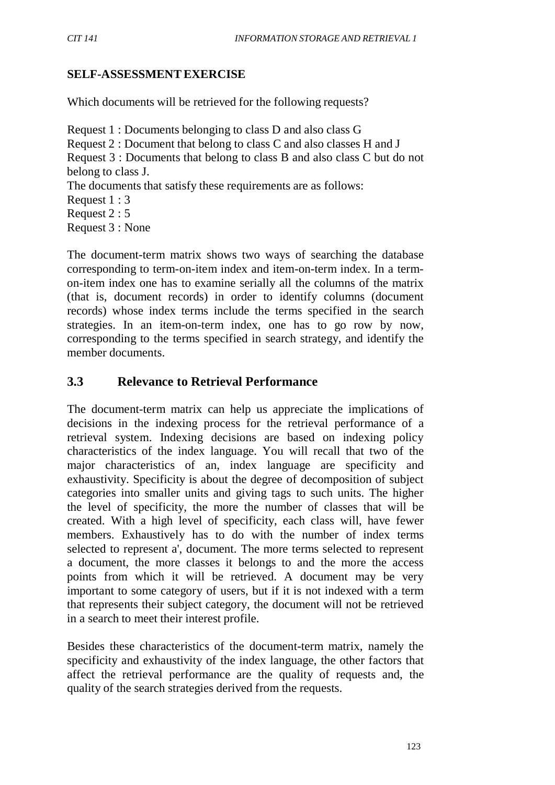### **SELF-ASSESSMENTEXERCISE**

Which documents will be retrieved for the following requests?

Request 1 : Documents belonging to class D and also class G Request 2 : Document that belong to class C and also classes H and J Request 3 : Documents that belong to class B and also class C but do not belong to class J. The documents that satisfy these requirements are as follows: Request 1 : 3 Request 2 : 5 Request 3 : None

The document-term matrix shows two ways of searching the database corresponding to term-on-item index and item-on-term index. In a termon-item index one has to examine serially all the columns of the matrix (that is, document records) in order to identify columns (document records) whose index terms include the terms specified in the search strategies. In an item-on-term index, one has to go row by now, corresponding to the terms specified in search strategy, and identify the member documents.

### **3.3 Relevance to Retrieval Performance**

The document-term matrix can help us appreciate the implications of decisions in the indexing process for the retrieval performance of a retrieval system. Indexing decisions are based on indexing policy characteristics of the index language. You will recall that two of the major characteristics of an, index language are specificity and exhaustivity. Specificity is about the degree of decomposition of subject categories into smaller units and giving tags to such units. The higher the level of specificity, the more the number of classes that will be created. With a high level of specificity, each class will, have fewer members. Exhaustively has to do with the number of index terms selected to represent a', document. The more terms selected to represent a document, the more classes it belongs to and the more the access points from which it will be retrieved. A document may be very important to some category of users, but if it is not indexed with a term that represents their subject category, the document will not be retrieved in a search to meet their interest profile.

Besides these characteristics of the document-term matrix, namely the specificity and exhaustivity of the index language, the other factors that affect the retrieval performance are the quality of requests and, the quality of the search strategies derived from the requests.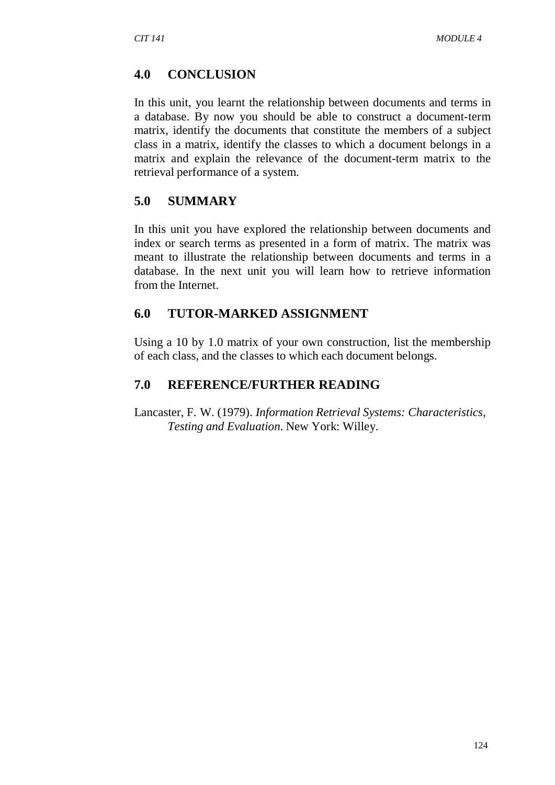### **4.0 CONCLUSION**

In this unit, you learnt the relationship between documents and terms in a database. By now you should be able to construct a document-term matrix, identify the documents that constitute the members of a subject class in a matrix, identify the classes to which a document belongs in a matrix and explain the relevance of the document-term matrix to the retrieval performance of a system.

### **5.0 SUMMARY**

In this unit you have explored the relationship between documents and index or search terms as presented in a form of matrix. The matrix was meant to illustrate the relationship between documents and terms in a database. In the next unit you will learn how to retrieve information from the Internet.

### **6.0 TUTOR-MARKED ASSIGNMENT**

Using a 10 by 1.0 matrix of your own construction, list the membership of each class, and the classes to which each document belongs.

### **7.0 REFERENCE/FURTHER READING**

Lancaster, F. W. (1979). *Information Retrieval Systems: Characteristics, Testing and Evaluation*. New York: Willey.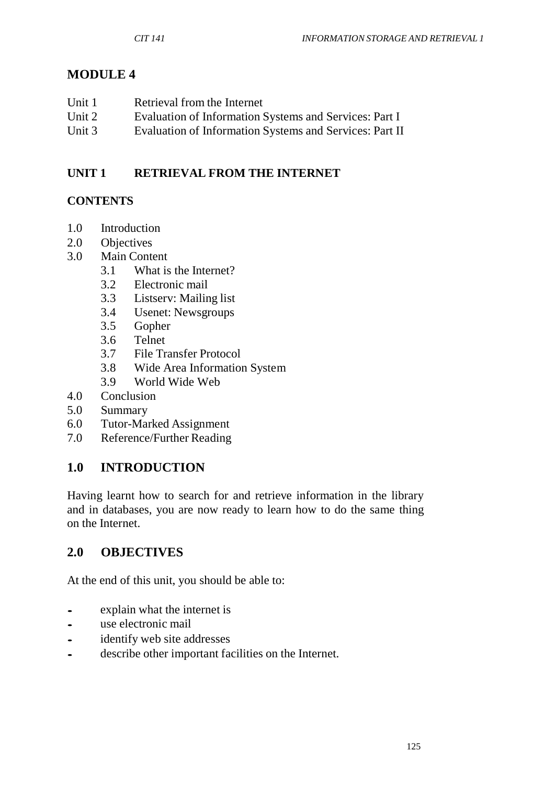# **MODULE 4**

| Unit 1 | Retrieval from the Internet                             |
|--------|---------------------------------------------------------|
| Unit 2 | Evaluation of Information Systems and Services: Part I  |
| Unit 3 | Evaluation of Information Systems and Services: Part II |

### **UNIT 1 RETRIEVAL FROM THE INTERNET**

## **CONTENTS**

- 1.0 Introduction
- 2.0 Objectives
- 3.0 Main Content
	- 3.1 What is the Internet?
	- 3.2 Electronic mail
	- 3.3 Listserv: Mailing list
	- 3.4 Usenet: Newsgroups
	- 3.5 Gopher
	- 3.6 Telnet
	- 3.7 File Transfer Protocol
	- 3.8 Wide Area Information System
	- 3.9 World Wide Web
- 4.0 Conclusion
- 5.0 Summary
- 6.0 Tutor-Marked Assignment
- 7.0 Reference/Further Reading

# **1.0 INTRODUCTION**

Having learnt how to search for and retrieve information in the library and in databases, you are now ready to learn how to do the same thing on the Internet.

## **2.0 OBJECTIVES**

At the end of this unit, you should be able to:

- explain what the internet is<br>• use electronic mail
- use electronic mail<br>• identify web site ad
- identify web site addresses<br>• describe other important fa
- describe other important facilities on the Internet.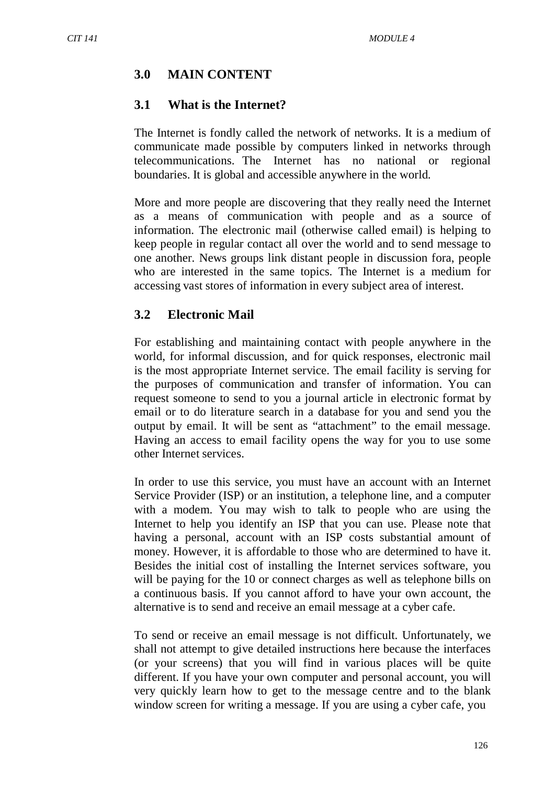# **3.0 MAIN CONTENT**

### **3.1 What is the Internet?**

The Internet is fondly called the network of networks. It is a medium of communicate made possible by computers linked in networks through telecommunications. The Internet has no national or regional boundaries. It is global and accessible anywhere in the world.

More and more people are discovering that they really need the Internet as a means of communication with people and as a source of information. The electronic mail (otherwise called email) is helping to keep people in regular contact all over the world and to send message to one another. News groups link distant people in discussion fora, people who are interested in the same topics. The Internet is a medium for accessing vast stores of information in every subject area of interest.

### **3.2 Electronic Mail**

For establishing and maintaining contact with people anywhere in the world, for informal discussion, and for quick responses, electronic mail is the most appropriate Internet service. The email facility is serving for the purposes of communication and transfer of information. You can request someone to send to you a journal article in electronic format by email or to do literature search in a database for you and send you the output by email. It will be sent as "attachment" to the email message. Having an access to email facility opens the way for you to use some other Internet services.

In order to use this service, you must have an account with an Internet Service Provider (ISP) or an institution, a telephone line, and a computer with a modem. You may wish to talk to people who are using the Internet to help you identify an ISP that you can use. Please note that having a personal, account with an ISP costs substantial amount of money. However, it is affordable to those who are determined to have it. Besides the initial cost of installing the Internet services software, you will be paying for the 10 or connect charges as well as telephone bills on a continuous basis. If you cannot afford to have your own account, the alternative is to send and receive an email message at a cyber cafe.

To send or receive an email message is not difficult. Unfortunately, we shall not attempt to give detailed instructions here because the interfaces (or your screens) that you will find in various places will be quite different. If you have your own computer and personal account, you will very quickly learn how to get to the message centre and to the blank window screen for writing a message. If you are using a cyber cafe, you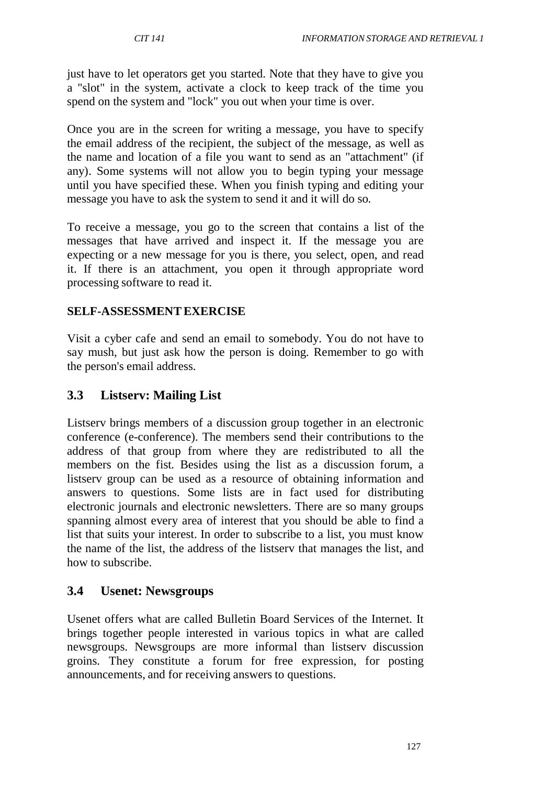just have to let operators get you started. Note that they have to give you a "slot" in the system, activate a clock to keep track of the time you spend on the system and "lock" you out when your time is over.

Once you are in the screen for writing a message, you have to specify the email address of the recipient, the subject of the message, as well as the name and location of a file you want to send as an "attachment" (if any). Some systems will not allow you to begin typing your message until you have specified these. When you finish typing and editing your message you have to ask the system to send it and it will do so.

To receive a message, you go to the screen that contains a list of the messages that have arrived and inspect it. If the message you are expecting or a new message for you is there, you select, open, and read it. If there is an attachment, you open it through appropriate word processing software to read it.

### **SELF-ASSESSMENTEXERCISE**

Visit a cyber cafe and send an email to somebody. You do not have to say mush, but just ask how the person is doing. Remember to go with the person's email address.

### **3.3 Listserv: Mailing List**

Listserv brings members of a discussion group together in an electronic conference (e-conference). The members send their contributions to the address of that group from where they are redistributed to all the members on the fist. Besides using the list as a discussion forum, a listserv group can be used as a resource of obtaining information and answers to questions. Some lists are in fact used for distributing electronic journals and electronic newsletters. There are so many groups spanning almost every area of interest that you should be able to find a list that suits your interest. In order to subscribe to a list, you must know the name of the list, the address of the listserv that manages the list, and how to subscribe.

### **3.4 Usenet: Newsgroups**

Usenet offers what are called Bulletin Board Services of the Internet. It brings together people interested in various topics in what are called newsgroups. Newsgroups are more informal than listserv discussion groins. They constitute a forum for free expression, for posting announcements, and for receiving answers to questions.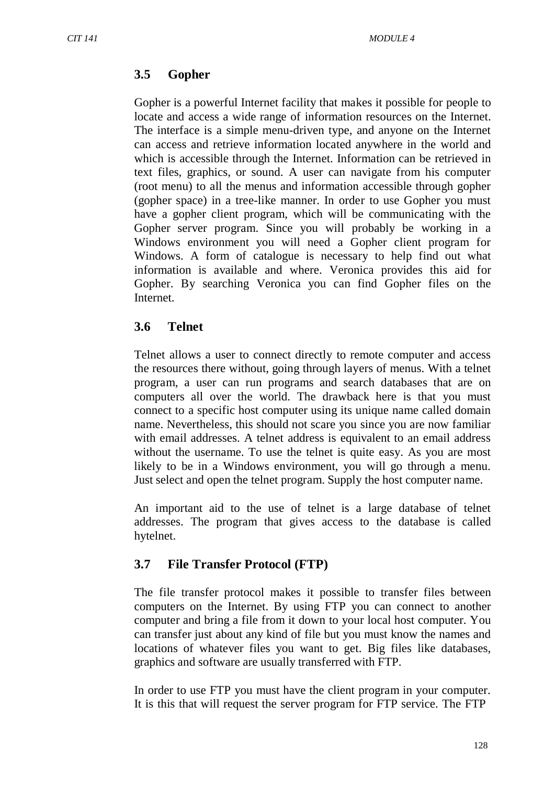# **3.5 Gopher**

Gopher is a powerful Internet facility that makes it possible for people to locate and access a wide range of information resources on the Internet. The interface is a simple menu-driven type, and anyone on the Internet can access and retrieve information located anywhere in the world and which is accessible through the Internet. Information can be retrieved in text files, graphics, or sound. A user can navigate from his computer (root menu) to all the menus and information accessible through gopher (gopher space) in a tree-like manner. In order to use Gopher you must have a gopher client program, which will be communicating with the Gopher server program. Since you will probably be working in a Windows environment you will need a Gopher client program for Windows. A form of catalogue is necessary to help find out what information is available and where. Veronica provides this aid for Gopher. By searching Veronica you can find Gopher files on the Internet.

## **3.6 Telnet**

Telnet allows a user to connect directly to remote computer and access the resources there without, going through layers of menus. With a telnet program, a user can run programs and search databases that are on computers all over the world. The drawback here is that you must connect to a specific host computer using its unique name called domain name. Nevertheless, this should not scare you since you are now familiar with email addresses. A telnet address is equivalent to an email address without the username. To use the telnet is quite easy. As you are most likely to be in a Windows environment, you will go through a menu. Just select and open the telnet program. Supply the host computer name.

An important aid to the use of telnet is a large database of telnet addresses. The program that gives access to the database is called hytelnet.

## **3.7 File Transfer Protocol (FTP)**

The file transfer protocol makes it possible to transfer files between computers on the Internet. By using FTP you can connect to another computer and bring a file from it down to your local host computer. You can transfer just about any kind of file but you must know the names and locations of whatever files you want to get. Big files like databases, graphics and software are usually transferred with FTP.

In order to use FTP you must have the client program in your computer. It is this that will request the server program for FTP service. The FTP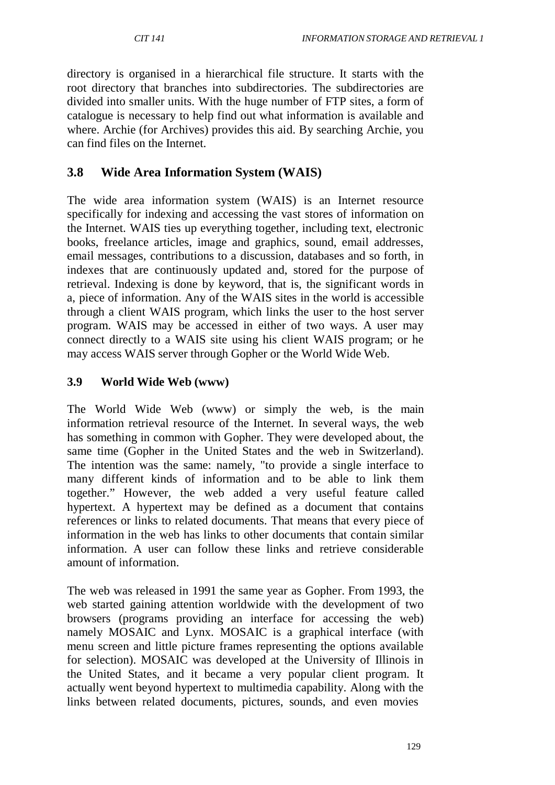directory is organised in a hierarchical file structure. It starts with the root directory that branches into subdirectories. The subdirectories are divided into smaller units. With the huge number of FTP sites, a form of catalogue is necessary to help find out what information is available and where. Archie (for Archives) provides this aid. By searching Archie, you can find files on the Internet.

## **3.8 Wide Area Information System (WAIS)**

The wide area information system (WAIS) is an Internet resource specifically for indexing and accessing the vast stores of information on the Internet. WAIS ties up everything together, including text, electronic books, freelance articles, image and graphics, sound, email addresses, email messages, contributions to a discussion, databases and so forth, in indexes that are continuously updated and, stored for the purpose of retrieval. Indexing is done by keyword, that is, the significant words in a, piece of information. Any of the WAIS sites in the world is accessible through a client WAIS program, which links the user to the host server program. WAIS may be accessed in either of two ways. A user may connect directly to a WAIS site using his client WAIS program; or he may access WAIS server through Gopher or the World Wide Web.

### **3.9 World Wide Web (www)**

The World Wide Web (www) or simply the web, is the main information retrieval resource of the Internet. In several ways, the web has something in common with Gopher. They were developed about, the same time (Gopher in the United States and the web in Switzerland). The intention was the same: namely, "to provide a single interface to many different kinds of information and to be able to link them together." However, the web added a very useful feature called hypertext. A hypertext may be defined as a document that contains references or links to related documents. That means that every piece of information in the web has links to other documents that contain similar information. A user can follow these links and retrieve considerable amount of information.

The web was released in 1991 the same year as Gopher. From 1993, the web started gaining attention worldwide with the development of two browsers (programs providing an interface for accessing the web) namely MOSAIC and Lynx. MOSAIC is a graphical interface (with menu screen and little picture frames representing the options available for selection). MOSAIC was developed at the University of Illinois in the United States, and it became a very popular client program. It actually went beyond hypertext to multimedia capability. Along with the links between related documents, pictures, sounds, and even movies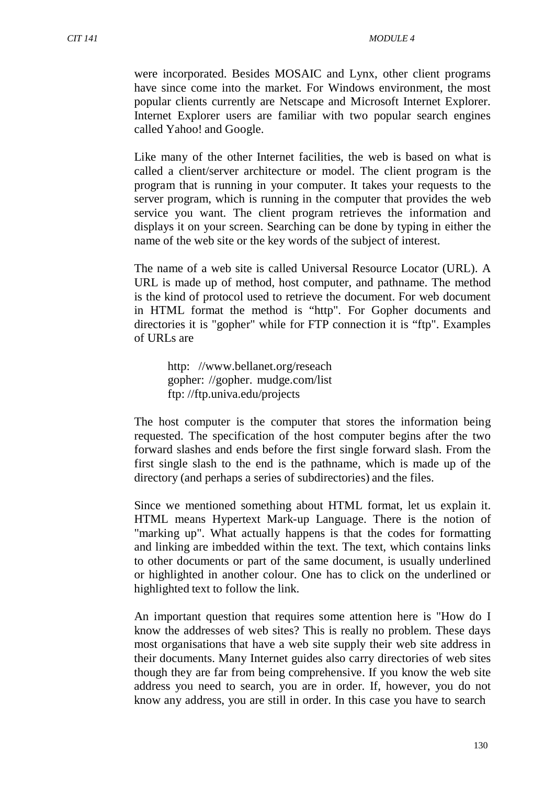were incorporated. Besides MOSAIC and Lynx, other client programs have since come into the market. For Windows environment, the most popular clients currently are Netscape and Microsoft Internet Explorer. Internet Explorer users are familiar with two popular search engines called Yahoo! and Google.

Like many of the other Internet facilities, the web is based on what is called a client/server architecture or model. The client program is the program that is running in your computer. It takes your requests to the server program, which is running in the computer that provides the web service you want. The client program retrieves the information and displays it on your screen. Searching can be done by typing in either the name of the web site or the key words of the subject of interest.

The name of a web site is called Universal Resource Locator (URL). A URL is made up of method, host computer, and pathname. The method is the kind of protocol used to retrieve the document. For web document in HTML format the method is "http". For Gopher documents and directories it is "gopher" while for FTP connection it is "ftp". Examples of URLs are

http: [//www.bellanet.org/reseach](http://www.bellanet.org/reseach) gopher: //gopher. mudge.com/list ftp: //ftp.univa.edu/projects

The host computer is the computer that stores the information being requested. The specification of the host computer begins after the two forward slashes and ends before the first single forward slash. From the first single slash to the end is the pathname, which is made up of the directory (and perhaps a series of subdirectories) and the files.

Since we mentioned something about HTML format, let us explain it. HTML means Hypertext Mark-up Language. There is the notion of "marking up". What actually happens is that the codes for formatting and linking are imbedded within the text. The text, which contains links to other documents or part of the same document, is usually underlined or highlighted in another colour. One has to click on the underlined or highlighted text to follow the link.

An important question that requires some attention here is "How do I know the addresses of web sites? This is really no problem. These days most organisations that have a web site supply their web site address in their documents. Many Internet guides also carry directories of web sites though they are far from being comprehensive. If you know the web site address you need to search, you are in order. If, however, you do not know any address, you are still in order. In this case you have to search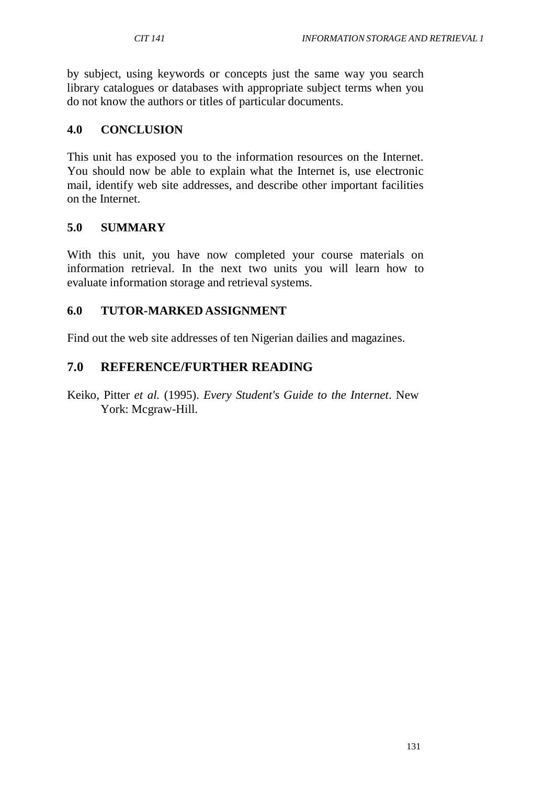by subject, using keywords or concepts just the same way you search library catalogues or databases with appropriate subject terms when you do not know the authors or titles of particular documents.

#### **4.0 CONCLUSION**

This unit has exposed you to the information resources on the Internet. You should now be able to explain what the Internet is, use electronic mail, identify web site addresses, and describe other important facilities on the Internet.

#### **5.0 SUMMARY**

With this unit, you have now completed your course materials on information retrieval. In the next two units you will learn how to evaluate information storage and retrieval systems.

#### **6.0 TUTOR-MARKED ASSIGNMENT**

Find out the web site addresses of ten Nigerian dailies and magazines.

### **7.0 REFERENCE/FURTHER READING**

Keiko, Pitter *et al.* (1995). *Every Student's Guide to the Internet*. New York: Mcgraw-Hill.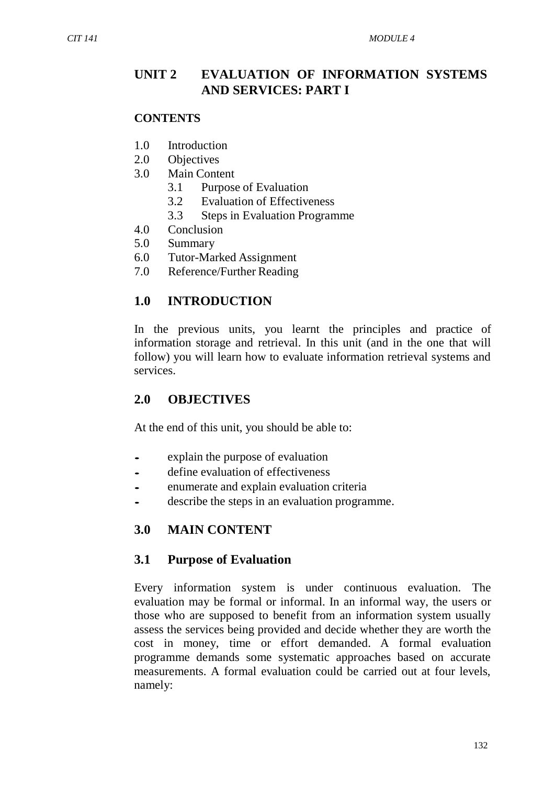## **UNIT 2 EVALUATION OF INFORMATION SYSTEMS AND SERVICES: PART I**

#### **CONTENTS**

- 1.0 Introduction
- 2.0 Objectives
- 3.0 Main Content
	- 3.1 Purpose of Evaluation
	- 3.2 Evaluation of Effectiveness
	- 3.3 Steps in Evaluation Programme
- 4.0 Conclusion
- 5.0 Summary
- 6.0 Tutor-Marked Assignment
- 7.0 Reference/Further Reading

### **1.0 INTRODUCTION**

In the previous units, you learnt the principles and practice of information storage and retrieval. In this unit (and in the one that will follow) you will learn how to evaluate information retrieval systems and services.

### **2.0 OBJECTIVES**

At the end of this unit, you should be able to:

- explain the purpose of evaluation<br>• define evaluation of effectiveness
- define evaluation of effectiveness<br>• enumerate and explain evaluation
- enumerate and explain evaluation criteria
- describe the steps in an evaluation programme.

### **3.0 MAIN CONTENT**

### **3.1 Purpose of Evaluation**

Every information system is under continuous evaluation. The evaluation may be formal or informal. In an informal way, the users or those who are supposed to benefit from an information system usually assess the services being provided and decide whether they are worth the cost in money, time or effort demanded. A formal evaluation programme demands some systematic approaches based on accurate measurements. A formal evaluation could be carried out at four levels, namely: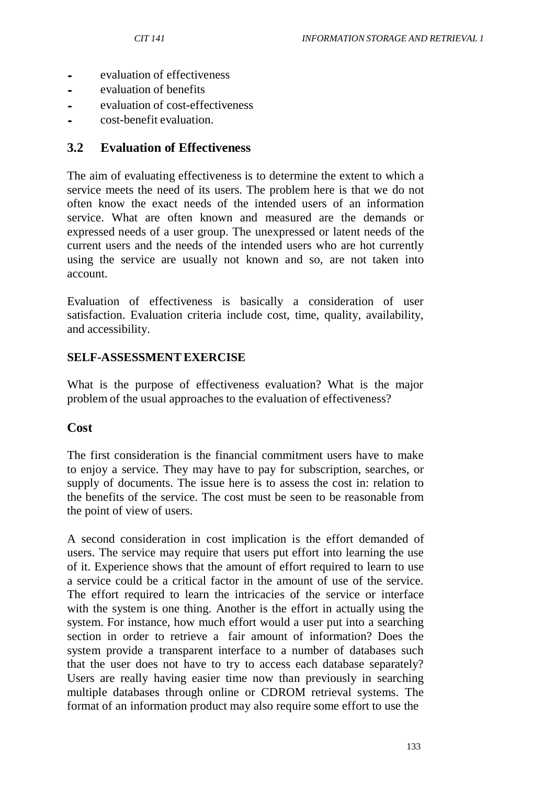- evaluation of effectiveness<br>• evaluation of benefits
- evaluation of benefits
- evaluation of cost-effectiveness
- cost-benefit evaluation.

## **3.2 Evaluation of Effectiveness**

The aim of evaluating effectiveness is to determine the extent to which a service meets the need of its users. The problem here is that we do not often know the exact needs of the intended users of an information service. What are often known and measured are the demands or expressed needs of a user group. The unexpressed or latent needs of the current users and the needs of the intended users who are hot currently using the service are usually not known and so, are not taken into account.

Evaluation of effectiveness is basically a consideration of user satisfaction. Evaluation criteria include cost, time, quality, availability, and accessibility.

## **SELF-ASSESSMENTEXERCISE**

What is the purpose of effectiveness evaluation? What is the major problem of the usual approaches to the evaluation of effectiveness?

#### **Cost**

The first consideration is the financial commitment users have to make to enjoy a service. They may have to pay for subscription, searches, or supply of documents. The issue here is to assess the cost in: relation to the benefits of the service. The cost must be seen to be reasonable from the point of view of users.

A second consideration in cost implication is the effort demanded of users. The service may require that users put effort into learning the use of it. Experience shows that the amount of effort required to learn to use a service could be a critical factor in the amount of use of the service. The effort required to learn the intricacies of the service or interface with the system is one thing. Another is the effort in actually using the system. For instance, how much effort would a user put into a searching section in order to retrieve a fair amount of information? Does the system provide a transparent interface to a number of databases such that the user does not have to try to access each database separately? Users are really having easier time now than previously in searching multiple databases through online or CDROM retrieval systems. The format of an information product may also require some effort to use the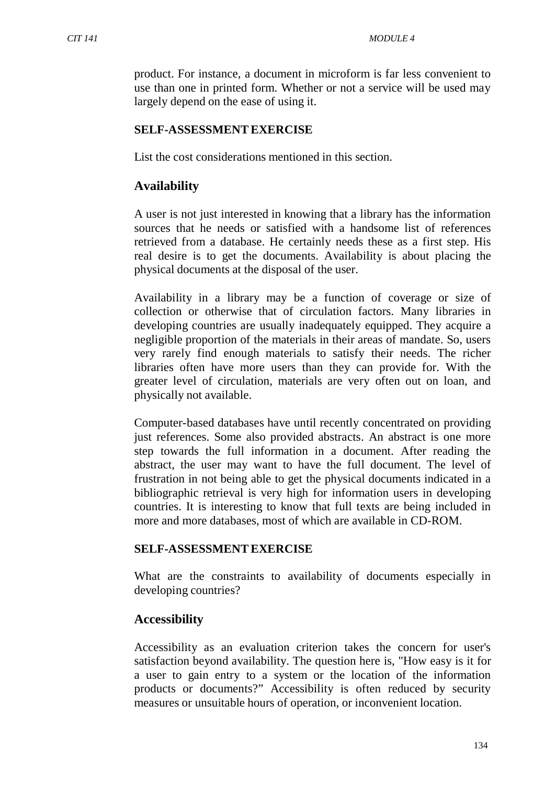product. For instance, a document in microform is far less convenient to use than one in printed form. Whether or not a service will be used may largely depend on the ease of using it.

# **SELF-ASSESSMENTEXERCISE**

List the cost considerations mentioned in this section.

# **Availability**

A user is not just interested in knowing that a library has the information sources that he needs or satisfied with a handsome list of references retrieved from a database. He certainly needs these as a first step. His real desire is to get the documents. Availability is about placing the physical documents at the disposal of the user.

Availability in a library may be a function of coverage or size of collection or otherwise that of circulation factors. Many libraries in developing countries are usually inadequately equipped. They acquire a negligible proportion of the materials in their areas of mandate. So, users very rarely find enough materials to satisfy their needs. The richer libraries often have more users than they can provide for. With the greater level of circulation, materials are very often out on loan, and physically not available.

Computer-based databases have until recently concentrated on providing just references. Some also provided abstracts. An abstract is one more step towards the full information in a document. After reading the abstract, the user may want to have the full document. The level of frustration in not being able to get the physical documents indicated in a bibliographic retrieval is very high for information users in developing countries. It is interesting to know that full texts are being included in more and more databases, most of which are available in CD-ROM.

#### **SELF-ASSESSMENTEXERCISE**

What are the constraints to availability of documents especially in developing countries?

# **Accessibility**

Accessibility as an evaluation criterion takes the concern for user's satisfaction beyond availability. The question here is, "How easy is it for a user to gain entry to a system or the location of the information products or documents?" Accessibility is often reduced by security measures or unsuitable hours of operation, or inconvenient location.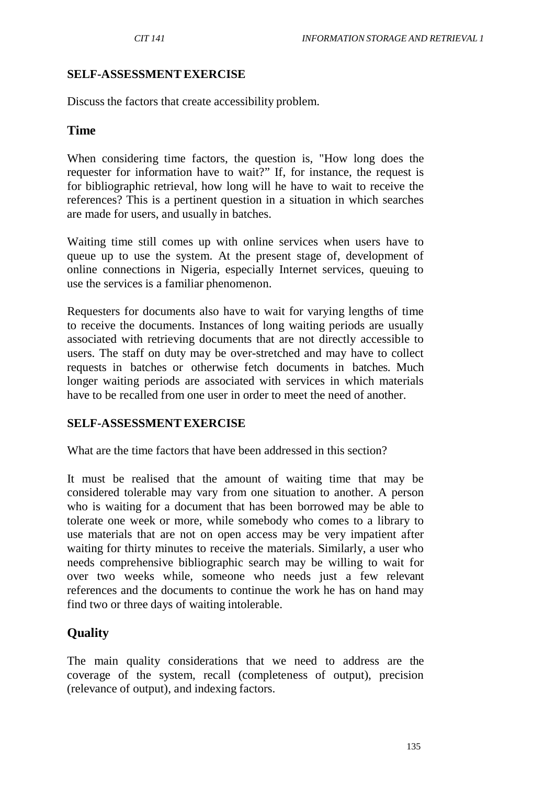#### **SELF-ASSESSMENTEXERCISE**

Discuss the factors that create accessibility problem.

#### **Time**

When considering time factors, the question is, "How long does the requester for information have to wait?" If, for instance, the request is for bibliographic retrieval, how long will he have to wait to receive the references? This is a pertinent question in a situation in which searches are made for users, and usually in batches.

Waiting time still comes up with online services when users have to queue up to use the system. At the present stage of, development of online connections in Nigeria, especially Internet services, queuing to use the services is a familiar phenomenon.

Requesters for documents also have to wait for varying lengths of time to receive the documents. Instances of long waiting periods are usually associated with retrieving documents that are not directly accessible to users. The staff on duty may be over-stretched and may have to collect requests in batches or otherwise fetch documents in batches. Much longer waiting periods are associated with services in which materials have to be recalled from one user in order to meet the need of another.

#### **SELF-ASSESSMENTEXERCISE**

What are the time factors that have been addressed in this section?

It must be realised that the amount of waiting time that may be considered tolerable may vary from one situation to another. A person who is waiting for a document that has been borrowed may be able to tolerate one week or more, while somebody who comes to a library to use materials that are not on open access may be very impatient after waiting for thirty minutes to receive the materials. Similarly, a user who needs comprehensive bibliographic search may be willing to wait for over two weeks while, someone who needs just a few relevant references and the documents to continue the work he has on hand may find two or three days of waiting intolerable.

# **Quality**

The main quality considerations that we need to address are the coverage of the system, recall (completeness of output), precision (relevance of output), and indexing factors.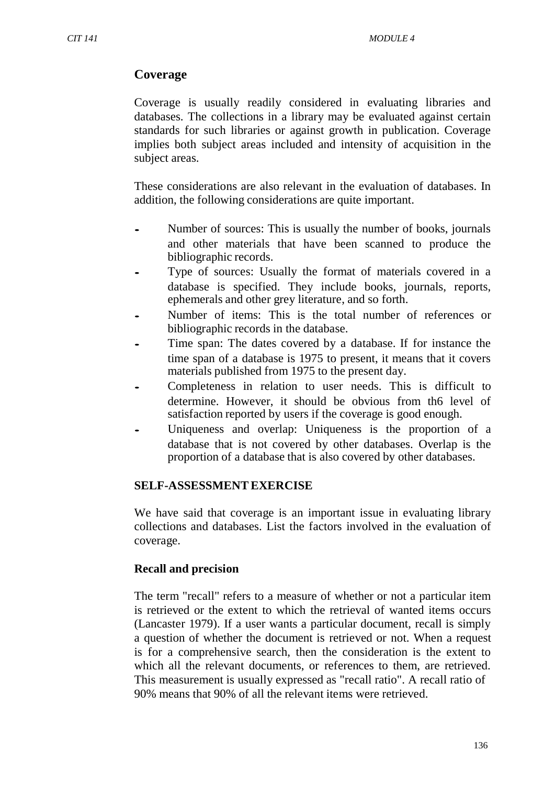# **Coverage**

Coverage is usually readily considered in evaluating libraries and databases. The collections in a library may be evaluated against certain standards for such libraries or against growth in publication. Coverage implies both subject areas included and intensity of acquisition in the subject areas.

These considerations are also relevant in the evaluation of databases. In addition, the following considerations are quite important.

- Number of sources: This is usually the number of books, journals and other materials that have been scanned to produce the bibliographic records.
- Type of sources: Usually the format of materials covered in a database is specified. They include books, journals, reports, ephemerals and other grey literature, and so forth.
- Number of items: This is the total number of references or bibliographic records in the database.
- Time span: The dates covered by a database. If for instance the time span of a database is 1975 to present, it means that it covers materials published from 1975 to the present day.
- Completeness in relation to user needs. This is difficult to determine. However, it should be obvious from th6 level of satisfaction reported by users if the coverage is good enough.
- Uniqueness and overlap: Uniqueness is the proportion of a database that is not covered by other databases. Overlap is the proportion of a database that is also covered by other databases.

#### **SELF-ASSESSMENTEXERCISE**

We have said that coverage is an important issue in evaluating library collections and databases. List the factors involved in the evaluation of coverage.

# **Recall and precision**

The term "recall" refers to a measure of whether or not a particular item is retrieved or the extent to which the retrieval of wanted items occurs (Lancaster 1979). If a user wants a particular document, recall is simply a question of whether the document is retrieved or not. When a request is for a comprehensive search, then the consideration is the extent to which all the relevant documents, or references to them, are retrieved. This measurement is usually expressed as "recall ratio". A recall ratio of 90% means that 90% of all the relevant items were retrieved.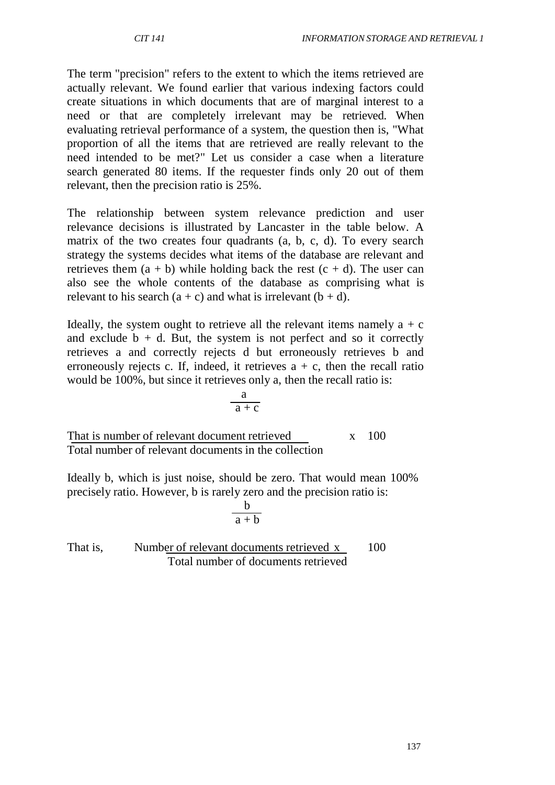The term "precision" refers to the extent to which the items retrieved are actually relevant. We found earlier that various indexing factors could create situations in which documents that are of marginal interest to a need or that are completely irrelevant may be retrieved. When evaluating retrieval performance of a system, the question then is, "What proportion of all the items that are retrieved are really relevant to the need intended to be met?" Let us consider a case when a literature search generated 80 items. If the requester finds only 20 out of them relevant, then the precision ratio is 25%.

The relationship between system relevance prediction and user relevance decisions is illustrated by Lancaster in the table below. A matrix of the two creates four quadrants (a, b, c, d). To every search strategy the systems decides what items of the database are relevant and retrieves them  $(a + b)$  while holding back the rest  $(c + d)$ . The user can also see the whole contents of the database as comprising what is relevant to his search  $(a + c)$  and what is irrelevant  $(b + d)$ .

Ideally, the system ought to retrieve all the relevant items namely  $a + c$ and exclude  $b + d$ . But, the system is not perfect and so it correctly retrieves a and correctly rejects d but erroneously retrieves b and erroneously rejects c. If, indeed, it retrieves  $a + c$ , then the recall ratio would be 100%, but since it retrieves only a, then the recall ratio is:

$$
\frac{a}{a+c}
$$

That is number of relevant document retrieved x 100 Total number of relevant documents in the collection

Ideally b, which is just noise, should be zero. That would mean 100% precisely ratio. However, b is rarely zero and the precision ratio is:

$$
\frac{b}{a+b}
$$

That is, Number of relevant documents retrieved x 100 Total number of documents retrieved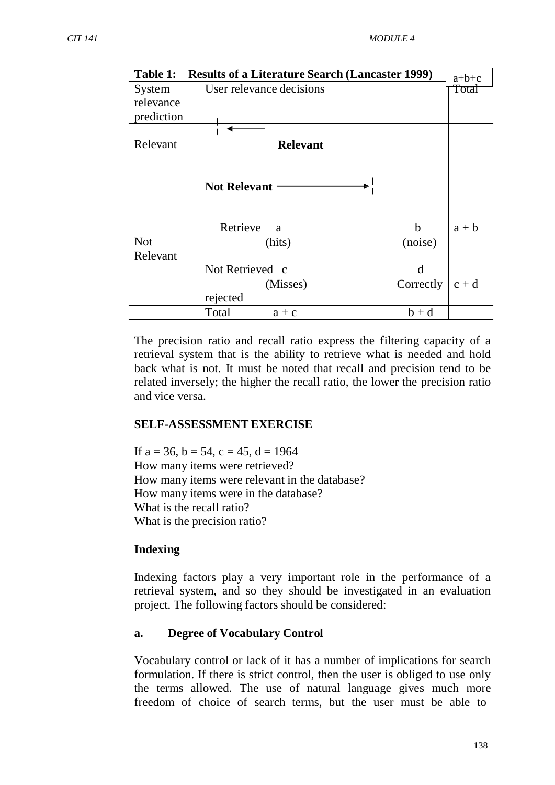| Table 1:   | <b>Results of a Literature Search (Lancaster 1999)</b> | $a+b+c$ |
|------------|--------------------------------------------------------|---------|
| System     | User relevance decisions                               | Total   |
| relevance  |                                                        |         |
| prediction |                                                        |         |
|            |                                                        |         |
| Relevant   | <b>Relevant</b>                                        |         |
|            |                                                        |         |
|            | <b>Not Relevant</b>                                    |         |
|            | Retrieve<br>b<br><sub>a</sub>                          | $a + b$ |
| <b>Not</b> | (noise)<br>(hits)                                      |         |
| Relevant   |                                                        |         |
|            | Not Retrieved c<br>d                                   |         |
|            | Correctly<br>(Misses)                                  | $c + d$ |
|            | rejected                                               |         |
|            | Total<br>$b + d$<br>$a + c$                            |         |

The precision ratio and recall ratio express the filtering capacity of a retrieval system that is the ability to retrieve what is needed and hold back what is not. It must be noted that recall and precision tend to be related inversely; the higher the recall ratio, the lower the precision ratio and vice versa.

#### **SELF-ASSESSMENTEXERCISE**

If  $a = 36$ ,  $b = 54$ ,  $c = 45$ ,  $d = 1964$ How many items were retrieved? How many items were relevant in the database? How many items were in the database? What is the recall ratio? What is the precision ratio?

#### **Indexing**

Indexing factors play a very important role in the performance of a retrieval system, and so they should be investigated in an evaluation project. The following factors should be considered:

#### **a. Degree of Vocabulary Control**

Vocabulary control or lack of it has a number of implications for search formulation. If there is strict control, then the user is obliged to use only the terms allowed. The use of natural language gives much more freedom of choice of search terms, but the user must be able to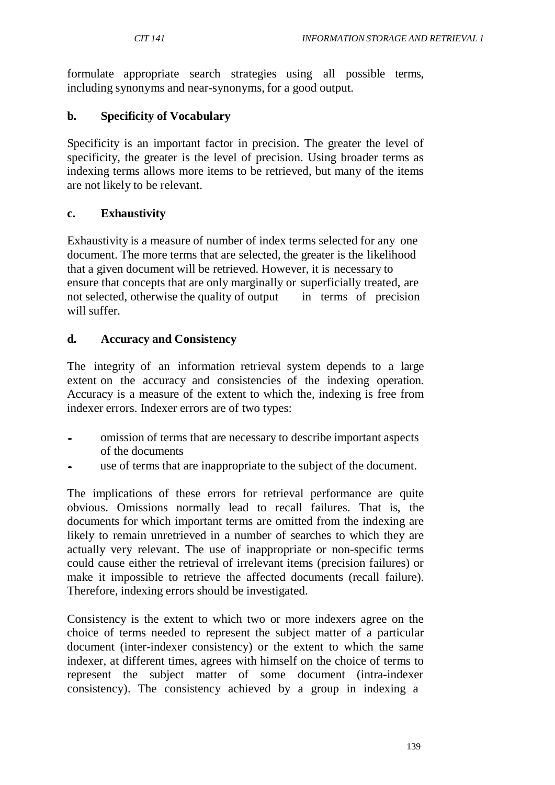formulate appropriate search strategies using all possible terms, including synonyms and near-synonyms, for a good output.

# **b. Specificity of Vocabulary**

Specificity is an important factor in precision. The greater the level of specificity, the greater is the level of precision. Using broader terms as indexing terms allows more items to be retrieved, but many of the items are not likely to be relevant.

#### **c. Exhaustivity**

Exhaustivity is a measure of number of index terms selected for any one document. The more terms that are selected, the greater is the likelihood that a given document will be retrieved. However, it is necessary to ensure that concepts that are only marginally or superficially treated, are not selected, otherwise the quality of output in terms of precision will suffer.

## **d. Accuracy and Consistency**

The integrity of an information retrieval system depends to a large extent on the accuracy and consistencies of the indexing operation. Accuracy is a measure of the extent to which the, indexing is free from indexer errors. Indexer errors are of two types:

- omission of terms that are necessary to describe important aspects of the documents
- use of terms that are inappropriate to the subject of the document.

The implications of these errors for retrieval performance are quite obvious. Omissions normally lead to recall failures. That is, the documents for which important terms are omitted from the indexing are likely to remain unretrieved in a number of searches to which they are actually very relevant. The use of inappropriate or non-specific terms could cause either the retrieval of irrelevant items (precision failures) or make it impossible to retrieve the affected documents (recall failure). Therefore, indexing errors should be investigated.

Consistency is the extent to which two or more indexers agree on the choice of terms needed to represent the subject matter of a particular document (inter-indexer consistency) or the extent to which the same indexer, at different times, agrees with himself on the choice of terms to represent the subject matter of some document (intra-indexer consistency). The consistency achieved by a group in indexing a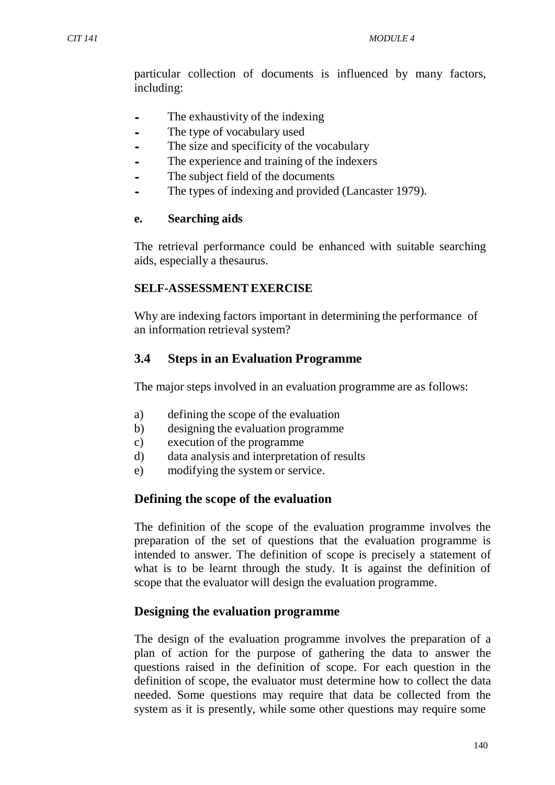particular collection of documents is influenced by many factors, including:

- The exhaustivity of the indexing<br>The type of vocabulary used
- The type of vocabulary used
- The size and specificity of the vocabulary
- The experience and training of the indexers
- The subject field of the documents
- The types of indexing and provided (Lancaster 1979).

#### **e. Searching aids**

The retrieval performance could be enhanced with suitable searching aids, especially a thesaurus.

#### **SELF-ASSESSMENTEXERCISE**

Why are indexing factors important in determining the performance of an information retrieval system?

# **3.4 Steps in an Evaluation Programme**

The major steps involved in an evaluation programme are as follows:

- a) defining the scope of the evaluation
- b) designing the evaluation programme
- c) execution of the programme
- d) data analysis and interpretation of results
- e) modifying the system or service.

# **Defining the scope of the evaluation**

The definition of the scope of the evaluation programme involves the preparation of the set of questions that the evaluation programme is intended to answer. The definition of scope is precisely a statement of what is to be learnt through the study. It is against the definition of scope that the evaluator will design the evaluation programme.

#### **Designing the evaluation programme**

The design of the evaluation programme involves the preparation of a plan of action for the purpose of gathering the data to answer the questions raised in the definition of scope. For each question in the definition of scope, the evaluator must determine how to collect the data needed. Some questions may require that data be collected from the system as it is presently, while some other questions may require some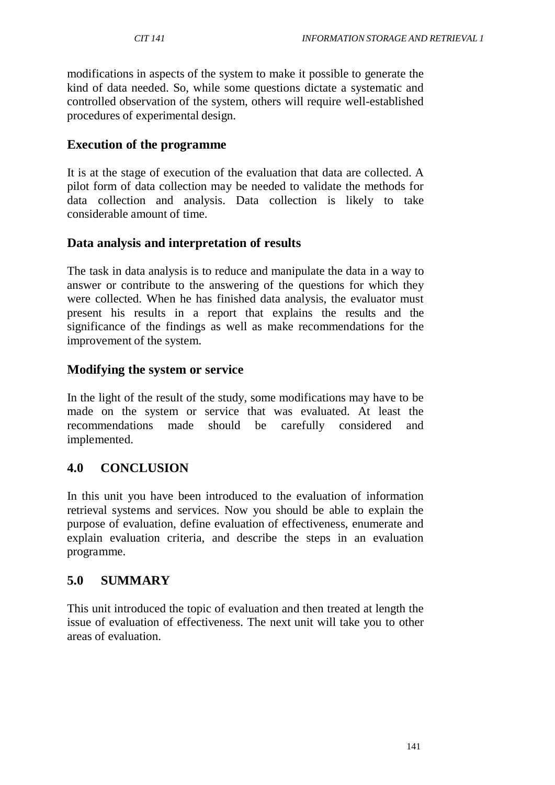modifications in aspects of the system to make it possible to generate the kind of data needed. So, while some questions dictate a systematic and controlled observation of the system, others will require well-established procedures of experimental design.

## **Execution of the programme**

It is at the stage of execution of the evaluation that data are collected. A pilot form of data collection may be needed to validate the methods for data collection and analysis. Data collection is likely to take considerable amount of time.

## **Data analysis and interpretation of results**

The task in data analysis is to reduce and manipulate the data in a way to answer or contribute to the answering of the questions for which they were collected. When he has finished data analysis, the evaluator must present his results in a report that explains the results and the significance of the findings as well as make recommendations for the improvement of the system.

## **Modifying the system or service**

In the light of the result of the study, some modifications may have to be made on the system or service that was evaluated. At least the recommendations made should be carefully considered and implemented.

# **4.0 CONCLUSION**

In this unit you have been introduced to the evaluation of information retrieval systems and services. Now you should be able to explain the purpose of evaluation, define evaluation of effectiveness, enumerate and explain evaluation criteria, and describe the steps in an evaluation programme.

# **5.0 SUMMARY**

This unit introduced the topic of evaluation and then treated at length the issue of evaluation of effectiveness. The next unit will take you to other areas of evaluation.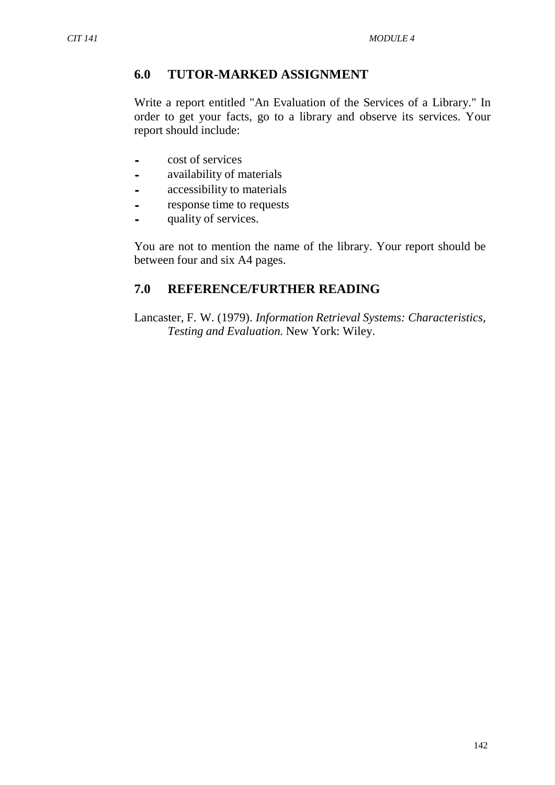## **6.0 TUTOR-MARKED ASSIGNMENT**

Write a report entitled "An Evaluation of the Services of a Library." In order to get your facts, go to a library and observe its services. Your report should include:

- cost of services<br>• availability of n
- availability of materials<br>• accessibility to materials
- accessibility to materials<br>• response time to requests
- response time to requests
- quality of services.

You are not to mention the name of the library. Your report should be between four and six A4 pages.

## **7.0 REFERENCE/FURTHER READING**

Lancaster, F. W. (1979). *Information Retrieval Systems: Characteristics, Testing and Evaluation.* New York: Wiley.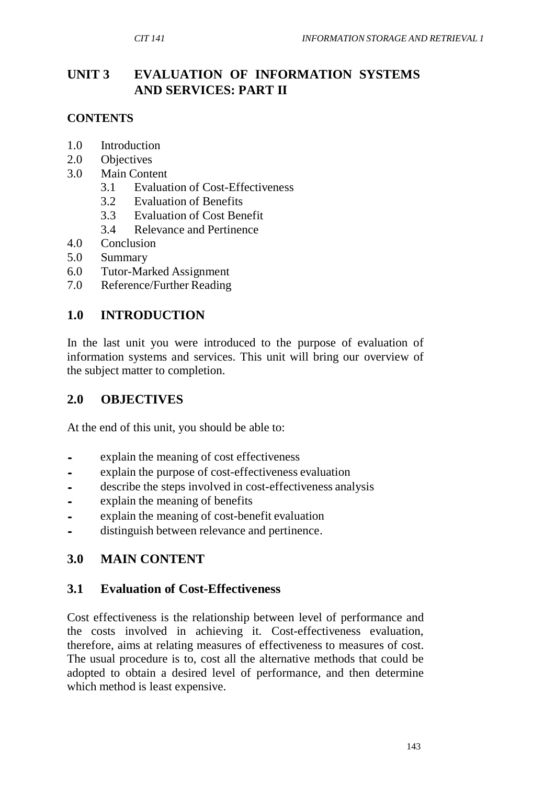# **UNIT 3 EVALUATION OF INFORMATION SYSTEMS AND SERVICES: PART II**

# **CONTENTS**

- 1.0 Introduction
- 2.0 Objectives
- 3.0 Main Content
	- 3.1 Evaluation of Cost-Effectiveness
	- 3.2 Evaluation of Benefits
	- 3.3 Evaluation of Cost Benefit
	- 3.4 Relevance and Pertinence
- 4.0 Conclusion
- 5.0 Summary
- 6.0 Tutor-Marked Assignment
- 7.0 Reference/Further Reading

# **1.0 INTRODUCTION**

In the last unit you were introduced to the purpose of evaluation of information systems and services. This unit will bring our overview of the subject matter to completion.

# **2.0 OBJECTIVES**

At the end of this unit, you should be able to:

- explain the meaning of cost effectiveness<br>• explain the purpose of cost-effectiveness
- explain the purpose of cost-effectiveness evaluation<br>• describe the stens involved in cost-effectiveness and
- describe the steps involved in cost-effectiveness analysis
- explain the meaning of benefits<br>• explain the meaning of cost-benefits
- explain the meaning of cost-benefit evaluation
- distinguish between relevance and pertinence.

# **3.0 MAIN CONTENT**

# **3.1 Evaluation of Cost-Effectiveness**

Cost effectiveness is the relationship between level of performance and the costs involved in achieving it. Cost-effectiveness evaluation, therefore, aims at relating measures of effectiveness to measures of cost. The usual procedure is to, cost all the alternative methods that could be adopted to obtain a desired level of performance, and then determine which method is least expensive.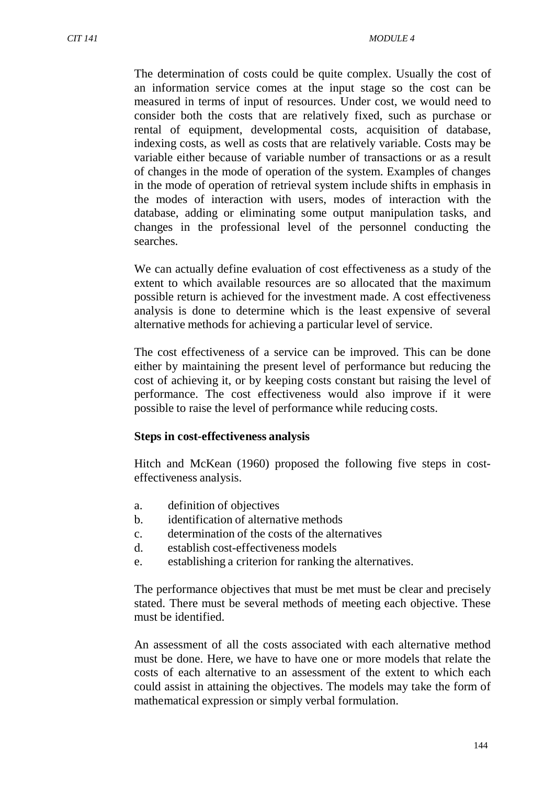The determination of costs could be quite complex. Usually the cost of an information service comes at the input stage so the cost can be measured in terms of input of resources. Under cost, we would need to consider both the costs that are relatively fixed, such as purchase or rental of equipment, developmental costs, acquisition of database, indexing costs, as well as costs that are relatively variable. Costs may be variable either because of variable number of transactions or as a result of changes in the mode of operation of the system. Examples of changes in the mode of operation of retrieval system include shifts in emphasis in the modes of interaction with users, modes of interaction with the database, adding or eliminating some output manipulation tasks, and changes in the professional level of the personnel conducting the searches.

We can actually define evaluation of cost effectiveness as a study of the extent to which available resources are so allocated that the maximum possible return is achieved for the investment made. A cost effectiveness analysis is done to determine which is the least expensive of several alternative methods for achieving a particular level of service.

The cost effectiveness of a service can be improved. This can be done either by maintaining the present level of performance but reducing the cost of achieving it, or by keeping costs constant but raising the level of performance. The cost effectiveness would also improve if it were possible to raise the level of performance while reducing costs.

#### **Steps in cost-effectiveness analysis**

Hitch and McKean (1960) proposed the following five steps in costeffectiveness analysis.

- a. definition of objectives
- b. identification of alternative methods
- c. determination of the costs of the alternatives
- d. establish cost-effectiveness models
- e. establishing a criterion for ranking the alternatives.

The performance objectives that must be met must be clear and precisely stated. There must be several methods of meeting each objective. These must be identified.

An assessment of all the costs associated with each alternative method must be done. Here, we have to have one or more models that relate the costs of each alternative to an assessment of the extent to which each could assist in attaining the objectives. The models may take the form of mathematical expression or simply verbal formulation.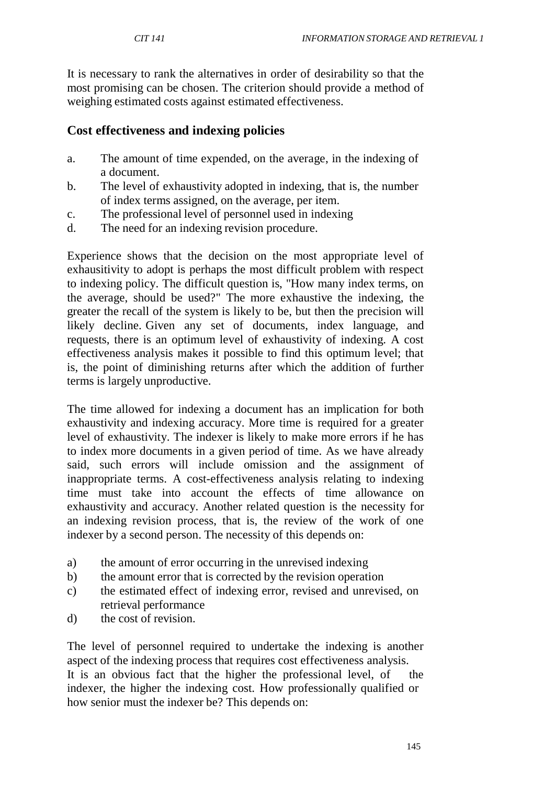It is necessary to rank the alternatives in order of desirability so that the most promising can be chosen. The criterion should provide a method of weighing estimated costs against estimated effectiveness.

## **Cost effectiveness and indexing policies**

- a. The amount of time expended, on the average, in the indexing of a document.
- b. The level of exhaustivity adopted in indexing, that is, the number of index terms assigned, on the average, per item.
- c. The professional level of personnel used in indexing
- d. The need for an indexing revision procedure.

Experience shows that the decision on the most appropriate level of exhausitivity to adopt is perhaps the most difficult problem with respect to indexing policy. The difficult question is, "How many index terms, on the average, should be used?" The more exhaustive the indexing, the greater the recall of the system is likely to be, but then the precision will likely decline. Given any set of documents, index language, and requests, there is an optimum level of exhaustivity of indexing. A cost effectiveness analysis makes it possible to find this optimum level; that is, the point of diminishing returns after which the addition of further terms is largely unproductive.

The time allowed for indexing a document has an implication for both exhaustivity and indexing accuracy. More time is required for a greater level of exhaustivity. The indexer is likely to make more errors if he has to index more documents in a given period of time. As we have already said, such errors will include omission and the assignment of inappropriate terms. A cost-effectiveness analysis relating to indexing time must take into account the effects of time allowance on exhaustivity and accuracy. Another related question is the necessity for an indexing revision process, that is, the review of the work of one indexer by a second person. The necessity of this depends on:

- a) the amount of error occurring in the unrevised indexing
- b) the amount error that is corrected by the revision operation
- c) the estimated effect of indexing error, revised and unrevised, on retrieval performance
- d) the cost of revision.

The level of personnel required to undertake the indexing is another aspect of the indexing process that requires cost effectiveness analysis. It is an obvious fact that the higher the professional level, of the indexer, the higher the indexing cost. How professionally qualified or how senior must the indexer be? This depends on: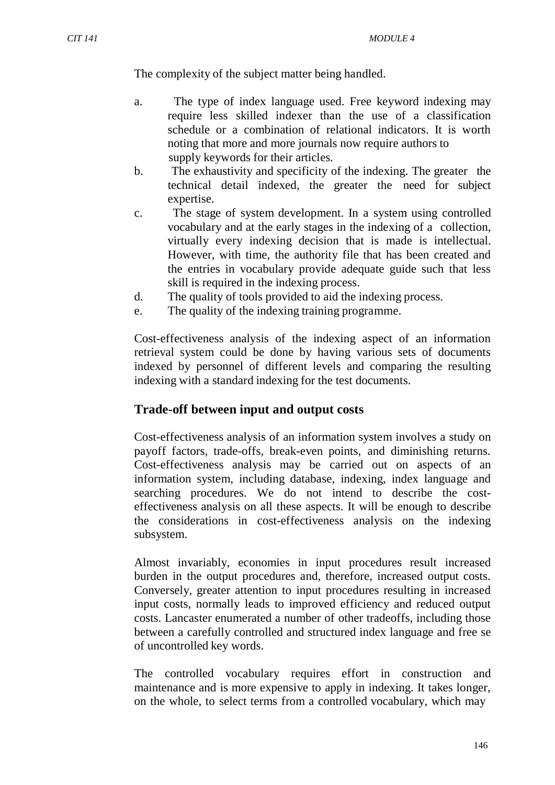The complexity of the subject matter being handled.

- a. The type of index language used. Free keyword indexing may require less skilled indexer than the use of a classification schedule or a combination of relational indicators. It is worth noting that more and more journals now require authors to supply keywords for their articles.
- b. The exhaustivity and specificity of the indexing. The greater the technical detail indexed, the greater the need for subject expertise.
- c. The stage of system development. In a system using controlled vocabulary and at the early stages in the indexing of a collection, virtually every indexing decision that is made is intellectual. However, with time, the authority file that has been created and the entries in vocabulary provide adequate guide such that less skill is required in the indexing process.
- d. The quality of tools provided to aid the indexing process.
- e. The quality of the indexing training programme.

Cost-effectiveness analysis of the indexing aspect of an information retrieval system could be done by having various sets of documents indexed by personnel of different levels and comparing the resulting indexing with a standard indexing for the test documents.

#### **Trade-off between input and output costs**

Cost-effectiveness analysis of an information system involves a study on payoff factors, trade-offs, break-even points, and diminishing returns. Cost-effectiveness analysis may be carried out on aspects of an information system, including database, indexing, index language and searching procedures. We do not intend to describe the costeffectiveness analysis on all these aspects. It will be enough to describe the considerations in cost-effectiveness analysis on the indexing subsystem.

Almost invariably, economies in input procedures result increased burden in the output procedures and, therefore, increased output costs. Conversely, greater attention to input procedures resulting in increased input costs, normally leads to improved efficiency and reduced output costs. Lancaster enumerated a number of other tradeoffs, including those between a carefully controlled and structured index language and free se of uncontrolled key words.

The controlled vocabulary requires effort in construction and maintenance and is more expensive to apply in indexing. It takes longer, on the whole, to select terms from a controlled vocabulary, which may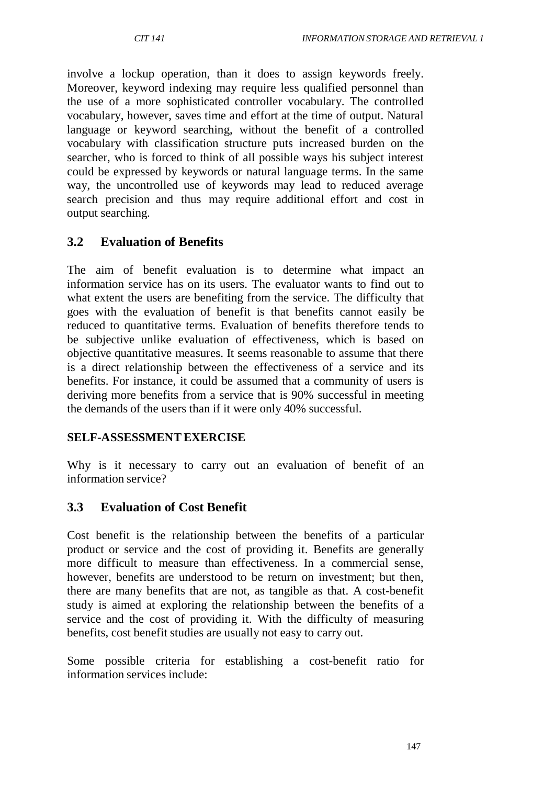involve a lockup operation, than it does to assign keywords freely. Moreover, keyword indexing may require less qualified personnel than the use of a more sophisticated controller vocabulary. The controlled vocabulary, however, saves time and effort at the time of output. Natural language or keyword searching, without the benefit of a controlled vocabulary with classification structure puts increased burden on the searcher, who is forced to think of all possible ways his subject interest could be expressed by keywords or natural language terms. In the same way, the uncontrolled use of keywords may lead to reduced average search precision and thus may require additional effort and cost in output searching.

# **3.2 Evaluation of Benefits**

The aim of benefit evaluation is to determine what impact an information service has on its users. The evaluator wants to find out to what extent the users are benefiting from the service. The difficulty that goes with the evaluation of benefit is that benefits cannot easily be reduced to quantitative terms. Evaluation of benefits therefore tends to be subjective unlike evaluation of effectiveness, which is based on objective quantitative measures. It seems reasonable to assume that there is a direct relationship between the effectiveness of a service and its benefits. For instance, it could be assumed that a community of users is deriving more benefits from a service that is 90% successful in meeting the demands of the users than if it were only 40% successful.

#### **SELF-ASSESSMENTEXERCISE**

Why is it necessary to carry out an evaluation of benefit of an information service?

# **3.3 Evaluation of Cost Benefit**

Cost benefit is the relationship between the benefits of a particular product or service and the cost of providing it. Benefits are generally more difficult to measure than effectiveness. In a commercial sense, however, benefits are understood to be return on investment; but then, there are many benefits that are not, as tangible as that. A cost-benefit study is aimed at exploring the relationship between the benefits of a service and the cost of providing it. With the difficulty of measuring benefits, cost benefit studies are usually not easy to carry out.

Some possible criteria for establishing a cost-benefit ratio for information services include: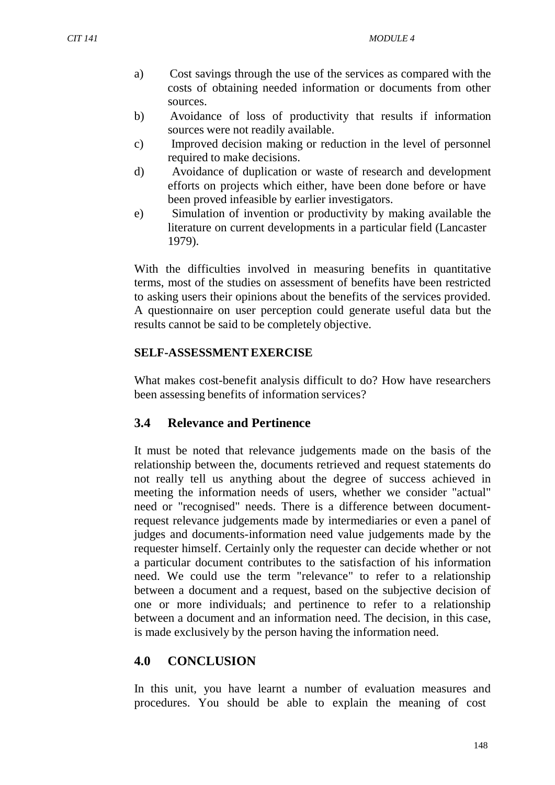- a) Cost savings through the use of the services as compared with the costs of obtaining needed information or documents from other sources.
- b) Avoidance of loss of productivity that results if information sources were not readily available.
- c) Improved decision making or reduction in the level of personnel required to make decisions.
- d) Avoidance of duplication or waste of research and development efforts on projects which either, have been done before or have been proved infeasible by earlier investigators.
- e) Simulation of invention or productivity by making available the literature on current developments in a particular field (Lancaster 1979).

With the difficulties involved in measuring benefits in quantitative terms, most of the studies on assessment of benefits have been restricted to asking users their opinions about the benefits of the services provided. A questionnaire on user perception could generate useful data but the results cannot be said to be completely objective.

#### **SELF-ASSESSMENTEXERCISE**

What makes cost-benefit analysis difficult to do? How have researchers been assessing benefits of information services?

#### **3.4 Relevance and Pertinence**

It must be noted that relevance judgements made on the basis of the relationship between the, documents retrieved and request statements do not really tell us anything about the degree of success achieved in meeting the information needs of users, whether we consider "actual" need or "recognised" needs. There is a difference between documentrequest relevance judgements made by intermediaries or even a panel of judges and documents-information need value judgements made by the requester himself. Certainly only the requester can decide whether or not a particular document contributes to the satisfaction of his information need. We could use the term "relevance" to refer to a relationship between a document and a request, based on the subjective decision of one or more individuals; and pertinence to refer to a relationship between a document and an information need. The decision, in this case, is made exclusively by the person having the information need.

#### **4.0 CONCLUSION**

In this unit, you have learnt a number of evaluation measures and procedures. You should be able to explain the meaning of cost